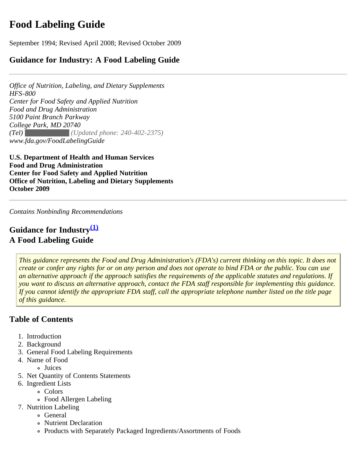# <span id="page-0-0"></span>**Food Labeling Guide**

September 1994; Revised April 2008; Revised October 2009

# **Guidance for Industry: A Food Labeling Guide**

*Office of Nutrition, Labeling, and Dietary Supplements HFS-800 Center for Food Safety and Applied Nutrition Food and Drug Administration 5100 Paint Branch Parkway College Park, MD 20740 (Tel) (301) 436-2375 (Updated phone: 240-402-2375) www.fda.gov/FoodLabelingGuide*

**U.S. Department of Health and Human Services Food and Drug Administration Center for Food Safety and Applied Nutrition Office of Nutrition, Labeling and Dietary Supplements October 2009**

*Contains Nonbinding Recommendations* 

# **Guidance for Industry[\(1\)](#page-2-0) A Food Labeling Guide**

*This guidance represents the Food and Drug Administration's (FDA's) current thinking on this topic. It does not create or confer any rights for or on any person and does not operate to bind FDA or the public. You can use an alternative approach if the approach satisfies the requirements of the applicable statutes and regulations. If you want to discuss an alternative approach, contact the FDA staff responsible for implementing this guidance. If you cannot identify the appropriate FDA staff, call the appropriate telephone number listed on the title page of this guidance.*

# **Table of Contents**

- 1. Introduction
- 2. Background
- 3. [General Food Labeling Requirements](#page-3-0)
- 4. [Name of Food](#page-7-0)
	- Juices
- 5. [Net Quantity of Contents Statements](#page-16-0)
- 6. [Ingredient Lists](#page-20-0)
	- Colors
	- Food Allergen Labeling
- 7. [Nutrition Labeling](#page-30-0)
	- o General
	- Nutrient Declaration
	- Products with Separately Packaged Ingredients/Assortments of Foods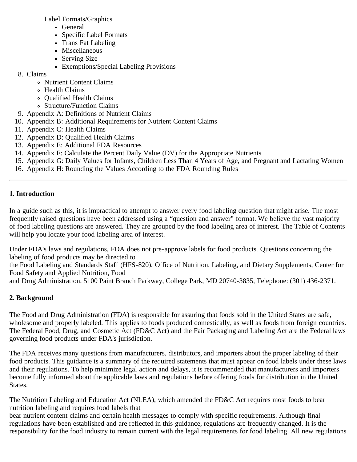[Label Formats/Graphics](#page-41-0)

- General
- Specific Label Formats
- Trans Fat Labeling
- **Miscellaneous**
- **Serving Size**
- Exemptions/Special Labeling Provisions
- 8. [Claims](#page-71-0)
	- Nutrient Content Claims
	- Health Claims
	- Qualified Health Claims
	- Structure/Function Claims
- 9. [Appendix A: Definitions of Nutrient Claims](#page-82-0)
- 10. [Appendix B: Additional Requirements for Nutrient Content Claims](#page-86-0)
- 11. [Appendix C: Health Claims](#page-90-0)
- 12. [Appendix D: Qualified Health Claims](#page-97-0)
- 13. [Appendix E: Additional FDA Resources](#page-114-0)
- 14. [Appendix F: Calculate the Percent Daily Value \(DV\) for the Appropriate Nutrients](#page-116-0)
- 15. [Appendix G: Daily Values for Infants, Children Less Than 4 Years of Age, and Pregnant and Lactating Women](#page-118-0)
- 16. [Appendix H: Rounding the Values According to the FDA Rounding Rules](#page-120-0)

# **1. Introduction**

In a guide such as this, it is impractical to attempt to answer every food labeling question that might arise. The most frequently raised questions have been addressed using a "question and answer" format. We believe the vast majority of food labeling questions are answered. They are grouped by the food labeling area of interest. The Table of Contents will help you locate your food labeling area of interest.

Under FDA's laws and regulations, FDA does not pre-approve labels for food products. Questions concerning the labeling of food products may be directed to

the Food Labeling and Standards Staff (HFS-820), Office of Nutrition, Labeling, and Dietary Supplements, Center for Food Safety and Applied Nutrition, Food

and Drug Administration, 5100 Paint Branch Parkway, College Park, MD 20740-3835, Telephone: (301) 436-2371.

# **2. Background**

The Food and Drug Administration (FDA) is responsible for assuring that foods sold in the United States are safe, wholesome and properly labeled. This applies to foods produced domestically, as well as foods from foreign countries. The Federal Food, Drug, and Cosmetic Act (FD&C Act) and the Fair Packaging and Labeling Act are the Federal laws governing food products under FDA's jurisdiction.

The FDA receives many questions from manufacturers, distributors, and importers about the proper labeling of their food products. This guidance is a summary of the required statements that must appear on food labels under these laws and their regulations. To help minimize legal action and delays, it is recommended that manufacturers and importers become fully informed about the applicable laws and regulations before offering foods for distribution in the United States.

The Nutrition Labeling and Education Act (NLEA), which amended the FD&C Act requires most foods to bear nutrition labeling and requires food labels that

bear nutrient content claims and certain health messages to comply with specific requirements. Although final regulations have been established and are reflected in this guidance, regulations are frequently changed. It is the responsibility for the food industry to remain current with the legal requirements for food labeling. All new regulations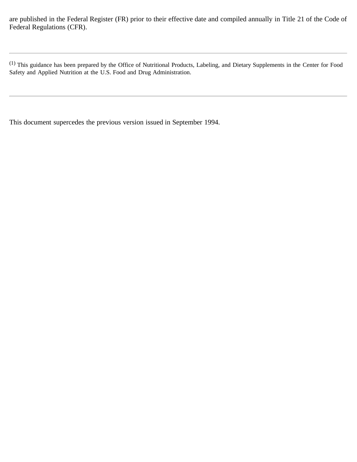are published in the Federal Register (FR) prior to their effective date and compiled annually in Title 21 of the Code of Federal Regulations (CFR).

<span id="page-2-0"></span>(1) This guidance has been prepared by the Office of Nutritional Products, Labeling, and Dietary Supplements in the Center for Food Safety and Applied Nutrition at the U.S. Food and Drug Administration.

This document supercedes the previous version issued in September 1994.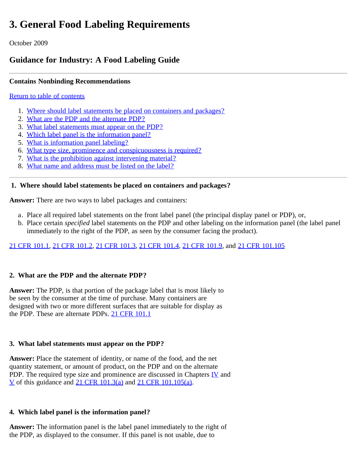# <span id="page-3-0"></span>**3. General Food Labeling Requirements**

October 2009

# **Guidance for Industry: A Food Labeling Guide**

# **Contains Nonbinding Recommendations**

### [Return to table of contents](#page-0-0)

- 1. [Where should label statements be placed on containers and packages?](#page-3-1)
- 2. [What are the PDP and the alternate PDP?](#page-3-2)
- 3. [What label statements must appear on the PDP?](#page-4-0)
- 4. [Which label panel is the information panel?](#page-4-1)
- 5. [What is information panel labeling?](#page-4-2)
- 6. [What type size, prominence and conspicuousness is required?](#page-4-3)
- 7. [What is the prohibition against intervening material?](#page-5-0)
- 8. [What name and address must be listed on the label?](#page-5-1)

### <span id="page-3-1"></span>**1. Where should label statements be placed on containers and packages?**

**Answer:** There are two ways to label packages and containers:

- a. Place all required label statements on the front label panel (the principal display panel or PDP), or,
- b. Place certain *specified* label statements on the PDP and other labeling on the information panel (the label panel immediately to the right of the PDP, as seen by the consumer facing the product).

# [21 CFR 101.1](http://ecfr.gpoaccess.gov/cgi/t/text/text-idx?c=ecfr&sid=2cd366a9f6d495974a9cbfc076c43b05&rgn=div8&view=text&node=21:2.0.1.1.2.1.1.1&idno=21+), [21 CFR 101.2](http://ecfr.gpoaccess.gov/cgi/t/text/text-idx?c=ecfr&sid=2cd366a9f6d495974a9cbfc076c43b05&rgn=div8&view=text&node=21:2.0.1.1.2.1.1.2&idno=21), [21 CFR 101.3,](http://ecfr.gpoaccess.gov/cgi/t/text/text-idx?c=ecfr&sid=2cd366a9f6d495974a9cbfc076c43b05&rgn=div8&view=text&node=21:2.0.1.1.2.1.1.3&idno=21) [21 CFR 101.4](http://ecfr.gpoaccess.gov/cgi/t/text/text-idx?c=ecfr&sid=2cd366a9f6d495974a9cbfc076c43b05&rgn=div8&view=text&node=21:2.0.1.1.2.1.1.4&idno=21), [21 CFR 101.9](http://ecfr.gpoaccess.gov/cgi/t/text/text-idx?c=ecfr&sid=2cd366a9f6d495974a9cbfc076c43b05&rgn=div8&view=text&node=21:2.0.1.1.2.1.1.6&idno=21), and [21 CFR 101.105](http://ecfr.gpoaccess.gov/cgi/t/text/text-idx?c=ecfr&sid=2cd366a9f6d495974a9cbfc076c43b05&rgn=div8&view=text&node=21:2.0.1.1.2.7.1.2&idno=21)

# <span id="page-3-2"></span>**2. What are the PDP and the alternate PDP?**

**Answer:** The PDP, is that portion of the package label that is most likely to be seen by the consumer at the time of purchase. Many containers are designed with two or more different surfaces that are suitable for display as the PDP. These are alternate PDPs. [21 CFR 101.1](http://ecfr.gpoaccess.gov/cgi/t/text/text-idx?c=ecfr&sid=2cd366a9f6d495974a9cbfc076c43b05&rgn=div8&view=text&node=21:2.0.1.1.2.1.1.1&idno=21+)

# **3. What label statements must appear on the PDP?**

**Answer:** Place the statement of identity, or name of the food, and the net quantity statement, or amount of product, on the PDP and on the alternate PDP. The required type size and prominence are discussed in Chapters  $\underline{IV}$  and [V](file:///S|/CFSANWEBTEAM/Ticket%20Related/814%20-%20PDF%20of%20FLG/[!--$ssLink("images/ucm064877.htm")--]) of this guidance and [21 CFR 101.3\(a\)](http://ecfr.gpoaccess.gov/cgi/t/text/text-idx?c=ecfr&sid=2cd366a9f6d495974a9cbfc076c43b05&rgn=div8&view=text&node=21:2.0.1.1.2.1.1.3&idno=21) and [21 CFR 101.105\(a\).](http://ecfr.gpoaccess.gov/cgi/t/text/text-idx?c=ecfr&sid=2cd366a9f6d495974a9cbfc076c43b05&rgn=div8&view=text&node=21:2.0.1.1.2.7.1.2&idno=21)

# **4. Which label panel is the information panel?**

**Answer:** The information panel is the label panel immediately to the right of the PDP, as displayed to the consumer. If this panel is not usable, due to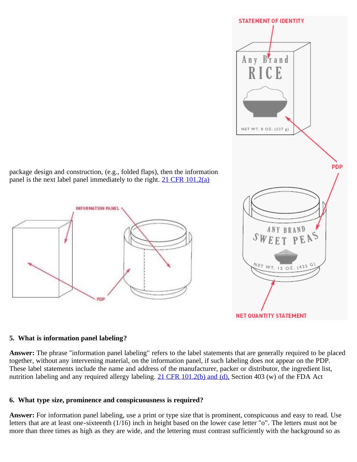<span id="page-4-1"></span><span id="page-4-0"></span>

#### <span id="page-4-2"></span>**5. What is information panel labeling?**

**Answer:** The phrase "information panel labeling" refers to the label statements that are generally required to be placed together, without any intervening material, on the information panel, if such labeling does not appear on the PDP. These label statements include the name and address of the manufacturer, packer or distributor, the ingredient list, nutrition labeling and any required allergy labeling. [21 CFR 101.2\(b\) and \(d\),](http://ecfr.gpoaccess.gov/cgi/t/text/text-idx?c=ecfr&sid=2cd366a9f6d495974a9cbfc076c43b05&rgn=div8&view=text&node=21:2.0.1.1.2.1.1.2&idno=21) Section 403 (w) of the FDA Act

#### <span id="page-4-3"></span>**6. What type size, prominence and conspicuousness is required?**

**Answer:** For information panel labeling, use a print or type size that is prominent, conspicuous and easy to read. Use letters that are at least one-sixteenth (1/16) inch in height based on the lower case letter "o". The letters must not be more than three times as high as they are wide, and the lettering must contrast sufficiently with the background so as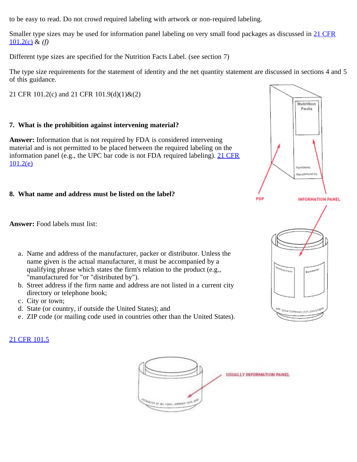to be easy to read. Do not crowd required labeling with artwork or non-required labeling.

Smaller type sizes may be used for information panel labeling on very small food packages as discussed in [21 CFR](http://ecfr.gpoaccess.gov/cgi/t/text/text-idx?c=ecfr&sid=2cd366a9f6d495974a9cbfc076c43b05&rgn=div8&view=text&node=21:2.0.1.1.2.1.1.2&idno=21) [101.2\(c\)](http://ecfr.gpoaccess.gov/cgi/t/text/text-idx?c=ecfr&sid=2cd366a9f6d495974a9cbfc076c43b05&rgn=div8&view=text&node=21:2.0.1.1.2.1.1.2&idno=21) & *(f)*

Different type sizes are specified for the Nutrition Facts Label. (see section 7)

The type size requirements for the statement of identity and the net quantity statement are discussed in sections 4 and 5 of this guidance.

<span id="page-5-0"></span>21 CFR 101.2(c) and 21 CFR 101.9(d)(1)&(2)

#### **7. What is the prohibition against intervening material?**

**Answer:** Information that is not required by FDA is considered intervening material and is not permitted to be placed between the required labeling on the information panel (e.g., the UPC bar code is not FDA required labeling). [21 CFR](http://ecfr.gpoaccess.gov/cgi/t/text/text-idx?c=ecfr&sid=2cd366a9f6d495974a9cbfc076c43b05&rgn=div8&view=text&node=21:2.0.1.1.2.1.1.2&idno=21) [101.2\(e\)](http://ecfr.gpoaccess.gov/cgi/t/text/text-idx?c=ecfr&sid=2cd366a9f6d495974a9cbfc076c43b05&rgn=div8&view=text&node=21:2.0.1.1.2.1.1.2&idno=21)

### <span id="page-5-1"></span>**8. What name and address must be listed on the label?**



**Answer:** Food labels must list:

- a. Name and address of the manufacturer, packer or distributor. Unless the name given is the actual manufacturer, it must be accompanied by a qualifying phrase which states the firm's relation to the product (e.g., "manufactured for "or "distributed by").
- b. Street address if the firm name and address are not listed in a current city directory or telephone book;
- c. City or town;
- d. State (or country, if outside the United States); and
- e. ZIP code (or mailing code used in countries other than the United States).

#### [21 CFR 101.5](http://ecfr.gpoaccess.gov/cgi/t/text/text-idx?c=ecfr&sid=2cd366a9f6d495974a9cbfc076c43b05&rgn=div8&view=text&node=21:2.0.1.1.2.1.1.5&idno=21)

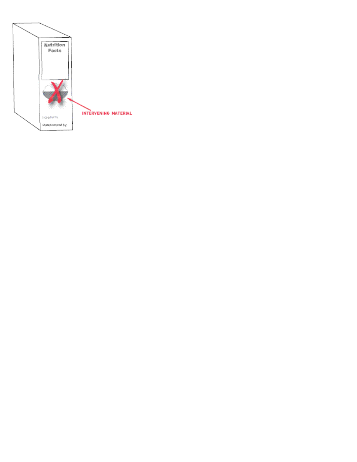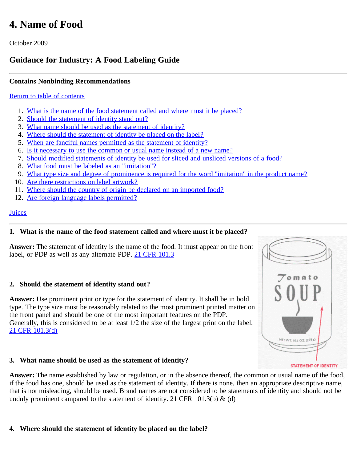# <span id="page-7-5"></span><span id="page-7-0"></span>**4. Name of Food**

October 2009

# **Guidance for Industry: A Food Labeling Guide**

# **Contains Nonbinding Recommendations**

#### [Return to table of contents](#page-0-0)

- 1. [What is the name of the food statement called and where must it be placed?](#page-7-1)
- 2. [Should the statement of identity stand out?](#page-7-2)
- 3. [What name should be used as the statement of identity?](#page-7-3)
- 4. [Where should the statement of identity be placed on the label?](#page-7-4)
- 5. [When are fanciful names permitted as the statement of identity?](#page-8-0)
- 6. [Is it necessary to use the common or usual name instead of a new name?](#page-8-1)
- 7. [Should modified statements of identity be used for sliced and unsliced versions of a food?](#page-8-2)
- 8. [What food must be labeled as an "imitation"?](#page-7-5)
- 9. [What type size and degree of prominence is required for the word "imitation" in the product name?](#page-8-3)
- 10. [Are there restrictions on label artwork?](#page-8-4)
- 11. [Where should the country of origin be declared on an imported food?](#page-9-0)
- 12. [Are foreign language labels permitted?](#page-9-1)

#### **[Juices](#page-9-2)**

# <span id="page-7-1"></span>**1. What is the name of the food statement called and where must it be placed?**

**Answer:** The statement of identity is the name of the food. It must appear on the front label, or PDP as well as any alternate PDP. [21 CFR 101.3](http://ecfr.gpoaccess.gov/cgi/t/text/text-idx?c=ecfr&sid=2cd366a9f6d495974a9cbfc076c43b05&rgn=div8&view=text&node=21:2.0.1.1.2.1.1.3&idno=21)

# <span id="page-7-2"></span>**2. Should the statement of identity stand out?**

**Answer:** Use prominent print or type for the statement of identity. It shall be in bold type. The type size must be reasonably related to the most prominent printed matter on the front panel and should be one of the most important features on the PDP. Generally, this is considered to be at least 1/2 the size of the largest print on the label. [21 CFR 101.3\(d\)](http://ecfr.gpoaccess.gov/cgi/t/text/text-idx?c=ecfr&sid=2cd366a9f6d495974a9cbfc076c43b05&rgn=div8&view=text&node=21:2.0.1.1.2.1.1.3&idno=21)

#### <span id="page-7-3"></span>**3. What name should be used as the statement of identity?**

<span id="page-7-4"></span>**Answer:** The name established by law or regulation, or in the absence thereof, the common or usual name of the food, if the food has one, should be used as the statement of identity. If there is none, then an appropriate descriptive name, that is not misleading, should be used. Brand names are not considered to be statements of identity and should not be unduly prominent campared to the statement of identity. 21 CFR 101.3(b)  $\&$  (d)

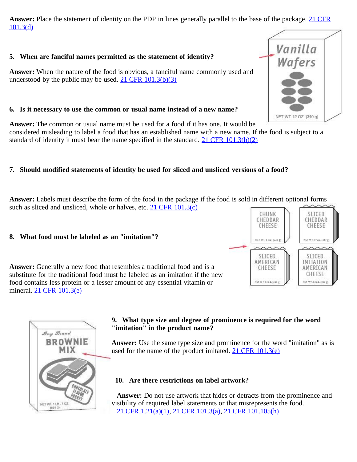**Answer:** Place the statement of identity on the PDP in lines generally parallel to the base of the package. [21 CFR](http://ecfr.gpoaccess.gov/cgi/t/text/text-idx?c=ecfr&sid=2cd366a9f6d495974a9cbfc076c43b05&rgn=div8&view=text&node=21:2.0.1.1.2.1.1.3&idno=21) [101.3\(d\)](http://ecfr.gpoaccess.gov/cgi/t/text/text-idx?c=ecfr&sid=2cd366a9f6d495974a9cbfc076c43b05&rgn=div8&view=text&node=21:2.0.1.1.2.1.1.3&idno=21)

### <span id="page-8-0"></span>**5. When are fanciful names permitted as the statement of identity?**

**Answer:** When the nature of the food is obvious, a fanciful name commonly used and understood by the public may be used.  $21$  CFR  $101.3(b)(3)$ 

## <span id="page-8-1"></span>**6. Is it necessary to use the common or usual name instead of a new name?**

**Answer:** The common or usual name must be used for a food if it has one. It would be

considered misleading to label a food that has an established name with a new name. If the food is subject to a standard of identity it must bear the name specified in the standard. 21 CFR  $101.3(b)(2)$ 

# <span id="page-8-2"></span>**7. Should modified statements of identity be used for sliced and unsliced versions of a food?**

**Answer:** Labels must describe the form of the food in the package if the food is sold in different optional forms such as sliced and unsliced, whole or halves, etc.  $21$  CFR  $101.3(c)$ 

#### **8. What food must be labeled as an "imitation"?**

**Answer:** Generally a new food that resembles a traditional food and is a substitute for the traditional food must be labeled as an imitation if the new food contains less protein or a lesser amount of any essential vitamin or mineral. [21 CFR 101.3\(e\)](http://ecfr.gpoaccess.gov/cgi/t/text/text-idx?c=ecfr&sid=2cd366a9f6d495974a9cbfc076c43b05&rgn=div8&view=text&node=21:2.0.1.1.2.1.1.3&idno=21)

#### **9. What type size and degree of prominence is required for the word "imitation" in the product name?**

**Answer:** Use the same type size and prominence for the word "imitation" as is used for the name of the product imitated.  $21 \text{ CFR } 101.3(e)$ 

#### **10. Are there restrictions on label artwork?**

 **Answer:** Do not use artwork that hides or detracts from the prominence and visibility of required label statements or that misrepresents the food. [21 CFR 1.21\(a\)\(1\),](http://ecfr.gpoaccess.gov/cgi/t/text/text-idx?c=ecfr&sid=dbadc1b7562a90f044b8e99652f55840&rgn=div8&view=text&node=21:1.0.1.1.1.2.16.2&idno=21) [21 CFR 101.3\(a\),](http://ecfr.gpoaccess.gov/cgi/t/text/text-idx?c=ecfr&sid=2cd366a9f6d495974a9cbfc076c43b05&rgn=div8&view=text&node=21:2.0.1.1.2.1.1.3&idno=21) [21 CFR 101.105\(h\)](http://ecfr.gpoaccess.gov/cgi/t/text/text-idx?c=ecfr&sid=7a857156afaf2ad37f03bbcedf36a7e7&rgn=div8&view=text&node=21:2.0.1.1.2.7.1.2&idno=21)

<span id="page-8-4"></span><span id="page-8-3"></span>



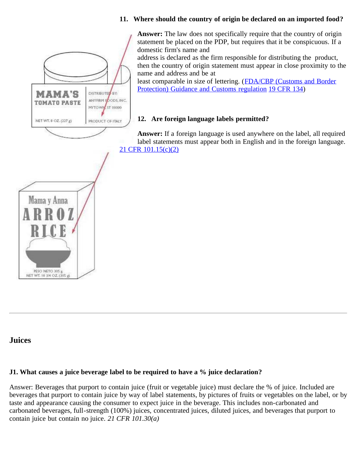#### **11. Where should the country of origin be declared on an imported food?**

**Answer:** The law does not specifically require that the country of origin statement be placed on the PDP, but requires that it be conspicuous. If a domestic firm's name and

address is declared as the firm responsible for distributing the product, then the country of origin statement must appear in close proximity to the name and address and be at

least comparable in size of lettering. ([FDA/CBP \(Customs and Border](http://wcms.fda.gov/FDAgov/ICECI/ComplianceManuals/CompliancePolicyGuidanceManual/ucm074567.htm) [Protection\) Guidance and Customs regulation](http://wcms.fda.gov/FDAgov/ICECI/ComplianceManuals/CompliancePolicyGuidanceManual/ucm074567.htm) [19 CFR 134](http://ecfr.gpoaccess.gov/cgi/t/text/text-idx?c=ecfr&sid=8194b969a86f2187159972df2124c2ee&rgn=div8&view=text&node=19:1.0.1.1.28.0.226.1&idno=19))

#### **12. Are foreign language labels permitted?**

**Answer:** If a foreign language is used anywhere on the label, all required label statements must appear both in English and in the foreign language. [21 CFR 101.15\(c\)\(2\)](http://ecfr.gpoaccess.gov/cgi/t/text/text-idx?c=ecfr&sid=a7b26cdeda472810611bd463a78c49da&rgn=div8&view=text&node=21:2.0.1.1.2.1.1.11&idno=21)

# <span id="page-9-2"></span>**Juices**

#### **J1. What causes a juice beverage label to be required to have a % juice declaration?**

Answer: Beverages that purport to contain juice (fruit or vegetable juice) must declare the % of juice. Included are beverages that purport to contain juice by way of label statements, by pictures of fruits or vegetables on the label, or by taste and appearance causing the consumer to expect juice in the beverage. This includes non-carbonated and carbonated beverages, full-strength (100%) juices, concentrated juices, diluted juices, and beverages that purport to contain juice but contain no juice. *21 CFR 101.30(a)*

<span id="page-9-1"></span><span id="page-9-0"></span>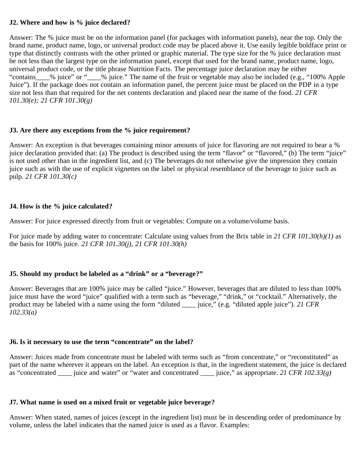#### **J2. Where and how is % juice declared?**

Answer: The % juice must be on the information panel (for packages with information panels), near the top. Only the brand name, product name, logo, or universal product code may be placed above it. Use easily legible boldface print or type that distinctly contrasts with the other printed or graphic material. The type size for the % juice declaration must be not less than the largest type on the information panel, except that used for the brand name, product name, logo, universal product code, or the title phrase Nutrition Facts. The percentage juice declaration may be either "contains\_\_\_\_% juice" or "\_\_\_\_% juice." The name of the fruit or vegetable may also be included (e.g., "100% Apple Juice"). If the package does not contain an information panel, the percent juice must be placed on the PDP in a type size not less than that required for the net contents declaration and placed near the name of the food. *21 CFR 101.30(e); 21 CFR 101.30(g)*

#### **J3. Are there any exceptions from the % juice requirement?**

Answer: An exception is that beverages containing minor amounts of juice for flavoring are not required to bear a % juice declaration provided that: (a) The product is described using the term "flavor" or "flavored," (b) The term "juice" is not used other than in the ingredient list, and (c) The beverages do not otherwise give the impression they contain juice such as with the use of explicit vignettes on the label or physical resemblance of the beverage to juice such as pulp. *21 CFR 101.30(c)*

#### **J4. How is the % juice calculated?**

Answer: For juice expressed directly from fruit or vegetables: Compute on a volume/volume basis.

For juice made by adding water to concentrate: Calculate using values from the Brix table in *21 CFR 101.30(h)(1)* as the basis for 100% juice. *21 CFR 101.30(j), 21 CFR 101.30(h)*

#### **J5. Should my product be labeled as a "drink" or a "beverage?"**

Answer: Beverages that are 100% juice may be called "juice." However, beverages that are diluted to less than 100% juice must have the word "juice" qualified with a term such as "beverage," "drink," or "cocktail." Alternatively, the product may be labeled with a name using the form "diluted \_\_\_\_ juice," (e.g. "diluted apple juice"). *21 CFR 102.33(a)*

#### **J6. Is it necessary to use the term "concentrate" on the label?**

Answer: Juices made from concentrate must be labeled with terms such as "from concentrate," or "reconstituted" as part of the name wherever it appears on the label. An exception is that, in the ingredient statement, the juice is declared as "concentrated \_\_\_\_ juice and water" or "water and concentrated \_\_\_\_ juice," as appropriate. *21 CFR 102.33(g)*

#### **J7. What name is used on a mixed fruit or vegetable juice beverage?**

Answer: When stated, names of juices (except in the ingredient list) must be in descending order of predominance by volume, unless the label indicates that the named juice is used as a flavor. Examples: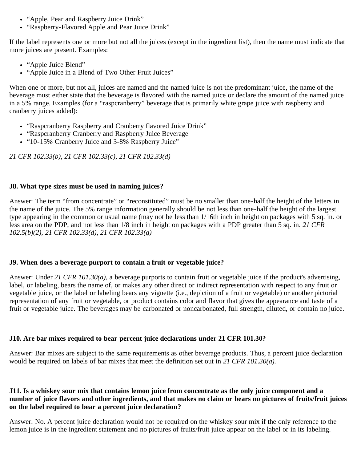- "Apple, Pear and Raspberry Juice Drink"
- "Raspberry-Flavored Apple and Pear Juice Drink"

If the label represents one or more but not all the juices (except in the ingredient list), then the name must indicate that more juices are present. Examples:

- "Apple Juice Blend"
- "Apple Juice in a Blend of Two Other Fruit Juices"

When one or more, but not all, juices are named and the named juice is not the predominant juice, the name of the beverage must either state that the beverage is flavored with the named juice or declare the amount of the named juice in a 5% range. Examples (for a "raspcranberry" beverage that is primarily white grape juice with raspberry and cranberry juices added):

- "Raspcranberry Raspberry and Cranberry flavored Juice Drink"
- "Raspcranberry Cranberry and Raspberry Juice Beverage
- . "10-15% Cranberry Juice and 3-8% Raspberry Juice"

*21 CFR 102.33(b), 21 CFR 102.33(c), 21 CFR 102.33(d)*

#### **J8. What type sizes must be used in naming juices?**

Answer: The term "from concentrate" or "reconstituted" must be no smaller than one-half the height of the letters in the name of the juice. The 5% range information generally should be not less than one-half the height of the largest type appearing in the common or usual name (may not be less than 1/16th inch in height on packages with 5 sq. in. or less area on the PDP, and not less than 1/8 inch in height on packages with a PDP greater than 5 sq. in. *21 CFR 102.5(b)(2), 21 CFR 102.33(d), 21 CFR 102.33(g)*

#### **J9. When does a beverage purport to contain a fruit or vegetable juice?**

Answer: Under *21 CFR 101.30(a),* a beverage purports to contain fruit or vegetable juice if the product's advertising, label, or labeling, bears the name of, or makes any other direct or indirect representation with respect to any fruit or vegetable juice, or the label or labeling bears any vignette (i.e., depiction of a fruit or vegetable) or another pictorial representation of any fruit or vegetable, or product contains color and flavor that gives the appearance and taste of a fruit or vegetable juice. The beverages may be carbonated or noncarbonated, full strength, diluted, or contain no juice.

#### **J10. Are bar mixes required to bear percent juice declarations under 21 CFR 101.30?**

Answer: Bar mixes are subject to the same requirements as other beverage products. Thus, a percent juice declaration would be required on labels of bar mixes that meet the definition set out in *21 CFR 101.30(a).*

#### **J11. Is a whiskey sour mix that contains lemon juice from concentrate as the only juice component and a number of juice flavors and other ingredients, and that makes no claim or bears no pictures of fruits/fruit juices on the label required to bear a percent juice declaration?**

Answer: No. A percent juice declaration would not be required on the whiskey sour mix if the only reference to the lemon juice is in the ingredient statement and no pictures of fruits/fruit juice appear on the label or in its labeling.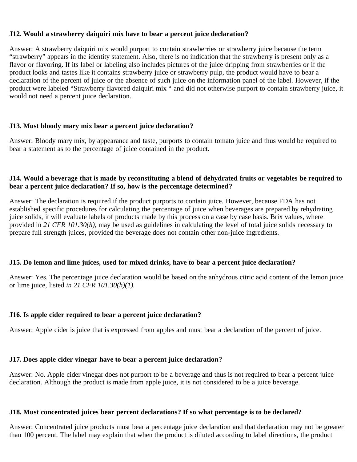#### **J12. Would a strawberry daiquiri mix have to bear a percent juice declaration?**

Answer: A strawberry daiquiri mix would purport to contain strawberries or strawberry juice because the term "strawberry" appears in the identity statement. Also, there is no indication that the strawberry is present only as a flavor or flavoring. If its label or labeling also includes pictures of the juice dripping from strawberries or if the product looks and tastes like it contains strawberry juice or strawberry pulp, the product would have to bear a declaration of the percent of juice or the absence of such juice on the information panel of the label. However, if the product were labeled "Strawberry flavored daiquiri mix " and did not otherwise purport to contain strawberry juice, it would not need a percent juice declaration.

#### **J13. Must bloody mary mix bear a percent juice declaration?**

Answer: Bloody mary mix, by appearance and taste, purports to contain tomato juice and thus would be required to bear a statement as to the percentage of juice contained in the product.

#### **J14. Would a beverage that is made by reconstituting a blend of dehydrated fruits or vegetables be required to bear a percent juice declaration? If so, how is the percentage determined?**

Answer: The declaration is required if the product purports to contain juice. However, because FDA has not established specific procedures for calculating the percentage of juice when beverages are prepared by rehydrating juice solids, it will evaluate labels of products made by this process on a case by case basis. Brix values, where provided in *21 CFR 101.30(h),* may be used as guidelines in calculating the level of total juice solids necessary to prepare full strength juices, provided the beverage does not contain other non-juice ingredients.

#### **J15. Do lemon and lime juices, used for mixed drinks, have to bear a percent juice declaration?**

Answer: Yes. The percentage juice declaration would be based on the anhydrous citric acid content of the lemon juice or lime juice, listed *in 21 CFR 101.30(h)(1).*

#### **J16. Is apple cider required to bear a percent juice declaration?**

Answer: Apple cider is juice that is expressed from apples and must bear a declaration of the percent of juice.

#### **J17. Does apple cider vinegar have to bear a percent juice declaration?**

Answer: No. Apple cider vinegar does not purport to be a beverage and thus is not required to bear a percent juice declaration. Although the product is made from apple juice, it is not considered to be a juice beverage.

#### **J18. Must concentrated juices bear percent declarations? If so what percentage is to be declared?**

Answer: Concentrated juice products must bear a percentage juice declaration and that declaration may not be greater than 100 percent. The label may explain that when the product is diluted according to label directions, the product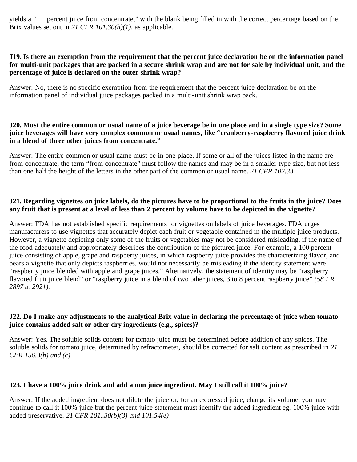yields a "\_\_\_percent juice from concentrate," with the blank being filled in with the correct percentage based on the Brix values set out in *21 CFR 101.30(h)(1),* as applicable.

#### **J19. Is there an exemption from the requirement that the percent juice declaration be on the information panel for multi-unit packages that are packed in a secure shrink wrap and are not for sale by individual unit, and the percentage of juice is declared on the outer shrink wrap?**

Answer: No, there is no specific exemption from the requirement that the percent juice declaration be on the information panel of individual juice packages packed in a multi-unit shrink wrap pack.

#### **J20. Must the entire common or usual name of a juice beverage be in one place and in a single type size? Some juice beverages will have very complex common or usual names, like "cranberry-raspberry flavored juice drink in a blend of three other juices from concentrate."**

Answer: The entire common or usual name must be in one place. If some or all of the juices listed in the name are from concentrate, the term "from concentrate" must follow the names and may be in a smaller type size, but not less than one half the height of the letters in the other part of the common or usual name. *21 CFR 102.33*

#### **J21. Regarding vignettes on juice labels, do the pictures have to be proportional to the fruits in the juice? Does any fruit that is present at a level of less than 2 percent by volume have to be depicted in the vignette?**

Answer: FDA has not established specific requirements for vignettes on labels of juice beverages. FDA urges manufacturers to use vignettes that accurately depict each fruit or vegetable contained in the multiple juice products. However, a vignette depicting only some of the fruits or vegetables may not be considered misleading, if the name of the food adequately and appropriately describes the contribution of the pictured juice. For example, a 100 percent juice consisting of apple, grape and raspberry juices, in which raspberry juice provides the characterizing flavor, and bears a vignette that only depicts raspberries, would not necessarily be misleading if the identity statement were "raspberry juice blended with apple and grape juices." Alternatively, the statement of identity may be "raspberry flavored fruit juice blend" or "raspberry juice in a blend of two other juices, 3 to 8 percent raspberry juice" *(58 FR 2897* at *2921).*

#### **J22. Do I make any adjustments to the analytical Brix value in declaring the percentage of juice when tomato juice contains added salt or other dry ingredients (e.g., spices)?**

Answer: Yes. The soluble solids content for tomato juice must be determined before addition of any spices. The soluble solids for tomato juice, determined by refractometer, should be corrected for salt content as prescribed in *21 CFR 156.3(b) and (c).*

#### **J23. I have a 100% juice drink and add a non juice ingredient. May I still call it 100% juice?**

Answer: If the added ingredient does not dilute the juice or, for an expressed juice, change its volume, you may continue to call it 100% juice but the percent juice statement must identify the added ingredient eg. 100% juice with added preservative. *21 CFR 101..30(b)(3) and 101.54(e)*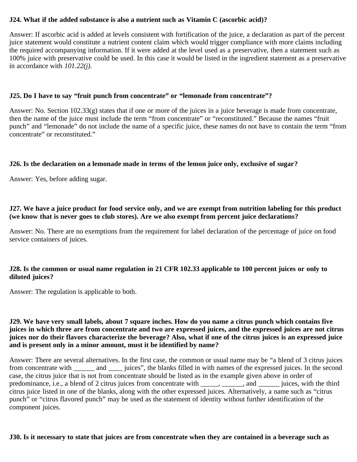#### **J24. What if the added substance is also a nutrient such as Vitamin C (ascorbic acid)?**

Answer: If ascorbic acid is added at levels consistent with fortification of the juice, a declaration as part of the percent juice statement would constitute a nutrient content claim which would trigger compliance with more claims including the required accompanying information. If it were added at the level used as a preservative, then a statement such as 100% juice with preservative could be used. In this case it would be listed in the ingredient statement as a preservative in accordance with *101.22(j).*

#### **J25. Do I have to say "fruit punch from concentrate" or "lemonade from concentrate"?**

Answer: No. Section  $102.33(g)$  states that if one or more of the juices in a juice beverage is made from concentrate, then the name of the juice must include the term "from concentrate" or "reconstituted." Because the names "fruit punch" and "lemonade" do not include the name of a specific juice, these names do not have to contain the term "from concentrate" or reconstituted."

#### **J26. Is the declaration on a lemonade made in terms of the lemon juice only, exclusive of sugar?**

Answer: Yes, before adding sugar.

#### **J27. We have a juice product for food service only, and we are exempt from nutrition labeling for this product (we know that is never goes to club stores). Are we also exempt from percent juice declarations?**

Answer: No. There are no exemptions from the requirement for label declaration of the percentage of juice on food service containers of juices.

#### **J28. Is the common or usual name regulation in 21 CFR 102.33 applicable to 100 percent juices or only to diluted juices?**

Answer: The regulation is applicable to both.

#### **J29. We have very small labels, about 7 square inches. How do you name a citrus punch which contains five juices in which three are from concentrate and two are expressed juices, and the expressed juices are not citrus juices nor do their flavors characterize the beverage? Also, what if one of the citrus juices is an expressed juice and is present only in a minor amount, must it be identified by name?**

Answer: There are several alternatives. In the first case, the common or usual name may be "a blend of 3 citrus juices from concentrate with \_\_\_\_\_\_ and \_\_\_\_ juices", the blanks filled in with names of the expressed juices. In the second case, the citrus juice that is not from concentrate should be listed as in the example given above in order of predominance, i.e., a blend of 2 citrus juices from concentrate with \_\_\_\_, \_\_\_\_\_, and \_\_\_\_\_\_ juices, with the third citrus juice listed in one of the blanks, along with the other expressed juices. Alternatively, a name such as "citrus punch" or "citrus flavored punch" may be used as the statement of identity without further identification of the component juices.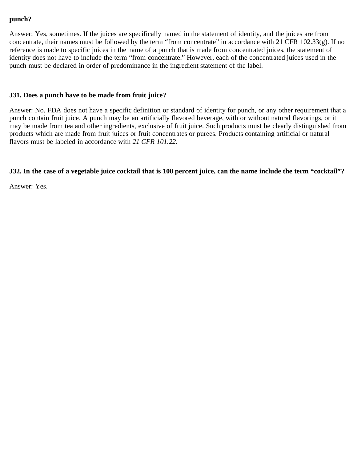### **punch?**

Answer: Yes, sometimes. If the juices are specifically named in the statement of identity, and the juices are from concentrate, their names must be followed by the term "from concentrate" in accordance with 21 CFR 102.33(g). If no reference is made to specific juices in the name of a punch that is made from concentrated juices, the statement of identity does not have to include the term "from concentrate." However, each of the concentrated juices used in the punch must be declared in order of predominance in the ingredient statement of the label.

#### **J31. Does a punch have to be made from fruit juice?**

Answer: No. FDA does not have a specific definition or standard of identity for punch, or any other requirement that a punch contain fruit juice. A punch may be an artificially flavored beverage, with or without natural flavorings, or it may be made from tea and other ingredients, exclusive of fruit juice. Such products must be clearly distinguished from products which are made from fruit juices or fruit concentrates or purees. Products containing artificial or natural flavors must be labeled in accordance with *21 CFR 101.22.*

#### **J32. In the case of a vegetable juice cocktail that is 100 percent juice, can the name include the term "cocktail"?**

Answer: Yes.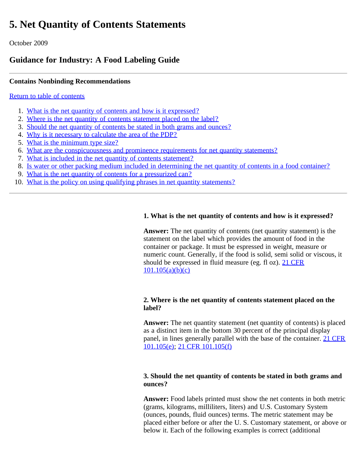# <span id="page-16-1"></span><span id="page-16-0"></span>**5. Net Quantity of Contents Statements**

October 2009

# **Guidance for Industry: A Food Labeling Guide**

# **Contains Nonbinding Recommendations**

## [Return to table of contents](#page-0-0)

- 1. [What is the net quantity of contents and how is it expressed?](#page-17-0)
- 2. [Where is the net quantity of contents statement placed on the label?](#page-17-1)
- 3. [Should the net quantity of contents be stated in both grams and ounces?](#page-17-2)
- 4. [Why is it necessary to calculate the area of the PDP?](#page-17-3)
- 5. [What is the minimum type size?](#page-18-0)
- 6. [What are the conspicuousness and prominence requirements for net quantity statements?](#page-18-1)
- 7. [What is included in the net quantity of contents statement?](#page-18-2)
- 8. [Is water or other packing medium included in determining the net quantity of contents in a food container?](#page-18-3)
- 9. [What is the net quantity of contents for a pressurized can?](#page-16-1)
- 10. [What is the policy on using qualifying phrases in net quantity statements?](#page-19-0)

# **1. What is the net quantity of contents and how is it expressed?**

**Answer:** The net quantity of contents (net quantity statement) is the statement on the label which provides the amount of food in the container or package. It must be espressed in weight, measure or numeric count. Generally, if the food is solid, semi solid or viscous, it should be expressed in fluid measure (eg. fl oz). [21 CFR](http://ecfr.gpoaccess.gov/cgi/t/text/text-idx?c=ecfr&sid=563f0b6235da3f4c7912a64cbceec305&rgn=div8&view=text&node=21:2.0.1.1.2.7.1.2&idno=21)  $101.105(a)(b)(c)$ 

#### **2. Where is the net quantity of contents statement placed on the label?**

**Answer:** The net quantity statement (net quantity of contents) is placed as a distinct item in the bottom 30 percent of the principal display panel, in lines generally parallel with the base of the container. [21 CFR](http://ecfr.gpoaccess.gov/cgi/t/text/text-idx?c=ecfr&sid=563f0b6235da3f4c7912a64cbceec305&rgn=div8&view=text&node=21:2.0.1.1.2.7.1.2&idno=21) [101.105\(e\);](http://ecfr.gpoaccess.gov/cgi/t/text/text-idx?c=ecfr&sid=563f0b6235da3f4c7912a64cbceec305&rgn=div8&view=text&node=21:2.0.1.1.2.7.1.2&idno=21) [21 CFR 101.105\(f\)](http://ecfr.gpoaccess.gov/cgi/t/text/text-idx?c=ecfr&sid=563f0b6235da3f4c7912a64cbceec305&rgn=div8&view=text&node=21:2.0.1.1.2.7.1.2&idno=21)

#### **3. Should the net quantity of contents be stated in both grams and ounces?**

**Answer:** Food labels printed must show the net contents in both metric (grams, kilograms, milliliters, liters) and U.S. Customary System (ounces, pounds, fluid ounces) terms. The metric statement may be placed either before or after the U. S. Customary statement, or above or below it. Each of the following examples is correct (additional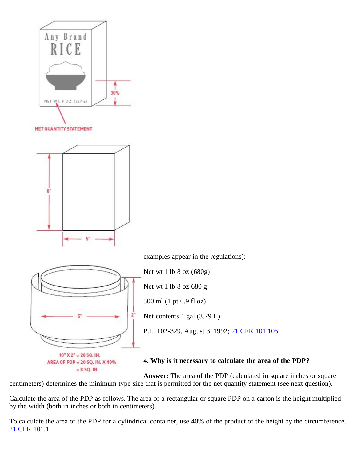<span id="page-17-1"></span><span id="page-17-0"></span>

<span id="page-17-2"></span>examples appear in the regulations):

Net wt 1 lb 8 oz (680g)

Net wt 1 lb 8 oz 680 g

500 ml (1 pt 0.9 fl oz)

Net contents 1 gal (3.79 L)

P.L. 102-329, August 3, 1992; [21 CFR 101.105](http://ecfr.gpoaccess.gov/cgi/t/text/text-idx?c=ecfr&sid=563f0b6235da3f4c7912a64cbceec305&rgn=div8&view=text&node=21:2.0.1.1.2.7.1.2&idno=21)

# **4. Why is it necessary to calculate the area of the PDP?**

<span id="page-17-3"></span> $= 8$  SQ. IN. **Answer:** The area of the PDP (calculated in square inches or square centimeters) determines the minimum type size that is permitted for the net quantity statement (see next question).

Calculate the area of the PDP as follows. The area of a rectangular or square PDP on a carton is the height multiplied by the width (both in inches or both in centimeters).

To calculate the area of the PDP for a cylindrical container, use 40% of the product of the height by the circumference. [21 CFR 101.1](http://ecfr.gpoaccess.gov/cgi/t/text/text-idx?c=ecfr&sid=563f0b6235da3f4c7912a64cbceec305&rgn=div8&view=text&node=21:2.0.1.1.2.1.1.1&idno=21)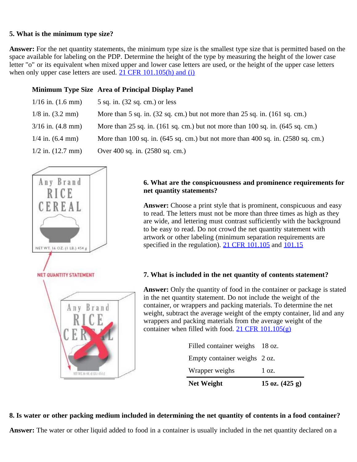#### <span id="page-18-0"></span>**5. What is the minimum type size?**

**Answer:** For the net quantity statements, the minimum type size is the smallest type size that is permitted based on the space available for labeling on the PDP. Determine the height of the type by measuring the height of the lower case letter "o" or its equivalent when mixed upper and lower case letters are used, or the height of the upper case letters when only upper case letters are used.  $21$  CFR  $101.105(h)$  and (i)

#### **Minimum Type Size Area of Principal Display Panel**

| $1/16$ in. $(1.6$ mm) | $5$ sq. in. $(32$ sq. cm.) or less                                                                   |
|-----------------------|------------------------------------------------------------------------------------------------------|
| $1/8$ in. $(3.2$ mm)  | More than $5$ sq. in. $(32$ sq. cm.) but not more than $25$ sq. in. $(161$ sq. cm.)                  |
| $3/16$ in. $(4.8$ mm) | More than 25 sq. in. $(161 \text{ sq. cm.})$ but not more than 100 sq. in. $(645 \text{ sq. cm.})$   |
| $1/4$ in. $(6.4$ mm)  | More than 100 sq. in. $(645 \text{ sq. cm.})$ but not more than 400 sq. in. $(2580 \text{ sq. cm.})$ |
| $1/2$ in. $(12.7$ mm) | Over 400 sq. in. (2580 sq. cm.)                                                                      |

<span id="page-18-2"></span><span id="page-18-1"></span>

#### **6. What are the conspicuousness and prominence requirements for net quantity statements?**

**Answer:** Choose a print style that is prominent, conspicuous and easy to read. The letters must not be more than three times as high as they are wide, and lettering must contrast sufficiently with the background to be easy to read. Do not crowd the net quantity statement with artwork or other labeling (minimum separation requirements are specified in the regulation). [21 CFR 101.105](http://ecfr.gpoaccess.gov/cgi/t/text/text-idx?c=ecfr&sid=563f0b6235da3f4c7912a64cbceec305&rgn=div8&view=text&node=21:2.0.1.1.2.7.1.2&idno=21) and [101.15](http://ecfr.gpoaccess.gov/cgi/t/text/text-idx?c=ecfr&sid=563f0b6235da3f4c7912a64cbceec305&rgn=div8&view=text&node=21:2.0.1.1.2.1.1.11&idno=21)

#### **7. What is included in the net quantity of contents statement?**

**Answer:** Only the quantity of food in the container or package is stated in the net quantity statement. Do not include the weight of the container, or wrappers and packing materials. To determine the net weight, subtract the average weight of the empty container, lid and any wrappers and packing materials from the average weight of the container when filled with food.  $21$  CFR  $101.105(g)$ 

| <b>Net Weight</b>              | 15 oz. $(425 g)$ |
|--------------------------------|------------------|
| Wrapper weighs                 | $1 \Omega$ .     |
| Empty container weighs 2 oz.   |                  |
| Filled container weighs 18 oz. |                  |

#### <span id="page-18-3"></span>**8. Is water or other packing medium included in determining the net quantity of contents in a food container?**

**Answer:** The water or other liquid added to food in a container is usually included in the net quantity declared on a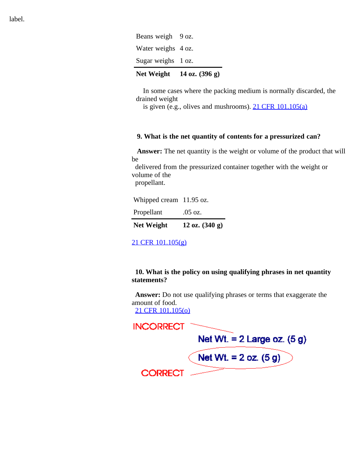| . <i>.</i>         | $\sim$ $\sim$ |
|--------------------|---------------|
| Sugar weighs 1 oz. |               |
| Water weighs 4 oz. |               |
| Beans weigh 9 oz.  |               |

# **Net Weight 14 oz. (396 g)**

 In some cases where the packing medium is normally discarded, the drained weight

is given (e.g., olives and mushrooms).  $21 \text{ CFR } 101.105(a)$ 

#### **9. What is the net quantity of contents for a pressurized can?**

 **Answer:** The net quantity is the weight or volume of the product that will be

 delivered from the pressurized container together with the weight or volume of the

propellant.

| <b>Net Weight</b>       | 12 oz. $(340 g)$ |
|-------------------------|------------------|
| Propellant              | .05 oz.          |
| Whipped cream 11.95 oz. |                  |

[21 CFR 101.105\(g\)](http://ecfr.gpoaccess.gov/cgi/t/text/text-idx?c=ecfr&sid=563f0b6235da3f4c7912a64cbceec305&rgn=div8&view=text&node=21:2.0.1.1.2.7.1.2&idno=21)

#### <span id="page-19-0"></span>**10. What is the policy on using qualifying phrases in net quantity statements?**

 **Answer:** Do not use qualifying phrases or terms that exaggerate the amount of food.

[21 CFR 101.105\(o\)](http://ecfr.gpoaccess.gov/cgi/t/text/text-idx?c=ecfr&sid=563f0b6235da3f4c7912a64cbceec305&rgn=div8&view=text&node=21:2.0.1.1.2.7.1.2&idno=21)



label.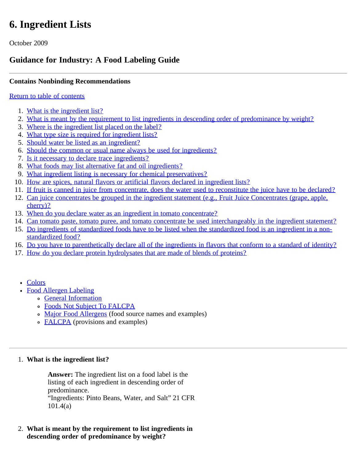# <span id="page-20-0"></span>**6. Ingredient Lists**

October 2009

# **Guidance for Industry: A Food Labeling Guide**

# **Contains Nonbinding Recommendations**

## [Return to table of contents](#page-0-0)

- 1. [What is the ingredient list?](#page-21-0)
- 2. [What is meant by the requirement to list ingredients in descending order of predominance by weight?](#page-21-1)
- 3. [Where is the ingredient list placed on the label?](#page-21-2)
- 4. [What type size is required for ingredient lists?](#page-21-3)
- 5. [Should water be listed as an ingredient?](#page-21-4)
- 6. [Should the common or usual name always be used for ingredients?](#page-21-5)
- 7. [Is it necessary to declare trace ingredients?](#page-21-6)
- 8. [What foods may list alternative fat and oil ingredients?](#page-22-0)
- 9. [What ingredient listing is necessary for chemical preservatives?](#page-22-1)
- 10. [How are spices, natural flavors or artificial flavors declared in ingredient lists?](#page-22-2)
- 11. [If fruit is canned in juice from concentrate, does the water used to reconstitute the juice have to be declared?](#page-22-3)
- 12. [Can juice concentrates be grouped in the ingredient statement \(e.g., Fruit Juice Concentrates \(grape, apple,](#page-22-4) [cherry\)?](#page-22-4)
- 13. [When do you declare water as an ingredient in tomato concentrate?](#page-22-5)
- 14. [Can tomato paste, tomato puree, and tomato concentrate be used interchangeably in the ingredient statement?](#page-22-6)
- 15. [Do ingredients of standardized foods have to be listed when the standardized food is an ingredient in a non](#page-23-0)[standardized food?](#page-23-0)
- 16. [Do you have to parenthetically declare all of the ingredients in flavors that conform to a standard of identity?](#page-23-1)
- 17. [How do you declare protein hydrolysates that are made of blends of proteins?](#page-23-2)
	- [Colors](#page-23-3)
	- [Food Allergen Labeling](#page-24-0)
		- [General Information](#page-24-1)
		- [Foods Not Subject To FALCPA](#page-27-0)
		- o [Major Food Allergens](#page-25-0) (food source names and examples)
		- [FALCPA](#page-27-0) (provisions and examples)

#### 1. **What is the ingredient list?**

**Answer:** The ingredient list on a food label is the listing of each ingredient in descending order of predominance. "Ingredients: Pinto Beans, Water, and Salt" 21 CFR 101.4(a)

2. **What is meant by the requirement to list ingredients in descending order of predominance by weight?**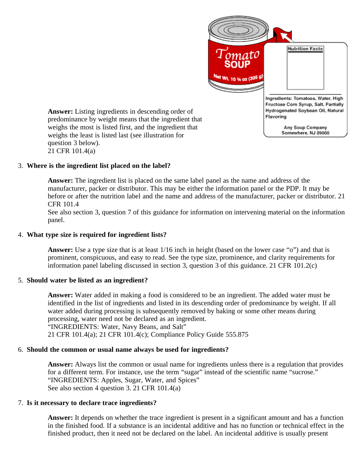

<span id="page-21-1"></span><span id="page-21-0"></span>**Answer:** Listing ingredients in descending order of predominance by weight means that the ingredient that weighs the most is listed first, and the ingredient that weighs the least is listed last (see illustration for question 3 below). 21 CFR 101.4(a)

#### <span id="page-21-2"></span>3. **Where is the ingredient list placed on the label?**

**Answer:** The ingredient list is placed on the same label panel as the name and address of the manufacturer, packer or distributor. This may be either the information panel or the PDP. It may be before or after the nutrition label and the name and address of the manufacturer, packer or distributor. 21 CFR 101.4

See also section 3, question 7 of this guidance for information on intervening material on the information panel.

#### <span id="page-21-3"></span>4. **What type size is required for ingredient lists?**

**Answer:** Use a type size that is at least 1/16 inch in height (based on the lower case "o") and that is prominent, conspicuous, and easy to read. See the type size, prominence, and clarity requirements for information panel labeling discussed in section 3, question 3 of this guidance. 21 CFR 101.2(c)

#### <span id="page-21-4"></span>5. **Should water be listed as an ingredient?**

**Answer:** Water added in making a food is considered to be an ingredient. The added water must be identified in the list of ingredients and listed in its descending order of predominance by weight. If all water added during processing is subsequently removed by baking or some other means during processing, water need not be declared as an ingredient. "INGREDIENTS: Water, Navy Beans, and Salt" 21 CFR 101.4(a); 21 CFR 101.4(c); Compliance Policy Guide 555.875

#### <span id="page-21-5"></span>6. **Should the common or usual name always be used for ingredients?**

**Answer:** Always list the common or usual name for ingredients unless there is a regulation that provides for a different term. For instance, use the term "sugar" instead of the scientific name "sucrose." "INGREDIENTS: Apples, Sugar, Water, and Spices" See also section 4 question 3. 21 CFR 101.4(a)

#### <span id="page-21-6"></span>7. **Is it necessary to declare trace ingredients?**

**Answer:** It depends on whether the trace ingredient is present in a significant amount and has a function in the finished food. If a substance is an incidental additive and has no function or technical effect in the finished product, then it need not be declared on the label. An incidental additive is usually present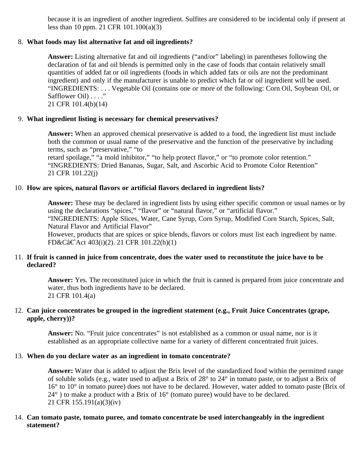because it is an ingredient of another ingredient. Sulfites are considered to be incidental only if present at less than 10 ppm. 21 CFR 101.100(a)(3)

#### <span id="page-22-0"></span>8. **What foods may list alternative fat and oil ingredients?**

**Answer:** Listing alternative fat and oil ingredients ("and/or" labeling) in parentheses following the declaration of fat and oil blends is permitted only in the case of foods that contain relatively small quantities of added fat or oil ingredients (foods in which added fats or oils are not the predominant ingredient) and only if the manufacturer is unable to predict which fat or oil ingredient will be used. "INGREDIENTS: . . . Vegetable Oil (contains one or more of the following: Corn Oil, Soybean Oil, or Safflower Oil) . . . ."

21 CFR 101.4(b)(14)

#### <span id="page-22-1"></span>9. **What ingredient listing is necessary for chemical preservatives?**

**Answer:** When an approved chemical preservative is added to a food, the ingredient list must include both the common or usual name of the preservative and the function of the preservative by including terms, such as "preservative," "to

retard spoilage," "a mold inhibitor," "to help protect flavor," or "to promote color retention." "INGREDIENTS: Dried Bananas, Sugar, Salt, and Ascorbic Acid to Promote Color Retention" 21 CFR 101.22(j)

#### <span id="page-22-2"></span>10. **How are spices, natural flavors or artificial flavors declared in ingredient lists?**

**Answer:** These may be declared in ingredient lists by using either specific common or usual names or by using the declarations "spices," "flavor" or "natural flavor," or "artificial flavor." "INGREDIENTS: Apple Slices, Water, Cane Syrup, Corn Syrup, Modified Corn Starch, Spices, Salt, Natural Flavor and Artificial Flavor"

However, products that are spices or spice blends, flavors or colors must list each ingredient by name. FD&Câ€Act 403(i)(2). 21 CFR 101.22(h)(1)

#### <span id="page-22-3"></span>11. **If fruit is canned in juice from concentrate, does the water used to reconstitute the juice have to be declared?**

**Answer:** Yes. The reconstituted juice in which the fruit is canned is prepared from juice concentrate and water, thus both ingredients have to be declared. 21 CFR 101.4(a)

#### <span id="page-22-4"></span>12. **Can juice concentrates be grouped in the ingredient statement (e.g., Fruit Juice Concentrates (grape, apple, cherry))?**

**Answer:** No. "Fruit juice concentrates" is not established as a common or usual name, nor is it established as an appropriate collective name for a variety of different concentrated fruit juices.

# <span id="page-22-5"></span>13. **When do you declare water as an ingredient in tomato concentrate?**

**Answer:** Water that is added to adjust the Brix level of the standardized food within the permitted range of soluble solids (e.g., water used to adjust a Brix of 28° to 24° in tomato paste, or to adjust a Brix of 16° to 10° in tomato puree) does not have to be declared. However, water added to tomato paste (Brix of 24° ) to make a product with a Brix of 16° (tomato puree) would have to be declared. 21 CFR 155.191(a)(3)(iv)

#### <span id="page-22-6"></span>14. **Can tomato paste, tomato puree, and tomato concentrate be used interchangeably in the ingredient statement?**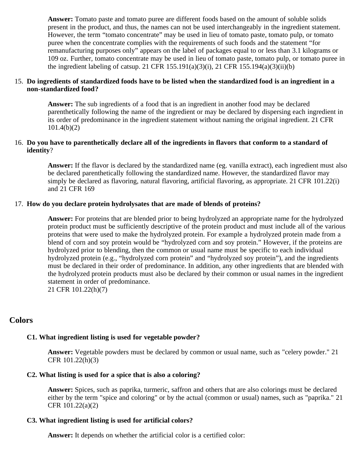**Answer:** Tomato paste and tomato puree are different foods based on the amount of soluble solids present in the product, and thus, the names can not be used interchangeably in the ingredient statement. However, the term "tomato concentrate" may be used in lieu of tomato paste, tomato pulp, or tomato puree when the concentrate complies with the requirements of such foods and the statement "for remanufacturing purposes only" appears on the label of packages equal to or less than 3.1 kilograms or 109 oz. Further, tomato concentrate may be used in lieu of tomato paste, tomato pulp, or tomato puree in the ingredient labeling of catsup. 21 CFR  $155.191(a)(3)(i)$ , 21 CFR  $155.194(a)(3)(ii)(b)$ 

#### <span id="page-23-0"></span>15. **Do ingredients of standardized foods have to be listed when the standardized food is an ingredient in a non-standardized food?**

**Answer:** The sub ingredients of a food that is an ingredient in another food may be declared parenthetically following the name of the ingredient or may be declared by dispersing each ingredient in its order of predominance in the ingredient statement without naming the original ingredient. 21 CFR 101.4(b)(2)

#### <span id="page-23-1"></span>16. **Do you have to parenthetically declare all of the ingredients in flavors that conform to a standard of identity**?

**Answer:** If the flavor is declared by the standardized name (eg. vanilla extract), each ingredient must also be declared parenthetically following the standardized name. However, the standardized flavor may simply be declared as flavoring, natural flavoring, artificial flavoring, as appropriate. 21 CFR 101.22(i) and 21 CFR 169

#### <span id="page-23-2"></span>17. **How do you declare protein hydrolysates that are made of blends of proteins?**

**Answer:** For proteins that are blended prior to being hydrolyzed an appropriate name for the hydrolyzed protein product must be sufficiently descriptive of the protein product and must include all of the various proteins that were used to make the hydrolyzed protein. For example a hydrolyzed protein made from a blend of corn and soy protein would be "hydrolyzed corn and soy protein." However, if the proteins are hydrolyzed prior to blending, then the common or usual name must be specific to each individual hydrolyzed protein (e.g., "hydrolyzed corn protein" and "hydrolyzed soy protein"), and the ingredients must be declared in their order of predominance. In addition, any other ingredients that are blended with the hydrolyzed protein products must also be declared by their common or usual names in the ingredient statement in order of predominance. 21 CFR 101.22(h)(7)

# <span id="page-23-3"></span>**Colors**

#### **C1. What ingredient listing is used for vegetable powder?**

**Answer:** Vegetable powders must be declared by common or usual name, such as "celery powder." 21 CFR 101.22(h)(3)

#### **C2. What listing is used for a spice that is also a coloring?**

**Answer:** Spices, such as paprika, turmeric, saffron and others that are also colorings must be declared either by the term "spice and coloring" or by the actual (common or usual) names, such as "paprika." 21 CFR 101.22(a)(2)

#### **C3. What ingredient listing is used for artificial colors?**

**Answer:** It depends on whether the artificial color is a certified color: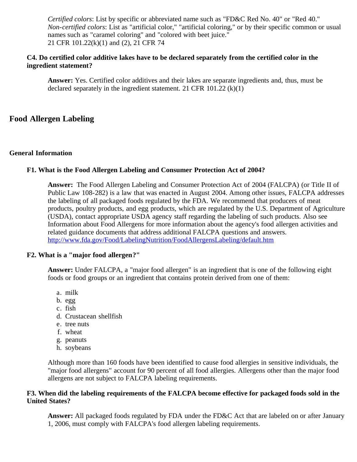*Certified colors*: List by specific or abbreviated name such as "FD&C Red No. 40" or "Red 40." *Non-certified colors*: List as "artificial color," "artificial coloring," or by their specific common or usual names such as "caramel coloring" and "colored with beet juice." 21 CFR 101.22(k)(1) and (2), 21 CFR 74

#### **C4. Do certified color additive lakes have to be declared separately from the certified color in the ingredient statement?**

**Answer:** Yes. Certified color additives and their lakes are separate ingredients and, thus, must be declared separately in the ingredient statement. 21 CFR  $101.22$  (k)(1)

# <span id="page-24-1"></span><span id="page-24-0"></span>**Food Allergen Labeling**

#### **General Information**

#### **F1. What is the Food Allergen Labeling and Consumer Protection Act of 2004?**

**Answer:** The Food Allergen Labeling and Consumer Protection Act of 2004 (FALCPA) (or Title II of Public Law 108-282) is a law that was enacted in August 2004. Among other issues, FALCPA addresses the labeling of all packaged foods regulated by the FDA. We recommend that producers of meat products, poultry products, and egg products, which are regulated by the U.S. Department of Agriculture (USDA), contact appropriate USDA agency staff regarding the labeling of such products. Also see Information about Food Allergens for more information about the agency's food allergen activities and related guidance documents that address additional FALCPA questions and answers. <http://www.fda.gov/Food/LabelingNutrition/FoodAllergensLabeling/default.htm>

#### **F2. What is a "major food allergen?"**

**Answer:** Under FALCPA, a "major food allergen" is an ingredient that is one of the following eight foods or food groups or an ingredient that contains protein derived from one of them:

- a. milk
- b. egg
- c. fish
- d. Crustacean shellfish
- e. tree nuts
- f. wheat
- g. peanuts
- h. soybeans

Although more than 160 foods have been identified to cause food allergies in sensitive individuals, the "major food allergens" account for 90 percent of all food allergies. Allergens other than the major food allergens are not subject to FALCPA labeling requirements.

#### **F3. When did the labeling requirements of the FALCPA become effective for packaged foods sold in the United States?**

**Answer:** All packaged foods regulated by FDA under the FD&C Act that are labeled on or after January 1, 2006, must comply with FALCPA's food allergen labeling requirements.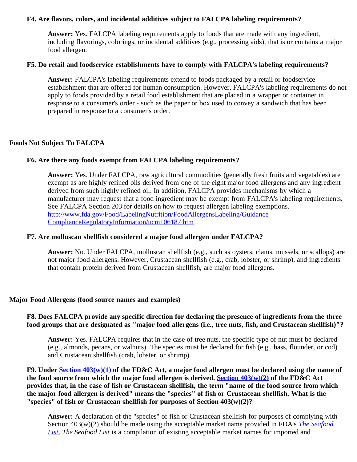#### **F4. Are flavors, colors, and incidental additives subject to FALCPA labeling requirements?**

**Answer:** Yes. FALCPA labeling requirements apply to foods that are made with any ingredient, including flavorings, colorings, or incidental additives (e.g., processing aids), that is or contains a major food allergen.

#### **F5. Do retail and foodservice establishments have to comply with FALCPA's labeling requirements?**

**Answer:** FALCPA's labeling requirements extend to foods packaged by a retail or foodservice establishment that are offered for human consumption. However, FALCPA's labeling requirements do not apply to foods provided by a retail food establishment that are placed in a wrapper or container in response to a consumer's order - such as the paper or box used to convey a sandwich that has been prepared in response to a consumer's order.

#### **Foods Not Subject To FALCPA**

#### **F6. Are there any foods exempt from FALCPA labeling requirements?**

**Answer:** Yes. Under FALCPA, raw agricultural commodities (generally fresh fruits and vegetables) are exempt as are highly refined oils derived from one of the eight major food allergens and any ingredient derived from such highly refined oil. In addition, FALCPA provides mechanisms by which a manufacturer may request that a food ingredient may be exempt from FALCPA's labeling requirements. See FALCPA Section 203 for details on how to request allergen labeling exemptions. [http://www.fda.gov/Food/LabelingNutrition/FoodAllergensLabeling/Guidance](http://www.fda.gov/Food/LabelingNutrition/FoodAllergensLabeling/Guidance ComplianceRegulatoryInformation/ucm106187.htm) [ComplianceRegulatoryInformation/ucm106187.htm](http://www.fda.gov/Food/LabelingNutrition/FoodAllergensLabeling/Guidance ComplianceRegulatoryInformation/ucm106187.htm)

#### **F7. Are molluscan shellfish considered a major food allergen under FALCPA?**

**Answer:** No. Under FALCPA, molluscan shellfish (e.g., such as oysters, clams, mussels, or scallops) are not major food allergens. However, Crustacean shellfish (e.g., crab, lobster, or shrimp), and ingredients that contain protein derived from Crustacean shellfish, are major food allergens.

#### <span id="page-25-0"></span>**Major Food Allergens (food source names and examples)**

#### **F8. Does FALCPA provide any specific direction for declaring the presence of ingredients from the three food groups that are designated as "major food allergens (i.e., tree nuts, fish, and Crustacean shellfish)"?**

**Answer:** Yes. FALCPA requires that in the case of tree nuts, the specific type of nut must be declared (e.g., almonds, pecans, or walnuts). The species must be declared for fish (e.g., bass, flounder, or cod) and Crustacean shellfish (crab, lobster, or shrimp).

**F9. Under [Section 403\(w\)\(1\)](http://wcms.fda.gov/FDAgov/RegulatoryInformation/Legislation/FederalFoodDrugandCosmeticActFDCAct/FDCActChapterIVFood/ucm107535.htm) of the FD&C Act, a major food allergen must be declared using the name of the food source from which the major food allergen is derived. [Section 403\(w\)\(2\)](http://wcms.fda.gov/FDAgov/RegulatoryInformation/Legislation/FederalFoodDrugandCosmeticActFDCAct/FDCActChapterIVFood/ucm107535.htm) of the FD&C Act provides that, in the case of fish or Crustacean shellfish, the term "name of the food source from which the major food allergen is derived" means the "species" of fish or Crustacean shellfish. What is the "species" of fish or Crustacean shellfish for purposes of Section 403(w)(2)?**

**Answer:** A declaration of the "species" of fish or Crustacean shellfish for purposes of complying with Section 403(w)(2) should be made using the acceptable market name provided in FDA's *[The Seafood](http://wcms.fda.gov/FDAgov/Food/GuidanceComplianceRegulatoryInformation/GuidanceDocuments/Seafood/ucm113260.htm) [List](http://wcms.fda.gov/FDAgov/Food/GuidanceComplianceRegulatoryInformation/GuidanceDocuments/Seafood/ucm113260.htm)*. *The Seafood List* is a compilation of existing acceptable market names for imported and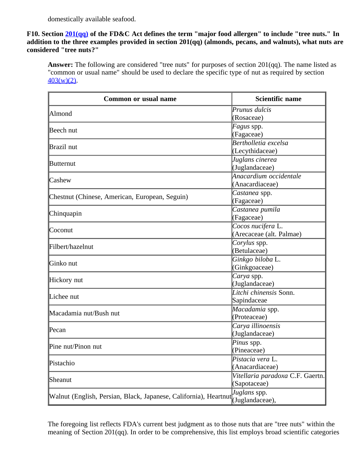domestically available seafood.

#### **F10. Section [201\(qq\)](http://wcms.fda.gov/FDAgov/RegulatoryInformation/Legislation/FederalFoodDrugandCosmeticActFDCAct/FDCActChaptersIandIIShortTitleandDefinitions/ucm086297.htm) of the FD&C Act defines the term "major food allergen" to include "tree nuts." In addition to the three examples provided in section 201(qq) (almonds, pecans, and walnuts), what nuts are considered "tree nuts?"**

**Answer:** The following are considered "tree nuts" for purposes of section 201(qq). The name listed as "common or usual name" should be used to declare the specific type of nut as required by section  $403(w)(2)$ .

| <b>Common or usual name</b>                                      | <b>Scientific name</b>           |
|------------------------------------------------------------------|----------------------------------|
| Almond                                                           | Prunus dulcis                    |
|                                                                  | (Rosaceae)                       |
| Beech nut                                                        | Fagus spp.                       |
|                                                                  | (Fagaceae)                       |
| Brazil nut                                                       | Bertholletia excelsa             |
|                                                                  | (Lecythidaceae)                  |
| <b>Butternut</b>                                                 | Juglans cinerea                  |
|                                                                  | (Juglandaceae)                   |
| $\mathsf{l}$ Cashew                                              | Anacardium occidentale           |
|                                                                  | (Anacardiaceae)                  |
| Chestnut (Chinese, American, European, Seguin)                   | Castanea spp.                    |
|                                                                  | (Fagaceae)                       |
| Chinquapin                                                       | Castanea pumila                  |
|                                                                  | (Fagaceae)                       |
| $\mathbb{C}$ oconut                                              | Cocos nucifera L.                |
|                                                                  | (Arecaceae (alt. Palmae)         |
| Filbert/hazelnut                                                 | Corylus spp.                     |
|                                                                  | (Betulaceae)                     |
| Ginko nut                                                        | Ginkgo biloba L.                 |
|                                                                  | (Ginkgoaceae)                    |
| Hickory nut                                                      | Carya spp.                       |
|                                                                  | (Juglandaceae)                   |
| Lichee nut                                                       | Litchi chinensis Sonn.           |
|                                                                  | Sapindaceae                      |
| Macadamia nut/Bush nut                                           | Macadamia spp.                   |
|                                                                  | (Proteaceae)                     |
| $\mathbb{P}$ ecan                                                | Carya illinoensis                |
|                                                                  | (Juglandaceae)                   |
| Pine nut/Pinon nut                                               | Pinus spp.                       |
|                                                                  | (Pineaceae)                      |
| Pistachio                                                        | Pistacia vera L.                 |
|                                                                  | (Anacardiaceae)                  |
| Sheanut                                                          | Vitellaria paradoxa C.F. Gaertn. |
|                                                                  | (Sapotaceae)                     |
| Walnut (English, Persian, Black, Japanese, California), Heartnut | Juglans spp.                     |
|                                                                  | (Juglandaceae),                  |

The foregoing list reflects FDA's current best judgment as to those nuts that are "tree nuts" within the meaning of Section 201(qq). In order to be comprehensive, this list employs broad scientific categories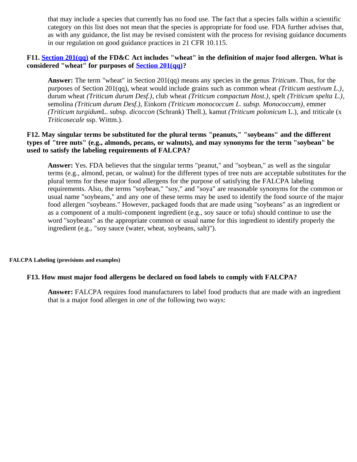that may include a species that currently has no food use. The fact that a species falls within a scientific category on this list does not mean that the species is appropriate for food use. FDA further advises that, as with any guidance, the list may be revised consistent with the process for revising guidance documents in our regulation on good guidance practices in 21 CFR 10.115.

#### **F11. [Section 201\(qq\)](http://wcms.fda.gov/FDAgov/RegulatoryInformation/Legislation/FederalFoodDrugandCosmeticActFDCAct/FDCActChaptersIandIIShortTitleandDefinitions/ucm086297.htm) of the FD&C Act includes "wheat" in the definition of major food allergen. What is considered "wheat" for purposes of [Section 201\(qq\)?](http://wcms.fda.gov/FDAgov/RegulatoryInformation/Legislation/FederalFoodDrugandCosmeticActFDCAct/FDCActChaptersIandIIShortTitleandDefinitions/ucm086297.htm)**

**Answer:** The term "wheat" in Section 201(qq) means any species in the genus *Triticum*. Thus, for the purposes of Section 201(qq), wheat would include grains such as common wheat *(Triticum aestivum L.)*, durum wheat *(Triticum durum Desf.)*, club wheat *(Triticum compactum Host.)*, spelt *(Triticum spelta L.)*, semolina *(Triticum durum Desf.)*, Einkorn *(Triticum monococcum L. subsp. Monococcum)*, emmer *(Triticum turgidum*L. subsp. *dicoccon* (Schrank) Thell.), kamut *(Triticum polonicum* L.), and triticale (x *Triticosecale* ssp. Wittm.).

#### **F12. May singular terms be substituted for the plural terms "peanuts," "soybeans" and the different types of "tree nuts" (e.g., almonds, pecans, or walnuts), and may synonyms for the term "soybean" be used to satisfy the labeling requirements of FALCPA?**

**Answer:** Yes. FDA believes that the singular terms "peanut," and "soybean," as well as the singular terms (e.g., almond, pecan, or walnut) for the different types of tree nuts are acceptable substitutes for the plural terms for these major food allergens for the purpose of satisfying the FALCPA labeling requirements. Also, the terms "soybean," "soy," and "soya" are reasonable synonyms for the common or usual name "soybeans," and any one of these terms may be used to identify the food source of the major food allergen "soybeans." However, packaged foods that are made using "soybeans" as an ingredient or as a component of a multi-component ingredient (e.g., soy sauce or tofu) should continue to use the word "soybeans" as the appropriate common or usual name for this ingredient to identify properly the ingredient (e.g., "soy sauce (water, wheat, soybeans, salt)").

#### <span id="page-27-0"></span>**FALCPA Labeling (provisions and examples)**

#### **F13. How must major food allergens be declared on food labels to comply with FALCPA?**

**Answer:** FALCPA requires food manufacturers to label food products that are made with an ingredient that is a major food allergen in *one* of the following two ways: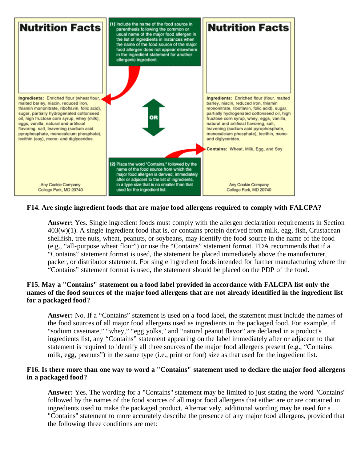

#### **F14. Are single ingredient foods that are major food allergens required to comply with FALCPA?**

**Answer:** Yes. Single ingredient foods must comply with the allergen declaration requirements in Section  $403(w)(1)$ . A single ingredient food that is, or contains protein derived from milk, egg, fish, Crustacean shellfish, tree nuts, wheat, peanuts, or soybeans, may identify the food source in the name of the food (e.g., "all-purpose wheat flour") or use the "Contains" statement format. FDA recommends that if a "Contains" statement format is used, the statement be placed immediately above the manufacturer, packer, or distributor statement. For single ingredient foods intended for further manufacturing where the "Contains" statement format is used, the statement should be placed on the PDP of the food.

#### **F15. May a "Contains" statement on a food label provided in accordance with FALCPA list only the names of the food sources of the major food allergens that are not already identified in the ingredient list for a packaged food?**

**Answer:** No. If a "Contains" statement is used on a food label, the statement must include the names of the food sources of all major food allergens used as ingredients in the packaged food. For example, if "sodium caseinate," "whey," "egg yolks," and "natural peanut flavor" are declared in a product's ingredients list, any "Contains" statement appearing on the label immediately after or adjacent to that statement is required to identify all three sources of the major food allergens present (e.g., "Contains milk, egg, peanuts") in the same type (i.e., print or font) size as that used for the ingredient list.

#### **F16. Is there more than one way to word a "Contains" statement used to declare the major food allergens in a packaged food?**

**Answer:** Yes. The wording for a "Contains" statement may be limited to just stating the word "Contains" followed by the names of the food sources of all major food allergens that either are or are contained in ingredients used to make the packaged product. Alternatively, additional wording may be used for a "Contains" statement to more accurately describe the presence of any major food allergens, provided that the following three conditions are met: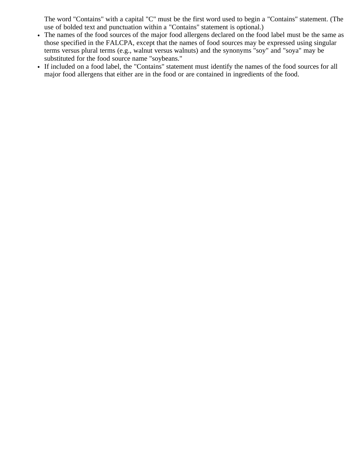The word "Contains" with a capital "C" must be the first word used to begin a "Contains" statement. (The use of bolded text and punctuation within a "Contains" statement is optional.)

- The names of the food sources of the major food allergens declared on the food label must be the same as those specified in the FALCPA, except that the names of food sources may be expressed using singular terms versus plural terms (e.g., walnut versus walnuts) and the synonyms "soy" and "soya" may be substituted for the food source name "soybeans."
- If included on a food label, the "Contains" statement must identify the names of the food sources for all major food allergens that either are in the food or are contained in ingredients of the food.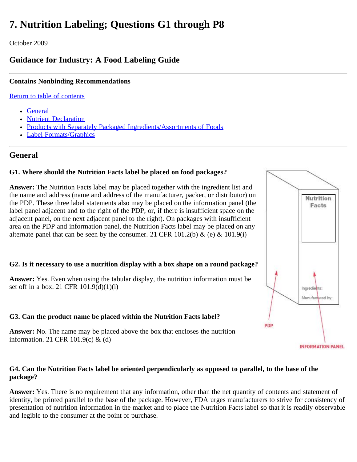# <span id="page-30-0"></span>**7. Nutrition Labeling; Questions G1 through P8**

October 2009

# **Guidance for Industry: A Food Labeling Guide**

# **Contains Nonbinding Recommendations**

[Return to table of contents](#page-0-0)

- [General](#page-30-1)
- [Nutrient Declaration](#page-31-0)
- [Products with Separately Packaged Ingredients/Assortments of Foods](#page-37-0)
- [Label Formats/Graphics](file:///S|/CFSANWEBTEAM/Ticket%20Related/814%20-%20PDF%20of%20FLG/Nutrition Labeling  Label FormatsGraphics.html)

# <span id="page-30-1"></span>**General**

# **G1. Where should the Nutrition Facts label be placed on food packages?**

**Answer:** The Nutrition Facts label may be placed together with the ingredient list and the name and address (name and address of the manufacturer, packer, or distributor) on the PDP. These three label statements also may be placed on the information panel (the label panel adjacent and to the right of the PDP, or, if there is insufficient space on the adjacent panel, on the next adjacent panel to the right). On packages with insufficient area on the PDP and information panel, the Nutrition Facts label may be placed on any alternate panel that can be seen by the consumer. 21 CFR 101.2(b) & (e) & 101.9(i)

# **G2. Is it necessary to use a nutrition display with a box shape on a round package?**

**Answer:** Yes. Even when using the tabular display, the nutrition information must be set off in a box. 21 CFR 101.9(d)(1)(i)

# **G3. Can the product name be placed within the Nutrition Facts label?**

**Answer:** No. The name may be placed above the box that encloses the nutrition information. 21 CFR 101.9(c) & (d)

### **G4. Can the Nutrition Facts label be oriented perpendicularly as opposed to parallel, to the base of the package?**

**Answer:** Yes. There is no requirement that any information, other than the net quantity of contents and statement of identity, be printed parallel to the base of the package. However, FDA urges manufacturers to strive for consistency of presentation of nutrition information in the market and to place the Nutrition Facts label so that it is readily observable and legible to the consumer at the point of purchase.

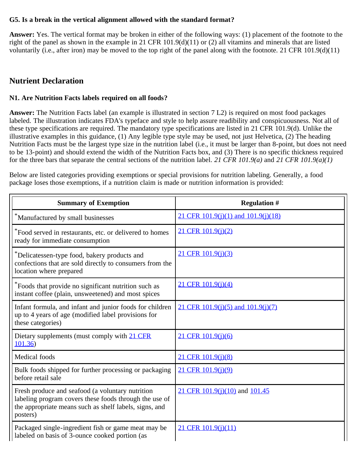#### **G5. Is a break in the vertical alignment allowed with the standard format?**

**Answer:** Yes. The vertical format may be broken in either of the following ways: (1) placement of the footnote to the right of the panel as shown in the example in 21 CFR 101.9(d)(11) or (2) all vitamins and minerals that are listed voluntarily (i.e., after iron) may be moved to the top right of the panel along with the footnote. 21 CFR 101.9(d)(11)

# <span id="page-31-0"></span>**Nutrient Declaration**

### **N1. Are Nutrition Facts labels required on all foods?**

**Answer:** The Nutrition Facts label (an example is illustrated in section 7 L2) is required on most food packages labeled. The illustration indicates FDA's typeface and style to help assure readibility and conspicuousness. Not all of these type specifications are required. The mandatory type specifications are listed in 21 CFR 101.9(d). Unlike the illustrative examples in this guidance, (1) Any legible type style may be used, not just Helvetica, (2) The heading Nutrition Facts must be the largest type size in the nutrition label (i.e., it must be larger than 8-point, but does not need to be 13-point) and should extend the width of the Nutrition Facts box, and (3) There is no specific thickness required for the three bars that separate the central sections of the nutrition label. *21 CFR 101.9(a)* and *21 CFR 101.9(a)(1)*

Below are listed categories providing exemptions or special provisions for nutrition labeling. Generally, a food package loses those exemptions, if a nutrition claim is made or nutrition information is provided:

| <b>Summary of Exemption</b>                                                                                                                                                      | <b>Regulation #</b>                    |
|----------------------------------------------------------------------------------------------------------------------------------------------------------------------------------|----------------------------------------|
| *Manufactured by small businesses                                                                                                                                                | 21 CFR 101.9(j)(1) and 101.9(j)(18)    |
| *Food served in restaurants, etc. or delivered to homes<br>ready for immediate consumption                                                                                       | 21 CFR 101.9(j)(2)                     |
| *Delicatessen-type food, bakery products and<br>confections that are sold directly to consumers from the<br>location where prepared                                              | 21 CFR 101.9(j)(3)                     |
| *Foods that provide no significant nutrition such as<br>instant coffee (plain, unsweetened) and most spices                                                                      | 21 CFR 101.9(j)(4)                     |
| Infant formula, and infant and junior foods for children<br>up to 4 years of age (modified label provisions for<br>these categories)                                             | 21 CFR $101.9(j)(5)$ and $101.9(j)(7)$ |
| Dietary supplements (must comply with 21 CFR<br>101.36                                                                                                                           | 21 CFR 101.9(j)(6)                     |
| Medical foods                                                                                                                                                                    | 21 CFR 101.9(j)(8)                     |
| Bulk foods shipped for further processing or packaging<br>before retail sale                                                                                                     | 21 CFR 101.9(j)(9)                     |
| Fresh produce and seafood (a voluntary nutrition<br>labeling program covers these foods through the use of<br>the appropriate means such as shelf labels, signs, and<br>posters) | 21 CFR 101.9(j)(10) and 101.45         |
| Packaged single-ingredient fish or game meat may be<br>labeled on basis of 3-ounce cooked portion (as                                                                            | $21$ CFR $101.9(i)(11)$                |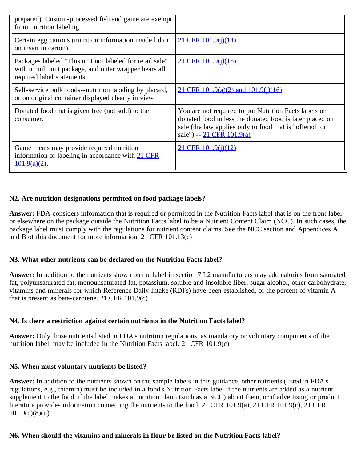| prepared). Custom-processed fish and game are exempt<br>from nutrition labeling.                                                               |                                                                                                                                                                                                          |
|------------------------------------------------------------------------------------------------------------------------------------------------|----------------------------------------------------------------------------------------------------------------------------------------------------------------------------------------------------------|
| Certain egg cartons (nutrition information inside lid or<br>on insert in carton)                                                               | 21 CFR 101.9(j)(14)                                                                                                                                                                                      |
| Packages labeled "This unit not labeled for retail sale"<br>within multiunit package, and outer wrapper bears all<br>required label statements | $21$ CFR $101.9(j)(15)$                                                                                                                                                                                  |
| Self-service bulk foods--nutrition labeling by placard,<br>or on original container displayed clearly in view                                  | 21 CFR $101.9(a)(2)$ and $101.9(i)(16)$                                                                                                                                                                  |
| Donated food that is given free (not sold) to the<br>consumer.                                                                                 | You are not required to put Nutrition Facts labels on<br>donated food unless the donated food is later placed on<br>sale (the law applies only to food that is "offered for<br>sale") -- 21 CFR 101.9(a) |
| Game meats may provide required nutrition<br>information or labeling in accordance with 21 CFR<br>$101.9(a)(2)$ .                              | 21 CFR 101.9(j)(12)                                                                                                                                                                                      |

#### **N2. Are nutrition designations permitted on food package labels?**

**Answer:** FDA considers information that is required or permitted in the Nutrition Facts label that is on the front label or elsewhere on the package outside the Nutrition Facts label to be a Nutrient Content Claim (NCC). In such cases, the package label must comply with the regulations for nutrient content claims. See the NCC section and Appendices A and B of this document for more information. 21 CFR 101.13(c)

#### **N3. What other nutrients can be declared on the Nutrition Facts label?**

**Answer:** In addition to the nutrients shown on the label in section 7 L2 manufacturers may add calories from saturated fat, polyunsaturated fat, monounsaturated fat, potassium, soluble and insoluble fiber, sugar alcohol, other carbohydrate, vitamins and minerals for which Reference Daily Intake (RDI's) have been established, or the percent of vitamin A that is present as beta-carotene. 21 CFR 101.9(c)

#### **N4. Is there a restriction against certain nutrients in the Nutrition Facts label?**

**Answer:** Only those nutrients listed in FDA's nutrition regulations, as mandatory or voluntary components of the nutrition label, may be included in the Nutrition Facts label. 21 CFR 101.9(c)

#### **N5. When must voluntary nutrients be listed?**

**Answer:** In addition to the nutrients shown on the sample labels in this guidance, other nutrients (listed in FDA's regulations, e.g., thiamin) must be included in a food's Nutrition Facts label if the nutrients are added as a nutrient supplement to the food, if the label makes a nutrition claim (such as a NCC) about them, or if advertising or product literature provides information connecting the nutrients to the food. 21 CFR 101.9(a), 21 CFR 101.9(c), 21 CFR 101.9(c)(8)(ii)

#### **N6. When should the vitamins and minerals in flour be listed on the Nutrition Facts label?**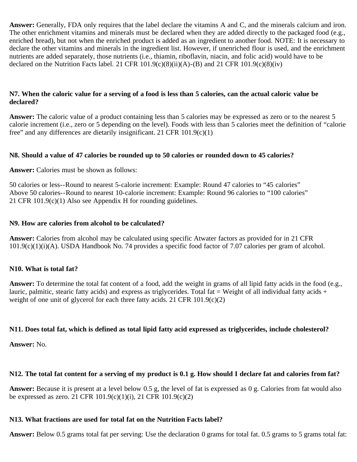**Answer:** Generally, FDA only requires that the label declare the vitamins A and C, and the minerals calcium and iron. The other enrichment vitamins and minerals must be declared when they are added directly to the packaged food (e.g., enriched bread), but not when the enriched product is added as an ingredient to another food. NOTE: It is necessary to declare the other vitamins and minerals in the ingredient list. However, if unenriched flour is used, and the enrichment nutrients are added separately, those nutrients (i.e., thiamin, riboflavin, niacin, and folic acid) would have to be declared on the Nutrition Facts label. 21 CFR  $101.9(c)(8)(ii)(A)$ -(B) and 21 CFR  $101.9(c)(8)(iv)$ 

#### **N7. When the caloric value for a serving of a food is less than 5 calories, can the actual caloric value be declared?**

**Answer:** The caloric value of a product containing less than 5 calories may be expressed as zero or to the nearest 5 calorie increment (i.e., zero or 5 depending on the level). Foods with less than 5 calories meet the definition of "calorie free" and any differences are dietarily insignificant. 21 CFR 101.9(c)(1)

### **N8. Should a value of 47 calories be rounded up to 50 calories or rounded down to 45 calories?**

**Answer:** Calories must be shown as follows:

50 calories or less--Round to nearest 5-calorie increment: Example: Round 47 calories to "45 calories" Above 50 calories--Round to nearest 10-calorie increment: Example: Round 96 calories to "100 calories" 21 CFR 101.9(c)(1) Also see Appendix H for rounding guidelines.

### **N9. How are calories from alcohol to be calculated?**

**Answer:** Calories from alcohol may be calculated using specific Atwater factors as provided for in 21 CFR 101.9(c)(1)(i)(A). USDA Handbook No. 74 provides a specific food factor of 7.07 calories per gram of alcohol.

# **N10. What is total fat?**

**Answer:** To determine the total fat content of a food, add the weight in grams of all lipid fatty acids in the food (e.g., lauric, palmitic, stearic fatty acids) and express as triglycerides. Total fat = Weight of all individual fatty acids  $+$ weight of one unit of glycerol for each three fatty acids. 21 CFR 101.9(c)(2)

# **N11. Does total fat, which is defined as total lipid fatty acid expressed as triglycerides, include cholesterol?**

**Answer:** No.

# **N12. The total fat content for a serving of my product is 0.1 g. How should I declare fat and calories from fat?**

**Answer:** Because it is present at a level below 0.5 g, the level of fat is expressed as 0 g. Calories from fat would also be expressed as zero. 21 CFR 101.9(c)(1)(i), 21 CFR 101.9(c)(2)

# **N13. What fractions are used for total fat on the Nutrition Facts label?**

**Answer:** Below 0.5 grams total fat per serving: Use the declaration 0 grams for total fat. 0.5 grams to 5 grams total fat: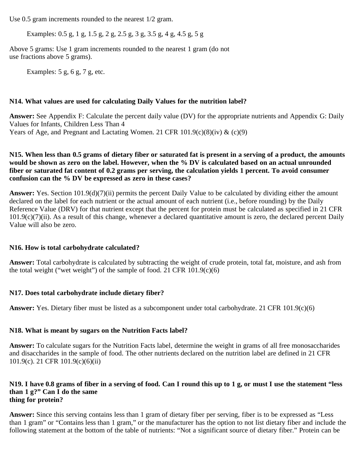Use 0.5 gram increments rounded to the nearest 1/2 gram.

Examples: 0.5 g, 1 g, 1.5 g, 2 g, 2.5 g, 3 g, 3.5 g, 4 g, 4.5 g, 5 g

Above 5 grams: Use 1 gram increments rounded to the nearest 1 gram (do not use fractions above 5 grams).

Examples:  $5 g, 6 g, 7 g, etc.$ 

#### **N14. What values are used for calculating Daily Values for the nutrition label?**

**Answer:** See Appendix F: Calculate the percent daily value (DV) for the appropriate nutrients and Appendix G: Daily Values for Infants, Children Less Than 4 Years of Age, and Pregnant and Lactating Women. 21 CFR  $101.9(c)(8)(iv)$  &  $(c)(9)$ 

#### **N15. When less than 0.5 grams of dietary fiber or saturated fat is present in a serving of a product, the amounts would be shown as zero on the label. However, when the % DV is calculated based on an actual unrounded fiber or saturated fat content of 0.2 grams per serving, the calculation yields 1 percent. To avoid consumer confusion can the % DV be expressed as zero in these cases?**

**Answer:** Yes. Section 101.9(d)(7)(ii) permits the percent Daily Value to be calculated by dividing either the amount declared on the label for each nutrient or the actual amount of each nutrient (i.e., before rounding) by the Daily Reference Value (DRV) for that nutrient except that the percent for protein must be calculated as specified in 21 CFR  $101.9(c)(7)(ii)$ . As a result of this change, whenever a declared quantitative amount is zero, the declared percent Daily Value will also be zero.

#### **N16. How is total carbohydrate calculated?**

**Answer:** Total carbohydrate is calculated by subtracting the weight of crude protein, total fat, moisture, and ash from the total weight ("wet weight") of the sample of food. 21 CFR  $101.9(c)(6)$ 

#### **N17. Does total carbohydrate include dietary fiber?**

**Answer:** Yes. Dietary fiber must be listed as a subcomponent under total carbohydrate. 21 CFR 101.9(c)(6)

#### **N18. What is meant by sugars on the Nutrition Facts label?**

**Answer:** To calculate sugars for the Nutrition Facts label, determine the weight in grams of all free monosaccharides and disaccharides in the sample of food. The other nutrients declared on the nutrition label are defined in 21 CFR 101.9(c). 21 CFR 101.9(c)(6)(ii)

#### **N19. I have 0.8 grams of fiber in a serving of food. Can I round this up to 1 g, or must I use the statement "less than 1 g?" Can I do the same thing for protein?**

**Answer:** Since this serving contains less than 1 gram of dietary fiber per serving, fiber is to be expressed as "Less than 1 gram" or "Contains less than 1 gram," or the manufacturer has the option to not list dietary fiber and include the following statement at the bottom of the table of nutrients: "Not a significant source of dietary fiber." Protein can be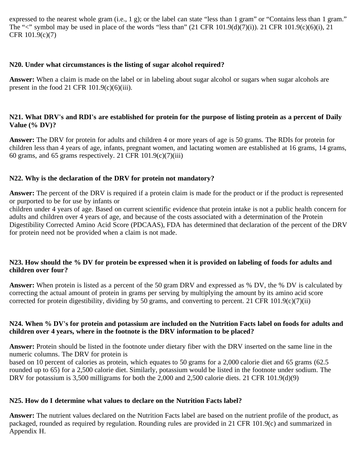expressed to the nearest whole gram (i.e., 1 g); or the label can state "less than 1 gram" or "Contains less than 1 gram." The " $\lt$ " symbol may be used in place of the words "less than" (21 CFR 101.9(d)(7)(i)). 21 CFR 101.9(c)(6)(i), 21 CFR 101.9(c)(7)

#### **N20. Under what circumstances is the listing of sugar alcohol required?**

**Answer:** When a claim is made on the label or in labeling about sugar alcohol or sugars when sugar alcohols are present in the food 21 CFR  $101.9(c)(6)(iii)$ .

#### **N21. What DRV's and RDI's are established for protein for the purpose of listing protein as a percent of Daily Value (% DV)?**

**Answer:** The DRV for protein for adults and children 4 or more years of age is 50 grams. The RDIs for protein for children less than 4 years of age, infants, pregnant women, and lactating women are established at 16 grams, 14 grams, 60 grams, and 65 grams respectively. 21 CFR  $101.9(c)(7)(iii)$ 

#### **N22. Why is the declaration of the DRV for protein not mandatory?**

**Answer:** The percent of the DRV is required if a protein claim is made for the product or if the product is represented or purported to be for use by infants or

children under 4 years of age. Based on current scientific evidence that protein intake is not a public health concern for adults and children over 4 years of age, and because of the costs associated with a determination of the Protein Digestibility Corrected Amino Acid Score (PDCAAS), FDA has determined that declaration of the percent of the DRV for protein need not be provided when a claim is not made.

#### **N23. How should the % DV for protein be expressed when it is provided on labeling of foods for adults and children over four?**

**Answer:** When protein is listed as a percent of the 50 gram DRV and expressed as % DV, the % DV is calculated by correcting the actual amount of protein in grams per serving by multiplying the amount by its amino acid score corrected for protein digestibility, dividing by 50 grams, and converting to percent. 21 CFR 101.9(c)(7)(ii)

#### **N24. When % DV's for protein and potassium are included on the Nutrition Facts label on foods for adults and children over 4 years, where in the footnote is the DRV information to be placed?**

**Answer:** Protein should be listed in the footnote under dietary fiber with the DRV inserted on the same line in the numeric columns. The DRV for protein is

based on 10 percent of calories as protein, which equates to 50 grams for a 2,000 calorie diet and 65 grams (62.5 rounded up to 65) for a 2,500 calorie diet. Similarly, potassium would be listed in the footnote under sodium. The DRV for potassium is 3,500 milligrams for both the 2,000 and 2,500 calorie diets. 21 CFR 101.9(d)(9)

#### **N25. How do I determine what values to declare on the Nutrition Facts label?**

**Answer:** The nutrient values declared on the Nutrition Facts label are based on the nutrient profile of the product, as packaged, rounded as required by regulation. Rounding rules are provided in 21 CFR 101.9(c) and summarized in Appendix H.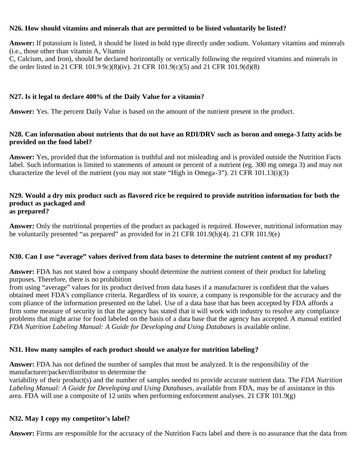#### **N26. How should vitamins and minerals that are permitted to be listed voluntarily be listed?**

**Answer:** If potassium is listed, it should be listed in bold type directly under sodium. Voluntary vitamins and minerals (i.e., those other than vitamin A, Vitamin C, Calcium, and Iron), should be declared horizontally or vertically following the required vitamins and minerals in the order listed in 21 CFR 101.9 9c)(8)(iv). 21 CFR 101.9(c)(5) and 21 CFR 101.9(d)(8)

#### **N27. Is it legal to declare 400% of the Daily Value for a vitamin?**

**Answer:** Yes. The percent Daily Value is based on the amount of the nutrient present in the product.

#### **N28. Can information about nutrients that do not have an RDI/DRV such as boron and omega-3 fatty acids be provided on the food label?**

**Answer:** Yes, provided that the information is truthful and not misleading and is provided outside the Nutrition Facts label. Such information is limited to statements of amount or percent of a nutrient (eg. 300 mg omega 3) and may not characterize the level of the nutrient (you may not state "High in Omega-3"). 21 CFR 101.13(i)(3)

#### **N29. Would a dry mix product such as flavored rice be required to provide nutrition information for both the product as packaged and as prepared?**

**Answer:** Only the nutritional properties of the product as packaged is required. However, nutritional information may be voluntarily presented "as prepared" as provided for in 21 CFR 101.9(h)(4). 21 CFR 101.9(e)

#### **N30. Can I use "average" values derived from data bases to determine the nutrient content of my product?**

**Answer:** FDA has not stated how a company should determine the nutrient content of their product for labeling purposes. Therefore, there is no prohibition

from using "average" values for its product derived from data bases if a manufacturer is confident that the values obtained meet FDA's compliance criteria. Regardless of its source, a company is responsible for the accuracy and the com pliance of the information presented on the label. Use of a data base that has been accepted by FDA affords a firm some measure of security in that the agency has stated that it will work with industry to resolve any compliance problems that might arise for food labeled on the basis of a data base that the agency has accepted. A manual entitled *FDA Nutrition Labeling Manual: A Guide for Developing and Using Databases* is available online.

#### **N31. How many samples of each product should we analyze for nutrition labeling?**

**Answer:** FDA has not defined the number of samples that must be analyzed. It is the responsibility of the manufacturer/packer/distributor to determine the

variability of their product(s) and the number of samples needed to provide accurate nutrient data. The *FDA Nutrition Labeling Manual: A Guide for Developing and Using Databases*, available from FDA, may be of assistance in this area. FDA will use a composite of 12 units when performing enforcement analyses. 21 CFR 101.9(g)

#### **N32. May I copy my competitor's label?**

**Answer:** Firms are responsible for the accuracy of the Nutrition Facts label and there is no assurance that the data from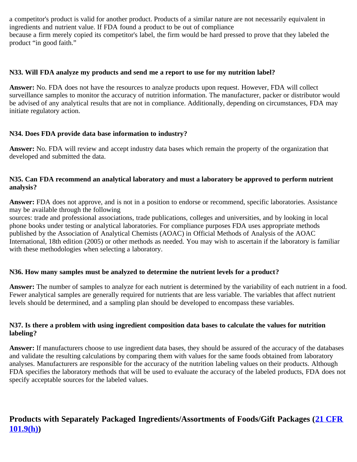a competitor's product is valid for another product. Products of a similar nature are not necessarily equivalent in ingredients and nutrient value. If FDA found a product to be out of compliance because a firm merely copied its competitor's label, the firm would be hard pressed to prove that they labeled the product "in good faith."

#### **N33. Will FDA analyze my products and send me a report to use for my nutrition label?**

**Answer:** No. FDA does not have the resources to analyze products upon request. However, FDA will collect surveillance samples to monitor the accuracy of nutrition information. The manufacturer, packer or distributor would be advised of any analytical results that are not in compliance. Additionally, depending on circumstances, FDA may initiate regulatory action.

#### **N34. Does FDA provide data base information to industry?**

**Answer:** No. FDA will review and accept industry data bases which remain the property of the organization that developed and submitted the data.

#### **N35. Can FDA recommend an analytical laboratory and must a laboratory be approved to perform nutrient analysis?**

**Answer:** FDA does not approve, and is not in a position to endorse or recommend, specific laboratories. Assistance may be available through the following

sources: trade and professional associations, trade publications, colleges and universities, and by looking in local phone books under testing or analytical laboratories. For compliance purposes FDA uses appropriate methods published by the Association of Analytical Chemists (AOAC) in Official Methods of Analysis of the AOAC International, 18th edition (2005) or other methods as needed. You may wish to ascertain if the laboratory is familiar with these methodologies when selecting a laboratory.

#### **N36. How many samples must be analyzed to determine the nutrient levels for a product?**

**Answer:** The number of samples to analyze for each nutrient is determined by the variability of each nutrient in a food. Fewer analytical samples are generally required for nutrients that are less variable. The variables that affect nutrient levels should be determined, and a sampling plan should be developed to encompass these variables.

#### **N37. Is there a problem with using ingredient composition data bases to calculate the values for nutrition labeling?**

**Answer:** If manufacturers choose to use ingredient data bases, they should be assured of the accuracy of the databases and validate the resulting calculations by comparing them with values for the same foods obtained from laboratory analyses. Manufacturers are responsible for the accuracy of the nutrition labeling values on their products. Although FDA specifies the laboratory methods that will be used to evaluate the accuracy of the labeled products, FDA does not specify acceptable sources for the labeled values.

# **Products with Separately Packaged Ingredients/Assortments of Foods/Gift Packages ([21 CFR](http://ecfr.gpoaccess.gov/cgi/t/text/text-idx?c=ecfr&sid=563f0b6235da3f4c7912a64cbceec305&rgn=div8&view=text&node=21:2.0.1.1.2.1.1.6&idno=21) [101.9\(h\)\)](http://ecfr.gpoaccess.gov/cgi/t/text/text-idx?c=ecfr&sid=563f0b6235da3f4c7912a64cbceec305&rgn=div8&view=text&node=21:2.0.1.1.2.1.1.6&idno=21)**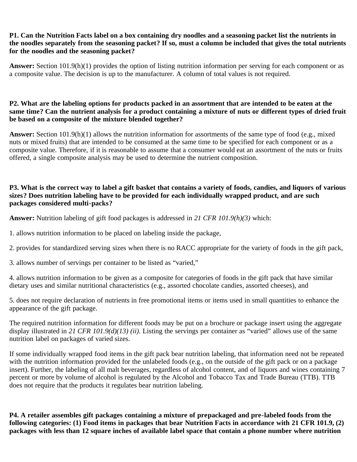#### **P1. Can the Nutrition Facts label on a box containing dry noodles and a seasoning packet list the nutrients in the noodles separately from the seasoning packet? If so, must a column be included that gives the total nutrients for the noodles and the seasoning packet?**

**Answer:** Section 101.9(h)(1) provides the option of listing nutrition information per serving for each component or as a composite value. The decision is up to the manufacturer. A column of total values is not required.

#### **P2. What are the labeling options for products packed in an assortment that are intended to be eaten at the same time? Can the nutrient analysis for a product containing a mixture of nuts or different types of dried fruit be based on a composite of the mixture blended together?**

**Answer:** Section 101.9(h)(1) allows the nutrition information for assortments of the same type of food (e.g., mixed nuts or mixed fruits) that are intended to be consumed at the same time to be specified for each component or as a composite value. Therefore, if it is reasonable to assume that a consumer would eat an assortment of the nuts or fruits offered, a single composite analysis may be used to determine the nutrient composition.

#### **P3. What is the correct way to label a gift basket that contains a variety of foods, candies, and liquors of various sizes? Does nutrition labeling have to be provided for each individually wrapped product, and are such packages considered multi-packs?**

**Answer:** Nutrition labeling of gift food packages is addressed in *21 CFR 101.9(h)(3)* which:

- 1. allows nutrition information to be placed on labeling inside the package,
- 2. provides for standardized serving sizes when there is no RACC appropriate for the variety of foods in the gift pack,
- 3. allows number of servings per container to be listed as "varied,"

4. allows nutrition information to be given as a composite for categories of foods in the gift pack that have similar dietary uses and similar nutritional characteristics (e.g., assorted chocolate candies, assorted cheeses), and

5. does not require declaration of nutrients in free promotional items or items used in small quantities to enhance the appearance of the gift package.

The required nutrition information for different foods may be put on a brochure or package insert using the aggregate display illustrated in *21 CFR 101.9(d)(13) (ii).* Listing the servings per container as "varied" allows use of the same nutrition label on packages of varied sizes.

If some individually wrapped food items in the gift pack bear nutrition labeling, that information need not be repeated with the nutrition information provided for the unlabeled foods (e.g., on the outside of the gift pack or on a package insert). Further, the labeling of all malt beverages, regardless of alcohol content, and of liquors and wines containing 7 percent or more by volume of alcohol is regulated by the Alcohol and Tobacco Tax and Trade Bureau (TTB). TTB does not require that the products it regulates bear nutrition labeling.

**P4. A retailer assembles gift packages containing a mixture of prepackaged and pre-labeled foods from the following categories: (1) Food items in packages that bear Nutrition Facts in accordance with 21 CFR 101.9, (2) packages with less than 12 square inches of available label space that contain a phone number where nutrition**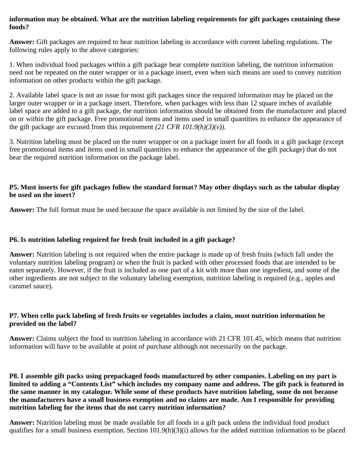#### **information may be obtained. What are the nutrition labeling requirements for gift packages containing these foods?**

**Answer:** Gift packages are required to bear nutrition labeling in accordance with current labeling regulations. The following rules apply to the above categories:

1. When individual food packages within a gift package bear complete nutrition labeling, the nutrition information need not be repeated on the outer wrapper or in a package insert, even when such means are used to convey nutrition information on other products within the gift package.

2. Available label space is not an issue for most gift packages since the required information may be placed on the larger outer wrapper or in a package insert. Therefore, when packages with less than 12 square inches of available label space are added to a gift package, the nutrition information should be obtained from the manufacturer and placed on or within the gift package. Free promotional items and items used in small quantities to enhance the appearance of the gift package are excused from this requirement  $(21 \text{ CFR } 101.9(h)(3)(v))$ .

3. Nutrition labeling must be placed on the outer wrapper or on a package insert for all foods in a gift package (except free promotional items and items used in small quantities to enhance the appearance of the gift package) that do not bear the required nutrition information on the package label.

#### **P5. Must inserts for gift packages follow the standard format? May other displays such as the tabular display be used on the insert?**

**Answer:** The full format must be used because the space available is not limited by the size of the label.

#### **P6. Is nutrition labeling required for fresh fruit included in a gift package?**

**Answer:** Nutrition labeling is not required when the entire package is made up of fresh fruits (which fall under the voluntary nutrition labeling program) or when the fruit is packed with other processed foods that are intended to be eaten separately. However, if the fruit is included as one part of a kit with more than one ingredient, and some of the other ingredients are not subject to the voluntary labeling exemption, nutrition labeling is required (e.g., apples and caramel sauce).

#### **P7. When cello pack labeling of fresh fruits or vegetables includes a claim, must nutrition information be provided on the label?**

**Answer:** Claims subject the food to nutrition labeling in accordance with 21 CFR 101.45, which means that nutrition information will have to be available at point of purchase although not necessarily on the package.

**P8. I assemble gift packs using prepackaged foods manufactured by other companies. Labeling on my part is limited to adding a "Contents List" which includes my company name and address. The gift pack is featured in the same manner in my catalogue. While some of these products have nutrition labeling, some do not because the manufacturers have a small business exemption and no claims are made. Am I responsible for providing nutrition labeling for the items that do not carry nutrition information?**

**Answer:** Nutrition labeling must be made available for all foods in a gift pack unless the individual food product qualifies for a small business exemption. Section 101.9(h)(3)(i) allows for the added nutrition information to be placed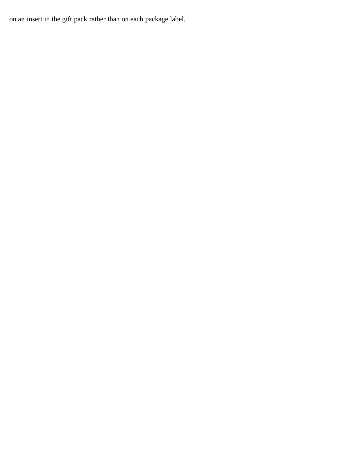on an insert in the gift pack rather than on each package label.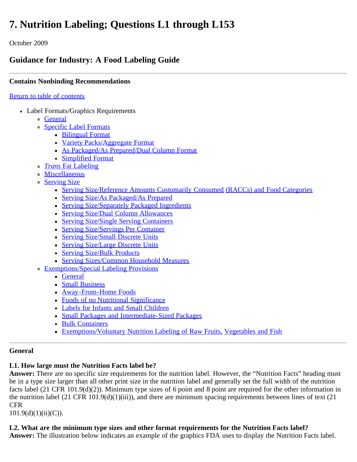# **7. Nutrition Labeling; Questions L1 through L153**

October 2009

# **Guidance for Industry: A Food Labeling Guide**

## **Contains Nonbinding Recommendations**

#### [Return to table of contents](#page-0-0)

- Label Formats/Graphics Requirements
	- o [General](#page-41-0)
	- [Specific Label Formats](#page-45-0)
		- [Bilingual Format](#page-45-1)
		- [Variety Packs/Aggregate Format](#page-46-0)
		- [As Packaged/As Prepared/Dual Column Format](#page-47-0)
		- [Simplified Format](#page-48-0)
	- *[Trans](#page-50-0)* [Fat Labeling](#page-50-0)
	- [Miscellaneous](#page-52-0)
	- o [Serving Size](#page-52-1)
		- [Serving Size/Reference Amounts Customarily Consumed](#page-52-2) [\(RACCs\) and Food Categories](#page-52-2)
		- **[Serving Size/As Packaged/As Prepared](#page-56-0)**
		- **[Serving Size/Separately Packaged Ingredients](#page-56-1)**
		- **[Serving Size/Dual Column Allowances](#page-57-0)**
		- **[Serving Size/Single Serving Containers](#page-58-0)**
		- [Serving Size/Servings Per Container](#page-59-0)
		- [Serving Size/Small Discrete Units](#page-59-1)
		- [Serving Size/Large Discrete Units](#page-60-0)
		- **[Serving Size/Bulk Products](#page-60-1)**
		- [Serving Sizes/Common Household Measures](#page-61-0)
	- **[Exemptions/Special Labeling Provisions](#page-61-1)** 
		- [General](#page-61-2)
		- [Small Business](#page-62-0)
		- **[Away-From-Home Foods](#page-63-0)**
		- [Foods of no Nutritional Significance](#page-64-0)
		- [Labels for Infants and Small Children](#page-65-0)
		- [Small Packages and Intermediate-Sized Packages](#page-66-0)
		- [Bulk Containers](#page-68-0)
		- [Exemptions/Voluntary Nutrition Labeling of Raw Fruits,](#page-68-1) [Vegetables and Fish](#page-68-1)

#### <span id="page-41-0"></span>**General**

## **L1. How large must the Nutrition Facts label be?**

**Answer:** There are no specific size requirements for the nutrition label. However, the "Nutrition Facts" heading must be in a type size larger than all other print size in the nutrition label and generally set the full width of the nutrition facts label (21 CFR 101.9(d)(2)). Minimum type sizes of 6 point and 8 point are required for the other information in the nutrition label (21 CFR 101.9(d)(1)(iii)), and there are minimum spacing requirements between lines of text (21 CFR

 $101.9(d)(1)(ii)(C)$ ).

## **L2. What are the minimum type sizes and other format requirements for the Nutrition Facts label?**

**Answer:** The illustration below indicates an example of the graphics FDA uses to display the Nutrition Facts label.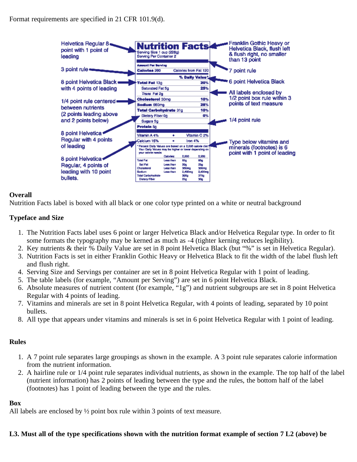

#### **Overall**

Nutrition Facts label is boxed with all black or one color type printed on a white or neutral background

#### **Typeface and Size**

- 1. The Nutrition Facts label uses 6 point or larger Helvetica Black and/or Helvetica Regular type. In order to fit some formats the typography may be kerned as much as -4 (tighter kerning reduces legibility).
- 2. Key nutrients & their % Daily Value are set in 8 point Helvetica Black (but "%" is set in Helvetica Regular).
- 3. Nutrition Facts is set in either Franklin Gothic Heavy or Helvetica Black to fit the width of the label flush left and flush right.
- 4. Serving Size and Servings per container are set in 8 point Helvetica Regular with 1 point of leading.
- 5. The table labels (for example, "Amount per Serving") are set in 6 point Helvetica Black.
- 6. Absolute measures of nutrient content (for example, "1g") and nutrient subgroups are set in 8 point Helvetica Regular with 4 points of leading.
- 7. Vitamins and minerals are set in 8 point Helvetica Regular, with 4 points of leading, separated by 10 point bullets.
- 8. All type that appears under vitamins and minerals is set in 6 point Helvetica Regular with 1 point of leading.

## **Rules**

- 1. A 7 point rule separates large groupings as shown in the example. A 3 point rule separates calorie information from the nutrient information.
- 2. A hairline rule or 1/4 point rule separates individual nutrients, as shown in the example. The top half of the label (nutrient information) has 2 points of leading between the type and the rules, the bottom half of the label (footnotes) has 1 point of leading between the type and the rules.

#### **Box**

All labels are enclosed by ½ point box rule within 3 points of text measure.

#### **L3. Must all of the type specifications shown with the nutrition format example of section 7 L2 (above) be**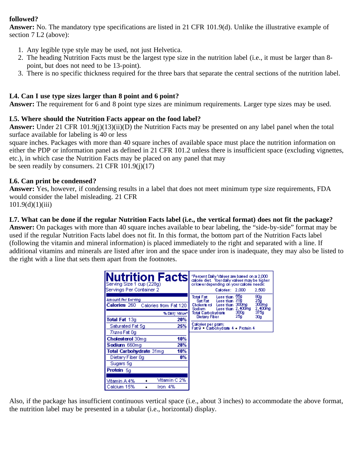## **followed?**

**Answer:** No. The mandatory type specifications are listed in 21 CFR 101.9(d). Unlike the illustrative example of section 7 L2 (above):

- 1. Any legible type style may be used, not just Helvetica.
- 2. The heading Nutrition Facts must be the largest type size in the nutrition label (i.e., it must be larger than 8 point, but does not need to be 13-point).
- 3. There is no specific thickness required for the three bars that separate the central sections of the nutrition label.

## **L4. Can I use type sizes larger than 8 point and 6 point?**

**Answer:** The requirement for 6 and 8 point type sizes are minimum requirements. Larger type sizes may be used.

## **L5. Where should the Nutrition Facts appear on the food label?**

**Answer:** Under 21 CFR 101.9(j)(13)(ii)(D) the Nutrition Facts may be presented on any label panel when the total surface available for labeling is 40 or less

square inches. Packages with more than 40 square inches of available space must place the nutrition information on either the PDP or information panel as defined in 21 CFR 101.2 unless there is insufficient space (excluding vignettes, etc.), in which case the Nutrition Facts may be placed on any panel that may be seen readily by consumers. 21 CFR 101.9(j)(17)

#### **L6. Can print be condensed?**

**Answer:** Yes, however, if condensing results in a label that does not meet minimum type size requirements, FDA would consider the label misleading. 21 CFR  $101.9(d)(1)(iii)$ 

#### **L7. What can be done if the regular Nutrition Facts label (i.e., the vertical format) does not fit the package?**

**Answer:** On packages with more than 40 square inches available to bear labeling, the "side-by-side" format may be used if the regular Nutrition Facts label does not fit. In this format, the bottom part of the Nutrition Facts label (following the vitamin and mineral information) is placed immediately to the right and separated with a line. If additional vitamins and minerals are listed after iron and the space under iron is inadequate, they may also be listed to the right with a line that sets them apart from the footnotes.

| utrition Factsl<br>Serving Size 1 cup (228g)<br>Servings Per Container 2 | "Percent Daily Values are based on a 2,000"<br>calorie diet. Your daily values may be higher<br>orlowerdepending on yourcalorie needs:<br>Calories: 2,000<br>2,500     |
|--------------------------------------------------------------------------|------------------------------------------------------------------------------------------------------------------------------------------------------------------------|
| Amount Per Serving<br><b>Calories</b> 260<br>Calories from Fat 120       | 65g<br>Total Fat<br>80g<br>25g<br>300mg<br>Less than i<br>20g<br>Sat Fat<br>Less than<br>Less than 300mg<br>Choleste rol<br>2,400mg<br>2,400mg<br>Sodium.<br>Less than |
| % Daily Value*)<br>Total Fat 13g<br>20%                                  | 375g<br>300g<br>Total Carbohydrate<br>25g<br>Dietary Fiber<br>30g                                                                                                      |
| 25%<br>Saturated Fat 5ql                                                 | Calories per gram:<br>Fat9 Carbohydrate 4 - Protein 4                                                                                                                  |
| <i>Trans</i> Fat 0q                                                      |                                                                                                                                                                        |
| 10%<br><b>Cholesterol</b> 30mg                                           |                                                                                                                                                                        |
| 28%<br>Sodium 660mg                                                      |                                                                                                                                                                        |
| 10%<br>Total Carbohydrate 31mq                                           |                                                                                                                                                                        |
| 0%<br>Dietary Fiber 0g                                                   |                                                                                                                                                                        |
| Sugars 5g                                                                |                                                                                                                                                                        |
| <b>Protein</b> 5a                                                        |                                                                                                                                                                        |
|                                                                          |                                                                                                                                                                        |
| Vitamin C 2%<br>Vitamin A 4%                                             |                                                                                                                                                                        |
| Calcium 15%<br>Iron 4%                                                   |                                                                                                                                                                        |

Also, if the package has insufficient continuous vertical space (i.e., about 3 inches) to accommodate the above format, the nutrition label may be presented in a tabular (i.e., horizontal) display.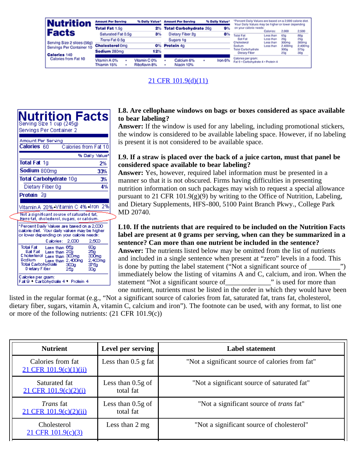| Nutrition                                                | <b>Amount Per Serving</b>   | % Daily Value*                | <b>Amount Per Serving</b>     | % Dally Value* | *Percent Daily Values are based on a 2,000 calorie diet.<br>Your Daily Values may be higher or lower depending |                        |              |                          |
|----------------------------------------------------------|-----------------------------|-------------------------------|-------------------------------|----------------|----------------------------------------------------------------------------------------------------------------|------------------------|--------------|--------------------------|
|                                                          | <b>Total Fat 1.5g</b>       | 2%                            | <b>Total Carbohydrate 26g</b> | 9%             | on your calorie needs:                                                                                         | Calories:              | 2,000        | 2,500                    |
| Facts                                                    | Saturated Fat 0.5g          | 3%                            | Dietary Fiber 2g              | 8%             | <b>Total Fat</b>                                                                                               | Less than              | 650          | 80g                      |
|                                                          | Trans Fat 0.5g              |                               | Sugars 1g                     |                | Sat Fat<br>Cholesterol                                                                                         | Less than<br>Less than | 20a<br>300mg | 25 <sub>9</sub><br>300mg |
| Serving Size 2 slices (56g)<br>Servings Per Container 10 | <b>Cholesterol Omg</b>      | O%.                           | Protein 4g                    |                | Sodium                                                                                                         | Less than              | 2.400mg      | 2,400mg                  |
|                                                          | Sodium 280mg                | 12%                           |                               |                | Total Carbohydrate<br><b>Diotary Fiber</b>                                                                     |                        | 300g<br>25g  | 375g<br>30g              |
| Calories 140<br>Calories from Fat 10                     |                             |                               |                               |                | Calories per gram:                                                                                             |                        |              |                          |
|                                                          | Vitamin A 0%<br>Thiamin 15% | Vitamin C 0%<br>Riboflavin 8% | Calcium 6%<br>٠<br>Niacin 10% | Iron 6%        | Fat 9 . Carbohydrate 4 . Protein 4                                                                             |                        |              |                          |

## [21 CFR 101.9\(d\)\(11\)](http://ecfr.gpoaccess.gov/cgi/t/text/text-idx?c=ecfr&sid=563f0b6235da3f4c7912a64cbceec305&rgn=div8&view=text&node=21:2.0.1.1.2.1.1.6&idno=21)

| Nutrition<br><b>Facts</b><br>Serving Size 1 cup (245g)<br>Servings Per Container 2                                                                                                                                                                              |
|-----------------------------------------------------------------------------------------------------------------------------------------------------------------------------------------------------------------------------------------------------------------|
| Amount Per Serving<br><b>Calories</b> 60<br>Calories from Fat 10                                                                                                                                                                                                |
| % Daily Value*<br>Total Fat 1g<br>2%                                                                                                                                                                                                                            |
| Sodium 800mg<br>33%<br>Total Carbohydrate 10g<br>3%                                                                                                                                                                                                             |
| 4%<br>Dietary Fiber Og                                                                                                                                                                                                                                          |
| Protein 2a                                                                                                                                                                                                                                                      |
| Vitamin A 20% Vitamin C 4% Iron 2%                                                                                                                                                                                                                              |
| Not a significant source of saturated fat,<br><i>trans</i> fat, cholesterol, sugars, or calcium.                                                                                                                                                                |
| *Percent Daily Values are based on a 2,000.<br>calorie diet. Your daily values may be higher.<br>or lower depending on your calorie needs:                                                                                                                      |
| Calories: 2,000<br>2.500<br>Total Fat<br>Less than 65g<br>ങ്ങ<br>Sat Fat<br>Less than 20a<br>25a<br>C holesterol :<br>Less than 300mg<br>- 300mg<br>Sadium<br>Less than 2,400mg<br>2,400mg<br>Total Carbohydrate<br>375a<br>300g<br>Dietary Fiber<br>25a<br>ടാം |
| Calories per gram:<br>Fat9 • Carbohvdrate 4 • Protein 4                                                                                                                                                                                                         |

### **L8. Are cellophane windows on bags or boxes considered as space available to bear labeling?**

**Answer:** If the window is used for any labeling, including promotional stickers, the window is considered to be available labeling space. However, if no labeling is present it is not considered to be available space.

#### **L9. If a straw is placed over the back of a juice carton, must that panel be considered space available to bear labeling?**

**Answer:** Yes, however, required label information must be presented in a manner so that it is not obscured. Firms having difficulties in presenting nutrition information on such packages may wish to request a special allowance pursuant to 21 CFR 101.9(g)(9) by writing to the Office of Nutrition, Labeling, and Dietary Supplements, HFS-800, 5100 Paint Branch Pkwy., College Park  $5 \text{MD } 20740.$ 

**L10. If the nutrients that are required to be included on the Nutrition Facts label are present at 0 grams per serving, when can they be summarized in a sentence? Can more than one nutrient be included in the sentence? Answer:** The nutrients listed below may be omitted from the list of nutrients and included in a single sentence when present at "zero" levels in a food. This is done by putting the label statement ("Not a significant source of  $\overline{\phantom{a}}$ immediately below the listing of vitamins A and C, calcium, and iron. When the statement "Not a significant source of which is used for more than statement "Not a significant source of one nutrient, nutrients must be listed in the order in which they would have been

listed in the regular format (e.g., "Not a significant source of calories from fat, saturated fat, trans fat, cholesterol, dietary fiber, sugars, vitamin A, vitamin C, calcium and iron"). The footnote can be used, with any format, to list one or more of the following nutrients: (21 CFR 101.9(c))

| <b>Nutrient</b>                                 | Level per serving                | <b>Label statement</b>                          |
|-------------------------------------------------|----------------------------------|-------------------------------------------------|
| Calories from fat<br>$21$ CFR $101.9(c)(1)(ii)$ | Less than $0.5$ g fat            | "Not a significant source of calories from fat" |
| Saturated fat<br>$21$ CFR $101.9(c)(2)(i)$      | Less than $0.5g$ of<br>total fat | "Not a significant source of saturated fat"     |
| <i>Trans</i> fat<br>$21$ CFR $101.9(c)(2)(ii)$  | Less than $0.5g$ of<br>total fat | "Not a significant source of <i>trans</i> fat"  |
| Cholesterol<br>21 CFR 101.9(c)(3)               | Less than $2 \text{ mg}$         | "Not a significant source of cholesterol"       |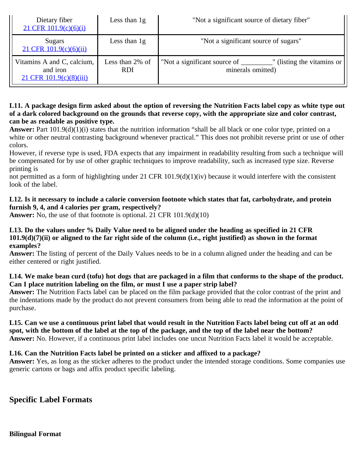| Dietary fiber<br>$21$ CFR $101.9(c)(6)(i)$                        | Less than $1g$                | "Not a significant source of dietary fiber"                                            |
|-------------------------------------------------------------------|-------------------------------|----------------------------------------------------------------------------------------|
| Sugars<br>$21$ CFR $101.9(c)(6)(ii)$                              | Less than $1g$                | "Not a significant source of sugars"                                                   |
| Vitamins A and C, calcium,<br>and iron<br>21 CFR 101.9(c)(8)(iii) | Less than 2% of<br><b>RDI</b> | "Not a significant source of __________" (listing the vitamins or<br>minerals omitted) |

#### **L11. A package design firm asked about the option of reversing the Nutrition Facts label copy as white type out of a dark colored background on the grounds that reverse copy, with the appropriate size and color contrast, can be as readable as positive type.**

**Answer:** Part 101.9(d)(1)(i) states that the nutrition information "shall be all black or one color type, printed on a white or other neutral contrasting background whenever practical." This does not prohibit reverse print or use of other colors.

However, if reverse type is used, FDA expects that any impairment in readability resulting from such a technique will be compensated for by use of other graphic techniques to improve readability, such as increased type size. Reverse printing is

not permitted as a form of highlighting under 21 CFR 101.9(d)(1)(iv) because it would interfere with the consistent look of the label.

## **L12. Is it necessary to include a calorie conversion footnote which states that fat, carbohydrate, and protein furnish 9, 4, and 4 calories per gram, respectively?**

**Answer:** No, the use of that footnote is optional. 21 CFR 101.9(d)(10)

#### **L13. Do the values under % Daily Value need to be aligned under the heading as specified in 21 CFR 101.9(d)(7)(ii) or aligned to the far right side of the column (i.e., right justified) as shown in the format examples?**

**Answer:** The listing of percent of the Daily Values needs to be in a column aligned under the heading and can be either centered or right justified.

## **L14. We make bean curd (tofu) hot dogs that are packaged in a film that conforms to the shape of the product. Can I place nutrition labeling on the film, or must I use a paper strip label?**

**Answer:** The Nutrition Facts label can be placed on the film package provided that the color contrast of the print and the indentations made by the product do not prevent consumers from being able to read the information at the point of purchase.

#### **L15. Can we use a continuous print label that would result in the Nutrition Facts label being cut off at an odd spot, with the bottom of the label at the top of the package, and the top of the label near the bottom? Answer:** No. However, if a continuous print label includes one uncut Nutrition Facts label it would be acceptable.

## **L16. Can the Nutrition Facts label be printed on a sticker and affixed to a package?**

**Answer:** Yes, as long as the sticker adheres to the product under the intended storage conditions. Some companies use generic cartons or bags and affix product specific labeling.

<span id="page-45-1"></span><span id="page-45-0"></span>**Specific Label Formats**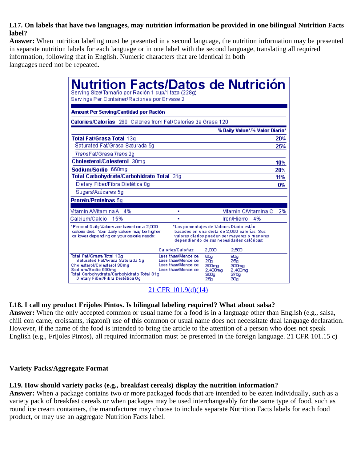### **L17. On labels that have two languages, may nutrition information be provided in one bilingual Nutrition Facts label?**

**Answer:** When nutrition labeling must be presented in a second language, the nutrition information may be presented in separate nutrition labels for each language or in one label with the second language, translating all required information, following that in English. Numeric characters that are identical in both languages need not be repeated.

| <b>Nutrition Facts/Datos de Nutrición</b><br>Serving Size/Tamaño por Ración 1 cup/1 taza (228g)<br>Servings Per Container/Raciones por Envase 2                                                    |                                                                                                                                                                                     |                                                |                                               |                                |     |
|----------------------------------------------------------------------------------------------------------------------------------------------------------------------------------------------------|-------------------------------------------------------------------------------------------------------------------------------------------------------------------------------------|------------------------------------------------|-----------------------------------------------|--------------------------------|-----|
| Amount Per Serving/Cantidad por Ración                                                                                                                                                             |                                                                                                                                                                                     |                                                |                                               |                                |     |
| Calories/Calorías 260 Calories from Fat/Calorías de Grasa 120                                                                                                                                      |                                                                                                                                                                                     |                                                |                                               |                                |     |
|                                                                                                                                                                                                    |                                                                                                                                                                                     |                                                |                                               | % Daily Value*/% Valor Diario* |     |
| Total Fat/Grasa Total 13g                                                                                                                                                                          |                                                                                                                                                                                     |                                                |                                               |                                | 20% |
| Saturated Fat/Grasa Saturada 5q                                                                                                                                                                    |                                                                                                                                                                                     |                                                |                                               |                                | 25% |
| TransFat/Grasa Trans 2g                                                                                                                                                                            |                                                                                                                                                                                     |                                                |                                               |                                |     |
| Cholesterol/Colesterol 30mg                                                                                                                                                                        |                                                                                                                                                                                     |                                                |                                               |                                | 10% |
| Sodium/Sodio 660mg                                                                                                                                                                                 |                                                                                                                                                                                     |                                                |                                               |                                | 28% |
| Total Carbohydrate/Carbohidrato Total 31g                                                                                                                                                          |                                                                                                                                                                                     |                                                |                                               |                                | 11% |
| Dietary Fiber/Fibra Dietética Og                                                                                                                                                                   |                                                                                                                                                                                     |                                                |                                               |                                | 0%  |
| Sugars/Azúcares 5g                                                                                                                                                                                 |                                                                                                                                                                                     |                                                |                                               |                                |     |
| Protein/Proteínas 5g                                                                                                                                                                               |                                                                                                                                                                                     |                                                |                                               |                                |     |
| Vitamin AVitamina A = 4%                                                                                                                                                                           | ٠                                                                                                                                                                                   |                                                |                                               | Vitamin CMitamina C            | 2%  |
| Calcium/Calcio<br>15%                                                                                                                                                                              | ×,                                                                                                                                                                                  |                                                | Iron/Hierro                                   | 4%                             |     |
| *Percent Daily Values are based on a 2,000.<br>calorie diet. Your daily values may be higher<br>or lower depending on your calorie needs:                                                          | *Los porcentajes de Valores Diario están<br>basados en una dieta de 2.000 caloñas. Sus<br>valores diarios pueden ser mayores o menores<br>dependiendo de sus necesidades calóricas: |                                                |                                               |                                |     |
|                                                                                                                                                                                                    | Calories/Calorias:                                                                                                                                                                  | 2.000                                          | 2,500                                         |                                |     |
| Total Fat/Grasa Total 13g<br>Saturated Fat/Grasa Saturada 5g<br>Cholesterol/Colesterol 30mg<br>Sodium/Sodio 660mg<br>Total Carbohydrate/Carbohidrato Total 31g<br>Dietary Fiber/Fibra Dietética Og | Less than/Menos de<br>Less than/Menos de<br>Less than/Menos de<br>Less than/Menos de                                                                                                | 651<br>20a<br>300mg<br>2,400mg<br>ാഗ്യം<br>25g | 80g<br>25g<br>300mg<br>2,400mg<br>375a<br>30g |                                |     |

[21 CFR 101.9\(d\)\(14\)](http://ecfr.gpoaccess.gov/cgi/t/text/text-idx?c=ecfr&sid=563f0b6235da3f4c7912a64cbceec305&rgn=div8&view=text&node=21:2.0.1.1.2.1.1.6&idno=21)

#### **L18. I call my product Frijoles Pintos. Is bilingual labeling required? What about salsa?**

**Answer:** When the only accepted common or usual name for a food is in a language other than English (e.g., salsa, chili con carne, croissants, rigatoni) use of this common or usual name does not necessitate dual language declaration. However, if the name of the food is intended to bring the article to the attention of a person who does not speak English (e.g., Frijoles Pintos), all required information must be presented in the foreign language. 21 CFR 101.15 c)

#### <span id="page-46-0"></span>**Variety Packs/Aggregate Format**

#### **L19. How should variety packs (e.g., breakfast cereals) display the nutrition information?**

**Answer:** When a package contains two or more packaged foods that are intended to be eaten individually, such as a variety pack of breakfast cereals or when packages may be used interchangeably for the same type of food, such as round ice cream containers, the manufacturer may choose to include separate Nutrition Facts labels for each food product, or may use an aggregate Nutrition Facts label.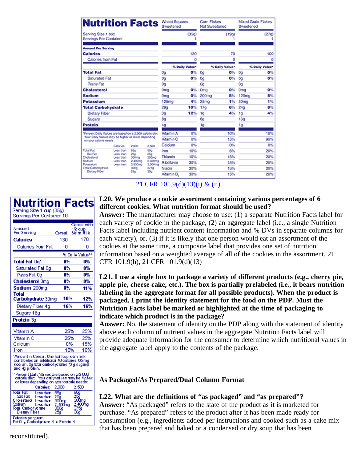| <b>Nutrition Facts</b>                                                       |                        |                 |                 | <b>Wheat Squares</b><br>Sweetened |                | Corn Flakes<br>Not Sweetened |                | <b>Mixed Grain Flakes</b><br>Sweetened |                |
|------------------------------------------------------------------------------|------------------------|-----------------|-----------------|-----------------------------------|----------------|------------------------------|----------------|----------------------------------------|----------------|
| Serving Size 1 box<br>Servings Per Container                                 |                        |                 |                 |                                   | (35q)          |                              | (19q)          |                                        | (27g)          |
| <b>Amount Per Serving</b>                                                    |                        |                 |                 |                                   |                |                              |                |                                        |                |
| <b>Calories</b>                                                              |                        |                 |                 |                                   | 130            |                              | 70             |                                        | 100            |
| Calories from Fat                                                            |                        |                 |                 |                                   | ٥              |                              | Ō              |                                        | ٥              |
|                                                                              |                        |                 |                 |                                   | % Daily Value* |                              | % Daily Value* |                                        | % Daily Value* |
| <b>Total Fat</b>                                                             |                        |                 |                 | 0g                                | 0%             | 0g                           | O%             | 0g                                     | 0%             |
| <b>Saturated Fat</b>                                                         |                        |                 |                 | 0g                                | 0%             | <b>Og</b>                    | O%             | 0a                                     | 0%             |
| <b>Trans Fat</b>                                                             |                        | 0g              |                 | Ōa                                |                | 0g                           |                |                                        |                |
| <b>Cholesterol</b>                                                           |                        |                 |                 | 0 <sub>mg</sub>                   | O%             | Oma                          | O%             | 0 <sub>mg</sub>                        | O%             |
| Sodium                                                                       |                        |                 |                 | 0 <sub>m</sub>                    | O%             | 200mg                        | 8%             | 120mg                                  | 5%             |
| Potassium                                                                    |                        |                 |                 | 125 <sub>mg</sub>                 | 4%             | 25 <sub>mg</sub>             | 1%             | 30 <sub>mg</sub>                       | 1%             |
| <b>Total Carbohydrate</b>                                                    |                        |                 |                 | 29q                               | 10%            | 17 <sub>q</sub>              | 6%             | 24 <sub>q</sub>                        | 8%             |
| <b>Dietary Fiber</b>                                                         |                        |                 |                 | 3g                                | 12%            | 1g                           | 4%             | 1 <sub>G</sub>                         | 4%             |
| Sugars                                                                       |                        |                 |                 | 8q                                |                | 6q                           |                | 13 <sub>q</sub>                        |                |
| Protein                                                                      |                        |                 |                 | 4g                                |                | 1g                           |                | 1g                                     |                |
| *Percent Daily Values are based on a 2,000 calorie diet.                     |                        |                 |                 | Vitamin A                         | O%             |                              | 10%            |                                        | 10%            |
| Your Daily Values may be higher or lower depending<br>on your calorie needs: |                        |                 |                 | Vitamin <sub>C</sub>              | O%             |                              | 15%            |                                        | 90%            |
|                                                                              | Calcries:              | 2,000           | 2.500           | Calcium                           | 0%             |                              | O%             |                                        | 0%             |
| <b>Total Fat</b>                                                             | Less than              | 650             | 80g             | Iron                              | 10%            |                              | 6%             |                                        | 20%            |
| Sat Fat<br>Cholesterol                                                       | Less than<br>Less than | 200<br>300mg    | 25q<br>300mg    | Thiamin                           | 10%            |                              | 15%            |                                        | 20%            |
| Sodium<br>Potassium                                                          | Less than              | 2.400mg         | 2,400mg         | Riboflavin                        | 30%            |                              | 15%            |                                        | 20%            |
| Total Carbohydrate                                                           | Less than              | 3.500mg<br>300g | 3,500mg<br>375g | Niacin                            | 30%            |                              | 15%            |                                        | 20%            |
| Distany Fiber                                                                |                        | 250             | 30a             | Vitamin B.                        | 30%            |                              | 15%            |                                        | 20%            |

| 21 CFR 101.9(d)(13)(i) & (ii) |  |  |  |
|-------------------------------|--|--|--|
|                               |  |  |  |

| Nutrition<br>Serving Size 1 cup (35g)<br>Servings Per Container 10                                                                                           |                                               | <b>Facts</b>                                       |
|--------------------------------------------------------------------------------------------------------------------------------------------------------------|-----------------------------------------------|----------------------------------------------------|
| Amount<br>Per Serving                                                                                                                                        | Great                                         | Careal with<br>1/2 cup<br>Skim Milk                |
| Calories                                                                                                                                                     | 130                                           | 170                                                |
| Calories from Fat                                                                                                                                            | ۵                                             | n                                                  |
|                                                                                                                                                              |                                               | % Daily Value**                                    |
| Total Fat 0a*                                                                                                                                                | 0%                                            | 0%                                                 |
| Saturated Fat 0q                                                                                                                                             | 0%                                            | 0%                                                 |
| <i>Trans</i> Fat 0 c                                                                                                                                         | 0%                                            | 0%                                                 |
| <b>Cholesterol Omg</b>                                                                                                                                       | 0%                                            | 0%                                                 |
| Sodium 200ma                                                                                                                                                 | 8%                                            | 11%                                                |
| Total<br>Carbohydrate 30mg                                                                                                                                   | 10%                                           | 12%                                                |
| Dietary Fiber 4g                                                                                                                                             | 16%                                           | 16%                                                |
| Sugars 18g                                                                                                                                                   |                                               |                                                    |
| Protein 3q                                                                                                                                                   |                                               |                                                    |
| Vitamin A                                                                                                                                                    | 25%                                           | 25%                                                |
| Vîtamin C                                                                                                                                                    |                                               |                                                    |
| Caldum                                                                                                                                                       | 25%<br>0%                                     | 25%<br>15%                                         |
| Iron                                                                                                                                                         | 10%                                           | 10%                                                |
| "Amount in Cereal. One half oup skim milk<br>contributes an additional 40 calories, 65 mg<br>sodium, 6g total carbohydrates (6 g sugars),<br>and 4g protein. |                                               |                                                    |
| "Percent Daily Values are based on a 2,000<br>calorie diet - Your daily values may be higher<br>or lower depending on your calorie needs:<br>Calories:       | 2,000                                         | 2.500                                              |
| loe Fat<br>Less than<br>Sant Fant<br>Less than<br><b>Cholesterol</b><br>less than<br>Sodium.<br>less than<br>Total Carbohydrate<br>Dietary Fiber             | 65g<br>20ã<br>300mg<br>2,400mg<br>300g<br>25g | Θħ<br>156<br>300 mg<br>2,400mg<br>.<br>375g<br>30g |
| Calories pergram:<br>Fat9 Carbohydrate 4 Protein 4                                                                                                           |                                               |                                                    |

#### **L20. We produce a cookie assortment containing various percentages of 6 different cookies. What nutrition format should be used?**

**Answer:** The manufacturer may choose to use: (1) a separate Nutrition Facts label for each variety of cookie in the package, (2) an aggregate label (i.e., a single Nutrition Facts label including nutrient content information and % DVs in separate columns for each variety), or, (3) if it is likely that one person would eat an assortment of the cookies at the same time, a composite label that provides one set of nutrition information based on a weighted average of all of the cookies in the assortment. 21 CFR 101.9(h), 21 CFR 101.9(d)(13)

**L21. I use a single box to package a variety of different products (e.g., cherry pie, apple pie, cheese cake, etc.). The box is partially prelabeled (i.e., it bears nutrition labeling in the aggregate format for all possible products). When the product is packaged, I print the identity statement for the food on the PDP. Must the Nutrition Facts label be marked or highlighted at the time of packaging to indicate which product is in the package?**

**Answer:** No, the statement of identity on the PDP along with the statement of identity above each column of nutrient values in the aggregate Nutrition Facts label will provide adequate information for the consumer to determine which nutritional values in the aggregate label apply to the contents of the package.

#### **As Packaged/As Prepared/Dual Column Format**

## **L22. What are the definitions of "as packaged" and "as prepared"?**

**Answer:** "As packaged" refers to the state of the product as it is marketed for purchase. "As prepared" refers to the product after it has been made ready for consumption (e.g., ingredients added per instructions and cooked such as a cake mix that has been prepared and baked or a condensed or dry soup that has been

<span id="page-47-0"></span>reconstituted).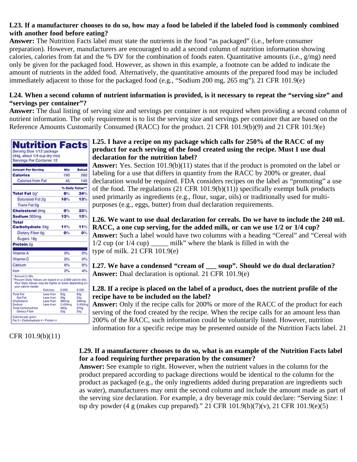### **L23. If a manufacturer chooses to do so, how may a food be labeled if the labeled food is commonly combined with another food before eating?**

**Answer:** The Nutrition Facts label must state the nutrients in the food "as packaged" (i.e., before consumer preparation). However, manufacturers are encouraged to add a second column of nutrition information showing calories, calories from fat and the % DV for the combination of foods eaten. Quantitative amounts (i.e.,  $g/mg$ ) need only be given for the packaged food. However, as shown in this example, a footnote can be added to indicate the amount of nutrients in the added food. Alternatively, the quantitative amounts of the prepared food may be included immediately adjacent to those for the packaged food (e.g., "Sodium 200 mg, 265 mg"). 21 CFR 101.9(e)

#### **L24. When a second column of nutrient information is provided, is it necessary to repeat the "serving size" and "servings per container"?**

**Answer:** The dual listing of serving size and servings per container is not required when providing a second column of nutrient information. The only requirement is to list the serving size and servings per container that are based on the Reference Amounts Customarily Consumed (RACC) for the product. 21 CFR 101.9(b)(9) and 21 CFR 101.9(e)

| Nutrition Facts                                                                                                                                             |           |             |                 |
|-------------------------------------------------------------------------------------------------------------------------------------------------------------|-----------|-------------|-----------------|
| Serving Size 1/12 package                                                                                                                                   |           |             |                 |
| (44g, about 1/4 cup dry mix)                                                                                                                                |           |             |                 |
| Servings Per Container 12                                                                                                                                   |           |             |                 |
|                                                                                                                                                             |           |             |                 |
| <b>Amount Per Serving</b>                                                                                                                                   |           | Mix         | Baked           |
| <b>Calories</b>                                                                                                                                             |           | 190         | 280             |
| Calories from Fat                                                                                                                                           |           | 45          | 140             |
|                                                                                                                                                             |           |             | % Daily Value** |
| Total Fat 5g'                                                                                                                                               |           | 8%          | 24%             |
| Saturated Fat 2g                                                                                                                                            |           | 10%         | 13%             |
| <b>Trans Fat Co</b>                                                                                                                                         |           |             |                 |
| <b>Cholesterol 0mg</b>                                                                                                                                      |           | O%          | 23%             |
| Sodium 300mg                                                                                                                                                |           | 13%         | 13%             |
| Total                                                                                                                                                       |           |             |                 |
| Carbohydrate 34g                                                                                                                                            |           | 11%         | 11%             |
| Dietary Fiber 0g                                                                                                                                            |           | O%          | O%              |
| Sugars 18g                                                                                                                                                  |           |             |                 |
| Protein <sub>20</sub>                                                                                                                                       |           |             |                 |
|                                                                                                                                                             |           |             |                 |
| Vitamin A                                                                                                                                                   |           | O%          | 0%              |
| Vitamin <sub>C</sub>                                                                                                                                        |           | O%          | ውኤ              |
| Calcium                                                                                                                                                     |           | 6%          | 8%              |
| Iron                                                                                                                                                        |           | 2%          | 4%              |
| * Amount in Mix<br>"Percent Daily Values are based on a 2,000 calorie diet.<br>Your Daily Values may be higher or lower depending on<br>your calorie needs: | Calcries: | 2,000       | 2.500           |
| <b>Total Fat</b>                                                                                                                                            | Less than | 659         | 80g             |
| <b>Sat Fat</b>                                                                                                                                              | Less than | 20a         | 250             |
| Cholesterol                                                                                                                                                 | Less than | 300mg       | 300mg           |
| Sodium<br><b>Total Carbohydrate</b>                                                                                                                         | Less than | 2,400mg     | 2.400mg         |
| Dietary Fiber                                                                                                                                               |           | 300g<br>25g | 375g<br>30a     |
| Calories per gram:<br>Fat 9 - Carbohydrate 4 - Protein 4                                                                                                    |           |             |                 |

 $-1$ 

## <span id="page-48-0"></span>CFR 101.9(b)(11)

#### **L25. I have a recipe on my package which calls for 250% of the RACC of my product for each serving of the food created using the recipe. Must I use dual declaration for the nutrition label?**

**Answer:** Yes. Section 101.9(b)(11) states that if the product is promoted on the label or labeling for a use that differs in quantity from the RACC by 200% or greater, dual declaration would be required. FDA considers recipes on the label as "promoting" a use of the food. The regulations  $(21 \text{ CFR } 101.9(b)(11))$  specifically exempt bulk products used primarily as ingredients (e.g., flour, sugar, oils) or traditionally used for multipurposes (e.g., eggs, butter) from dual declaration requirements.

**L26. We want to use dual declaration for cereals. Do we have to include the 240 mL RACC, a one cup serving, for the added milk, or can we use 1/2 or 1/4 cup? Answer:** Such a label would have two columns with a heading "Cereal" and "Cereal with 1/2 cup (or 1/4 cup) \_\_\_\_\_ milk" where the blank is filled in with the type of milk. 21 CFR 101.9(e)

L27. We have a condensed "cream of soup". Should we do dual declaration? **Answer:** Dual declaration is optional. 21 CFR 101.9(e)

## **L28. If a recipe is placed on the label of a product, does the nutrient profile of the recipe have to be included on the label?**

**Answer:** Only if the recipe calls for 200% or more of the RACC of the product for each serving of the food created by the recipe. When the recipe calls for an amount less than 200% of the RACC, such information could be voluntarily listed. However, nutrition information for a specific recipe may be presented outside of the Nutrition Facts label. 21

#### **L29. If a manufacturer chooses to do so, what is an example of the Nutrition Facts label for a food requiring further preparation by the consumer?**

**Answer:** See example to right. However, when the nutrient values in the column for the product prepared according to package directions would be identical to the column for the product as packaged (e.g., the only ingredients added during preparation are ingredients such as water), manufacturers may omit the second column and include the amount made as part of the serving size declaration. For example, a dry beverage mix could declare: "Serving Size: 1 tsp dry powder (4 g (makes cup prepared)." 21 CFR 101.9(b)(7)(v), 21 CFR 101.9(e)(5)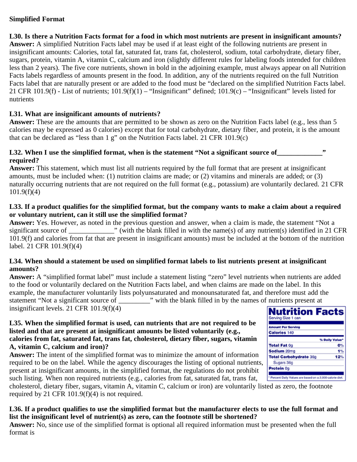#### **Simplified Format**

**L30. Is there a Nutrition Facts format for a food in which most nutrients are present in insignificant amounts? Answer:** A simplified Nutrition Facts label may be used if at least eight of the following nutrients are present in insignificant amounts: Calories, total fat, saturated fat, trans fat, cholesterol, sodium, total carbohydrate, dietary fiber, sugars, protein, vitamin A, vitamin C, calcium and iron (slightly different rules for labeling foods intended for children less than 2 years). The five core nutrients, shown in bold in the adjoining example, must always appear on all Nutrition Facts labels regardless of amounts present in the food. In addition, any of the nutrients required on the full Nutrition Facts label that are naturally present or are added to the food must be "declared on the simplified Nutrition Facts label. 21 CFR 101.9(f) - List of nutrients;  $101.9(f)(1)$  – "Insignificant" defined;  $101.9(c)$  – "Insignificant" levels listed for nutrients

## **L31. What are insignificant amounts of nutrients?**

**Answer:** These are the amounts that are permitted to be shown as zero on the Nutrition Facts label (e.g., less than 5 calories may be expressed as 0 calories) except that for total carbohydrate, dietary fiber, and protein, it is the amount that can be declared as "less than 1 g" on the Nutrition Facts label. 21 CFR 101.9(c)

#### **L32. When I use the simplified format, when is the statement "Not a significant source of required?**

**Answer:** This statement, which must list all nutrients required by the full format that are present at insignificant amounts, must be included when: (1) nutrition claims are made; or (2) vitamins and minerals are added; or (3) naturally occurring nutrients that are not required on the full format (e.g., potassium) are voluntarily declared. 21 CFR 101.9(f)(4)

## **L33. If a product qualifies for the simplified format, but the company wants to make a claim about a required or voluntary nutrient, can it still use the simplified format?**

**Answer:** Yes. However, as noted in the previous question and answer, when a claim is made, the statement "Not a significant source of  $\cdots$  (with the blank filled in with the name(s) of any nutrient(s) identified in 21 CFR 101.9(f) and calories from fat that are present in insignificant amounts) must be included at the bottom of the nutrition label. 21 CFR 101.9(f)(4)

## **L34. When should a statement be used on simplified format labels to list nutrients present at insignificant amounts?**

**Answer:** A "simplified format label" must include a statement listing "zero" level nutrients when nutrients are added to the food or voluntarily declared on the Nutrition Facts label, and when claims are made on the label. In this example, the manufacturer voluntarily lists polyunsaturated and monounsaturated fat, and therefore must add the statement "Not a significant source of \_\_\_\_\_\_\_\_\_\_\_\_" with the blank filled in by the names of nutrients present at insignificant levels. 21 CFR 101.9(f)(4)

#### **L35. When the simplified format is used, can nutrients that are not required to be listed and that are present at insignificant amounts be listed voluntarily (e.g., calories from fat, saturated fat, trans fat, cholesterol, dietary fiber, sugars, vitamin A, vitamin C, calcium and iron)?**

**Answer:** The intent of the simplified format was to minimize the amount of information required to be on the label. While the agency discourages the listing of optional nutrients, present at insignificant amounts, in the simplified format, the regulations do not prohibit such listing. When non required nutrients (e.g., calories from fat, saturated fat, trans fat, such listing. When non required nutrients (e.g., calories from fat, saturated fat, trans fat,

| such listing. When non required nutrients (e.g., calories from fat, saturated fat, trans fat,                           |  |
|-------------------------------------------------------------------------------------------------------------------------|--|
| cholesterol, dietary fiber, sugars, vitamin A, vitamin C, calcium or iron) are voluntarily listed as zero, the footnote |  |
| required by 21 CFR 101.9(f)(4) is not required.                                                                         |  |

## **L36. If a product qualifies to use the simplified format but the manufacturer elects to use the full format and list the insignificant level of nutrient(s) as zero, can the footnote still be shortened?**

**Answer:** No, since use of the simplified format is optional all required information must be presented when the full format is

| nauteno present at                                        |               |
|-----------------------------------------------------------|---------------|
| <b>Nutrition Facts</b><br>Serving Size 1 can              |               |
| <b>Amount Per Serving</b>                                 |               |
|                                                           |               |
| <b>Calories 140</b>                                       |               |
|                                                           |               |
|                                                           | % Daily Value |
| <b>Total Fat 0g</b>                                       | o٩            |
| Sodium 20mg                                               |               |
| <b>Total Carbohydrate 36g</b>                             | 12%           |
| Sugars 36g                                                |               |
| Protein 0g                                                |               |
|                                                           |               |
| * Percent Daily Values are based on a 2,000 calorie diet. |               |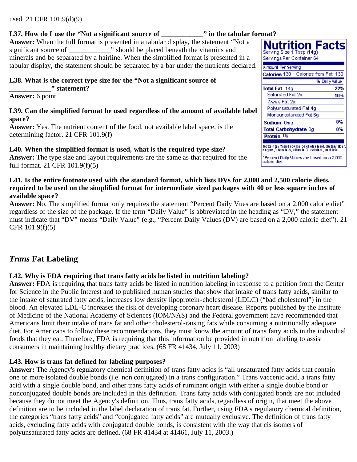#### used. 21 CFR 101.9(d)(9)

#### **L37. How do I use the "Not a significant source of \_\_\_\_\_\_\_\_\_\_\_\_" in the tabular format?**

**Answer:** When the full format is presented in a tabular display, the statement "Not a significant source of  $\blacksquare$  " should be placed beneath the vitamins and minerals and be separated by a hairline. When the simplified format is presented in a tabular display, the statement should be separated by a bar under the nutrients declared.

#### **L38. What is the correct type size for the "Not a significant source of \_\_\_\_\_\_\_\_\_\_\_\_" statement?**

**Answer:** 6 point

#### **L39. Can the simplified format be used regardless of the amount of available label space?**

**Answer:** Yes. The nutrient content of the food, not available label space, is the determining factor. 21 CFR 101.9(f)

#### **L40. When the simplified format is used, what is the required type size?**

**Answer:** The type size and layout requirements are the same as that required for the full format. 21 CFR 101.9(f)(5)

#### Nutrition Facts Serving Size 1 Tbsp (14g) Servings Per Container 64 A mount Per Serving Calories 130 Calories from Fat 130 % Dailly Value Total Fat 14g 22% Saturated Fat 2g 10% Trans Fat 2g Polyunsaturated Fat 4g Monounsaturated Fat 6g  $0\%$ Sodium Omg 0% Total Carbohydrate Og Protein 0g Nota significant source of cholesterol, dietary fiber<br>sugars, uitam in A, uitam in C, calcium, and lion.

Percent Daily Values are based on a 2,000 calorie diet.

#### **L41. Is the entire footnote used with the standard format, which lists DVs for 2,000 and 2,500 calorie diets, required to be used on the simplified format for intermediate sized packages with 40 or less square inches of available space?**

**Answer:** No. The simplified format only requires the statement "Percent Daily Vues are based on a 2,000 calorie diet" regardless of the size of the package. If the term "Daily Value" is abbreviated in the heading as "DV," the statement must indicate that "DV" means "Daily Value" (e.g., "Percent Daily Values (DV) are based on a 2,000 calorie diet"). 21 CFR 101.9(f)(5)

## <span id="page-50-0"></span>*Trans* **Fat Labeling**

#### **L42. Why is FDA requiring that trans fatty acids be listed in nutrition labeling?**

**Answer:** FDA is requiring that trans fatty acids be listed in nutrition labeling in response to a petition from the Center for Science in the Public Interest and to published human studies that show that intake of trans fatty acids, similar to the intake of saturated fatty acids, increases low density lipoprotein-cholesterol (LDLC) ("bad cholesterol") in the blood. An elevated LDL-C increases the risk of developing coronary heart disease. Reports published by the Institute of Medicine of the National Academy of Sciences (IOM/NAS) and the Federal government have recommended that Americans limit their intake of trans fat and other cholesterol-raising fats while consuming a nutritionally adequate diet. For Americans to follow these recommendations, they must know the amount of trans fatty acids in the individual foods that they eat. Therefore, FDA is requiring that this information be provided in nutrition labeling to assist consumers in maintaining healthy dietary practices. (68 FR 41434, July 11, 2003)

#### **L43. How is trans fat defined for labeling purposes?**

**Answer:** The Agency's regulatory chemical definition of trans fatty acids is "all unsaturated fatty acids that contain one or more isolated double bonds (i.e. non conjugated) in a trans configuration." Trans vaccenic acid, a trans fatty acid with a single double bond, and other trans fatty acids of ruminant origin with either a single double bond or nonconjugated double bonds are included in this definition. Trans fatty acids with conjugated bonds are not included because they do not meet the Agency's definition. Thus, trans fatty acids, regardless of origin, that meet the above definition are to be included in the label declaration of trans fat. Further, using FDA's regulatory chemical definition, the categories "trans fatty acids" and "conjugated fatty acids" are mutually exclusive. The definition of trans fatty acids, excluding fatty acids with conjugated double bonds, is consistent with the way that cis isomers of polyunsaturated fatty acids are defined. (68 FR 41434 at 41461, July 11, 2003.)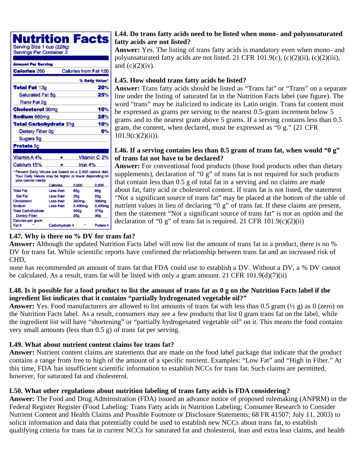rition Facts

Serving Size 1 cup (228g) Servings Per Container 2

| Amount Per Serving                                                                                                                       |                |                       |                 |
|------------------------------------------------------------------------------------------------------------------------------------------|----------------|-----------------------|-----------------|
| <b>Calories 260</b>                                                                                                                      |                | Calories from Fat 120 |                 |
|                                                                                                                                          |                |                       | % Daily Value*  |
| <b>Total Fat 13g</b>                                                                                                                     |                |                       | 20%             |
| Saturated Fat 5q                                                                                                                         |                |                       | 25%             |
| Trans Fat 2g                                                                                                                             |                |                       |                 |
| <b>Cholesterol 30mg</b>                                                                                                                  |                |                       | 10%             |
| <b>Sodium 660mg</b>                                                                                                                      |                |                       | 28%             |
| <b>Total Carbohydrate 31g</b>                                                                                                            |                |                       | 10%             |
| Dietary Fiber 0g                                                                                                                         |                |                       | О%              |
| Sugars 5g                                                                                                                                |                |                       |                 |
| Protein 5g                                                                                                                               |                |                       |                 |
|                                                                                                                                          |                |                       |                 |
| Vitamin A 4%                                                                                                                             | ٠              |                       | Vitamin C 2%    |
| Calcium 15%                                                                                                                              |                | Iron 4%               |                 |
| *Percent Daily Values are based on a 2,000 calorie diet.<br>Your Daily Values may be higher or lower depending on<br>your calorie needs: |                |                       |                 |
|                                                                                                                                          | Calories:      | 2,000                 | 2,500           |
| <b>Total Fat</b>                                                                                                                         | Less than      | 65a                   | 80a             |
| <b>Sat Fat</b>                                                                                                                           | Less than      | 20a                   | 25g             |
| Cholesterol                                                                                                                              | Leas than      | 300mg                 | 300mg           |
| Sodium                                                                                                                                   | Leas than      | 2,400mg               | 2,400mg         |
| <b>Total Carbohydrate</b>                                                                                                                |                | 300a                  | 375a            |
| <b>Dietary Fiber</b>                                                                                                                     |                | 25a                   | 30 <sub>0</sub> |
| Calories per gram:                                                                                                                       |                |                       |                 |
| Fat 9                                                                                                                                    | Carbohydrate 4 |                       | Protein 4       |

### **L44. Do trans fatty acids need to be listed when mono- and polyunsaturated fatty acids are not listed?**

**Answer:** Yes. The listing of trans fatty acids is mandatory even when mono- and polyunsaturated fatty acids are not listed. 21 CFR 101.9(c), (c)(2)(ii), (c)(2)(iii), and  $(c)(2)(iv)$ .

## **L45. How should trans fatty acids be listed?**

**Answer:** Trans fatty acids should be listed as "Trans fat" or "Trans" on a separate line under the listing of saturated fat in the Nutrition Facts label (see figure). The word "trans" may be italicized to indicate its Latin origin. Trans fat content must be expressed as grams per serving to the nearest 0.5-gram increment below 5 grams and to the nearest gram above 5 grams. If a serving contains less than 0.5 gram, the content, when declared, must be expressed as "0 g." (21 CFR  $101.9(c)(2)(ii)$ ).

#### **L46. If a serving contains less than 0.5 gram of trans fat, when would "0 g" of trans fat not have to be declared?**

**Answer:** For conventional food products (those food products other than dietary supplements), declaration of "0 g" of trans fat is not required for such products that contain less than 0.5 g of total fat in a serving and no claims are made about fat, fatty acid or cholesterol content. If trans fat is not listed, the statement "Not a significant source of trans fat" may be placed at the bottom of the table of nutrient values in lieu of declaring "0 g" of trans fat. If these claims are present, then the statement "Not a significant source of trans fat" is not an option and the declaration of "0 g" of trans fat is required. 21 CFR  $101.9(c)(2)(ii)$ 

## **L47. Why is there no % DV for trans fat?**

**Answer:** Although the updated Nutrition Facts label will now list the amount of trans fat in a product, there is no % DV for trans fat. While scientific reports have confirmed the relationship between trans fat and an increased risk of CHD,

none has recommended an amount of trans fat that FDA could use to establish a DV. Without a DV, a % DV cannot be calculated. As a result, trans fat will be listed with only a gram amount. 21 CFR 101.9(d)(7)(ii)

## **L48. Is it possible for a food product to list the amount of trans fat as 0 g on the Nutrition Facts label if the ingredient list indicates that it contains "partially hydrogenated vegetable oil?"**

**Answer:** Yes. Food manufacturers are allowed to list amounts of trans fat with less than 0.5 gram (½ g) as 0 (zero) on the Nutrition Facts label. As a result, consumers may see a few products that list 0 gram trans fat on the label, while the ingredient list will have "shortening" or "partially hydrogenated vegetable oil" on it. This means the food contains very small amounts (less than 0.5 g) of trans fat per serving.

## **L49. What about nutrient content claims for trans fat?**

**Answer:** Nutrient content claims are statements that are made on the food label package that indicate that the product contains a range from free to high of the amount of a specific nutrient. Examples: "Low Fat" and "High in Fiber." At this time, FDA has insufficient scientific information to establish NCCs for trans fat. Such claims are permitted, however, for saturated fat and cholesterol.

## **L50. What other regulations about nutrition labeling of trans fatty acids is FDA considering?**

**Answer:** The Food and Drug Administration (FDA) issued an advance notice of proposed rulemaking (ANPRM) in the Federal Register Register (Food Labeling: Trans Fatty acids in Nutrition Labeling; Consumer Research to Consider Nutrient Content and Health Claims and Possible Footnote or Disclosure Statements; 68 FR 41507; July 11, 2003) to solicit information and data that potentially could be used to establish new NCCs about trans fat, to establish qualifying criteria for trans fat in current NCCs for saturated fat and cholesterol, lean and extra lean claims, and health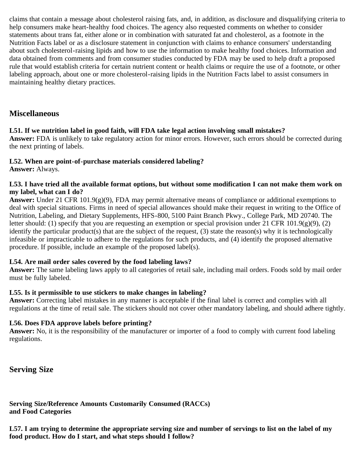claims that contain a message about cholesterol raising fats, and, in addition, as disclosure and disqualifying criteria to help consumers make heart-healthy food choices. The agency also requested comments on whether to consider statements about trans fat, either alone or in combination with saturated fat and cholesterol, as a footnote in the Nutrition Facts label or as a disclosure statement in conjunction with claims to enhance consumers' understanding about such cholesterol-raising lipids and how to use the information to make healthy food choices. Information and data obtained from comments and from consumer studies conducted by FDA may be used to help draft a proposed rule that would establish criteria for certain nutrient content or health claims or require the use of a footnote, or other labeling approach, about one or more cholesterol-raising lipids in the Nutrition Facts label to assist consumers in maintaining healthy dietary practices.

## <span id="page-52-0"></span>**Miscellaneous**

## **L51. If we nutrition label in good faith, will FDA take legal action involving small mistakes?**

**Answer:** FDA is unlikely to take regulatory action for minor errors. However, such errors should be corrected during the next printing of labels.

#### **L52. When are point-of-purchase materials considered labeling?**

**Answer:** Always.

#### **L53. I have tried all the available format options, but without some modification I can not make them work on my label, what can I do?**

**Answer:** Under 21 CFR 101.9(g)(9), FDA may permit alternative means of compliance or additional exemptions to deal with special situations. Firms in need of special allowances should make their request in writing to the Office of Nutrition, Labeling, and Dietary Supplements, HFS-800, 5100 Paint Branch Pkwy., College Park, MD 20740. The letter should: (1) specify that you are requesting an exemption or special provision under 21 CFR 101.9(g)(9), (2) identify the particular product(s) that are the subject of the request, (3) state the reason(s) why it is technologically infeasible or impracticable to adhere to the regulations for such products, and (4) identify the proposed alternative procedure. If possible, include an example of the proposed label(s).

#### **L54. Are mail order sales covered by the food labeling laws?**

**Answer:** The same labeling laws apply to all categories of retail sale, including mail orders. Foods sold by mail order must be fully labeled.

#### **L55. Is it permissible to use stickers to make changes in labeling?**

**Answer:** Correcting label mistakes in any manner is acceptable if the final label is correct and complies with all regulations at the time of retail sale. The stickers should not cover other mandatory labeling, and should adhere tightly.

#### **L56. Does FDA approve labels before printing?**

**Answer:** No, it is the responsibility of the manufacturer or importer of a food to comply with current food labeling regulations.

<span id="page-52-1"></span>**Serving Size**

<span id="page-52-2"></span>**Serving Size/Reference Amounts Customarily Consumed (RACCs) and Food Categories**

**L57. I am trying to determine the appropriate serving size and number of servings to list on the label of my food product. How do I start, and what steps should I follow?**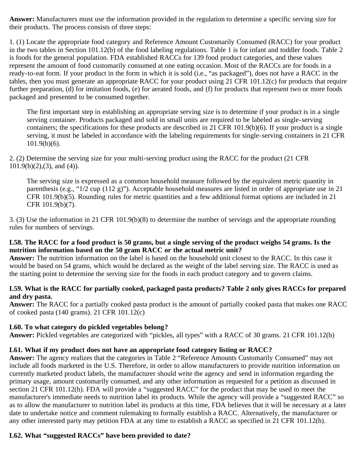**Answer:** Manufacturers must use the information provided in the regulation to determine a specific serving size for their products. The process consists of three steps:

1. (1) Locate the appropriate food category and Reference Amount Customarily Consumed (RACC) for your product in the two tables in Section 101.12(b) of the food labeling regulations. Table 1 is for infant and toddler foods. Table 2 is foods for the general population. FDA established RACCs for 139 food product categories, and these values represent the amount of food customarily consumed at one eating occasion. Most of the RACCs are for foods in a ready-to-eat form. If your product in the form in which it is sold (i.e., "as packaged"), does not have a RACC in the tables, then you must generate an appropriate RACC for your product using 21 CFR 101.12(c) for products that require further preparation, (d) for imitation foods, (e) for aerated foods, and (f) for products that represent two or more foods packaged and presented to be consumed together.

The first important step in establishing an appropriate serving size is to determine if your product is in a single serving container. Products packaged and sold in small units are required to be labeled as single-serving containers; the specifications for these products are described in 21 CFR 101.9(b)(6). If your product is a single serving, it must be labeled in accordance with the labeling requirements for single-serving containers in 21 CFR 101.9(b)(6).

2. (2) Determine the serving size for your multi-serving product using the RACC for the product (21 CFR  $101.9(b)(2),(3)$ , and  $(4)$ ).

The serving size is expressed as a common household measure followed by the equivalent metric quantity in parenthesis (e.g., "1/2 cup (112 g)"). Acceptable household measures are listed in order of appropriate use in 21 CFR 101.9(b)(5). Rounding rules for metric quantities and a few additional format options are included in 21 CFR 101.9(b)(7).

3. (3) Use the information in 21 CFR 101.9(b)(8) to determine the number of servings and the appropriate rounding rules for numbers of servings.

#### **L58. The RACC for a food product is 50 grams, but a single serving of the product weighs 54 grams. Is the nutrition information based on the 50 gram RACC or the actual metric unit?**

**Answer:** The nutrition information on the label is based on the household unit closest to the RACC. In this case it would be based on 54 grams, which would be declared as the weight of the label serving size. The RACC is used as the starting point to determine the serving size for the foods in each product category and to govern claims.

## **L59. What is the RACC for partially cooked, packaged pasta products? Table 2 only gives RACCs for prepared and dry pasta.**

**Answer:** The RACC for a partially cooked pasta product is the amount of partially cooked pasta that makes one RACC of cooked pasta (140 grams). 21 CFR 101.12(c)

#### **L60. To what category do pickled vegetables belong?**

**Answer:** Pickled vegetables are categorized with "pickles, all types" with a RACC of 30 grams. 21 CFR 101.12(b)

## **L61. What if my product does not have an appropriate food category listing or RACC?**

**Answer:** The agency realizes that the categories in Table 2 "Reference Amounts Customarily Consumed" may not include all foods marketed in the U.S. Therefore, in order to allow manufacturers to provide nutrition information on currently marketed product labels, the manufacturer should write the agency and send in information regarding the primary usage, amount customarily consumed, and any other information as requested for a petition as discussed in section 21 CFR 101.12(h). FDA will provide a "suggested RACC" for the product that may be used to meet the manufacturer's immediate needs to nutrition label its products. While the agency will provide a "suggested RACC" so as to allow the manufacturer to nutrition label its products at this time, FDA believes that it will be necessary at a later date to undertake notice and comment rulemaking to formally establish a RACC. Alternatively, the manufacturer or any other interested party may petition FDA at any time to establish a RACC as specified in 21 CFR 101.12(h).

## **L62. What "suggested RACCs" have been provided to date?**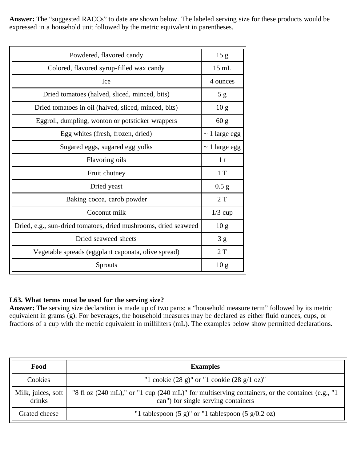**Answer:** The "suggested RACCs" to date are shown below. The labeled serving size for these products would be expressed in a household unit followed by the metric equivalent in parentheses.

| Powdered, flavored candy                                        | 15 <sub>g</sub>    |
|-----------------------------------------------------------------|--------------------|
| Colored, flavored syrup-filled wax candy                        | $15$ mL            |
| Ice                                                             | 4 ounces           |
| Dried tomatoes (halved, sliced, minced, bits)                   | 5g                 |
| Dried tomatoes in oil (halved, sliced, minced, bits)            | 10 <sub>g</sub>    |
| Eggroll, dumpling, wonton or potsticker wrappers                | 60 g               |
| Egg whites (fresh, frozen, dried)                               | $\sim$ 1 large egg |
| Sugared eggs, sugared egg yolks                                 | $\sim$ 1 large egg |
| Flavoring oils                                                  | 1 <sub>t</sub>     |
| Fruit chutney                                                   | 1T                 |
| Dried yeast                                                     | 0.5 g              |
| Baking cocoa, carob powder                                      | 2T                 |
| Coconut milk                                                    | $1/3$ cup          |
| Dried, e.g., sun-dried tomatoes, dried mushrooms, dried seaweed | 10 <sub>g</sub>    |
| Dried seaweed sheets                                            | 3g                 |
| Vegetable spreads (eggplant caponata, olive spread)             | 2T                 |
| Sprouts                                                         | 10 <sub>g</sub>    |
|                                                                 |                    |

## **L63. What terms must be used for the serving size?**

**Answer:** The serving size declaration is made up of two parts: a "household measure term" followed by its metric equivalent in grams (g). For beverages, the household measures may be declared as either fluid ounces, cups, or fractions of a cup with the metric equivalent in milliliters (mL). The examples below show permitted declarations.

| Food                         | <b>Examples</b>                                                                                                                        |
|------------------------------|----------------------------------------------------------------------------------------------------------------------------------------|
| Cookies                      | "1 cookie $(28 \text{ g})$ " or "1 cookie $(28 \text{ g}/1 \text{ oz})$ "                                                              |
| Milk, juices, soft<br>drinks | "8 fl oz (240 mL)," or "1 cup (240 mL)" for multiserving containers, or the container (e.g., "1<br>can") for single serving containers |
| Grated cheese                | "1 tablespoon $(5 g)$ " or "1 tablespoon $(5 g/0.2 oz)$                                                                                |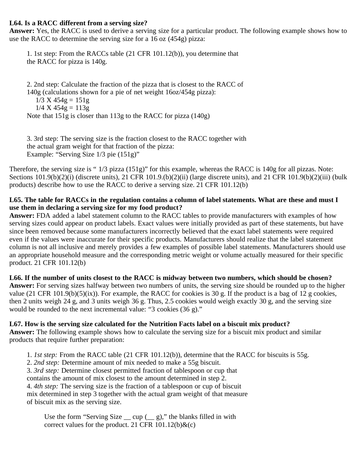#### **L64. Is a RACC different from a serving size?**

**Answer:** Yes, the RACC is used to derive a serving size for a particular product. The following example shows how to use the RACC to determine the serving size for a 16 oz (454g) pizza:

1. 1st step: From the RACCs table (21 CFR 101.12(b)), you determine that the RACC for pizza is 140g.

2. 2nd step: Calculate the fraction of the pizza that is closest to the RACC of 140g (calculations shown for a pie of net weight 16oz/454g pizza):  $1/3$  X  $454g = 151g$  $1/4$  X  $454g = 113g$ Note that 151g is closer than 113g to the RACC for pizza (140g)

3. 3rd step: The serving size is the fraction closest to the RACC together with the actual gram weight for that fraction of the pizza: Example: "Serving Size 1/3 pie (151g)"

Therefore, the serving size is " 1/3 pizza (151g)" for this example, whereas the RACC is 140g for all pizzas. Note: Sections 101.9(b)(2)(i) (discrete units), 21 CFR 101.9.(b)(2)(ii) (large discrete units), and 21 CFR 101.9(b)(2)(iii) (bulk products) describe how to use the RACC to derive a serving size. 21 CFR 101.12(b)

#### **L65. The table for RACCs in the regulation contains a column of label statements. What are these and must I use them in declaring a serving size for my food product?**

**Answer:** FDA added a label statement column to the RACC tables to provide manufacturers with examples of how serving sizes could appear on product labels. Exact values were initially provided as part of these statements, but have since been removed because some manufacturers incorrectly believed that the exact label statements were required even if the values were inaccurate for their specific products. Manufacturers should realize that the label statement column is not all inclusive and merely provides a few examples of possible label statements. Manufacturers should use an appropriate household measure and the corresponding metric weight or volume actually measured for their specific product. 21 CFR 101.12(b)

**L66. If the number of units closest to the RACC is midway between two numbers, which should be chosen? Answer:** For serving sizes halfway between two numbers of units, the serving size should be rounded up to the higher value (21 CFR 101.9(b)(5)(ix)). For example, the RACC for cookies is 30 g. If the product is a bag of 12 g cookies, then 2 units weigh 24 g, and 3 units weigh 36 g. Thus, 2.5 cookies would weigh exactly 30 g, and the serving size would be rounded to the next incremental value: "3 cookies (36 g)."

#### **L67. How is the serving size calculated for the Nutrition Facts label on a biscuit mix product?**

**Answer:** The following example shows how to calculate the serving size for a biscuit mix product and similar products that require further preparation:

1. *1st step:* From the RACC table (21 CFR 101.12(b)), determine that the RACC for biscuits is 55g.

2. *2nd step:* Determine amount of mix needed to make a 55g biscuit.

3. *3rd step:* Determine closest permitted fraction of tablespoon or cup that

contains the amount of mix closest to the amount determined in step 2.

4. *4th step:* The serving size is the fraction of a tablespoon or cup of biscuit

mix determined in step 3 together with the actual gram weight of that measure of biscuit mix as the serving size.

Use the form "Serving Size  $\_\text{cup}$  cup  $\_\text{in}$  g)," the blanks filled in with correct values for the product. 21 CFR  $101.12(b)$ &(c)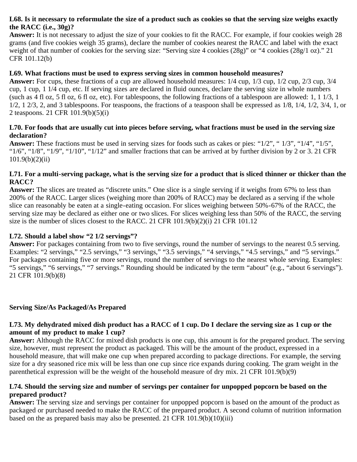#### **L68. Is it necessary to reformulate the size of a product such as cookies so that the serving size weighs exactly the RACC (i.e., 30g)?**

**Answer:** It is not necessary to adjust the size of your cookies to fit the RACC. For example, if four cookies weigh 28 grams (and five cookies weigh 35 grams), declare the number of cookies nearest the RACC and label with the exact weight of that number of cookies for the serving size: "Serving size 4 cookies (28g)" or "4 cookies (28g/1 oz)." 21 CFR 101.12(b)

#### **L69. What fractions must be used to express serving sizes in common household measures?**

**Answer:** For cups, these fractions of a cup are allowed household measures: 1/4 cup, 1/3 cup, 1/2 cup, 2/3 cup, 3/4 cup, 1 cup, 1 1/4 cup, etc. If serving sizes are declared in fluid ounces, declare the serving size in whole numbers (such as 4 fl oz, 5 fl oz, 6 fl oz, etc). For tablespoons, the following fractions of a tablespoon are allowed: 1, 1 1/3, 1  $1/2$ ,  $1 \, 2/3$ ,  $2$ , and 3 tablespoons. For teaspoons, the fractions of a teaspoon shall be expressed as  $1/8$ ,  $1/4$ ,  $1/2$ ,  $3/4$ ,  $1$ , or 2 teaspoons. 21 CFR 101.9(b)(5)(i)

#### **L70. For foods that are usually cut into pieces before serving, what fractions must be used in the serving size declaration?**

**Answer:** These fractions must be used in serving sizes for foods such as cakes or pies: "1/2", " 1/3", "1/4", "1/5", " $1/6$ ", " $1/8$ ", " $1/9$ ", " $1/10$ ", " $1/12$ " and smaller fractions that can be arrived at by further division by 2 or 3. 21 CFR  $101.9(b)(2)(ii)$ 

#### **L71. For a multi-serving package, what is the serving size for a product that is sliced thinner or thicker than the RACC?**

**Answer:** The slices are treated as "discrete units." One slice is a single serving if it weighs from 67% to less than 200% of the RACC. Larger slices (weighing more than 200% of RACC) may be declared as a serving if the whole slice can reasonably be eaten at a single-eating occasion. For slices weighing between 50%-67% of the RACC, the serving size may be declared as either one or two slices. For slices weighing less than 50% of the RACC, the serving size is the number of slices closest to the RACC. 21 CFR 101.9(b)(2)(i) 21 CFR 101.12

#### **L72. Should a label show "2 1/2 servings"?**

**Answer:** For packages containing from two to five servings, round the number of servings to the nearest 0.5 serving. Examples: "2 servings," "2.5 servings," "3 servings," "3.5 servings," "4 servings," "4.5 servings," and "5 servings." For packages containing five or more servings, round the number of servings to the nearest whole serving. Examples: "5 servings," "6 servings," "7 servings." Rounding should be indicated by the term "about" (e.g., "about 6 servings"). 21 CFR 101.9(b)(8)

#### <span id="page-56-0"></span>**Serving Size/As Packaged/As Prepared**

#### **L73. My dehydrated mixed dish product has a RACC of 1 cup. Do I declare the serving size as 1 cup or the amount of my product to make 1 cup?**

**Answer:** Although the RACC for mixed dish products is one cup, this amount is for the prepared product. The serving size, however, must represent the product as packaged. This will be the amount of the product, expressed in a household measure, that will make one cup when prepared according to package directions. For example, the serving size for a dry seasoned rice mix will be less than one cup since rice expands during cooking. The gram weight in the parenthetical expression will be the weight of the household measure of dry mix. 21 CFR 101.9(b)(9)

#### **L74. Should the serving size and number of servings per container for unpopped popcorn be based on the prepared product?**

<span id="page-56-1"></span>**Answer:** The serving size and servings per container for unpopped popcorn is based on the amount of the product as packaged or purchased needed to make the RACC of the prepared product. A second column of nutrition information based on the as prepared basis may also be presented. 21 CFR  $101.9(b)(10)(iii)$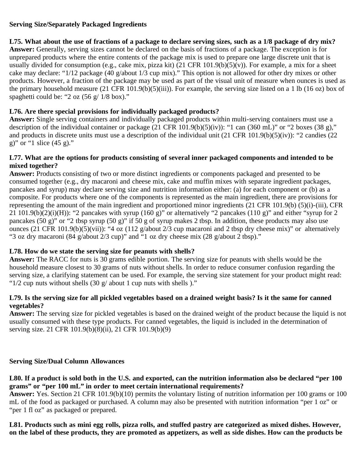#### **Serving Size/Separately Packaged Ingredients**

#### **L75. What about the use of fractions of a package to declare serving sizes, such as a 1/8 package of dry mix? Answer:** Generally, serving sizes cannot be declared on the basis of fractions of a package. The exception is for unprepared products where the entire contents of the package mix is used to prepare one large discrete unit that is usually divided for consumption (e.g., cake mix, pizza kit)  $(21 \text{ CFR } 101.9(b)(5)(v))$ . For example, a mix for a sheet cake may declare: "1/12 package (40 g/about 1/3 cup mix)." This option is not allowed for other dry mixes or other products. However, a fraction of the package may be used as part of the visual unit of measure when ounces is used as the primary household measure (21 CFR 101.9(b)(5)(iii)). For example, the serving size listed on a 1 lb (16 oz) box of spaghetti could be: " $2 \text{ oz } (56 \text{ g} / 1/8 \text{ box})$ ."

## **L76. Are there special provisions for individually packaged products?**

**Answer:** Single serving containers and individually packaged products within multi-serving containers must use a description of the individual container or package  $(21 \text{ CFR } 101.9(b)(5)(iv))$ : "1 can  $(360 \text{ mL})$ " or "2 boxes  $(38 \text{ g})$ ," and products in discrete units must use a description of the individual unit (21 CFR 101.9(b)(5)(iv)): "2 candies (22 g)" or "1 slice (45 g)."

#### **L77. What are the options for products consisting of several inner packaged components and intended to be mixed together?**

**Answer:** Products consisting of two or more distinct ingredients or components packaged and presented to be consumed together (e.g., dry macaroni and cheese mix, cake and muffin mixes with separate ingredient packages, pancakes and syrup) may declare serving size and nutrition information either: (a) for each component or (b) as a composite. For products where one of the components is represented as the main ingredient, there are provisions for representing the amount of the main ingredient and proportioned minor ingredients (21 CFR 101.9(b) (5)(i)-(iii), CFR 21 101.9(b)(2)(i)(H)): "2 pancakes with syrup (160 g)" or alternatively "2 pancakes (110 g)" and either "syrup for 2 pancakes (50 g)" or "2 tbsp syrup (50 g)" if 50 g of syrup makes 2 tbsp. In addition, these products may also use ounces (21 CFR 101.9(b)(5)(vii)): "4 oz (112 g/about 2/3 cup macaroni and 2 tbsp dry cheese mix)" or alternatively "3 oz dry macaroni (84 g/about 2/3 cup)" and "1 oz dry cheese mix (28 g/about 2 tbsp)."

## **L78. How do we state the serving size for peanuts with shells?**

**Answer:** The RACC for nuts is 30 grams edible portion. The serving size for peanuts with shells would be the household measure closest to 30 grams of nuts without shells. In order to reduce consumer confusion regarding the serving size, a clarifying statement can be used. For example, the serving size statement for your product might read: " $1/2$  cup nuts without shells  $(30 \text{ g}/ \text{ about } 1 \text{ c}$  up nuts with shells )."

#### **L79. Is the serving size for all pickled vegetables based on a drained weight basis? Is it the same for canned vegetables?**

**Answer:** The serving size for pickled vegetables is based on the drained weight of the product because the liquid is not usually consumed with these type products. For canned vegetables, the liquid is included in the determination of serving size. 21 CFR 101.9(b)(8)(ii), 21 CFR 101.9(b)(9)

## <span id="page-57-0"></span>**Serving Size/Dual Column Allowances**

**L80. If a product is sold both in the U.S. and exported, can the nutrition information also be declared "per 100 grams" or "per 100 mL" in order to meet certain international requirements?**

**Answer:** Yes. Section 21 CFR 101.9(b)(10) permits the voluntary listing of nutrition information per 100 grams or 100 mL of the food as packaged or purchased. A column may also be presented with nutrition information "per 1 oz" or "per 1 fl oz" as packaged or prepared.

**L81. Products such as mini egg rolls, pizza rolls, and stuffed pastry are categorized as mixed dishes. However, on the label of these products, they are promoted as appetizers, as well as side dishes. How can the products be**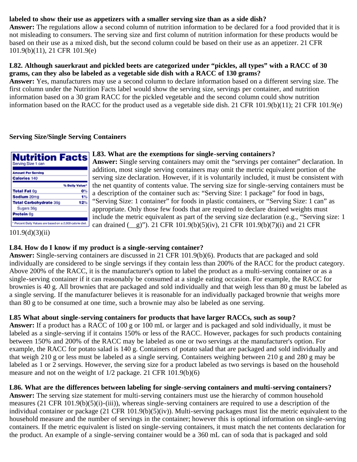## **labeled to show their use as appetizers with a smaller serving size than as a side dish?**

**Answer:** The regulations allow a second column of nutrition information to be declared for a food provided that it is not misleading to consumers. The serving size and first column of nutrition information for these products would be based on their use as a mixed dish, but the second column could be based on their use as an appetizer. 21 CFR 101.9(b)(11), 21 CFR 101.9(e)

#### **L82. Although sauerkraut and pickled beets are categorized under "pickles, all types" with a RACC of 30 grams, can they also be labeled as a vegetable side dish with a RACC of 130 grams?**

**Answer:** Yes, manufacturers may use a second column to declare information based on a different serving size. The first column under the Nutrition Facts label would show the serving size, servings per container, and nutrition information based on a 30 gram RACC for the pickled vegetable and the second column could show nutrition information based on the RACC for the product used as a vegetable side dish. 21 CFR 101.9(b)(11); 21 CFR 101.9(e)

#### <span id="page-58-0"></span>**Serving Size/Single Serving Containers**

| <b>Nutrition Facts</b>                                  |                |
|---------------------------------------------------------|----------------|
| Serving Size 1 can                                      |                |
| <b>Amount Per Serving</b>                               |                |
| <b>Calories 140</b>                                     |                |
|                                                         | % Daily Value* |
| <b>Total Fat 0g</b>                                     | o٩             |
| Sodium 20mg                                             |                |
| <b>Total Carbohydrate 36g</b>                           | 12%            |
| Sugars 36g                                              |                |
| Protein <sub>0g</sub>                                   |                |
| Percent Daily Values are based on a 2,000 calorie diet. |                |

#### **L83. What are the exemptions for single-serving containers?**

**Answer:** Single serving containers may omit the "servings per container" declaration. In addition, most single serving containers may omit the metric equivalent portion of the serving size declaration. However, if it is voluntarily included, it must be consistent with the net quantity of contents value. The serving size for single-serving containers must be a description of the container such as: "Serving Size: 1 package" for food in bags, "Serving Size: 1 container" for foods in plastic containers, or "Serving Size: 1 can" as appropriate. Only those few foods that are required to declare drained weights must include the metric equivalent as part of the serving size declaration (e.g., "Serving size: 1 can drained (\_\_g)"). 21 CFR 101.9(b)(5)(iv), 21 CFR 101.9(b)(7)(i) and 21 CFR

 $101.9(d)(3)(ii)$ 

#### **L84. How do I know if my product is a single-serving container?**

**Answer:** Single-serving containers are discussed in 21 CFR 101.9(b)(6). Products that are packaged and sold individually are considered to be single servings if they contain less than 200% of the RACC for the product category. Above 200% of the RACC, it is the manufacturer's option to label the product as a multi-serving container or as a single-serving container if it can reasonably be consumed at a single eating occasion. For example, the RACC for brownies is 40 g. All brownies that are packaged and sold individually and that weigh less than 80 g must be labeled as a single serving. If the manufacturer believes it is reasonable for an individually packaged brownie that weighs more than 80 g to be consumed at one time, such a brownie may also be labeled as one serving.

## **L85 What about single-serving containers for products that have larger RACCs, such as soup?**

**Answer:** If a product has a RACC of 100 g or 100 mL or larger and is packaged and sold individually, it must be labeled as a single-serving if it contains 150% or less of the RACC. However, packages for such products containing between 150% and 200% of the RACC may be labeled as one or two servings at the manufacturer's option. For example, the RACC for potato salad is 140 g. Containers of potato salad that are packaged and sold individually and that weigh 210 g or less must be labeled as a single serving. Containers weighing between 210 g and 280 g may be labeled as 1 or 2 servings. However, the serving size for a product labeled as two servings is based on the household measure and not on the weight of 1/2 package. 21 CFR 101.9(b)(6)

## **L86. What are the differences between labeling for single-serving containers and multi-serving containers?**

**Answer:** The serving size statement for multi-serving containers must use the hierarchy of common household measures (21 CFR 101.9(b)(5)(i)-(iii)), whereas single-serving containers are required to use a description of the individual container or package (21 CFR 101.9(b)(5)(iv)). Multi-serving packages must list the metric equivalent to the household measure and the number of servings in the container; however this is optional information on single-serving containers. If the metric equivalent is listed on single-serving containers, it must match the net contents declaration for the product. An example of a single-serving container would be a 360 mL can of soda that is packaged and sold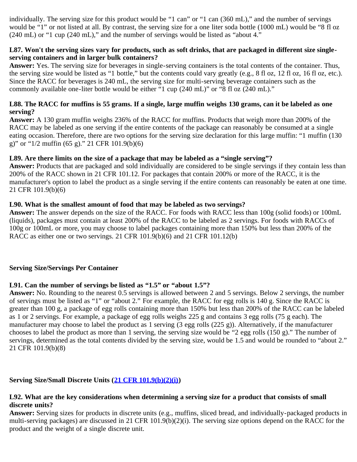individually. The serving size for this product would be "1 can" or "1 can (360 mL)," and the number of servings would be "1" or not listed at all. By contrast, the serving size for a one liter soda bottle (1000 mL) would be "8 fl oz (240 mL) or "1 cup (240 mL)," and the number of servings would be listed as "about 4."

#### **L87. Won't the serving sizes vary for products, such as soft drinks, that are packaged in different size singleserving containers and in larger bulk containers?**

**Answer:** Yes. The serving size for beverages in single-serving containers is the total contents of the container. Thus, the serving size would be listed as "1 bottle," but the contents could vary greatly (e.g., 8 fl oz, 12 fl oz, 16 fl oz, etc.). Since the RACC for beverages is 240 mL, the serving size for multi-serving beverage containers such as the commonly available one-liter bottle would be either "1 cup (240 mL)" or "8 fl oz (240 mL)."

#### **L88. The RACC for muffins is 55 grams. If a single, large muffin weighs 130 grams, can it be labeled as one serving?**

**Answer:** A 130 gram muffin weighs 236% of the RACC for muffins. Products that weigh more than 200% of the RACC may be labeled as one serving if the entire contents of the package can reasonably be consumed at a single eating occasion. Therefore, there are two options for the serving size declaration for this large muffin: "1 muffin (130 g)" or " $1/2$  muffin (65 g)." 21 CFR 101.9(b)(6)

#### **L89. Are there limits on the size of a package that may be labeled as a "single serving"?**

**Answer:** Products that are packaged and sold individually are considered to be single servings if they contain less than 200% of the RACC shown in 21 CFR 101.12. For packages that contain 200% or more of the RACC, it is the manufacturer's option to label the product as a single serving if the entire contents can reasonably be eaten at one time. 21 CFR 101.9(b)(6)

#### **L90. What is the smallest amount of food that may be labeled as two servings?**

**Answer:** The answer depends on the size of the RACC. For foods with RACC less than 100g (solid foods) or 100mL (liquids), packages must contain at least 200% of the RACC to be labeled as 2 servings. For foods with RACCs of 100g or 100mL or more, you may choose to label packages containing more than 150% but less than 200% of the RACC as either one or two servings. 21 CFR 101.9(b)(6) and 21 CFR 101.12(b)

#### <span id="page-59-0"></span>**Serving Size/Servings Per Container**

## **L91. Can the number of servings be listed as "1.5" or "about 1.5"?**

**Answer:** No. Rounding to the nearest 0.5 servings is allowed between 2 and 5 servings. Below 2 servings, the number of servings must be listed as "1" or "about 2." For example, the RACC for egg rolls is 140 g. Since the RACC is greater than 100 g, a package of egg rolls containing more than 150% but less than 200% of the RACC can be labeled as 1 or 2 servings. For example, a package of egg rolls weighs 225 g and contains 3 egg rolls (75 g each). The manufacturer may choose to label the product as 1 serving (3 egg rolls (225 g)). Alternatively, if the manufacturer chooses to label the product as more than 1 serving, the serving size would be "2 egg rolls (150 g)." The number of servings, determined as the total contents divided by the serving size, would be 1.5 and would be rounded to "about 2." 21 CFR 101.9(b)(8)

## <span id="page-59-1"></span>**Serving Size/Small Discrete Units ([21 CFR 101.9\(b\)\(2\)\(i\)](http://ecfr.gpoaccess.gov/cgi/t/text/text-idx?c=ecfr&sid=563f0b6235da3f4c7912a64cbceec305&rgn=div8&view=text&node=21:2.0.1.1.2.1.1.6&idno=21))**

#### **L92. What are the key considerations when determining a serving size for a product that consists of small discrete units?**

**Answer:** Serving sizes for products in discrete units (e.g., muffins, sliced bread, and individually-packaged products in multi-serving packages) are discussed in 21 CFR 101.9(b)(2)(i). The serving size options depend on the RACC for the product and the weight of a single discrete unit.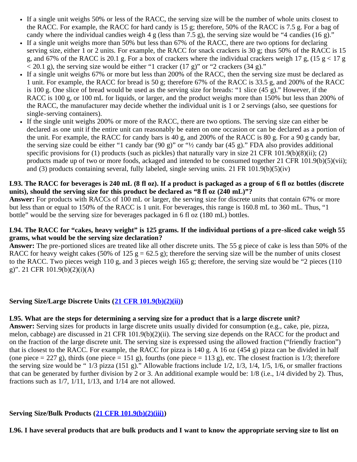- If a single unit weighs 50% or less of the RACC, the serving size will be the number of whole units closest to the RACC. For example, the RACC for hard candy is 15 g; therefore, 50% of the RACC is 7.5 g. For a bag of candy where the individual candies weigh 4 g (less than 7.5 g), the serving size would be "4 candies (16 g)."
- If a single unit weighs more than 50% but less than 67% of the RACC, there are two options for declaring  $\bullet$ serving size, either 1 or 2 units. For example, the RACC for snack crackers is 30 g; thus 50% of the RACC is 15 g, and 67% of the RACC is 20.1 g. For a box of crackers where the individual crackers weigh 17 g, (15 g < 17 g  $<$  20.1 g), the serving size would be either "1 cracker (17 g)" or "2 crackers (34 g)."
- If a single unit weighs 67% or more but less than 200% of the RACC, then the serving size must be declared as 1 unit. For example, the RACC for bread is 50 g; therefore 67% of the RACC is 33.5 g, and 200% of the RACC is 100 g. One slice of bread would be used as the serving size for breads: "1 slice (45 g)." However, if the RACC is 100 g, or 100 mL for liquids, or larger, and the product weighs more than 150% but less than 200% of the RACC, the manufacturer may decide whether the individual unit is 1 or 2 servings (also, see questions for single-serving containers).
- If the single unit weighs 200% or more of the RACC, there are two options. The serving size can either be declared as one unit if the entire unit can reasonably be eaten on one occasion or can be declared as a portion of the unit. For example, the RACC for candy bars is 40 g, and 200% of the RACC is 80 g. For a 90 g candy bar, the serving size could be either "1 candy bar (90 g)" or "½ candy bar (45 g)." FDA also provides additional specific provisions for (1) products (such as pickles) that naturally vary in size 21 CFR 101.9(b)(8)(ii); (2) products made up of two or more foods, ackaged and intended to be consumed together 21 CFR 101.9(b)(5)(vii); and (3) products containing several, fully labeled, single serving units. 21 FR 101.9(b)(5)(iv)

#### **L93. The RACC for beverages is 240 mL (8 fl oz). If a product is packaged as a group of 6 fl oz bottles (discrete units), should the serving size for this product be declared as "8 fl oz (240 mL)"?**

**Answer:** For products with RACCs of 100 mL or larger, the serving size for discrete units that contain 67% or more but less than or equal to 150% of the RACC is 1 unit. For beverages, this range is 160.8 mL to 360 mL. Thus, "1 bottle" would be the serving size for beverages packaged in 6 fl oz (180 mL) bottles.

#### **L94. The RACC for "cakes, heavy weight" is 125 grams. If the individual portions of a pre-sliced cake weigh 55 grams, what would be the serving size declaration?**

**Answer:** The pre-portioned slices are treated like all other discrete units. The 55 g piece of cake is less than 50% of the RACC for heavy weight cakes (50% of 125 g = 62.5 g); therefore the serving size will be the number of units closest to the RACC. Two pieces weigh 110 g, and 3 pieces weigh 165 g; therefore, the serving size would be "2 pieces (110 g)". 21 CFR 101.9(b)(2)(i)(A)

#### <span id="page-60-0"></span>**Serving Size/Large Discrete Units ([21 CFR 101.9\(b\)\(2\)\(ii\)](http://ecfr.gpoaccess.gov/cgi/t/text/text-idx?c=ecfr&sid=563f0b6235da3f4c7912a64cbceec305&rgn=div8&view=text&node=21:2.0.1.1.2.1.1.6&idno=21))**

#### **L95. What are the steps for determining a serving size for a product that is a large discrete unit?**

**Answer:** Serving sizes for products in large discrete units usually divided for consumption (e.g., cake, pie, pizza, melon, cabbage) are discussed in 21 CFR 101.9(b)(2)(ii). The serving size depends on the RACC for the product and on the fraction of the large discrete unit. The serving size is expressed using the allowed fraction ("friendly fraction") that is closest to the RACC. For example, the RACC for pizza is 140 g. A 16 oz (454 g) pizza can be divided in half (one piece  $= 227$  g), thirds (one piece  $= 151$  g), fourths (one piece  $= 113$  g), etc. The closest fraction is 1/3; therefore the serving size would be " $1/3$  pizza (151 g)." Allowable fractions include  $1/2$ ,  $1/3$ ,  $1/4$ ,  $1/5$ ,  $1/6$ , or smaller fractions that can be generated by further division by 2 or 3. An additional example would be: 1/8 (i.e., 1/4 divided by 2). Thus, fractions such as  $1/7$ ,  $1/11$ ,  $1/13$ , and  $1/14$  are not allowed.

#### <span id="page-60-1"></span>**Serving Size/Bulk Products ([21 CFR 101.9\(b\)\(2\)\(iii\)\)](http://ecfr.gpoaccess.gov/cgi/t/text/text-idx?c=ecfr&sid=563f0b6235da3f4c7912a64cbceec305&rgn=div8&view=text&node=21:2.0.1.1.2.1.1.6&idno=21)**

**L96. I have several products that are bulk products and I want to know the appropriate serving size to list on**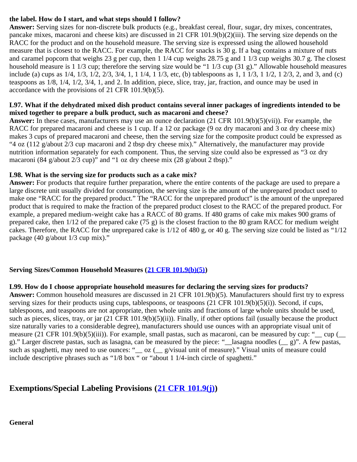## **the label. How do I start, and what steps should I follow?**

**Answer:** Serving sizes for non-discrete bulk products (e.g., breakfast cereal, flour, sugar, dry mixes, concentrates, pancake mixes, macaroni and cheese kits) are discussed in 21 CFR 101.9(b)(2)(iii). The serving size depends on the RACC for the product and on the household measure. The serving size is expressed using the allowed household measure that is closest to the RACC. For example, the RACC for snacks is 30 g. If a bag contains a mixture of nuts and caramel popcorn that weighs 23 g per cup, then 1 1/4 cup weighs 28.75 g and 1 1/3 cup weighs 30.7 g. The closest household measure is 1 1/3 cup; therefore the serving size would be "1 1/3 cup (31 g)." Allowable household measures include (a) cups as  $1/4$ ,  $1/3$ ,  $1/2$ ,  $2/3$ ,  $3/4$ ,  $1$ ,  $11/4$ ,  $11/3$ , etc, (b) tablespoons as  $1$ ,  $11/3$ ,  $11/2$ ,  $12/3$ ,  $2$ , and  $3$ , and (c) teaspoons as 1/8, 1/4, 1/2, 3/4, 1, and 2. In addition, piece, slice, tray, jar, fraction, and ounce may be used in accordance with the provisions of 21 CFR 101.9(b)(5).

#### **L97. What if the dehydrated mixed dish product contains several inner packages of ingredients intended to be mixed together to prepare a bulk product, such as macaroni and cheese?**

**Answer:** In these cases, manufacturers may use an ounce declaration (21 CFR 101.9(b)(5)(vii)). For example, the RACC for prepared macaroni and cheese is 1 cup. If a 12 oz package (9 oz dry macaroni and 3 oz dry cheese mix) makes 3 cups of prepared macaroni and cheese, then the serving size for the composite product could be expressed as "4 oz (112 g/about 2/3 cup macaroni and 2 tbsp dry cheese mix)." Alternatively, the manufacturer may provide nutrition information separately for each component. Thus, the serving size could also be expressed as "3 oz dry macaroni (84 g/about 2/3 cup)" and "1 oz dry cheese mix (28 g/about 2 tbsp)."

#### **L98. What is the serving size for products such as a cake mix?**

**Answer:** For products that require further preparation, where the entire contents of the package are used to prepare a large discrete unit usually divided for consumption, the serving size is the amount of the unprepared product used to make one "RACC for the prepared product." The "RACC for the unprepared product" is the amount of the unprepared product that is required to make the fraction of the prepared product closest to the RACC of the prepared product. For example, a prepared medium-weight cake has a RACC of 80 grams. If 480 grams of cake mix makes 900 grams of prepared cake, then 1/12 of the prepared cake (75 g) is the closest fraction to the 80 gram RACC for medium weight cakes. Therefore, the RACC for the unprepared cake is 1/12 of 480 g, or 40 g. The serving size could be listed as "1/12 package (40 g/about 1/3 cup mix)."

## <span id="page-61-0"></span>**Serving Sizes/Common Household Measures ([21 CFR 101.9\(b\)\(5\)](http://ecfr.gpoaccess.gov/cgi/t/text/text-idx?c=ecfr&sid=563f0b6235da3f4c7912a64cbceec305&rgn=div8&view=text&node=21:2.0.1.1.2.1.1.6&idno=21))**

## **L99. How do I choose appropriate household measures for declaring the serving sizes for products?**

**Answer:** Common household measures are discussed in 21 CFR 101.9(b)(5). Manufacturers should first try to express serving sizes for their products using cups, tablespoons, or teaspoons  $(21 \text{ CFR } 101.9(b)(5)(i))$ . Second, if cups, tablespoons, and teaspoons are not appropriate, then whole units and fractions of large whole units should be used, such as pieces, slices, tray, or jar  $(21 \text{ CFR } 101.9(b)(5)(ii))$ . Finally, if other options fail (usually because the product size naturally varies to a considerable degree), manufacturers should use ounces with an appropriate visual unit of measure (21 CFR 101.9(b)(5)(iii)). For example, small pastas, such as macaroni, can be measured by cup: " $\gamma$  cup ( g)." Larger discrete pastas, such as lasagna, can be measured by the piece: "\_\_lasagna noodles (\_\_ g)". A few pastas, such as spaghetti, may need to use ounces: "\_\_ oz (\_\_ g/visual unit of measure)." Visual units of measure could include descriptive phrases such as "1/8 box " or "about 1 1/4-inch circle of spaghetti."

## <span id="page-61-2"></span><span id="page-61-1"></span>**Exemptions/Special Labeling Provisions ([21 CFR 101.9\(j\)](http://ecfr.gpoaccess.gov/cgi/t/text/text-idx?c=ecfr&sid=563f0b6235da3f4c7912a64cbceec305&rgn=div8&view=text&node=21:2.0.1.1.2.1.1.6&idno=21))**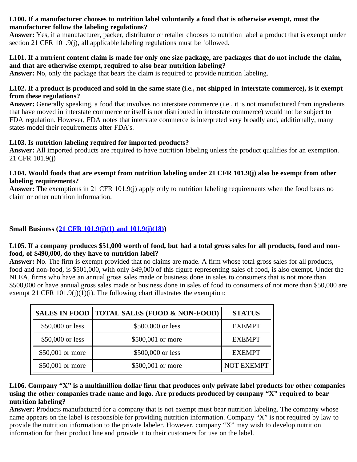#### **L100. If a manufacturer chooses to nutrition label voluntarily a food that is otherwise exempt, must the manufacturer follow the labeling regulations?**

**Answer:** Yes, if a manufacturer, packer, distributor or retailer chooses to nutrition label a product that is exempt under section 21 CFR 101.9(j), all applicable labeling regulations must be followed.

#### **L101. If a nutrient content claim is made for only one size package, are packages that do not include the claim, and that are otherwise exempt, required to also bear nutrition labeling?**

**Answer:** No, only the package that bears the claim is required to provide nutrition labeling.

#### **L102. If a product is produced and sold in the same state (i.e., not shipped in interstate commerce), is it exempt from these regulations?**

**Answer:** Generally speaking, a food that involves no interstate commerce (i.e., it is not manufactured from ingredients that have moved in interstate commerce or itself is not distributed in interstate commerce) would not be subject to FDA regulation. However, FDA notes that interstate commerce is interpreted very broadly and, additionally, many states model their requirements after FDA's.

## **L103. Is nutrition labeling required for imported products?**

**Answer:** All imported products are required to have nutrition labeling unless the product qualifies for an exemption. 21 CFR 101.9(j)

#### **L104. Would foods that are exempt from nutrition labeling under 21 CFR 101.9(j) also be exempt from other labeling requirements?**

**Answer:** The exemptions in 21 CFR 101.9(j) apply only to nutrition labeling requirements when the food bears no claim or other nutrition information.

## <span id="page-62-0"></span>**Small Business ([21 CFR 101.9\(j\)\(1\) and 101.9\(j\)\(18\)\)](http://ecfr.gpoaccess.gov/cgi/t/text/text-idx?c=ecfr&sid=563f0b6235da3f4c7912a64cbceec305&rgn=div8&view=text&node=21:2.0.1.1.2.1.1.6&idno=21)**

#### **L105. If a company produces \$51,000 worth of food, but had a total gross sales for all products, food and nonfood, of \$490,000, do they have to nutrition label?**

**Answer:** No. The firm is exempt provided that no claims are made. A firm whose total gross sales for all products, food and non-food, is \$501,000, with only \$49,000 of this figure representing sales of food, is also exempt. Under the NLEA, firms who have an annual gross sales made or business done in sales to consumers that is not more than \$500,000 or have annual gross sales made or business done in sales of food to consumers of not more than \$50,000 are exempt 21 CFR  $101.9(i)(1)(i)$ . The following chart illustrates the exemption:

|                  | SALES IN FOOD   TOTAL SALES (FOOD & NON-FOOD) | <b>STATUS</b>     |
|------------------|-----------------------------------------------|-------------------|
| \$50,000 or less | \$500,000 or less                             | <b>EXEMPT</b>     |
| \$50,000 or less | \$500,001 or more                             | <b>EXEMPT</b>     |
| \$50,001 or more | \$500,000 or less                             | <b>EXEMPT</b>     |
| \$50,001 or more | \$500,001 or more                             | <b>NOT EXEMPT</b> |

#### **L106. Company "X" is a multimillion dollar firm that produces only private label products for other companies using the other companies trade name and logo. Are products produced by company "X" required to bear nutrition labeling?**

**Answer:** Products manufactured for a company that is not exempt must bear nutrition labeling. The company whose name appears on the label is responsible for providing nutrition information. Company "X" is not required by law to provide the nutrition information to the private labeler. However, company "X" may wish to develop nutrition information for their product line and provide it to their customers for use on the label.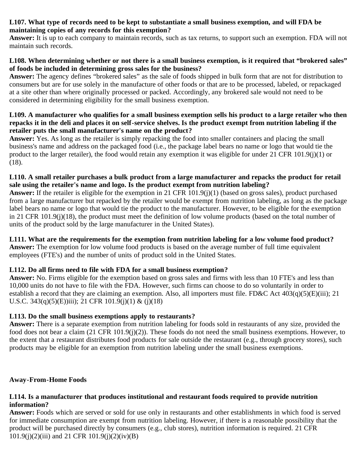#### **L107. What type of records need to be kept to substantiate a small business exemption, and will FDA be maintaining copies of any records for this exemption?**

**Answer:** It is up to each company to maintain records, such as tax returns, to support such an exemption. FDA will not maintain such records.

#### **L108. When determining whether or not there is a small business exemption, is it required that "brokered sales" of foods be included in determining gross sales for the business?**

**Answer:** The agency defines "brokered sales" as the sale of foods shipped in bulk form that are not for distribution to consumers but are for use solely in the manufacture of other foods or that are to be processed, labeled, or repackaged at a site other than where originally processed or packed. Accordingly, any brokered sale would not need to be considered in determining eligibility for the small business exemption.

#### **L109. A manufacturer who qualifies for a small business exemption sells his product to a large retailer who then repacks it in the deli and places it on self-service shelves. Is the product exempt from nutrition labeling if the retailer puts the small manufacturer's name on the product?**

**Answer:** Yes. As long as the retailer is simply repacking the food into smaller containers and placing the small business's name and address on the packaged food (i.e., the package label bears no name or logo that would tie the product to the larger retailer), the food would retain any exemption it was eligible for under 21 CFR 101.9(j)(1) or (18).

### **L110. A small retailer purchases a bulk product from a large manufacturer and repacks the product for retail sale using the retailer's name and logo. Is the product exempt from nutrition labeling?**

**Answer:** If the retailer is eligible for the exemption in 21 CFR 101.9(j)(1) (based on gross sales), product purchased from a large manufacturer but repacked by the retailer would be exempt from nutrition labeling, as long as the package label bears no name or logo that would tie the product to the manufacturer. However, to be eligible for the exemption in 21 CFR 101.9(j)(18), the product must meet the definition of low volume products (based on the total number of units of the product sold by the large manufacturer in the United States).

## **L111. What are the requirements for the exemption from nutrition labeling for a low volume food product?**

**Answer:** The exemption for low volume food products is based on the average number of full time equivalent employees (FTE's) and the number of units of product sold in the United States.

## **L112. Do all firms need to file with FDA for a small business exemption?**

**Answer:** No. Firms eligible for the exemption based on gross sales and firms with less than 10 FTE's and less than 10,000 units do not have to file with the FDA. However, such firms can choose to do so voluntarily in order to establish a record that they are claiming an exemption. Also, all importers must file. FD&C Act  $403(q)(5)(E)(iii)$ ; 21 U.S.C. 343(q)(5)(E))iii); 21 CFR 101.9(j)(1) & (j)(18)

## **L113. Do the small business exemptions apply to restaurants?**

**Answer:** There is a separate exemption from nutrition labeling for foods sold in restaurants of any size, provided the food does not bear a claim (21 CFR 101.9(j)(2)). These foods do not need the small business exemptions. However, to the extent that a restaurant distributes food products for sale outside the restaurant (e.g., through grocery stores), such products may be eligible for an exemption from nutrition labeling under the small business exemptions.

#### <span id="page-63-0"></span>**Away-From-Home Foods**

#### **L114. Is a manufacturer that produces institutional and restaurant foods required to provide nutrition information?**

**Answer:** Foods which are served or sold for use only in restaurants and other establishments in which food is served for immediate consumption are exempt from nutrition labeling. However, if there is a reasonable possibility that the product will be purchased directly by consumers (e.g., club stores), nutrition information is required. 21 CFR 101.9(j)(2)(iii) and 21 CFR 101.9(j)(2)(iv)(B)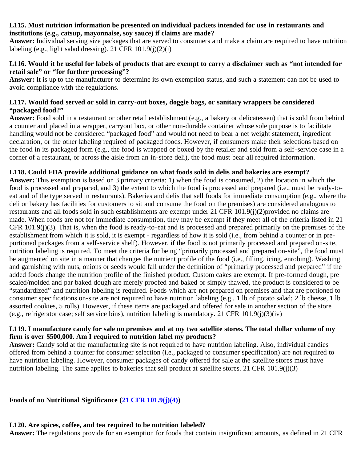#### **L115. Must nutrition information be presented on individual packets intended for use in restaurants and institutions (e.g., catsup, mayonnaise, soy sauce) if claims are made?**

**Answer:** Individual serving size packages that are served to consumers and make a claim are required to have nutrition labeling (e.g., light salad dressing). 21 CFR  $101.9(i)(2)(i)$ 

#### **L116. Would it be useful for labels of products that are exempt to carry a disclaimer such as "not intended for retail sale" or "for further processing"?**

**Answer:** It is up to the manufacturer to determine its own exemption status, and such a statement can not be used to avoid compliance with the regulations.

#### **L117. Would food served or sold in carry-out boxes, doggie bags, or sanitary wrappers be considered "packaged food?"**

**Answer:** Food sold in a restaurant or other retail establishment (e.g., a bakery or delicatessen) that is sold from behind a counter and placed in a wrapper, carryout box, or other non-durable container whose sole purpose is to facilitate handling would not be considered "packaged food" and would not need to bear a net weight statement, ingredient declaration, or the other labeling required of packaged foods. However, if consumers make their selections based on the food in its packaged form (e.g., the food is wrapped or boxed by the retailer and sold from a self-service case in a corner of a restaurant, or across the aisle from an in-store deli), the food must bear all required information.

#### **L118. Could FDA provide additional guidance on what foods sold in delis and bakeries are exempt?**

**Answer:** This exemption is based on 3 primary criteria: 1) when the food is consumed, 2) the location in which the food is processed and prepared, and 3) the extent to which the food is processed and prepared (i.e., must be ready-toeat and of the type served in restaurants). Bakeries and delis that sell foods for immediate consumption (e.g., where the deli or bakery has facilities for customers to sit and consume the food on the premises) are considered analogous to restaurants and all foods sold in such establishments are exempt under 21 CFR 101.9(j)(2)provided no claims are made. When foods are not for immediate consumption, they may be exempt if they meet all of the criteria listed in 21 CFR  $101.9(i)(3)$ . That is, when the food is ready-to-eat and is processed and prepared primarily on the premises of the establishment from which it is sold, it is exempt - regardless of how it is sold (i.e., from behind a counter or in preportioned packages from a self-service shelf). However, if the food is not primarily processed and prepared on-site, nutrition labeling is required. To meet the criteria for being "primarily processed and prepared on-site", the food must be augmented on site in a manner that changes the nutrient profile of the food (i.e., filling, icing, enrobing). Washing and garnishing with nuts, onions or seeds would fall under the definition of "primarily processed and prepared" if the added foods change the nutrition profile of the finished product. Custom cakes are exempt. If pre-formed dough, pre scaled/molded and par baked dough are merely proofed and baked or simply thawed, the product is considered to be "standardized" and nutrition labeling is required. Foods which are not prepared on premises and that are portioned to consumer specifications on-site are not required to have nutrition labeling (e.g., 1 lb of potato salad; 2 lb cheese, 1 lb assorted cookies, 5 rolls). However, if these items are packaged and offered for sale in another section of the store (e.g., refrigerator case; self service bins), nutrition labeling is mandatory. 21 CFR 101.9(j)(3)(iv)

#### **L119. I manufacture candy for sale on premises and at my two satellite stores. The total dollar volume of my firm is over \$500,000. Am I required to nutrition label my products?**

**Answer:** Candy sold at the manufacturing site is not required to have nutrition labeling. Also, individual candies offered from behind a counter for consumer selection (i.e., packaged to consumer specification) are not required to have nutrition labeling. However, consumer packages of candy offered for sale at the satellite stores must have nutrition labeling. The same applies to bakeries that sell product at satellite stores. 21 CFR 101.9(j)(3)

<span id="page-64-0"></span>**Foods of no Nutritional Significance ([21 CFR 101.9\(j\)\(4\)\)](http://ecfr.gpoaccess.gov/cgi/t/text/text-idx?c=ecfr&sid=563f0b6235da3f4c7912a64cbceec305&rgn=div8&view=text&node=21:2.0.1.1.2.1.1.6&idno=21)**

## **L120. Are spices, coffee, and tea required to be nutrition labeled?**

**Answer:** The regulations provide for an exemption for foods that contain insignificant amounts, as defined in 21 CFR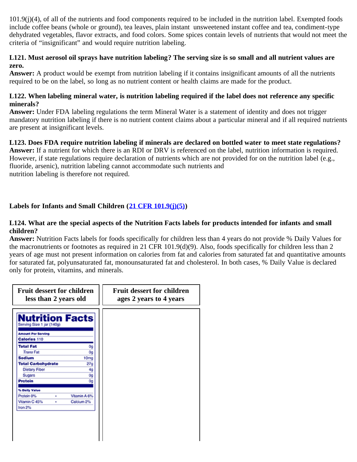101.9(j)(4), of all of the nutrients and food components required to be included in the nutrition label. Exempted foods include coffee beans (whole or ground), tea leaves, plain instant unsweetened instant coffee and tea, condiment-type dehydrated vegetables, flavor extracts, and food colors. Some spices contain levels of nutrients that would not meet the criteria of "insignificant" and would require nutrition labeling.

#### **L121. Must aerosol oil sprays have nutrition labeling? The serving size is so small and all nutrient values are zero.**

**Answer:** A product would be exempt from nutrition labeling if it contains insignificant amounts of all the nutrients required to be on the label, so long as no nutrient content or health claims are made for the product.

#### **L122. When labeling mineral water, is nutrition labeling required if the label does not reference any specific minerals?**

**Answer:** Under FDA labeling regulations the term Mineral Water is a statement of identity and does not trigger mandatory nutrition labeling if there is no nutrient content claims about a particular mineral and if all required nutrients are present at insignificant levels.

## **L123. Does FDA require nutrition labeling if minerals are declared on bottled water to meet state regulations?**

**Answer:** If a nutrient for which there is an RDI or DRV is referenced on the label, nutrition information is required. However, if state regulations require declaration of nutrients which are not provided for on the nutrition label (e.g., fluoride, arsenic), nutrition labeling cannot accommodate such nutrients and nutrition labeling is therefore not required.

## <span id="page-65-0"></span>**Labels for Infants and Small Children ([21 CFR 101.9\(j\)\(5\)\)](http://ecfr.gpoaccess.gov/cgi/t/text/text-idx?c=ecfr&sid=563f0b6235da3f4c7912a64cbceec305&rgn=div8&view=text&node=21:2.0.1.1.2.1.1.6&idno=21)**

#### **L124. What are the special aspects of the Nutrition Facts labels for products intended for infants and small children?**

**Answer:** Nutrition Facts labels for foods specifically for children less than 4 years do not provide % Daily Values for the macronutrients or footnotes as required in 21 CFR 101.9(d)(9). Also, foods specifically for children less than 2 years of age must not present information on calories from fat and calories from saturated fat and quantitative amounts for saturated fat, polyunsaturated fat, monounsaturated fat and cholesterol. In both cases, % Daily Value is declared only for protein, vitamins, and minerals.

| <b>Fruit dessert for children</b><br>less than 2 years old |                  | <b>Fruit dessert for children</b><br>ages 2 years to 4 years |
|------------------------------------------------------------|------------------|--------------------------------------------------------------|
| <b>Nutrition Facts</b><br>Serving Size 1 jar (140g)        |                  |                                                              |
| <b>Amount Per Serving</b>                                  |                  |                                                              |
| Calories 110                                               |                  |                                                              |
| <b>Total Fat</b>                                           | 0g               |                                                              |
| <b>Trans Fat</b>                                           | 0g               |                                                              |
| <b>Sodium</b>                                              | 10 <sub>mg</sub> |                                                              |
| <b>Total Carbohydrate</b>                                  | 27a              |                                                              |
| <b>Dietary Fiber</b>                                       | 40               |                                                              |
| Sugars                                                     | 0a               |                                                              |
| <b>Protein</b>                                             | 0g               |                                                              |
| % Daily Value                                              |                  |                                                              |
| Protein 0%<br>٠                                            | Vitamin A 6%     |                                                              |
| Vitamin C 45%<br>٠                                         | Calcium 2%       |                                                              |
| Iron 2%                                                    |                  |                                                              |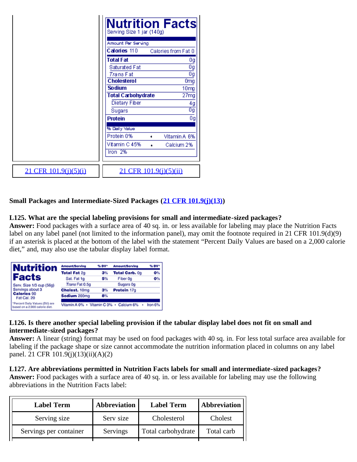|                              | <b>Nutrition Facts</b><br>Serving Size 1 jar (140g)<br>Amount Per Serving<br>Calories 110<br>Calories from Fat 0 |
|------------------------------|------------------------------------------------------------------------------------------------------------------|
|                              | <b>Total Fat</b><br>0g                                                                                           |
|                              | Og<br>Saturated Fat                                                                                              |
|                              | 0g<br><i>Trans</i> Fat                                                                                           |
|                              | <b>Cholesterol</b><br>Omg                                                                                        |
|                              | <b>Sodium</b><br>10mg                                                                                            |
|                              | <b>Total Carbohydrate</b><br>27mg                                                                                |
|                              | Dietary Fiber<br>4g                                                                                              |
|                              | 0g<br>Sugars                                                                                                     |
|                              | 0g<br><b>Protein</b>                                                                                             |
|                              | % Daily Value                                                                                                    |
|                              | Protein 0%<br>Vitamin A 6%<br>٠                                                                                  |
|                              | Vitamin C 45%<br>Calcium 2%<br>۸                                                                                 |
|                              | Iron $2%$                                                                                                        |
| <u>21 CFR 101.9(j)(5)(j)</u> | 21 CFR 101.9(j)(5)(ii)                                                                                           |

#### <span id="page-66-0"></span>**Small Packages and Intermediate-Sized Packages ([21 CFR 101.9\(j\)\(13\)](http://ecfr.gpoaccess.gov/cgi/t/text/text-idx?c=ecfr&sid=563f0b6235da3f4c7912a64cbceec305&rgn=div8&view=text&node=21:2.0.1.1.2.1.1.6&idno=21))**

#### **L125. What are the special labeling provisions for small and intermediate-sized packages?**

**Answer:** Food packages with a surface area of 40 sq. in. or less available for labeling may place the Nutrition Facts label on any label panel (not limited to the information panel), may omit the footnote required in 21 CFR 101.9(d)(9) if an asterisk is placed at the bottom of the label with the statement "Percent Daily Values are based on a 2,000 calorie diet," and, may also use the tabular display label format.

| <b>Nutrition</b>                                                 | Amount/Serving                           | % DV* | Amount/Serving | % DV*   |
|------------------------------------------------------------------|------------------------------------------|-------|----------------|---------|
|                                                                  | <b>Total Fat 2g</b>                      | 3%    | Total Carb. 0g | 0%      |
| <b>Facts</b>                                                     | Sat. Fat 1g                              | 5%    | Fiber 0a       | $O\%$   |
| Serv. Size 1/3 cup (56g)                                         | Trans Fat 0.5g                           |       | Sugars Og      |         |
| Servings about 3                                                 | Cholest. 10mg                            | 3%    | Protein 17g    |         |
| <b>Calories 90</b><br>Fat Cal. 20                                | Sodium 200mg                             | 8%    |                |         |
| *Percent Daily Values (DV) are<br>based on a 2,000 calorie diet. | Vitamin A 0% · Vitamin C 0% · Calcium 6% |       |                | Iron 6% |

#### **L126. Is there another special labeling provision if the tabular display label does not fit on small and intermediate-sized packages?**

**Answer:** A linear (string) format may be used on food packages with 40 sq. in. For less total surface area available for labeling if the package shape or size cannot accommodate the nutrition information placed in columns on any label panel. 21 CFR 101.9(j)(13)(ii)(A)(2)

#### **L127. Are abbreviations permitted in Nutrition Facts labels for small and intermediate-sized packages?**

**Answer:** Food packages with a surface area of 40 sq. in. or less available for labeling may use the following abbreviations in the Nutrition Facts label:

| <b>Label Term</b>      | <b>Abbreviation</b> | <b>Label Term</b>  | <b>Abbreviation</b> |
|------------------------|---------------------|--------------------|---------------------|
| Serving size           | Serv size           | Cholesterol        | Cholest             |
| Servings per container | Servings            | Total carbohydrate | Total carb          |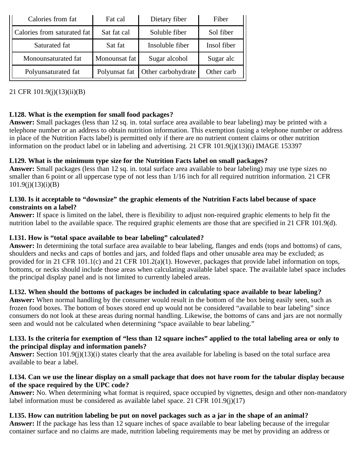| Calories from fat           | Fat cal       | Dietary fiber      | Fiber       |
|-----------------------------|---------------|--------------------|-------------|
| Calories from saturated fat | Sat fat cal   | Soluble fiber      | Sol fiber   |
| Saturated fat               | Sat fat       | Insoluble fiber    | Insol fiber |
| Monounsaturated fat         | Monounsat fat | Sugar alcohol      | Sugar alc   |
| Polyunsaturated fat         | Polyunsat fat | Other carbohydrate | Other carb  |

21 CFR 101.9(j)(13)(ii)(B)

## **L128. What is the exemption for small food packages?**

**Answer:** Small packages (less than 12 sq. in. total surface area available to bear labeling) may be printed with a telephone number or an address to obtain nutrition information. This exemption (using a telephone number or address in place of the Nutrition Facts label) is permitted only if there are no nutrient content claims or other nutrition information on the product label or in labeling and advertising. 21 CFR 101.9(j)(13)(i) IMAGE 153397

## **L129. What is the minimum type size for the Nutrition Facts label on small packages?**

**Answer:** Small packages (less than 12 sq. in. total surface area available to bear labeling) may use type sizes no smaller than 6 point or all uppercase type of not less than 1/16 inch for all required nutrition information. 21 CFR  $101.9(i)(13)(i)(B)$ 

#### **L130. Is it acceptable to "downsize" the graphic elements of the Nutrition Facts label because of space constraints on a label?**

**Answer:** If space is limited on the label, there is flexibility to adjust non-required graphic elements to help fit the nutrition label to the available space. The required graphic elements are those that are specified in 21 CFR 101.9(d).

## **L131. How is "total space available to bear labeling" calculated?**

**Answer:** In determining the total surface area available to bear labeling, flanges and ends (tops and bottoms) of cans, shoulders and necks and caps of bottles and jars, and folded flaps and other unusable area may be excluded; as provided for in 21 CFR 101.1(c) and 21 CFR 101.2(a)(1). However, packages that provide label information on tops, bottoms, or necks should include those areas when calculating available label space. The available label space includes the principal display panel and is not limited to currently labeled areas.

#### **L132. When should the bottoms of packages be included in calculating space available to bear labeling?**

Answer: When normal handling by the consumer would result in the bottom of the box being easily seen, such as frozen food boxes. The bottom of boxes stored end up would not be considered "available to bear labeling" since consumers do not look at these areas during normal handling. Likewise, the bottoms of cans and jars are not normally seen and would not be calculated when determining "space available to bear labeling."

#### **L133. Is the criteria for exemption of "less than 12 square inches" applied to the total labeling area or only to the principal display and information panels?**

**Answer:** Section 101.9(j)(13)(i) states clearly that the area available for labeling is based on the total surface area available to bear a label.

#### **L134. Can we use the linear display on a small package that does not have room for the tabular display because of the space required by the UPC code?**

**Answer:** No. When determining what format is required, space occupied by vignettes, design and other non-mandatory label information must be considered as available label space. 21 CFR 101.9(j)(17)

**L135. How can nutrition labeling be put on novel packages such as a jar in the shape of an animal? Answer:** If the package has less than 12 square inches of space available to bear labeling because of the irregular container surface and no claims are made, nutrition labeling requirements may be met by providing an address or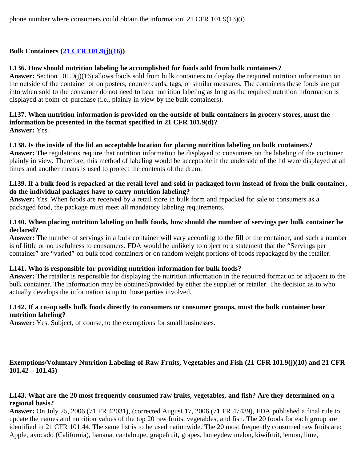### <span id="page-68-0"></span>**Bulk Containers ([21 CFR 101.9\(j\)\(16\)](http://ecfr.gpoaccess.gov/cgi/t/text/text-idx?c=ecfr&sid=563f0b6235da3f4c7912a64cbceec305&rgn=div8&view=text&node=21:2.0.1.1.2.1.1.6&idno=21))**

#### **L136. How should nutrition labeling be accomplished for foods sold from bulk containers?**

**Answer:** Section 101.9(j)(16) allows foods sold from bulk containers to display the required nutrition information on the outside of the container or on posters, counter cards, tags, or similar measures. The containers these foods are put into when sold to the consumer do not need to bear nutrition labeling as long as the required nutrition information is displayed at point-of-purchase (i.e., plainly in view by the bulk containers).

#### **L137. When nutrition information is provided on the outside of bulk containers in grocery stores, must the information be presented in the format specified in 21 CFR 101.9(d)? Answer:** Yes.

#### **L138. Is the inside of the lid an acceptable location for placing nutrition labeling on bulk containers?**

**Answer:** The regulations require that nutrition information be displayed to consumers on the labeling of the container plainly in view. Therefore, this method of labeling would be acceptable if the underside of the lid were displayed at all times and another means is used to protect the contents of the drum.

#### **L139. If a bulk food is repacked at the retail level and sold in packaged form instead of from the bulk container, do the individual packages have to carry nutrition labeling?**

**Answer:** Yes. When foods are received by a retail store in bulk form and repacked for sale to consumers as a packaged food, the package must meet all mandatory labeling requirements.

#### **L140. When placing nutrition labeling on bulk foods, how should the number of servings per bulk container be declared?**

**Answer:** The number of servings in a bulk container will vary according to the fill of the container, and such a number is of little or no usefulness to consumers. FDA would be unlikely to object to a statement that the "Servings per container" are "varied" on bulk food containers or on random weight portions of foods repackaged by the retailer.

#### **L141. Who is responsible for providing nutrition information for bulk foods?**

**Answer:** The retailer is responsible for displaying the nutrition information in the required format on or adjacent to the bulk container. The information may be obtained/provided by either the supplier or retailer. The decision as to who actually develops the information is up to those parties involved.

#### **L142. If a co-op sells bulk foods directly to consumers or consumer groups, must the bulk container bear nutrition labeling?**

Answer: Yes. Subject, of course, to the exemptions for small businesses.

## <span id="page-68-1"></span>**Exemptions/Voluntary Nutrition Labeling of Raw Fruits, Vegetables and Fish (21 CFR 101.9(j)(10) and 21 CFR 101.42 – 101.45)**

#### **L143. What are the 20 most frequently consumed raw fruits, vegetables, and fish? Are they determined on a regional basis?**

**Answer:** On July 25, 2006 (71 FR 42031), (corrected August 17, 2006 (71 FR 47439), FDA published a final rule to update the names and nutrition values of the top 20 raw fruits, vegetables, and fish. The 20 foods for each group are identified in 21 CFR 101.44. The same list is to be used nationwide. The 20 most frequently consumed raw fruits are: Apple, avocado (California), banana, cantaloupe, grapefruit, grapes, honeydew melon, kiwifruit, lemon, lime,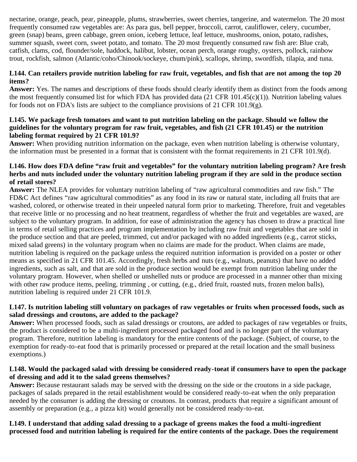nectarine, orange, peach, pear, pineapple, plums, strawberries, sweet cherries, tangerine, and watermelon. The 20 most frequently consumed raw vegetables are: As para gus, bell pepper, broccoli, carrot, cauliflower, celery, cucumber, green (snap) beans, green cabbage, green onion, iceberg lettuce, leaf lettuce, mushrooms, onion, potato, radishes, summer squash, sweet corn, sweet potato, and tomato. The 20 most frequently consumed raw fish are: Blue crab, catfish, clams, cod, flounder/sole, haddock, halibut, lobster, ocean perch, orange roughy, oysters, pollock, rainbow trout, rockfish, salmon (Atlantic/coho/Chinook/sockeye, chum/pink), scallops, shrimp, swordfish, tilapia, and tuna.

#### **L144. Can retailers provide nutrition labeling for raw fruit, vegetables, and fish that are not among the top 20 items?**

**Answer:** Yes. The names and descriptions of these foods should clearly identify them as distinct from the foods among the most frequently consumed list for which FDA has provided data (21 CFR 101.45(c)(1)). Nutrition labeling values for foods not on FDA's lists are subject to the compliance provisions of 21 CFR 101.9(g).

#### **L145. We package fresh tomatoes and want to put nutrition labeling on the package. Should we follow the guidelines for the voluntary program for raw fruit, vegetables, and fish (21 CFR 101.45) or the nutrition labeling format required by 21 CFR 101.9?**

**Answer:** When providing nutrition information on the package, even when nutrition labeling is otherwise voluntary, the information must be presented in a format that is consistent with the format requirements in 21 CFR 101.9(d).

#### **L146. How does FDA define "raw fruit and vegetables" for the voluntary nutrition labeling program? Are fresh herbs and nuts included under the voluntary nutrition labeling program if they are sold in the produce section of retail stores?**

**Answer:** The NLEA provides for voluntary nutrition labeling of "raw agricultural commodities and raw fish." The FD&C Act defines "raw agricultural commodities" as any food in its raw or natural state, including all fruits that are washed, colored, or otherwise treated in their unpeeled natural form prior to marketing. Therefore, fruit and vegetables that receive little or no processing and no heat treatment, regardless of whether the fruit and vegetables are waxed, are subject to the voluntary program. In addition, for ease of administration the agency has chosen to draw a practical line in terms of retail selling practices and program implementation by including raw fruit and vegetables that are sold in the produce section and that are peeled, trimmed, cut and/or packaged with no added ingredients (e.g., carrot sticks, mixed salad greens) in the voluntary program when no claims are made for the product. When claims are made, nutrition labeling is required on the package unless the required nutrition information is provided on a poster or other means as specified in 21 CFR 101.45. Accordingly, fresh herbs and nuts (e.g., walnuts, peanuts) that have no added ingredients, such as salt, and that are sold in the produce section would be exempt from nutrition labeling under the voluntary program. However, when shelled or unshelled nuts or produce are processed in a manner other than mixing with other raw produce items, peeling, trimming, or cutting, (e.g., dried fruit, roasted nuts, frozen melon balls), nutrition labeling is required under 21 CFR 101.9.

#### **L147. Is nutrition labeling still voluntary on packages of raw vegetables or fruits when processed foods, such as salad dressings and croutons, are added to the package?**

**Answer:** When processed foods, such as salad dressings or croutons, are added to packages of raw vegetables or fruits, the product is considered to be a multi-ingredient processed packaged food and is no longer part of the voluntary program. Therefore, nutrition labeling is mandatory for the entire contents of the package. (Subject, of course, to the exemption for ready-to-eat food that is primarily processed or prepared at the retail location and the small business exemptions.)

#### **L148. Would the packaged salad with dressing be considered ready-toeat if consumers have to open the package of dressing and add it to the salad greens themselves?**

**Answer:** Because restaurant salads may be served with the dressing on the side or the croutons in a side package, packages of salads prepared in the retail establishment would be considered ready-to-eat when the only preparation needed by the consumer is adding the dressing or croutons. In contrast, products that require a significant amount of assembly or preparation (e.g., a pizza kit) would generally not be considered ready-to-eat.

#### **L149. I understand that adding salad dressing to a package of greens makes the food a multi-ingredient processed food and nutrition labeling is required for the entire contents of the package. Does the requirement**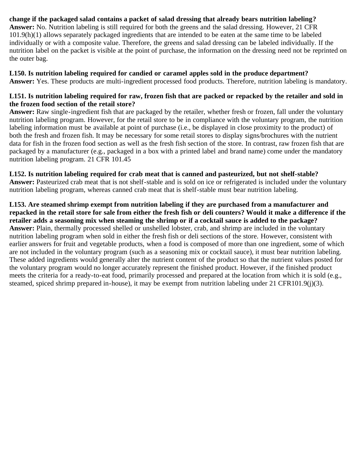## **change if the packaged salad contains a packet of salad dressing that already bears nutrition labeling?**

**Answer:** No. Nutrition labeling is still required for both the greens and the salad dressing. However, 21 CFR 101.9(h)(1) allows separately packaged ingredients that are intended to be eaten at the same time to be labeled individually or with a composite value. Therefore, the greens and salad dressing can be labeled individually. If the nutrition label on the packet is visible at the point of purchase, the information on the dressing need not be reprinted on the outer bag.

**L150. Is nutrition labeling required for candied or caramel apples sold in the produce department? Answer:** Yes. These products are multi-ingredient processed food products. Therefore, nutrition labeling is mandatory.

#### **L151. Is nutrition labeling required for raw, frozen fish that are packed or repacked by the retailer and sold in the frozen food section of the retail store?**

**Answer:** Raw single-ingredient fish that are packaged by the retailer, whether fresh or frozen, fall under the voluntary nutrition labeling program. However, for the retail store to be in compliance with the voluntary program, the nutrition labeling information must be available at point of purchase (i.e., be displayed in close proximity to the product) of both the fresh and frozen fish. It may be necessary for some retail stores to display signs/brochures with the nutrient data for fish in the frozen food section as well as the fresh fish section of the store. In contrast, raw frozen fish that are packaged by a manufacturer (e.g., packaged in a box with a printed label and brand name) come under the mandatory nutrition labeling program. 21 CFR 101.45

**L152. Is nutrition labeling required for crab meat that is canned and pasteurized, but not shelf-stable? Answer:** Pasteurized crab meat that is not shelf-stable and is sold on ice or refrigerated is included under the voluntary nutrition labeling program, whereas canned crab meat that is shelf-stable must bear nutrition labeling.

**L153. Are steamed shrimp exempt from nutrition labeling if they are purchased from a manufacturer and repacked in the retail store for sale from either the fresh fish or deli counters? Would it make a difference if the retailer adds a seasoning mix when steaming the shrimp or if a cocktail sauce is added to the package? Answer:** Plain, thermally processed shelled or unshelled lobster, crab, and shrimp are included in the voluntary nutrition labeling program when sold in either the fresh fish or deli sections of the store. However, consistent with earlier answers for fruit and vegetable products, when a food is composed of more than one ingredient, some of which are not included in the voluntary program (such as a seasoning mix or cocktail sauce), it must bear nutrition labeling. These added ingredients would generally alter the nutrient content of the product so that the nutrient values posted for the voluntary program would no longer accurately represent the finished product. However, if the finished product meets the criteria for a ready-to-eat food, primarily processed and prepared at the location from which it is sold (e.g., steamed, spiced shrimp prepared in-house), it may be exempt from nutrition labeling under 21 CFR101.9(j)(3).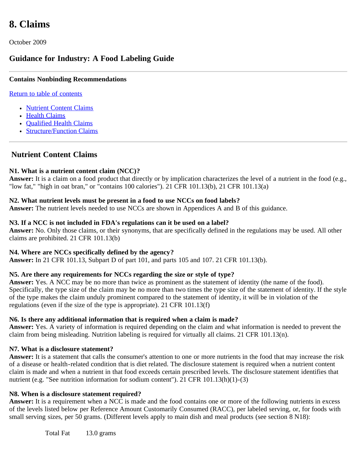# **8. Claims**

October 2009

## **Guidance for Industry: A Food Labeling Guide**

#### **Contains Nonbinding Recommendations**

#### [Return to table of contents](#page-0-0)

- [Nutrient Content Claims](#page-71-0)
- [Health Claims](#page-77-0)
- Oualified Health Claims
- [Structure/Function Claims](#page-80-0)

## <span id="page-71-0"></span>**Nutrient Content Claims**

#### **N1. What is a nutrient content claim (NCC)?**

**Answer:** It is a claim on a food product that directly or by implication characterizes the level of a nutrient in the food (e.g., "low fat," "high in oat bran," or "contains 100 calories"). 21 CFR 101.13(b), 21 CFR 101.13(a)

#### **N2. What nutrient levels must be present in a food to use NCCs on food labels?**

**Answer:** The nutrient levels needed to use NCCs are shown in Appendices A and B of this guidance.

#### **N3. If a NCC is not included in FDA's regulations can it be used on a label?**

**Answer:** No. Only those claims, or their synonyms, that are specifically defined in the regulations may be used. All other claims are prohibited. 21 CFR 101.13(b)

#### **N4. Where are NCCs specifically defined by the agency?**

**Answer:** In 21 CFR 101.13, Subpart D of part 101, and parts 105 and 107. 21 CFR 101.13(b).

#### **N5. Are there any requirements for NCCs regarding the size or style of type?**

**Answer:** Yes. A NCC may be no more than twice as prominent as the statement of identity (the name of the food). Specifically, the type size of the claim may be no more than two times the type size of the statement of identity. If the style of the type makes the claim unduly prominent compared to the statement of identity, it will be in violation of the regulations (even if the size of the type is appropriate). 21 CFR 101.13(f)

#### **N6. Is there any additional information that is required when a claim is made?**

**Answer:** Yes. A variety of information is required depending on the claim and what information is needed to prevent the claim from being misleading. Nutrition labeling is required for virtually all claims. 21 CFR 101.13(n).

#### **N7. What is a disclosure statement?**

**Answer:** It is a statement that calls the consumer's attention to one or more nutrients in the food that may increase the risk of a disease or health-related condition that is diet related. The disclosure statement is required when a nutrient content claim is made and when a nutrient in that food exceeds certain prescribed levels. The disclosure statement identifies that nutrient (e.g. "See nutrition information for sodium content"). 21 CFR 101.13(h)(1)-(3)

#### **N8. When is a disclosure statement required?**

Answer: It is a requirement when a NCC is made and the food contains one or more of the following nutrients in excess of the levels listed below per Reference Amount Customarily Consumed (RACC), per labeled serving, or, for foods with small serving sizes, per 50 grams. (Different levels apply to main dish and meal products (see section 8 N18):

Total Fat 13.0 grams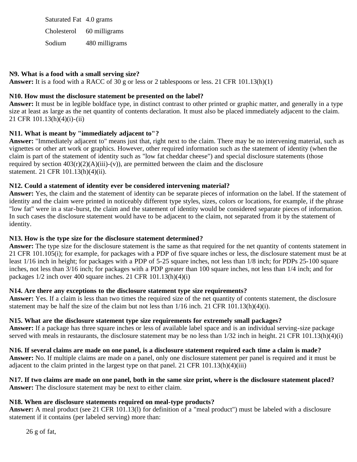Saturated Fat 4.0 grams Cholesterol 60 milligrams Sodium 480 milligrams

## **N9. What is a food with a small serving size?**

Answer: It is a food with a RACC of 30 g or less or 2 tablespoons or less. 21 CFR 101.13(h)(1)

# **N10. How must the disclosure statement be presented on the label?**

**Answer:** It must be in legible boldface type, in distinct contrast to other printed or graphic matter, and generally in a type size at least as large as the net quantity of contents declaration. It must also be placed immediately adjacent to the claim. 21 CFR 101.13(h)(4)(i)-(ii)

## **N11. What is meant by "immediately adjacent to"?**

**Answer:** "Immediately adjacent to" means just that, right next to the claim. There may be no intervening material, such as vignettes or other art work or graphics. However, other required information such as the statement of identity (when the claim is part of the statement of identity such as "low fat cheddar cheese") and special disclosure statements (those required by section  $403(r)(2)(A)(iii)-(v)$ , are permitted between the claim and the disclosure statement. 21 CFR 101.13(h)(4)(ii).

## **N12. Could a statement of identity ever be considered intervening material?**

**Answer:** Yes, the claim and the statement of identity can be separate pieces of information on the label. If the statement of identity and the claim were printed in noticeably different type styles, sizes, colors or locations, for example, if the phrase "low fat" were in a star-burst, the claim and the statement of identity would be considered separate pieces of information. In such cases the disclosure statement would have to be adjacent to the claim, not separated from it by the statement of identity.

#### **N13. How is the type size for the disclosure statement determined?**

**Answer:** The type size for the disclosure statement is the same as that required for the net quantity of contents statement in 21 CFR 101.105(i); for example, for packages with a PDP of five square inches or less, the disclosure statement must be at least 1/16 inch in height; for packages with a PDP of 5-25 square inches, not less than 1/8 inch; for PDPs 25-100 square inches, not less than 3/16 inch; for packages with a PDP greater than 100 square inches, not less than 1/4 inch; and for packages 1/2 inch over 400 square inches. 21 CFR 101.13(h)(4)(i)

#### **N14. Are there any exceptions to the disclosure statement type size requirements?**

**Answer:** Yes. If a claim is less than two times the required size of the net quantity of contents statement, the disclosure statement may be half the size of the claim but not less than  $1/16$  inch. 21 CFR  $101.13(h)(4)(i)$ .

#### **N15. What are the disclosure statement type size requirements for extremely small packages?**

**Answer:** If a package has three square inches or less of available label space and is an individual serving-size package served with meals in restaurants, the disclosure statement may be no less than  $1/32$  inch in height. 21 CFR  $101.13(h)(4)(i)$ 

**N16. If several claims are made on one panel, is a disclosure statement required each time a claim is made? Answer:** No. If multiple claims are made on a panel, only one disclosure statement per panel is required and it must be adjacent to the claim printed in the largest type on that panel. 21 CFR 101.13(h)(4)(iii)

#### **N17. If two claims are made on one panel, both in the same size print, where is the disclosure statement placed? Answer:** The disclosure statement may be next to either claim.

# **N18. When are disclosure statements required on meal-type products?**

**Answer:** A meal product (see 21 CFR 101.13(l) for definition of a "meal product") must be labeled with a disclosure statement if it contains (per labeled serving) more than: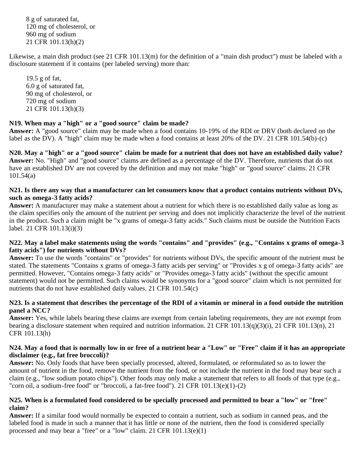8 g of saturated fat, 120 mg of cholesterol, or 960 mg of sodium 21 CFR 101.13(h)(2)

Likewise, a main dish product (see 21 CFR 101.13(m) for the definition of a "main dish product") must be labeled with a disclosure statement if it contains (per labeled serving) more than:

19.5 g of fat, 6.0 g of saturated fat, 90 mg of cholesterol, or 720 mg of sodium 21 CFR 101.13(h)(3)

#### **N19. When may a "high" or a "good source" claim be made?**

**Answer:** A "good source" claim may be made when a food contains 10-19% of the RDI or DRV (both declared on the label as the DV). A "high" claim may be made when a food contains at least 20% of the DV. 21 CFR 101.54(b)-(c)

**N20. May a "high" or a "good source" claim be made for a nutrient that does not have an established daily value? Answer:** No. "High" and "good source" claims are defined as a percentage of the DV. Therefore, nutrients that do not have an established DV are not covered by the definition and may not make "high" or "good source" claims. 21 CFR 101.54(a)

#### **N21. Is there any way that a manufacturer can let consumers know that a product contains nutrients without DVs, such as omega-3 fatty acids?**

**Answer:** A manufacturer may make a statement about a nutrient for which there is no established daily value as long as the claim specifies only the amount of the nutrient per serving and does not implicitly characterize the level of the nutrient in the product. Such a claim might be "x grams of omega-3 fatty acids." Such claims must be outside the Nutrition Facts label. 21 CFR 101.13(i)(3)

#### **N22. May a label make statements using the words "contains" and "provides" (e.g., "Contains x grams of omega-3 fatty acids") for nutrients without DVs?**

**Answer:** To use the words "contains" or "provides" for nutrients without DVs, the specific amount of the nutrient must be stated. The statements "Contains x grams of omega-3 fatty acids per serving" or "Provides x g of omega-3 fatty acids" are permitted. However, "Contains omega-3 fatty acids" or "Provides omega-3 fatty acids" (without the specific amount statement) would not be permitted. Such claims would be synonyms for a "good source" claim which is not permitted for nutrients that do not have established daily values. 21 CFR 101.54(c)

#### **N23. Is a statement that describes the percentage of the RDI of a vitamin or mineral in a food outside the nutrition panel a NCC?**

**Answer:** Yes, while labels bearing these claims are exempt from certain labeling requirements, they are not exempt from bearing a disclosure statement when required and nutrition information. 21 CFR 101.13(q)(3)(i), 21 CFR 101.13(n), 21 CFR 101.13(h)

#### **N24. May a food that is normally low in or free of a nutrient bear a "Low" or "Free" claim if it has an appropriate disclaimer (e.g., fat free broccoli)?**

**Answer:** No. Only foods that have been specially processed, altered, formulated, or reformulated so as to lower the amount of nutrient in the food, remove the nutrient from the food, or not include the nutrient in the food may bear such a claim (e.g., "low sodium potato chips"). Other foods may only make a statement that refers to all foods of that type (e.g., "corn oil, a sodium-free food" or "broccoli, a fat-free food"). 21 CFR 101.13(e)(1)-(2)

#### **N25. When is a formulated food considered to be specially processed and permitted to bear a "low" or "free" claim?**

**Answer:** If a similar food would normally be expected to contain a nutrient, such as sodium in canned peas, and the labeled food is made in such a manner that it has little or none of the nutrient, then the food is considered specially processed and may bear a "free" or a "low" claim. 21 CFR 101.13(e)(1)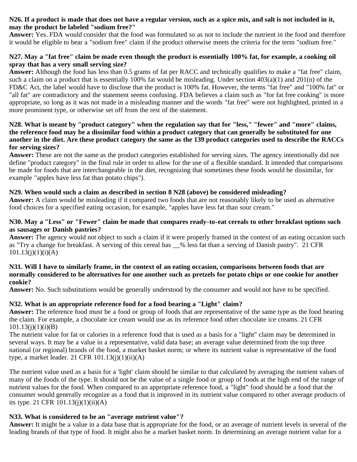#### **N26. If a product is made that does not have a regular version, such as a spice mix, and salt is not included in it, may the product be labeled "sodium free?"**

**Answer:** Yes. FDA would consider that the food was formulated so as not to include the nutrient in the food and therefore it would be eligible to bear a "sodium free" claim if the product otherwise meets the criteria for the term "sodium free."

## **N27. May a "fat free" claim be made even though the product is essentially 100% fat, for example, a cooking oil spray that has a very small serving size?**

**Answer:** Although the food has less than 0.5 grams of fat per RACC and technically qualifies to make a "fat free" claim, such a claim on a product that is essentially 100% fat would be misleading. Under section  $403(a)(1)$  and  $201(n)$  of the FD&C Act, the label would have to disclose that the product is 100% fat. However, the terms "fat free" and "100% fat" or "all fat" are contradictory and the statement seems confusing. FDA believes a claim such as "for fat free cooking" is more appropriate, so long as it was not made in a misleading manner and the words "fat free" were not highlighted, printed in a more prominent type, or otherwise set off from the rest of the statement.

#### **N28. What is meant by "product category" when the regulation say that for "less," "fewer" and "more" claims, the reference food may be a dissimilar food within a product category that can generally be substituted for one another in the diet. Are these product category the same as the 139 product categories used to describe the RACCs for serving sizes?**

**Answer:** These are not the same as the product categories established for serving sizes. The agency intentionally did not define "product category" in the final rule in order to allow for the use of a flexible standard. It intended that comparisons be made for foods that are interchangeable in the diet, recognizing that sometimes these foods would be dissimilar, for example "apples have less fat than potato chips").

# **N29. When would such a claim as described in section 8 N28 (above) be considered misleading?**

**Answer:** A claim would be misleading if it compared two foods that are not reasonably likely to be used as alternative food choices for a specified eating occasion, for example, "apples have less fat than sour cream."

## **N30. May a "Less" or "Fewer" claim be made that compares ready-to-eat cereals to other breakfast options such as sausages or Danish pastries?**

**Answer:** The agency would not object to such a claim if it were properly framed in the context of an eating occasion such as "Try a change for breakfast. A serving of this cereal has \_\_% less fat than a serving of Danish pastry". 21 CFR  $101.13(j)(1)(i)(A)$ 

#### **N31. Will I have to similarly frame, in the context of an eating occasion, comparisons between foods that are normally considered to be alternatives for one another such as pretzels for potato chips or one cookie for another cookie?**

**Answer:** No. Such substitutions would be generally understood by the consumer and would not have to be specified.

# **N32. What is an appropriate reference food for a food bearing a "Light" claim?**

**Answer:** The reference food must be a food or group of foods that are representative of the same type as the food bearing the claim. For example, a chocolate ice cream would use as its reference food other chocolate ice creams. 21 CFR  $101.13(i)(1)(i)(B)$ 

The nutrient value for fat or calories in a reference food that is used as a basis for a "light" claim may be determined in several ways. It may be a value in a representative, valid data base; an average value determined from the top three national (or regional) brands of the food, a market basket norm; or where its nutrient value is representative of the food type, a market leader. 21 CFR  $101.13(i)(1)(ii)(A)$ 

The nutrient value used as a basis for a 'light' claim should be similar to that calculated by averaging the nutrient values of many of the foods of the type. It should not be the value of a single food or group of foods at the high end of the range of nutrient values for the food. When compared to an appropriate reference food, a "light" food should be a food that the consumer would generally recognize as a food that is improved in its nutrient value compared to other average products of its type. 21 CFR  $101.13(j)(1)(ii)(A)$ 

# **N33. What is considered to be an "average nutrient value"?**

**Answer:** It might be a value in a data base that is appropriate for the food, or an average of nutrient levels in several of the leading brands of that type of food. It might also be a market basket norm. In determining an average nutrient value for a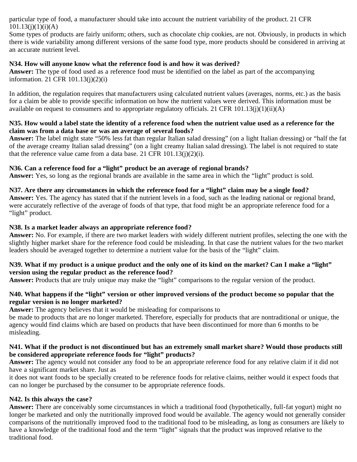particular type of food, a manufacturer should take into account the nutrient variability of the product. 21 CFR  $101.13(i)(1)(i)(A)$ 

Some types of products are fairly uniform; others, such as chocolate chip cookies, are not. Obviously, in products in which there is wide variability among different versions of the same food type, more products should be considered in arriving at an accurate nutrient level.

#### **N34. How will anyone know what the reference food is and how it was derived?**

**Answer:** The type of food used as a reference food must be identified on the label as part of the accompanying information. 21 CFR 101.13(j)(2)(i)

In addition, the regulation requires that manufacturers using calculated nutrient values (averages, norms, etc.) as the basis for a claim be able to provide specific information on how the nutrient values were derived. This information must be available on request to consumers and to appropriate regulatory officials. 21 CFR 101.13(j)(1)(ii)(A)

#### **N35. How would a label state the identity of a reference food when the nutrient value used as a reference for the claim was from a data base or was an average of several foods?**

**Answer:** The label might state "50% less fat than regular Italian salad dressing" (on a light Italian dressing) or "half the fat of the average creamy Italian salad dressing" (on a light creamy Italian salad dressing). The label is not required to state that the reference value came from a data base. 21 CFR  $101.13(i)(2)(i)$ .

#### **N36. Can a reference food for a "light" product be an average of regional brands?**

**Answer:** Yes, so long as the regional brands are available in the same area in which the "light" product is sold.

## **N37. Are there any circumstances in which the reference food for a "light" claim may be a single food?**

**Answer:** Yes. The agency has stated that if the nutrient levels in a food, such as the leading national or regional brand, were accurately reflective of the average of foods of that type, that food might be an appropriate reference food for a "light" product.

#### **N38. Is a market leader always an appropriate reference food?**

**Answer:** No. For example, if there are two market leaders with widely different nutrient profiles, selecting the one with the slightly higher market share for the reference food could be misleading. In that case the nutrient values for the two market leaders should be averaged together to determine a nutrient value for the basis of the "light" claim.

## **N39. What if my product is a unique product and the only one of its kind on the market? Can I make a "light" version using the regular product as the reference food?**

**Answer:** Products that are truly unique may make the "light" comparisons to the regular version of the product.

#### **N40. What happens if the "light" version or other improved versions of the product become so popular that the regular version is no longer marketed?**

**Answer:** The agency believes that it would be misleading for comparisons to

be made to products that are no longer marketed. Therefore, especially for products that are nontraditional or unique, the agency would find claims which are based on products that have been discontinued for more than 6 months to be misleading.

#### **N41. What if the product is not discontinued but has an extremely small market share? Would those products still be considered appropriate reference foods for "light" products?**

**Answer:** The agency would not consider any food to be an appropriate reference food for any relative claim if it did not have a significant market share. Just as

it does not want foods to be specially created to be reference foods for relative claims, neither would it expect foods that can no longer be purchased by the consumer to be appropriate reference foods.

# **N42. Is this always the case?**

**Answer:** There are conceivably some circumstances in which a traditional food (hypothetically, full-fat yogurt) might no longer be marketed and only the nutritionally improved food would be available. The agency would not generally consider comparisons of the nutritionally improved food to the traditional food to be misleading, as long as consumers are likely to have a knowledge of the traditional food and the term "light" signals that the product was improved relative to the traditional food.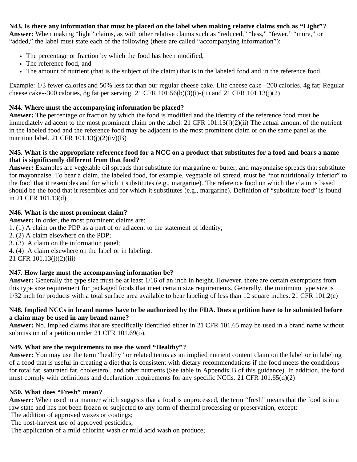**N43. Is there any information that must be placed on the label when making relative claims such as "Light"? Answer:** When making "light" claims, as with other relative claims such as "reduced," "less," "fewer," "more," or "added," the label must state each of the following (these are called "accompanying information"):

- The percentage or fraction by which the food has been modified,
- The reference food, and
- The amount of nutrient (that is the subject of the claim) that is in the labeled food and in the reference food.

Example: 1/3 fewer calories and 50% less fat than our regular cheese cake. Lite cheese cake--200 calories, 4g fat; Regular cheese cake--300 calories, 8g fat per serving. 21 CFR 101.56(b)(3)(i)-(ii) and 21 CFR 101.13(j)(2)

### **N44. Where must the accompanying information be placed?**

**Answer:** The percentage or fraction by which the food is modified and the identity of the reference food must be immediately adjacent to the most prominent claim on the label. 21 CFR 101.13(j)(2)(ii) The actual amount of the nutrient in the labeled food and the reference food may be adjacent to the most prominent claim or on the same panel as the nutrition label. 21 CFR  $101.13(j)(2)(iv)(B)$ 

#### **N45. What is the appropriate reference food for a NCC on a product that substitutes for a food and bears a name that is significantly different from that food?**

**Answer:** Examples are vegetable oil spreads that substitute for margarine or butter, and mayonnaise spreads that substitute for mayonnaise. To bear a claim, the labeled food, for example, vegetable oil spread, must be "not nutritionally inferior" to the food that it resembles and for which it substitutes (e.g., margarine). The reference food on which the claim is based should be the food that it resembles and for which it substitutes (e.g., margarine). Definition of "substitute food" is found in 21 CFR 101.13(d)

#### **N46. What is the most prominent claim?**

**Answer:** In order, the most prominent claims are:

1. (1) A claim on the PDP as a part of or adjacent to the statement of identity;

- 2. (2) A claim elsewhere on the PDP;
- 3. (3) A claim on the information panel;
- 4. (4) A claim elsewhere on the label or in labeling.

21 CFR 101.13(j)(2)(iii)

#### **N47. How large must the accompanying information be?**

**Answer:** Generally the type size must be at least 1/16 of an inch in height. However, there are certain exemptions from this type size requirement for packaged foods that meet certain size requirements. Generally, the minimum type size is  $1/32$  inch for products with a total surface area available to bear labeling of less than 12 square inches. 21 CFR 101.2(c)

#### **N48. Implied NCCs in brand names have to be authorized by the FDA. Does a petition have to be submitted before a claim may be used in any brand name?**

**Answer:** No. Implied claims that are specifically identified either in 21 CFR 101.65 may be used in a brand name without submission of a petition under 21 CFR 101.69(o).

#### **N49. What are the requirements to use the word "Healthy"?**

**Answer:** You may use the term "healthy" or related terms as an implied nutrient content claim on the label or in labeling of a food that is useful in creating a diet that is consistent with dietary recommendations if the food meets the conditions for total fat, saturated fat, cholesterol, and other nutrients (See table in Appendix B of this guidance). In addition, the food must comply with definitions and declaration requirements for any specific NCCs. 21 CFR 101.65(d)(2)

## **N50. What does "Fresh" mean?**

**Answer:** When used in a manner which suggests that a food is unprocessed, the term "fresh" means that the food is in a raw state and has not been frozen or subjected to any form of thermal processing or preservation, except:

The addition of approved waxes or coatings;

The post-harvest use of approved pesticides;

The application of a mild chlorine wash or mild acid wash on produce;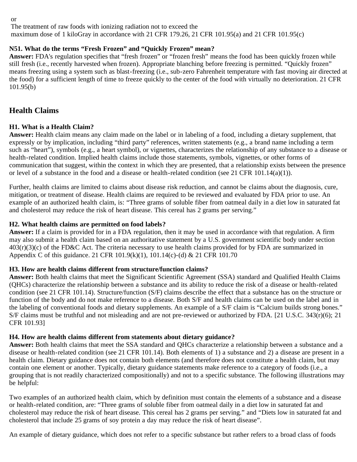The treatment of raw foods with ionizing radiation not to exceed the maximum dose of 1 kiloGray in accordance with 21 CFR 179.26, 21 CFR 101.95(a) and 21 CFR 101.95(c)

# **N51. What do the terms "Fresh Frozen" and "Quickly Frozen" mean?**

**Answer:** FDA's regulation specifies that "fresh frozen" or "frozen fresh" means the food has been quickly frozen while still fresh (i.e., recently harvested when frozen). Appropriate blanching before freezing is permitted. "Quickly frozen" means freezing using a system such as blast-freezing (i.e., sub-zero Fahrenheit temperature with fast moving air directed at the food) for a sufficient length of time to freeze quickly to the center of the food with virtually no deterioration. 21 CFR 101.95(b)

# **Health Claims**

# **H1. What is a Health Claim?**

**Answer:** Health claim means any claim made on the label or in labeling of a food, including a dietary supplement, that expressly or by implication, including "third party" references, written statements (e.g., a brand name including a term such as "heart"), symbols (e.g., a heart symbol), or vignettes, characterizes the relationship of any substance to a disease or health-related condition. Implied health claims include those statements, symbols, vignettes, or other forms of communication that suggest, within the context in which they are presented, that a relationship exists between the presence or level of a substance in the food and a disease or health-related condition (see 21 CFR 101.14(a)(1)).

Further, health claims are limited to claims about disease risk reduction, and cannot be claims about the diagnosis, cure, mitigation, or treatment of disease. Health claims are required to be reviewed and evaluated by FDA prior to use. An example of an authorized health claim, is: "Three grams of soluble fiber from oatmeal daily in a diet low in saturated fat and cholesterol may reduce the risk of heart disease. This cereal has 2 grams per serving."

# **H2. What health claims are permitted on food labels?**

**Answer:** If a claim is provided for in a FDA regulation, then it may be used in accordance with that regulation. A firm may also submit a health claim based on an authoritative statement by a U.S. government scientific body under section  $403(r)(3)(c)$  of the FD&C Act. The criteria necessary to use health claims provided for by FDA are summarized in Appendix C of this guidance. 21 CFR 101.9(k)(1), 101.14(c)-(d) & 21 CFR 101.70

# **H3. How are health claims different from structure/function claims?**

**Answer:** Both health claims that meet the Significant Scientific Agreement (SSA) standard and Qualified Health Claims (QHCs) characterize the relationship between a substance and its ability to reduce the risk of a disease or health-related condition (see 21 CFR 101.14). Structure/function (S/F) claims describe the effect that a substance has on the structure or function of the body and do not make reference to a disease. Both S/F and health claims can be used on the label and in the labeling of conventional foods and dietary supplements. An example of a S/F claim is "Calcium builds strong bones." S/F claims must be truthful and not misleading and are not pre-reviewed or authorized by FDA. [21 U.S.C. 343(r)(6); 21 CFR 101.93]

# **H4. How are health claims different from statements about dietary guidance?**

**Answer:** Both health claims that meet the SSA standard and QHCs characterize a relationship between a substance and a disease or health-related condition (see 21 CFR 101.14). Both elements of 1) a substance and 2) a disease are present in a health claim. Dietary guidance does not contain both elements (and therefore does not constitute a health claim, but may contain one element or another. Typically, dietary guidance statements make reference to a category of foods (i.e., a grouping that is not readily characterized compositionally) and not to a specific substance. The following illustrations may be helpful:

Two examples of an authorized health claim, which by definition must contain the elements of a substance and a disease or health-related condition, are: "Three grams of soluble fiber from oatmeal daily in a diet low in saturated fat and cholesterol may reduce the risk of heart disease. This cereal has 2 grams per serving." and "Diets low in saturated fat and cholesterol that include 25 grams of soy protein a day may reduce the risk of heart disease".

An example of dietary guidance, which does not refer to a specific substance but rather refers to a broad class of foods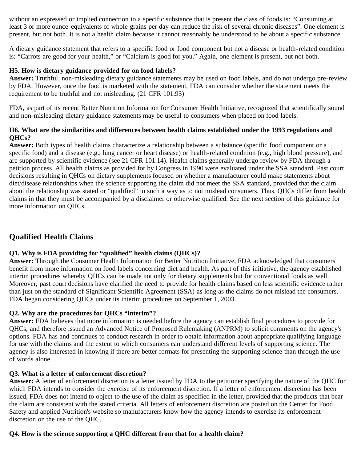without an expressed or implied connection to a specific substance that is present the class of foods is: "Consuming at least 3 or more ounce-equivalents of whole grains per day can reduce the risk of several chronic diseases". One element is present, but not both. It is not a health claim because it cannot reasonably be understood to be about a specific substance.

A dietary guidance statement that refers to a specific food or food component but not a disease or health-related condition is: "Carrots are good for your health," or "Calcium is good for you." Again, one element is present, but not both.

## **H5. How is dietary guidance provided for on food labels?**

**Answer:** Truthful, non-misleading dietary guidance statements may be used on food labels, and do not undergo pre-review by FDA. However, once the food is marketed with the statement, FDA can consider whether the statement meets the requirement to be truthful and not misleading. (21 CFR 101.93)

FDA, as part of its recent Better Nutrition Information for Consumer Health Initiative, recognized that scientifically sound and non-misleading dietary guidance statements may be useful to consumers when placed on food labels.

#### **H6. What are the similarities and differences between health claims established under the 1993 regulations and QHCs?**

**Answer:** Both types of health claims characterize a relationship between a substance (specific food component or a specific food) and a disease (e.g., lung cancer or heart disease) or health-related condition (e.g., high blood pressure), and are supported by scientific evidence (see 21 CFR 101.14). Health claims generally undergo review by FDA through a petition process. All health claims as provided for by Congress in 1990 were evaluated under the SSA standard. Past court decisions resulting in QHCs on dietary supplements focused on whether a manufacturer could make statements about diet/disease relationships when the science supporting the claim did not meet the SSA standard, provided that the claim about the relationship was stated or "qualified" in such a way as to not mislead consumers. Thus, QHCs differ from health claims in that they must be accompanied by a disclaimer or otherwise qualified. See the next section of this guidance for more information on QHCs.

# **Qualified Health Claims**

# **Q1. Why is FDA providing for "qualified" health claims (QHCs)?**

**Answer:** Through the Consumer Health Information for Better Nutrition Initiative, FDA acknowledged that consumers benefit from more information on food labels concerning diet and health. As part of this initiative, the agency established interim procedures whereby QHCs can be made not only for dietary supplements but for conventional foods as well. Moreover, past court decisions have clarified the need to provide for health claims based on less scientific evidence rather than just on the standard of Significant Scientific Agreement (SSA) as long as the claims do not mislead the consumers. FDA began considering QHCs under its interim procedures on September 1, 2003.

# **Q2. Why are the procedures for QHCs "interim"?**

**Answer:** FDA believes that more information is needed before the agency can establish final procedures to provide for QHCs, and therefore issued an Advanced Notice of Proposed Rulemaking (ANPRM) to solicit comments on the agency's options. FDA has and continues to conduct research in order to obtain information about appropriate qualifying language for use with the claims and the extent to which consumers can understand different levels of supporting science. The agency is also interested in knowing if there are better formats for presenting the supporting science than through the use of words alone.

#### **Q3. What is a letter of enforcement discretion?**

**Answer:** A letter of enforcement discretion is a letter issued by FDA to the petitioner specifying the nature of the QHC for which FDA intends to consider the exercise of its enforcement discretion. If a letter of enforcement discretion has been issued, FDA does not intend to object to the use of the claim as specified in the letter, provided that the products that bear the claim are consistent with the stated criteria. All letters of enforcement discretion are posted on the Center for Food Safety and applied Nutrition's website so manufacturers know how the agency intends to exercise its enforcement discretion on the use of the QHC.

# **Q4. How is the science supporting a QHC different from that for a health claim?**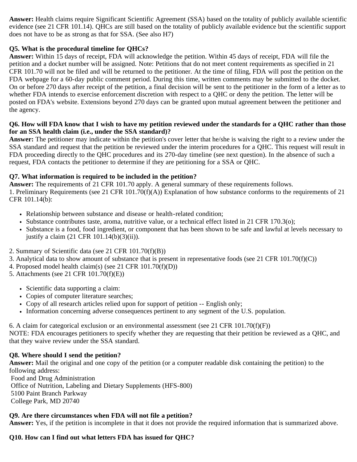**Answer:** Health claims require Significant Scientific Agreement (SSA) based on the totality of publicly available scientific evidence (see 21 CFR 101.14). QHCs are still based on the totality of publicly available evidence but the scientific support does not have to be as strong as that for SSA. (See also H7)

# **Q5. What is the procedural timeline for QHCs?**

**Answer:** Within 15 days of receipt, FDA will acknowledge the petition. Within 45 days of receipt, FDA will file the petition and a docket number will be assigned. Note: Petitions that do not meet content requirements as specified in 21 CFR 101.70 will not be filed and will be returned to the petitioner. At the time of filing, FDA will post the petition on the FDA webpage for a 60-day public comment period. During this time, written comments may be submitted to the docket. On or before 270 days after receipt of the petition, a final decision will be sent to the petitioner in the form of a letter as to whether FDA intends to exercise enforcement discretion with respect to a QHC or deny the petition. The letter will be posted on FDA's website. Extensions beyond 270 days can be granted upon mutual agreement between the petitioner and the agency.

### **Q6. How will FDA know that I wish to have my petition reviewed under the standards for a QHC rather than those for an SSA health claim (i.e., under the SSA standard)?**

**Answer:** The petitioner may indicate within the petition's cover letter that he/she is waiving the right to a review under the SSA standard and request that the petition be reviewed under the interim procedures for a QHC. This request will result in FDA proceeding directly to the QHC procedures and its 270-day timeline (see next question). In the absence of such a request, FDA contacts the petitioner to determine if they are petitioning for a SSA or QHC.

## **Q7. What information is required to be included in the petition?**

**Answer:** The requirements of 21 CFR 101.70 apply. A general summary of these requirements follows. 1. Preliminary Requirements (see 21 CFR 101.70(f)(A)) Explanation of how substance conforms to the requirements of 21 CFR 101.14(b):

- Relationship between substance and disease or health-related condition;
- Substance contributes taste, aroma, nutritive value, or a technical effect listed in 21 CFR 170.3(o);
- Substance is a food, food ingredient, or component that has been shown to be safe and lawful at levels necessary to justify a claim (21 CFR 101.14(b)(3)(ii)).
- 2. Summary of Scientific data (see 21 CFR 101.70(f)(B))
- 3. Analytical data to show amount of substance that is present in representative foods (see 21 CFR 101.70(f)(C))
- 4. Proposed model health claim(s) (see 21 CFR 101.70(f)(D))
- 5. Attachments (see 21 CFR 101.70(f)(E))
	- Scientific data supporting a claim:
	- Copies of computer literature searches;
	- Copy of all research articles relied upon for support of petition -- English only;
	- Information concerning adverse consequences pertinent to any segment of the U.S. population.

6. A claim for categorical exclusion or an environmental assessment (see 21 CFR  $101.70(f)(F)$ ) NOTE: FDA encourages petitioners to specify whether they are requesting that their petition be reviewed as a QHC, and that they waive review under the SSA standard.

#### **Q8. Where should I send the petition?**

**Answer:** Mail the original and one copy of the petition (or a computer readable disk containing the petition) to the following address:

Food and Drug Administration Office of Nutrition, Labeling and Dietary Supplements (HFS-800) 5100 Paint Branch Parkway College Park, MD 20740

# **Q9. Are there circumstances when FDA will not file a petition?**

**Answer:** Yes, if the petition is incomplete in that it does not provide the required information that is summarized above.

#### **Q10. How can I find out what letters FDA has issued for QHC?**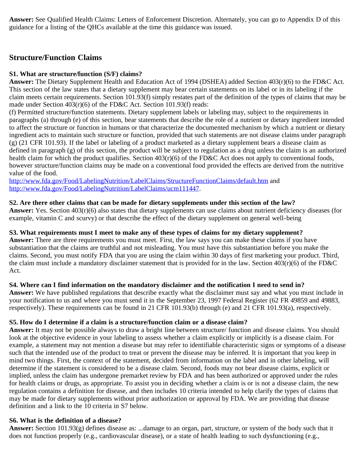**Answer:** See Qualified Health Claims: Letters of Enforcement Discretion. Alternately, you can go to Appendix D of this guidance for a listing of the QHCs available at the time this guidance was issued.

# **Structure/Function Claims**

### **S1. What are structure/function (S/F) claims?**

**Answer:** The Dietary Supplement Health and Education Act of 1994 (DSHEA) added Section 403(r)(6) to the FD&C Act. This section of the law states that a dietary supplement may bear certain statements on its label or in its labeling if the claim meets certain requirements. Section 101.93(f) simply restates part of the definition of the types of claims that may be made under Section 403(r)(6) of the FD&C Act. Section 101.93(f) reads:

(f) Permitted structure/function statements. Dietary supplement labels or labeling may, subject to the requirements in paragraphs (a) through (e) of this section, bear statements that describe the role of a nutrient or dietary ingredient intended to affect the structure or function in humans or that characterize the documented mechanism by which a nutrient or dietary ingredient acts to maintain such structure or function, provided that such statements are not disease claims under paragraph (g) (21 CFR 101.93). If the label or labeling of a product marketed as a dietary supplement bears a disease claim as defined in paragraph (g) of this section, the product will be subject to regulation as a drug unless the claim is an authorized health claim for which the product qualifies. Section  $403(r)(6)$  of the FD&C Act does not apply to conventional foods, however structure/function claims may be made on a conventional food provided the effects are derived from the nutritive value of the food.

<http://www.fda.gov/Food/LabelingNutrition/LabelClaims/StructureFunctionClaims/default.htm> and [http://www.fda.gov/Food/LabelingNutrition/LabelClaims/ucm111447.](http://www.fda.gov/Food/LabelingNutrition/LabelClaims/ucm111447)

## **S2. Are there other claims that can be made for dietary supplements under this section of the law?**

**Answer:** Yes. Section 403(r)(6) also states that dietary supplements can use claims about nutrient deficiency diseases (for example, vitamin C and scurvy) or that describe the effect of the dietary supplement on general well-being

#### **S3. What requirements must I meet to make any of these types of claims for my dietary supplement?**

**Answer:** There are three requirements you must meet. First, the law says you can make these claims if you have substantiation that the claims are truthful and not misleading. You must have this substantiation before you make the claims. Second, you must notify FDA that you are using the claim within 30 days of first marketing your product. Third, the claim must include a mandatory disclaimer statement that is provided for in the law. Section 403(r)(6) of the FD&C Act.

# **S4. Where can I find information on the mandatory disclaimer and the notification I need to send in?**

**Answer:** We have published regulations that describe exactly what the disclaimer must say and what you must include in your notification to us and where you must send it in the September 23, 1997 Federal Register (62 FR 49859 and 49883, respectively). These requirements can be found in 21 CFR 101.93(b) through (e) and 21 CFR 101.93(a), respectively.

#### **S5. How do I determine if a claim is a structure/function claim or a disease claim?**

**Answer:** It may not be possible always to draw a bright line between structure/ function and disease claims. You should look at the objective evidence in your labeling to assess whether a claim explicitly or implicitly is a disease claim. For example, a statement may not mention a disease but may refer to identifiable characteristic signs or symptoms of a disease such that the intended use of the product to treat or prevent the disease may be inferred. It is important that you keep in mind two things. First, the context of the statement, decided from information on the label and in other labeling, will determine if the statement is considered to be a disease claim. Second, foods may not bear disease claims, explicit or implied, unless the claim has undergone premarket review by FDA and has been authorized or approved under the rules for health claims or drugs, as appropriate. To assist you in deciding whether a claim is or is not a disease claim, the new regulation contains a definition for disease, and then includes 10 criteria intended to help clarify the types of claims that may be made for dietary supplements without prior authorization or approval by FDA. We are providing that disease definition and a link to the 10 criteria in S7 below.

#### **S6. What is the definition of a disease?**

**Answer:** Section 101.93(g) defines disease as: ...damage to an organ, part, structure, or system of the body such that it does not function properly (e.g., cardiovascular disease), or a state of health leading to such dysfunctioning (e.g.,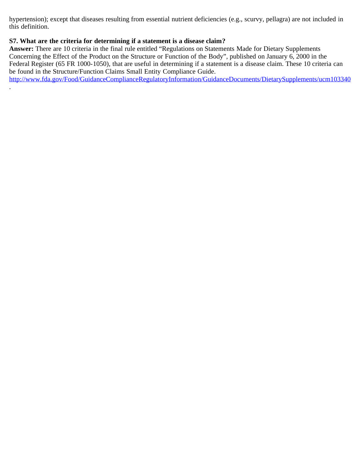hypertension); except that diseases resulting from essential nutrient deficiencies (e.g., scurvy, pellagra) are not included in this definition.

## **S7. What are the criteria for determining if a statement is a disease claim?**

.

**Answer:** There are 10 criteria in the final rule entitled "Regulations on Statements Made for Dietary Supplements Concerning the Effect of the Product on the Structure or Function of the Body", published on January 6, 2000 in the Federal Register (65 FR 1000-1050), that are useful in determining if a statement is a disease claim. These 10 criteria can be found in the Structure/Function Claims Small Entity Compliance Guide.

<http://www.fda.gov/Food/GuidanceComplianceRegulatoryInformation/GuidanceDocuments/DietarySupplements/ucm103340>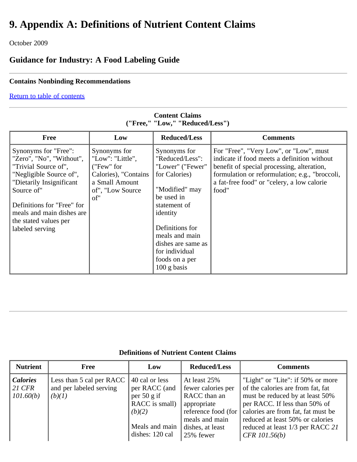# **9. Appendix A: Definitions of Nutrient Content Claims**

October 2009

# **Guidance for Industry: A Food Labeling Guide**

# **Contains Nonbinding Recommendations**

## [Return to table of contents](#page-0-0)

| <b>Free</b>                                      | Low                              | <b>Reduced/Less</b>             | <b>Comments</b>                                                                       |
|--------------------------------------------------|----------------------------------|---------------------------------|---------------------------------------------------------------------------------------|
| Synonyms for "Free":<br>"Zero", "No", "Without", | Synonyms for<br>"Low": "Little", | Synonyms for<br>"Reduced/Less": | For "Free", "Very Low", or "Low", must<br>indicate if food meets a definition without |
| "Trivial Source of",                             | ("Few" for                       | "Lower" ("Fewer"                | benefit of special processing, alteration,                                            |
| "Negligible Source of",                          | Calories), "Contains             | for Calories)                   | formulation or reformulation; e.g., "broccoli,                                        |
| "Dietarily Insignificant                         | a Small Amount                   |                                 | a fat-free food" or "celery, a low calorie"                                           |
| Source of"                                       | of", "Low Source"                | "Modified" may                  | food"                                                                                 |
|                                                  | of"                              | be used in                      |                                                                                       |
| Definitions for "Free" for                       |                                  | statement of                    |                                                                                       |
| meals and main dishes are                        |                                  | identity                        |                                                                                       |
| the stated values per                            |                                  |                                 |                                                                                       |
| labeled serving                                  |                                  | Definitions for                 |                                                                                       |
|                                                  |                                  | meals and main                  |                                                                                       |
|                                                  |                                  | dishes are same as              |                                                                                       |
|                                                  |                                  | for individual                  |                                                                                       |
|                                                  |                                  | foods on a per                  |                                                                                       |
|                                                  |                                  | $100$ g basis                   |                                                                                       |

# **Content Claims ("Free," "Low," "Reduced/Less")**

| <b>Nutrient</b>                          | <b>Free</b>                                                   | Low                                                                                                                       | <b>Reduced/Less</b>                                                                                                                                 | <b>Comments</b>                                                                                                                                                                                                                                                             |
|------------------------------------------|---------------------------------------------------------------|---------------------------------------------------------------------------------------------------------------------------|-----------------------------------------------------------------------------------------------------------------------------------------------------|-----------------------------------------------------------------------------------------------------------------------------------------------------------------------------------------------------------------------------------------------------------------------------|
| <b>Calories</b><br>$21$ CFR<br>101.60(b) | Less than 5 cal per RACC<br>and per labeled serving<br>(b)(1) | 40 cal or less<br>per RACC (and<br>per $50 \text{ g if}$<br>RACC is small)<br>(b)(2)<br>Meals and main<br>dishes: 120 cal | At least 25%<br>fewer calories per<br>RACC than an<br>appropriate<br>reference food (for $\vert$<br>meals and main<br>dishes, at least<br>25% fewer | "Light" or "Lite": if 50% or more<br>of the calories are from fat, fat<br>must be reduced by at least 50%<br>per RACC. If less than 50% of<br>calories are from fat, fat must be<br>reduced at least 50% or calories<br>reduced at least 1/3 per RACC 21<br>$CFR$ 101.56(b) |

# **Definitions of Nutrient Content Claims**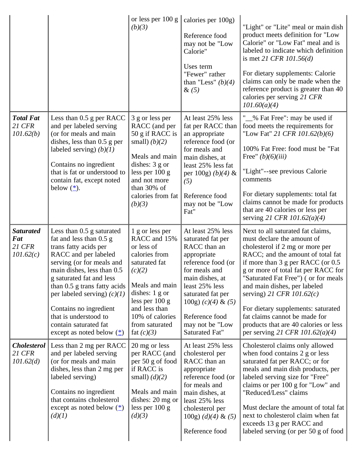|                                                       |                                                                                                                                                                                                                                                                                                                                                                                           | or less per $100 g$<br>(b)(3)                                                                                                                                                                                                     | calories per 100g)<br>Reference food<br>may not be "Low<br>Calorie"<br>Uses term<br>"Fewer" rather<br>than "Less" $(b)(4)$<br>$\&(5)$                                                                                                                   | "Light" or "Lite" meal or main dish<br>product meets definition for "Low<br>Calorie" or "Low Fat" meal and is<br>labeled to indicate which definition<br>is met 21 CFR $101.56(d)$<br>For dietary supplements: Calorie<br>claims can only be made when the<br>reference product is greater than 40<br>calories per serving 21 CFR<br>101.60(a)(4)                                                                                                                                  |
|-------------------------------------------------------|-------------------------------------------------------------------------------------------------------------------------------------------------------------------------------------------------------------------------------------------------------------------------------------------------------------------------------------------------------------------------------------------|-----------------------------------------------------------------------------------------------------------------------------------------------------------------------------------------------------------------------------------|---------------------------------------------------------------------------------------------------------------------------------------------------------------------------------------------------------------------------------------------------------|------------------------------------------------------------------------------------------------------------------------------------------------------------------------------------------------------------------------------------------------------------------------------------------------------------------------------------------------------------------------------------------------------------------------------------------------------------------------------------|
| <b>Total Fat</b><br><b>21 CFR</b><br>101.62(b)        | Less than 0.5 g per RACC<br>and per labeled serving<br>(or for meals and main<br>dishes, less than $0.5$ g per<br>labeled serving) $(b)(1)$<br>Contains no ingredient<br>that is fat or understood to<br>contain fat, except noted<br>below $(\frac{*}{s})$ .                                                                                                                             | 3 g or less per<br>RACC (and per<br>50 g if RACC is<br>small) $(b)(2)$<br>Meals and main<br>dishes: $3 \text{ g}$ or<br>less per $100 g$<br>and not more<br>than 30% of<br>calories from fat<br>(b)(3)                            | At least 25% less<br>fat per RACC than<br>an appropriate<br>reference food (or<br>for meals and<br>main dishes, at<br>least 25% less fat<br>per 100g) $(b)(4)$ &<br>(5)<br>Reference food<br>may not be "Low<br>Fat"                                    | "\[[[[[[[[\] % Fat Free": may be used if<br>food meets the requirements for<br>"Low Fat" 21 CFR 101.62(b)(6)<br>100% Fat Free: food must be "Fat<br>Free" $(b)(6)(iii)$<br>"Light"--see previous Calorie<br>comments<br>For dietary supplements: total fat<br>claims cannot be made for products<br>that are 40 calories or less per<br>serving 21 CFR 101.62(a)(4)                                                                                                                |
| <b>Saturated</b><br>Fat<br><b>21 CFR</b><br>101.62(c) | Less than $0.5$ g saturated<br>fat and less than 0.5 g<br>trans fatty acids per<br>RACC and per labeled<br>serving (or for meals and<br>main dishes, less than 0.5<br>g saturated fat and less<br>than 0.5 g trans fatty acids<br>per labeled serving) $(c)(1)$<br>Contains no ingredient<br>that is understood to<br>contain saturated fat<br>except as noted below $(\underline{\ast})$ | 1 g or less per<br>RACC and 15%<br>or less of<br>calories from<br>saturated fat<br>(c)(2)<br>Meals and main<br>dishes: $1 \text{ g}$ or<br>less per $100 g$<br>and less than<br>10% of calories<br>from saturated<br>fat $(c)(3)$ | At least 25% less<br>saturated fat per<br>RACC than an<br>appropriate<br>reference food (or<br>for meals and<br>main dishes, at<br>least 25% less<br>saturated fat per<br>100g) $(c)(4)$ & $(5)$<br>Reference food<br>may not be "Low<br>Saturated Fat" | Next to all saturated fat claims,<br>must declare the amount of<br>cholesterol if 2 mg or more per<br>RACC; and the amount of total fat<br>if more than $3$ g per RACC (or $0.5$ )<br>g or more of total fat per RACC for<br>"Saturated Fat Free") (or for meals<br>and main dishes, per labeled<br>serving) 21 CFR $101.62(c)$<br>For dietary supplements: saturated<br>fat claims cannot be made for<br>products that are 40 calories or less<br>per serving 21 CFR 101.62(a)(4) |
| <b>Cholesterol</b><br><b>21 CFR</b><br>101.62(d)      | Less than 2 mg per RACC<br>and per labeled serving<br>(or for meals and main<br>dishes, less than 2 mg per<br>labeled serving)<br>Contains no ingredient<br>that contains cholesterol<br>except as noted below $(\triangle)$<br>(d)(1)                                                                                                                                                    | 20 mg or less<br>per RACC (and<br>per 50 g of food<br>if RACC is<br>small) $(d)(2)$<br>Meals and main<br>dishes: 20 mg or<br>less per $100 g$<br>(d)(3)                                                                           | At least 25% less<br>cholesterol per<br>RACC than an<br>appropriate<br>reference food (or<br>for meals and<br>main dishes, at<br>least 25% less<br>cholesterol per<br>$100g$ ) $(d)(4)$ & $(5)$                                                         | Cholesterol claims only allowed<br>when food contains 2 g or less<br>saturated fat per RACC; or for<br>meals and main dish products, per<br>labeled serving size for "Free"<br>claims or per 100 g for "Low" and<br>"Reduced/Less" claims<br>Must declare the amount of total fat<br>next to cholesterol claim when fat<br>exceeds 13 g per RACC and                                                                                                                               |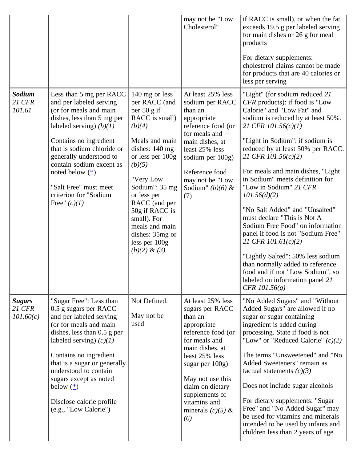|                                             |                                                                                                                                                                                                                                                                                                                                                            |                                                                                                                                                                                                                                                                                                                                 | may not be "Low<br>Cholesterol"                                                                                                                                                                                                                                          | if RACC is small), or when the fat<br>exceeds 19.5 g per labeled serving<br>for main dishes or 26 g for meal<br>products<br>For dietary supplements:<br>cholesterol claims cannot be made<br>for products that are 40 calories or<br>less per serving                                                                                                                                                                                                                                                                                                                                                                                                                                                                   |
|---------------------------------------------|------------------------------------------------------------------------------------------------------------------------------------------------------------------------------------------------------------------------------------------------------------------------------------------------------------------------------------------------------------|---------------------------------------------------------------------------------------------------------------------------------------------------------------------------------------------------------------------------------------------------------------------------------------------------------------------------------|--------------------------------------------------------------------------------------------------------------------------------------------------------------------------------------------------------------------------------------------------------------------------|-------------------------------------------------------------------------------------------------------------------------------------------------------------------------------------------------------------------------------------------------------------------------------------------------------------------------------------------------------------------------------------------------------------------------------------------------------------------------------------------------------------------------------------------------------------------------------------------------------------------------------------------------------------------------------------------------------------------------|
| Sodium<br><b>21 CFR</b><br>101.61           | Less than 5 mg per RACC<br>and per labeled serving<br>(or for meals and main<br>dishes, less than 5 mg per<br>labeled serving) $(b)(1)$<br>Contains no ingredient<br>that is sodium chloride or<br>generally understood to<br>contain sodium except as<br>noted below $(\frac{*}{s})$<br>"Salt Free" must meet<br>criterion for "Sodium<br>Free" $(c)(1)$  | 140 mg or less<br>per RACC (and<br>per 50 g if<br>RACC is small)<br>(b)(4)<br>Meals and main<br>dishes: 140 mg<br>or less per 100g<br>(b)(5)<br>"Very Low<br>Sodium": $35 \text{ mg}$<br>or less per<br>RACC (and per<br>50g if RACC is<br>small). For<br>meals and main<br>dishes: 35mg or<br>less per 100g<br>$(b)(2) \& (3)$ | At least 25% less<br>sodium per RACC<br>than an<br>appropriate<br>reference food (or<br>for meals and<br>main dishes, at<br>least 25% less<br>sodium per 100g)<br>Reference food<br>may not be "Low<br>Sodium" $(b)(6)$ &<br>(7)                                         | "Light" (for sodium reduced 21<br>CFR products): if food is "Low<br>Calorie" and "Low Fat" and<br>sodium is reduced by at least 50%.<br>21 CFR $101.56(c)(1)$<br>"Light in Sodium": if sodium is<br>reduced by at least 50% per RACC.<br>21 CFR $101.56(c)(2)$<br>For meals and main dishes, "Light<br>in Sodium" meets definition for<br>"Low in Sodium" 21 CFR<br>101.56(d)(2)<br>"No Salt Added" and "Unsalted"<br>must declare "This is Not A<br>Sodium Free Food" on information<br>panel if food is not "Sodium Free"<br>21 CFR $101.61(c)(2)$<br>"Lightly Salted": 50% less sodium<br>than normally added to reference<br>food and if not "Low Sodium", so<br>labeled on information panel 21<br>$CFR$ 101.56(g) |
| <b>Sugars</b><br><b>21 CFR</b><br>101.60(c) | "Sugar Free": Less than<br>0.5 g sugars per RACC<br>and per labeled serving<br>(or for meals and main<br>dishes, less than 0.5 g per<br>labeled serving) $(c)(1)$<br>Contains no ingredient<br>that is a sugar or generally<br>understood to contain<br>sugars except as noted<br>below $(\triangle)$<br>Disclose calorie profile<br>(e.g., "Low Calorie") | Not Defined.<br>May not be<br>used                                                                                                                                                                                                                                                                                              | At least 25% less<br>sugars per RACC<br>than an<br>appropriate<br>reference food (or<br>for meals and<br>main dishes, at<br>least 25% less<br>sugar per $100g$ )<br>May not use this<br>claim on dietary<br>supplements of<br>vitamins and<br>minerals $(c)(5)$ &<br>(6) | "No Added Sugars" and "Without<br>Added Sugars" are allowed if no<br>sugar or sugar containing<br>ingredient is added during<br>processing. State if food is not<br>"Low" or "Reduced Calorie" $(c)(2)$<br>The terms "Unsweetened" and "No<br>Added Sweeteners" remain as<br>factual statements $(c)(3)$<br>Does not include sugar alcohols<br>For dietary supplements: "Sugar<br>Free" and "No Added Sugar" may<br>be used for vitamins and minerals<br>intended to be used by infants and<br>children less than 2 years of age.                                                                                                                                                                                       |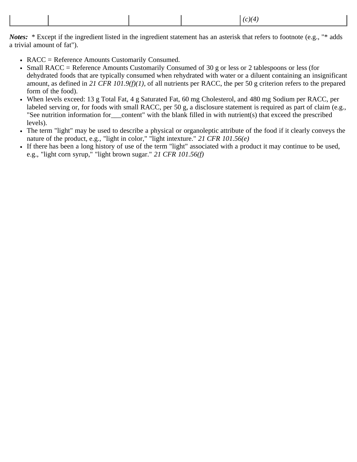|  | (c)(4) |  |
|--|--------|--|
|--|--------|--|

*Notes:* \* Except if the ingredient listed in the ingredient statement has an asterisk that refers to footnote (e.g., "\* adds a trivial amount of fat").

- RACC = Reference Amounts Customarily Consumed.
- Small RACC = Reference Amounts Customarily Consumed of 30 g or less or 2 tablespoons or less (for dehydrated foods that are typically consumed when rehydrated with water or a diluent containing an insignificant amount, as defined in *21 CFR 101.9(f)(1)*, of all nutrients per RACC, the per 50 g criterion refers to the prepared form of the food).
- When levels exceed: 13 g Total Fat, 4 g Saturated Fat, 60 mg Cholesterol, and 480 mg Sodium per RACC, per labeled serving or, for foods with small RACC, per 50 g, a disclosure statement is required as part of claim (e.g., "See nutrition information for\_\_\_content" with the blank filled in with nutrient(s) that exceed the prescribed levels).
- The term "light" may be used to describe a physical or organoleptic attribute of the food if it clearly conveys the nature of the product, e.g., "light in color," "light intexture." *21 CFR 101.56(e)*
- If there has been a long history of use of the term "light" associated with a product it may continue to be used, e.g., "light corn syrup," "light brown sugar." *21 CFR 101.56(f)*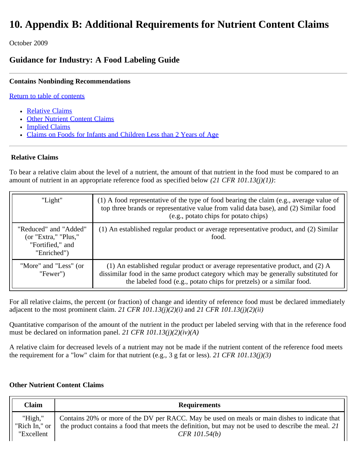# **10. Appendix B: Additional Requirements for Nutrient Content Claims**

October 2009

# **Guidance for Industry: A Food Labeling Guide**

# **Contains Nonbinding Recommendations**

[Return to table of contents](#page-0-0)

- [Relative Claims](#page-86-0)
- [Other Nutrient Content Claims](#page-86-1)
- [Implied Claims](#page-87-0)
- [Claims on Foods for Infants and Children Less than 2 Years of Age](#page-89-0)

# <span id="page-86-0"></span>**Relative Claims**

To bear a relative claim about the level of a nutrient, the amount of that nutrient in the food must be compared to an amount of nutrient in an appropriate reference food as specified below *(21 CFR 101.13(j)(1))*:

| "Light"                                                                          | $(1)$ A food representative of the type of food bearing the claim (e.g., average value of<br>top three brands or representative value from valid data base), and (2) Similar food<br>(e.g., potato chips for potato chips)                      |
|----------------------------------------------------------------------------------|-------------------------------------------------------------------------------------------------------------------------------------------------------------------------------------------------------------------------------------------------|
| "Reduced" and "Added"<br>(or "Extra," "Plus,"<br>"Fortified," and<br>"Enriched") | (1) An established regular product or average representative product, and (2) Similar<br>food.                                                                                                                                                  |
| "More" and "Less" (or<br>"Fewer"                                                 | (1) An established regular product or average representative product, and (2) A<br>dissimilar food in the same product category which may be generally substituted for<br>the labeled food (e.g., potato chips for pretzels) or a similar food. |

For all relative claims, the percent (or fraction) of change and identity of reference food must be declared immediately adjacent to the most prominent claim. *21 CFR 101.13(j)(2)(i)* and *21 CFR 101.13(j)(2)(ii)*

Quantitative comparison of the amount of the nutrient in the product per labeled serving with that in the reference food must be declared on information panel. *21 CFR 101.13(j)(2)(iv)(A)*

A relative claim for decreased levels of a nutrient may not be made if the nutrient content of the reference food meets the requirement for a "low" claim for that nutrient (e.g., 3 g fat or less). *21 CFR 101.13(j)(3)*

# <span id="page-86-1"></span>**Other Nutrient Content Claims**

| <b>Claim</b>  | <b>Requirements</b>                                                                                 |
|---------------|-----------------------------------------------------------------------------------------------------|
| "High,"       | Contains 20% or more of the DV per RACC. May be used on meals or main dishes to indicate that       |
| "Rich In," or | the product contains a food that meets the definition, but may not be used to describe the meal. 21 |
| "Excellent    | $CFR$ 101.54(b)                                                                                     |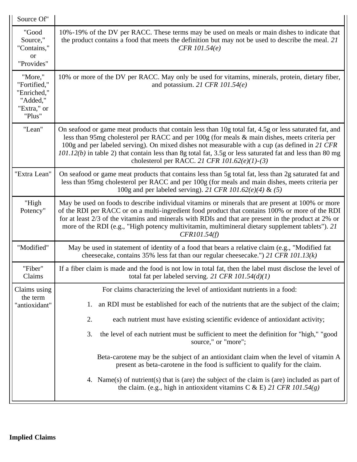<span id="page-87-0"></span>

| Source Of"                                                                  |                                                                                                                                                                                                                                                                                                                                                                                                                                                                             |
|-----------------------------------------------------------------------------|-----------------------------------------------------------------------------------------------------------------------------------------------------------------------------------------------------------------------------------------------------------------------------------------------------------------------------------------------------------------------------------------------------------------------------------------------------------------------------|
| "Good<br>Source,"<br>"Contains,"<br>or<br>"Provides"                        | 10%-19% of the DV per RACC. These terms may be used on meals or main dishes to indicate that<br>the product contains a food that meets the definition but may not be used to describe the meal. 21<br>$CFR$ 101.54(e)                                                                                                                                                                                                                                                       |
| "More,"<br>"Fortified,"<br>"Enriched,"<br>"Added,"<br>"Extra," or<br>"Plus" | 10% or more of the DV per RACC. May only be used for vitamins, minerals, protein, dietary fiber,<br>and potassium. 21 CFR $101.54(e)$                                                                                                                                                                                                                                                                                                                                       |
| "Lean"                                                                      | On seafood or game meat products that contain less than 10g total fat, 4.5g or less saturated fat, and<br>less than 95mg cholesterol per RACC and per 100g (for meals & main dishes, meets criteria per<br>100g and per labeled serving). On mixed dishes not measurable with a cup (as defined in 21 CFR<br>$101.12(b)$ in table 2) that contain less than 8g total fat, 3.5g or less saturated fat and less than 80 mg<br>cholesterol per RACC. 21 CFR $101.62(e)(1)-(3)$ |
| "Extra Lean"                                                                | On seafood or game meat products that contains less than 5g total fat, less than 2g saturated fat and<br>less than 95mg cholesterol per RACC and per 100g (for meals and main dishes, meets criteria per<br>100g and per labeled serving). 21 CFR 101.62(e)(4) & (5)                                                                                                                                                                                                        |
| "High<br>Potency"                                                           | May be used on foods to describe individual vitamins or minerals that are present at 100% or more<br>of the RDI per RACC or on a multi-ingredient food product that contains 100% or more of the RDI<br>for at least 2/3 of the vitamins and minerals with RDIs and that are present in the product at 2% or<br>more of the RDI (e.g., "High potency multivitamin, multimineral dietary supplement tablets"). 21<br>CFR101.54(f)                                            |
| "Modified"                                                                  | May be used in statement of identity of a food that bears a relative claim (e.g., "Modified fat<br>cheesecake, contains 35% less fat than our regular cheesecake.") 21 CFR 101.13(k)                                                                                                                                                                                                                                                                                        |
| "Fiber"<br>Claims                                                           | If a fiber claim is made and the food is not low in total fat, then the label must disclose the level of<br>total fat per labeled serving. 21 CFR $101.54(d)(1)$                                                                                                                                                                                                                                                                                                            |
| Claims using                                                                | For claims characterizing the level of antioxidant nutrients in a food:                                                                                                                                                                                                                                                                                                                                                                                                     |
| the term<br>"antioxidant"                                                   | an RDI must be established for each of the nutrients that are the subject of the claim;<br>1.                                                                                                                                                                                                                                                                                                                                                                               |
|                                                                             | 2.<br>each nutrient must have existing scientific evidence of antioxidant activity;                                                                                                                                                                                                                                                                                                                                                                                         |
|                                                                             | the level of each nutrient must be sufficient to meet the definition for "high," "good<br>3.<br>source," or "more";                                                                                                                                                                                                                                                                                                                                                         |
|                                                                             | Beta-carotene may be the subject of an antioxidant claim when the level of vitamin A<br>present as beta-carotene in the food is sufficient to qualify for the claim.                                                                                                                                                                                                                                                                                                        |
|                                                                             | 4. Name(s) of nutrient(s) that is (are) the subject of the claim is (are) included as part of<br>the claim. (e.g., high in antioxident vitamins C & E) 21 CFR 101.54(g)                                                                                                                                                                                                                                                                                                     |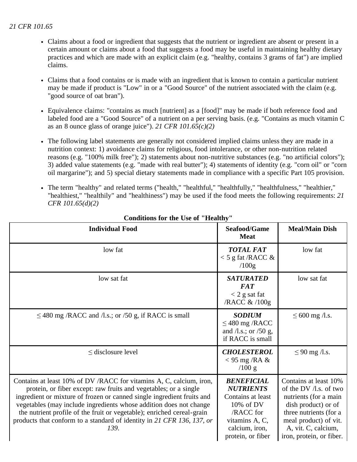- Claims about a food or ingredient that suggests that the nutrient or ingredient are absent or present in a certain amount or claims about a food that suggests a food may be useful in maintaining healthy dietary practices and which are made with an explicit claim (e.g. "healthy, contains 3 grams of fat") are implied claims.
- Claims that a food contains or is made with an ingredient that is known to contain a particular nutrient may be made if product is "Low" in or a "Good Source" of the nutrient associated with the claim (e.g. "good source of oat bran").
- Equivalence claims: "contains as much [nutrient] as a [food]" may be made if both reference food and labeled food are a "Good Source" of a nutrient on a per serving basis. (e.g. "Contains as much vitamin C as an 8 ounce glass of orange juice"). *21 CFR 101.65(c)(2)*
- The following label statements are generally not considered implied claims unless they are made in a nutrition context: 1) avoidance claims for religious, food intolerance, or other non-nutrition related reasons (e.g. "100% milk free"); 2) statements about non-nutritive substances (e.g. "no artificial colors"); 3) added value statements (e.g. "made with real butter"); 4) statements of identity (e.g. "corn oil" or "corn oil margarine"); and 5) special dietary statements made in compliance with a specific Part 105 provision.
- The term "healthy" and related terms ("health," "healthful," "healthfully," "healthfulness," "healthier," "healthiest," "healthily" and "healthiness") may be used if the food meets the following requirements: *21 CFR 101.65(d)(2)*

| <b>Individual Food</b>                                                                                                                                                                                                                                                                                                                                                                                                                             | Seafood/Game<br><b>Meat</b>                                                                                                                   | <b>Meal/Main Dish</b>                                                                                                                                                                                    |
|----------------------------------------------------------------------------------------------------------------------------------------------------------------------------------------------------------------------------------------------------------------------------------------------------------------------------------------------------------------------------------------------------------------------------------------------------|-----------------------------------------------------------------------------------------------------------------------------------------------|----------------------------------------------------------------------------------------------------------------------------------------------------------------------------------------------------------|
| low fat                                                                                                                                                                                                                                                                                                                                                                                                                                            | <b>TOTAL FAT</b><br>$<$ 5 g fat /RACC &<br>/100g                                                                                              | low fat                                                                                                                                                                                                  |
| low sat fat                                                                                                                                                                                                                                                                                                                                                                                                                                        | <b>SATURATED</b><br><b>FAT</b><br>$<$ 2 g sat fat<br>/RACC & /100g                                                                            | low sat fat                                                                                                                                                                                              |
| $\leq$ 480 mg /RACC and /l.s.; or /50 g, if RACC is small                                                                                                                                                                                                                                                                                                                                                                                          | <b>SODIUM</b><br>$\leq$ 480 mg /RACC<br>and $\Lambda$ s.; or $\prime$ 50 g,<br>if RACC is small                                               | $\leq 600$ mg /l.s.                                                                                                                                                                                      |
| $\leq$ disclosure level                                                                                                                                                                                                                                                                                                                                                                                                                            | <b>CHOLESTEROL</b><br>$<$ 95 mg /RA &<br>$/100$ g                                                                                             | $\leq 90$ mg /l.s.                                                                                                                                                                                       |
| Contains at least 10% of DV/RACC for vitamins A, C, calcium, iron,<br>protein, or fiber except: raw fruits and vegetables; or a single<br>ingredient or mixture of frozen or canned single ingredient fruits and<br>vegetables (may include ingredients whose addition does not change<br>the nutrient profile of the fruit or vegetable); enriched cereal-grain<br>products that conform to a standard of identity in 21 CFR 136, 137, or<br>139. | <b>BENEFICIAL</b><br><b>NUTRIENTS</b><br>Contains at least<br>10% of DV<br>/RACC for<br>vitamins A, C,<br>calcium, iron,<br>protein, or fiber | Contains at least 10%<br>of the DV $/1$ .s. of two<br>nutrients (for a main<br>dish product) or of<br>three nutrients (for a<br>meal product) of vit.<br>A, vit. C, calcium,<br>iron, protein, or fiber. |

#### **Conditions for the Use of "Healthy"**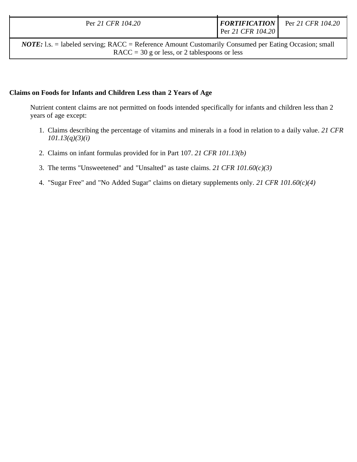| Per 21 CFR 104.20 | Per 21 CFR 104.20 | <i>FORTIFICATION</i> | Per 21 CFR 104.20 |
|-------------------|-------------------|----------------------|-------------------|

*NOTE:* 1.s. = labeled serving; RACC = Reference Amount Customarily Consumed per Eating Occasion; small  $RACC = 30$  g or less, or 2 tablespoons or less

## <span id="page-89-0"></span>**Claims on Foods for Infants and Children Less than 2 Years of Age**

Nutrient content claims are not permitted on foods intended specifically for infants and children less than 2 years of age except:

- 1. Claims describing the percentage of vitamins and minerals in a food in relation to a daily value. *21 CFR 101.13(q)(3)(i)*
- 2. Claims on infant formulas provided for in Part 107. *21 CFR 101.13(b)*
- 3. The terms "Unsweetened" and "Unsalted" as taste claims. *21 CFR 101.60(c)(3)*
- 4. "Sugar Free" and "No Added Sugar" claims on dietary supplements only. *21 CFR 101.60(c)(4)*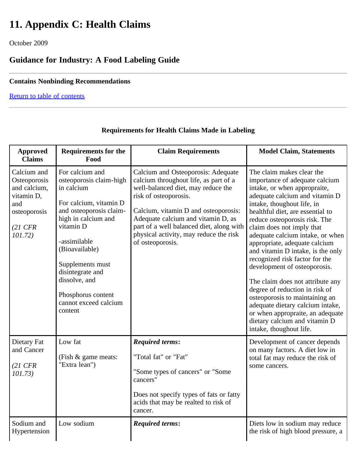# **11. Appendix C: Health Claims**

October 2009

# **Guidance for Industry: A Food Labeling Guide**

# **Contains Nonbinding Recommendations**

[Return to table of contents](#page-0-0)

| <b>Approved</b><br><b>Claims</b>                                                                                  | <b>Requirements for the</b><br>Food                                                                                                                                                                                                                                                                    | <b>Claim Requirements</b>                                                                                                                                                                                                                                                                                                          | <b>Model Claim, Statements</b>                                                                                                                                                                                                                                                                                                                                                                                                                                                                                                                                                                                                                                                        |
|-------------------------------------------------------------------------------------------------------------------|--------------------------------------------------------------------------------------------------------------------------------------------------------------------------------------------------------------------------------------------------------------------------------------------------------|------------------------------------------------------------------------------------------------------------------------------------------------------------------------------------------------------------------------------------------------------------------------------------------------------------------------------------|---------------------------------------------------------------------------------------------------------------------------------------------------------------------------------------------------------------------------------------------------------------------------------------------------------------------------------------------------------------------------------------------------------------------------------------------------------------------------------------------------------------------------------------------------------------------------------------------------------------------------------------------------------------------------------------|
| Calcium and<br>Osteoporosis<br>and calcium,<br>vitamin D,<br>and<br>osteoporosis<br>$(21 \text{ CFR})$<br>101.72) | For calcium and<br>osteoporosis claim-high<br>in calcium<br>For calcium, vitamin D<br>and osteoporosis claim-<br>high in calcium and<br>vitamin D<br>-assimilable<br>(Bioavailable)<br>Supplements must<br>disintegrate and<br>dissolve, and<br>Phosphorus content<br>cannot exceed calcium<br>content | Calcium and Osteoporosis: Adequate<br>calcium throughout life, as part of a<br>well-balanced diet, may reduce the<br>risk of osteoporosis.<br>Calcium, vitamin D and osteoporosis:<br>Adequate calcium and vitamin D, as<br>part of a well balanced diet, along with<br>physical activity, may reduce the risk<br>of osteoporosis. | The claim makes clear the<br>importance of adequate calcium<br>intake, or when appropraite,<br>adequate calcium and vitamin D<br>intake, thoughout life, in<br>healthful diet, are essential to<br>reduce osteoporosis risk. The<br>claim does not imply that<br>adequate calcium intake, or when<br>appropriate, adequate calcium<br>and vitamin D intake, is the only<br>recognized risk factor for the<br>development of osteoporosis.<br>The claim does not attribute any<br>degree of reduction in risk of<br>osteoporosis to maintaining an<br>adequate dietary calcium intake,<br>or when appropraite, an adequate<br>dietary calcium and vitamin D<br>intake, thoughout life. |
| Dietary Fat<br>and Cancer<br>$(21 \text{ CFR})$<br>101.73)                                                        | Low fat<br>(Fish & game meats:<br>"Extra lean")                                                                                                                                                                                                                                                        | <b>Required terms:</b><br>"Total fat" or "Fat"<br>"Some types of cancers" or "Some<br>cancers"<br>Does not specify types of fats or fatty<br>acids that may be realted to risk of<br>cancer.                                                                                                                                       | Development of cancer depends<br>on many factors. A diet low in<br>total fat may reduce the risk of<br>some cancers.                                                                                                                                                                                                                                                                                                                                                                                                                                                                                                                                                                  |
| Sodium and<br>Hypertension                                                                                        | Low sodium                                                                                                                                                                                                                                                                                             | <b>Required terms:</b>                                                                                                                                                                                                                                                                                                             | Diets low in sodium may reduce<br>the risk of high blood pressure, a                                                                                                                                                                                                                                                                                                                                                                                                                                                                                                                                                                                                                  |

# **Requirements for Health Claims Made in Labeling**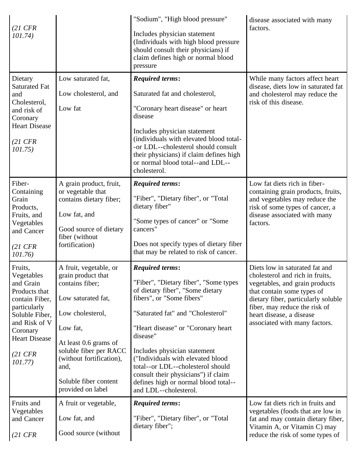| $(21 \text{ CFR})$<br>101.74)                                                                                                                                                                 |                                                                                                                                                                                                                                                            | "Sodium", "High blood pressure"<br>Includes physician statement<br>(Individuals with high blood pressure<br>should consult their physicians) if<br>claim defines high or normal blood<br>pressure                                                                                                                                                                                                                                         | disease associated with many<br>factors.                                                                                                                                                                                                                               |
|-----------------------------------------------------------------------------------------------------------------------------------------------------------------------------------------------|------------------------------------------------------------------------------------------------------------------------------------------------------------------------------------------------------------------------------------------------------------|-------------------------------------------------------------------------------------------------------------------------------------------------------------------------------------------------------------------------------------------------------------------------------------------------------------------------------------------------------------------------------------------------------------------------------------------|------------------------------------------------------------------------------------------------------------------------------------------------------------------------------------------------------------------------------------------------------------------------|
| Dietary<br><b>Saturated Fat</b><br>and<br>Cholesterol,<br>and risk of<br>Coronary<br><b>Heart Disease</b><br>$(21 \text{ CFR})$<br>101.75)                                                    | Low saturated fat,<br>Low cholesterol, and<br>Low fat                                                                                                                                                                                                      | <b>Required terms:</b><br>Saturated fat and cholesterol,<br>"Coronary heart disease" or heart<br>disease<br>Includes physician statement<br>(individuals with elevated blood total-<br>-or LDL--cholesterol should consult<br>their physicians) if claim defines high<br>or normal blood total--and LDL--<br>cholesterol.                                                                                                                 | While many factors affect heart<br>disease, diets low in saturated fat<br>and cholesterol may reduce the<br>risk of this disease.                                                                                                                                      |
| Fiber-<br>Containing<br>Grain<br>Products,<br>Fruits, and<br>Vegetables<br>and Cancer<br>$(21 \text{ CFR})$<br>101.76)                                                                        | A grain product, fruit,<br>or vegetable that<br>contains dietary fiber;<br>Low fat, and<br>Good source of dietary<br>fiber (without<br>fortification)                                                                                                      | <b>Required terms:</b><br>"Fiber", "Dietary fiber", or "Total<br>dietary fiber"<br>"Some types of cancer" or "Some<br>cancers"<br>Does not specify types of dietary fiber<br>that may be related to risk of cancer.                                                                                                                                                                                                                       | Low fat diets rich in fiber-<br>containing grain products, fruits,<br>and vegetables may reduce the<br>risk of some types of cancer, a<br>disease associated with many<br>factors.                                                                                     |
| Fruits,<br>Vegetables<br>and Grain<br>Products that<br>contain Fiber,<br>particularly<br>Soluble Fiber,<br>and Risk of V<br>Coronary<br><b>Heart Disease</b><br>$(21 \text{ CFR})$<br>101.77) | A fruit, vegetable, or<br>grain product that<br>contains fiber;<br>Low saturated fat,<br>Low cholesterol,<br>Low fat,<br>At least 0.6 grams of<br>soluble fiber per RACC<br>(without fortification),<br>and,<br>Soluble fiber content<br>provided on label | <b>Required terms:</b><br>"Fiber", "Dietary fiber", "Some types<br>of dietary fiber", "Some dietary<br>fibers", or "Some fibers"<br>"Saturated fat" and "Cholesterol"<br>"Heart disease" or "Coronary heart<br>disease"<br>Includes physician statement<br>("Individuals with elevated blood<br>total--or LDL--cholesterol should<br>consult their physicians") if claim<br>defines high or normal blood total--<br>and LDL--cholesterol. | Diets low in saturated fat and<br>cholesterol and rich in fruits,<br>vegetables, and grain products<br>that contain some types of<br>dietary fiber, particularly soluble<br>fiber, may reduce the risk of<br>heart disease, a disease<br>associated with many factors. |
| Fruits and<br>Vegetables<br>and Cancer<br>$(21 \text{ CFR})$                                                                                                                                  | A fruit or vegetable,<br>Low fat, and<br>Good source (without                                                                                                                                                                                              | <b>Required terms:</b><br>"Fiber", "Dietary fiber", or "Total<br>dietary fiber";                                                                                                                                                                                                                                                                                                                                                          | Low fat diets rich in fruits and<br>vegetables (foods that are low in<br>fat and may contain dietary fiber,<br>Vitamin A, or Vitamin C) may<br>reduce the risk of some types of                                                                                        |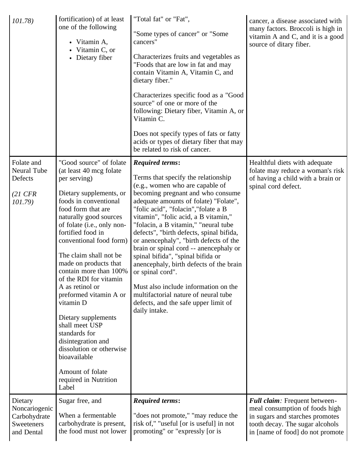| 101.78                                                                | fortification) of at least<br>one of the following<br>• Vitamin A,<br>Vitamin C, or<br>• Dietary fiber                                                                                                                                                                                                                                                                                                                                                                                                                                                                                                  | "Total fat" or "Fat",<br>"Some types of cancer" or "Some<br>cancers"<br>Characterizes fruits and vegetables as<br>"Foods that are low in fat and may<br>contain Vitamin A, Vitamin C, and<br>dietary fiber."<br>Characterizes specific food as a "Good<br>source" of one or more of the<br>following: Dietary fiber, Vitamin A, or<br>Vitamin C.<br>Does not specify types of fats or fatty<br>acids or types of dietary fiber that may<br>be related to risk of cancer.                                                                                                                                                                                                                 | cancer, a disease associated with<br>many factors. Broccoli is high in<br>vitamin A and C, and it is a good<br>source of ditary fiber.                                    |
|-----------------------------------------------------------------------|---------------------------------------------------------------------------------------------------------------------------------------------------------------------------------------------------------------------------------------------------------------------------------------------------------------------------------------------------------------------------------------------------------------------------------------------------------------------------------------------------------------------------------------------------------------------------------------------------------|------------------------------------------------------------------------------------------------------------------------------------------------------------------------------------------------------------------------------------------------------------------------------------------------------------------------------------------------------------------------------------------------------------------------------------------------------------------------------------------------------------------------------------------------------------------------------------------------------------------------------------------------------------------------------------------|---------------------------------------------------------------------------------------------------------------------------------------------------------------------------|
| Folate and<br>Neural Tube<br>Defects<br>$(21 \text{ CFR})$<br>101.79) | "Good source" of folate<br>(at least 40 mcg folate<br>per serving)<br>Dietary supplements, or<br>foods in conventional<br>food form that are<br>naturally good sources<br>of folate (i.e., only non-<br>fortified food in<br>conventional food form)<br>The claim shall not be<br>made on products that<br>contain more than 100%<br>of the RDI for vitamin<br>A as retinol or<br>preformed vitamin A or<br>vitamin D<br>Dietary supplements<br>shall meet USP<br>standards for<br>disintegration and<br>dissolution or otherwise<br>bioavailable<br>Amount of folate<br>required in Nutrition<br>Label | <b>Required terms:</b><br>Terms that specify the relationship<br>(e.g., women who are capable of<br>becoming pregnant and who consume<br>adequate amounts of folate) "Folate",<br>"folic acid", "folacin", "folate a B<br>vitamin", "folic acid, a B vitamin,"<br>"folacin, a B vitamin," "neural tube<br>defects", "birth defects, spinal bifida,<br>or an<br>encephaly", "birth defects of the<br>brain or spinal cord -- anencephaly or<br>spinal bifida", "spinal bifida or<br>an encephaly, birth defects of the brain<br>or spinal cord".<br>Must also include information on the<br>multifactorial nature of neural tube<br>defects, and the safe upper limit of<br>daily intake. | Healthful diets with adequate<br>folate may reduce a woman's risk<br>of having a child with a brain or<br>spinal cord defect.                                             |
| Dietary<br>Noncariogenic<br>Carbohydrate<br>Sweeteners<br>and Dental  | Sugar free, and<br>When a fermentable<br>carbohydrate is present,<br>the food must not lower                                                                                                                                                                                                                                                                                                                                                                                                                                                                                                            | <b>Required terms:</b><br>"does not promote," "may reduce the<br>risk of," "useful [or is useful] in not<br>promoting" or "expressly [or is                                                                                                                                                                                                                                                                                                                                                                                                                                                                                                                                              | Full claim: Frequent between-<br>meal consumption of foods high<br>in sugars and starches promotes<br>tooth decay. The sugar alcohols<br>in [name of food] do not promote |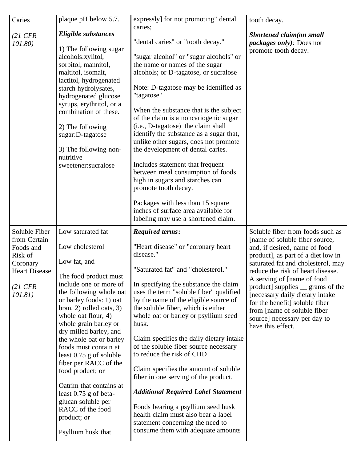| Caries<br>$(21 \text{ CFR})$<br>101.80)                                                                                    | plaque pH below 5.7.<br>Eligible substances<br>1) The following sugar<br>alcohols:xylitol,<br>sorbitol, mannitol,<br>maltitol, isomalt,<br>lactitol, hydrogenated<br>starch hydrolysates,<br>hydrogenated glucose<br>syrups, erythritol, or a<br>combination of these.<br>2) The following<br>sugar:D-tagatose<br>3) The following non-<br>nutritive<br>sweetener:sucralose                                                                                                                                                          | expressly] for not promoting" dental<br>caries;<br>"dental caries" or "tooth decay."<br>"sugar alcohol" or "sugar alcohols" or<br>the name or names of the sugar<br>alcohols; or D-tagatose, or sucralose<br>Note: D-tagatose may be identified as<br>"tagatose"<br>When the substance that is the subject<br>of the claim is a noncariogenic sugar<br>(i.e., D-tagatose) the claim shall<br>identify the substance as a sugar that,<br>unlike other sugars, does not promote<br>the development of dental caries.<br>Includes statement that frequent<br>between meal consumption of foods<br>high in sugars and starches can<br>promote tooth decay.<br>Packages with less than 15 square<br>inches of surface area available for<br>labeling may use a shortened claim. | tooth decay.<br>Shortened claim(on small<br><i>packages only):</i> Does not<br>promote tooth decay.                                                                                                                                                                                                                                                                                                                                              |
|----------------------------------------------------------------------------------------------------------------------------|--------------------------------------------------------------------------------------------------------------------------------------------------------------------------------------------------------------------------------------------------------------------------------------------------------------------------------------------------------------------------------------------------------------------------------------------------------------------------------------------------------------------------------------|----------------------------------------------------------------------------------------------------------------------------------------------------------------------------------------------------------------------------------------------------------------------------------------------------------------------------------------------------------------------------------------------------------------------------------------------------------------------------------------------------------------------------------------------------------------------------------------------------------------------------------------------------------------------------------------------------------------------------------------------------------------------------|--------------------------------------------------------------------------------------------------------------------------------------------------------------------------------------------------------------------------------------------------------------------------------------------------------------------------------------------------------------------------------------------------------------------------------------------------|
| Soluble Fiber<br>from Certain<br>Foods and<br>Risk of<br>Coronary<br><b>Heart Disease</b><br>$(21 \text{ CFR})$<br>101.81) | Low saturated fat<br>Low cholesterol<br>Low fat, and<br>The food product must<br>include one or more of<br>the following whole oat<br>or barley foods: 1) oat<br>bran, 2) rolled oats, 3)<br>whole oat flour, 4)<br>whole grain barley or<br>dry milled barley, and<br>the whole oat or barley<br>foods must contain at<br>least $0.75$ g of soluble<br>fiber per RACC of the<br>food product; or<br>Oatrim that contains at<br>least 0.75 g of beta-<br>glucan soluble per<br>RACC of the food<br>product; or<br>Psyllium husk that | <b>Required terms:</b><br>"Heart disease" or "coronary heart"<br>disease."<br>"Saturated fat" and "cholesterol."<br>In specifying the substance the claim<br>uses the term "soluble fiber" qualified<br>by the name of the eligible source of<br>the soluble fiber, which is either<br>whole oat or barley or psyllium seed<br>husk.<br>Claim specifies the daily dietary intake<br>of the soluble fiber source necessary<br>to reduce the risk of CHD<br>Claim specifies the amount of soluble<br>fiber in one serving of the product.<br><b>Additional Required Label Statement</b><br>Foods bearing a psyllium seed husk<br>health claim must also bear a label<br>statement concerning the need to<br>consume them with adequate amounts                               | Soluble fiber from foods such as<br>[name of soluble fiber source,<br>and, if desired, name of food<br>product], as part of a diet low in<br>saturated fat and cholesterol, may<br>reduce the risk of heart disease.<br>A serving of [name of food]<br>product] supplies _ grams of the<br>[necessary daily dietary intake<br>for the benefit] soluble fiber<br>from [name of soluble fiber<br>source] necessary per day to<br>have this effect. |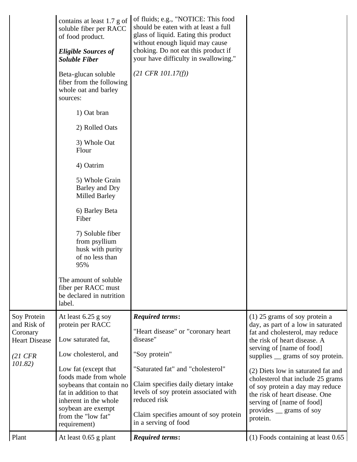| Plant                                                                                           | At least 0.65 g plant                                                                                                                                                                                                                                                              | <b>Required terms:</b>                                                                                                                                                                                                                                                                           | $(1)$ Foods containing at least 0.65                                                                                                                                                                                                                                                                                                                                                                                                      |
|-------------------------------------------------------------------------------------------------|------------------------------------------------------------------------------------------------------------------------------------------------------------------------------------------------------------------------------------------------------------------------------------|--------------------------------------------------------------------------------------------------------------------------------------------------------------------------------------------------------------------------------------------------------------------------------------------------|-------------------------------------------------------------------------------------------------------------------------------------------------------------------------------------------------------------------------------------------------------------------------------------------------------------------------------------------------------------------------------------------------------------------------------------------|
| Soy Protein<br>and Risk of<br>Coronary<br><b>Heart Disease</b><br>$(21 \text{ CFR})$<br>101.82) | At least 6.25 g soy<br>protein per RACC<br>Low saturated fat,<br>Low cholesterol, and<br>Low fat (except that<br>foods made from whole<br>soybeans that contain no<br>fat in addition to that<br>inherent in the whole<br>soybean are exempt<br>from the "low fat"<br>requirement) | <b>Required terms:</b><br>"Heart disease" or "coronary heart<br>disease"<br>"Soy protein"<br>"Saturated fat" and "cholesterol"<br>Claim specifies daily dietary intake<br>levels of soy protein associated with<br>reduced risk<br>Claim specifies amount of soy protein<br>in a serving of food | $(1)$ 25 grams of soy protein a<br>day, as part of a low in saturated<br>fat and cholesterol, may reduce<br>the risk of heart disease. A<br>serving of [name of food]<br>supplies <u>e</u> grams of soy protein.<br>(2) Diets low in saturated fat and<br>cholesterol that include 25 grams<br>of soy protein a day may reduce<br>the risk of heart disease. One<br>serving of [name of food]<br>provides <u>grams</u> of soy<br>protein. |
|                                                                                                 | The amount of soluble<br>fiber per RACC must<br>be declared in nutrition<br>label.                                                                                                                                                                                                 |                                                                                                                                                                                                                                                                                                  |                                                                                                                                                                                                                                                                                                                                                                                                                                           |
|                                                                                                 | Fiber<br>7) Soluble fiber<br>from psyllium<br>husk with purity<br>of no less than<br>95%                                                                                                                                                                                           |                                                                                                                                                                                                                                                                                                  |                                                                                                                                                                                                                                                                                                                                                                                                                                           |
|                                                                                                 | 6) Barley Beta                                                                                                                                                                                                                                                                     |                                                                                                                                                                                                                                                                                                  |                                                                                                                                                                                                                                                                                                                                                                                                                                           |
|                                                                                                 | 5) Whole Grain<br>Barley and Dry<br><b>Milled Barley</b>                                                                                                                                                                                                                           |                                                                                                                                                                                                                                                                                                  |                                                                                                                                                                                                                                                                                                                                                                                                                                           |
|                                                                                                 | 4) Oatrim                                                                                                                                                                                                                                                                          |                                                                                                                                                                                                                                                                                                  |                                                                                                                                                                                                                                                                                                                                                                                                                                           |
|                                                                                                 | 3) Whole Oat<br>Flour                                                                                                                                                                                                                                                              |                                                                                                                                                                                                                                                                                                  |                                                                                                                                                                                                                                                                                                                                                                                                                                           |
|                                                                                                 | 2) Rolled Oats                                                                                                                                                                                                                                                                     |                                                                                                                                                                                                                                                                                                  |                                                                                                                                                                                                                                                                                                                                                                                                                                           |
|                                                                                                 | Beta-glucan soluble<br>fiber from the following<br>whole oat and barley<br>sources:<br>1) Oat bran                                                                                                                                                                                 | $(21 \text{ CFR } 101.17(f))$                                                                                                                                                                                                                                                                    |                                                                                                                                                                                                                                                                                                                                                                                                                                           |
|                                                                                                 | <b>Eligible Sources of</b><br><b>Soluble Fiber</b>                                                                                                                                                                                                                                 | choking. Do not eat this product if<br>your have difficulty in swallowing."                                                                                                                                                                                                                      |                                                                                                                                                                                                                                                                                                                                                                                                                                           |
|                                                                                                 | contains at least 1.7 g of<br>soluble fiber per RACC<br>of food product.                                                                                                                                                                                                           | of fluids; e.g., "NOTICE: This food<br>should be eaten with at least a full<br>glass of liquid. Eating this product<br>without enough liquid may cause                                                                                                                                           |                                                                                                                                                                                                                                                                                                                                                                                                                                           |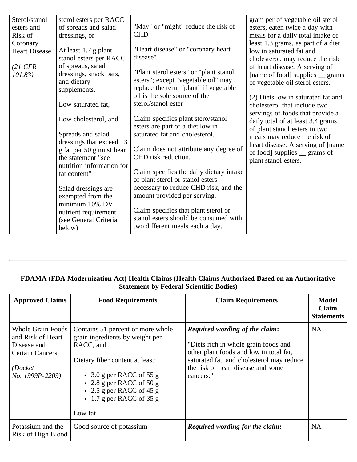| Sterol/stanol<br>esters and<br>Risk of                            | sterol esters per RACC<br>of spreads and salad<br>dressings, or                                                                                                                                                                                                                                            | "May" or "might" reduce the risk of<br><b>CHD</b>                                                                                                                                                                                                                                                                                                                                                                                                         | gram per of vegetable oil sterol<br>esters, eaten twice a day with<br>meals for a daily total intake of                                                                                                                                                                                                                                                                                                                                                                                                                 |
|-------------------------------------------------------------------|------------------------------------------------------------------------------------------------------------------------------------------------------------------------------------------------------------------------------------------------------------------------------------------------------------|-----------------------------------------------------------------------------------------------------------------------------------------------------------------------------------------------------------------------------------------------------------------------------------------------------------------------------------------------------------------------------------------------------------------------------------------------------------|-------------------------------------------------------------------------------------------------------------------------------------------------------------------------------------------------------------------------------------------------------------------------------------------------------------------------------------------------------------------------------------------------------------------------------------------------------------------------------------------------------------------------|
| Coronary<br><b>Heart Disease</b><br>$(21 \text{ CFR})$<br>101.83) | At least 1.7 g plant<br>stanol esters per RACC<br>of spreads, salad<br>dressings, snack bars,<br>and dietary<br>supplements.<br>Low saturated fat,<br>Low cholesterol, and<br>Spreads and salad<br>dressings that exceed 13<br>g fat per 50 g must bear<br>the statement "see<br>nutrition information for | "Heart disease" or "coronary heart<br>disease"<br>"Plant sterol esters" or "plant stanol<br>esters"; except "vegetable oil" may<br>replace the term "plant" if vegetable<br>oil is the sole source of the<br>sterol/stanol ester<br>Claim specifies plant stero/stanol<br>esters are part of a diet low in<br>saturated fat and cholesterol.<br>Claim does not attribute any degree of<br>CHD risk reduction.<br>Claim specifies the daily dietary intake | least 1.3 grams, as part of a diet<br>low in saturated fat and<br>cholesterol, may reduce the risk<br>of heart disease. A serving of<br>[name of food] supplies _ grams<br>of vegetable oil sterol esters.<br>(2) Diets low in saturated fat and<br>cholesterol that include two<br>servings of foods that provide a<br>daily total of at least 3.4 grams<br>of plant stanol esters in two<br>meals may reduce the risk of<br>heart disease. A serving of [name<br>of food] supplies _ grams of<br>plant stanol esters. |
|                                                                   | fat content"<br>Salad dressings are<br>exempted from the<br>minimum 10% DV<br>nutrient requirement<br>(see General Criteria<br>below)                                                                                                                                                                      | of plant sterol or stanol esters<br>necessary to reduce CHD risk, and the<br>amount provided per serving.<br>Claim specifies that plant sterol or<br>stanol esters should be consumed with<br>two different meals each a day.                                                                                                                                                                                                                             |                                                                                                                                                                                                                                                                                                                                                                                                                                                                                                                         |

# **FDAMA (FDA Modernization Act) Health Claims (Health Claims Authorized Based on an Authoritative Statement by Federal Scientific Bodies)**

| <b>Approved Claims</b>                                                                                                | <b>Food Requirements</b>                                                                                                                                                                                                                                      | <b>Claim Requirements</b>                                                                                                                                                                                                | Model<br><b>Claim</b><br><b>Statements</b> |
|-----------------------------------------------------------------------------------------------------------------------|---------------------------------------------------------------------------------------------------------------------------------------------------------------------------------------------------------------------------------------------------------------|--------------------------------------------------------------------------------------------------------------------------------------------------------------------------------------------------------------------------|--------------------------------------------|
| <b>Whole Grain Foods</b><br>and Risk of Heart<br>Disease and<br><b>Certain Cancers</b><br>(Docket)<br>No. 1999P-2209) | Contains 51 percent or more whole<br>grain ingredients by weight per<br>RACC, and<br>Dietary fiber content at least:<br>$\bullet$ 3.0 g per RACC of 55 g<br>• 2.8 g per RACC of 50 g<br>• 2.5 g per RACC of 45 g<br>$\cdot$ 1.7 g per RACC of 35 g<br>Low fat | <b>Required wording of the claim:</b><br>"Diets rich in whole grain foods and<br>other plant foods and low in total fat,<br>saturated fat, and cholesterol may reduce<br>the risk of heart disease and some<br>cancers." | <b>NA</b>                                  |
| Potassium and the<br>Risk of High Blood                                                                               | Good source of potassium                                                                                                                                                                                                                                      | <b>Required wording for the claim:</b>                                                                                                                                                                                   | <b>NA</b>                                  |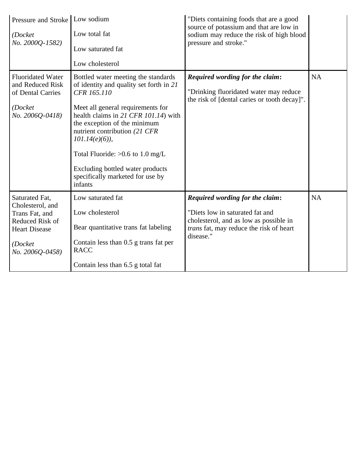| Pressure and Stroke   Low sodium<br>(Docket<br>No. 2000Q-1582)                                                                | Low total fat<br>Low saturated fat<br>Low cholesterol                                                                                                                                                                                                                                                                                                                                    | "Diets containing foods that are a good<br>source of potassium and that are low in<br>sodium may reduce the risk of high blood<br>pressure and stroke."                     |           |
|-------------------------------------------------------------------------------------------------------------------------------|------------------------------------------------------------------------------------------------------------------------------------------------------------------------------------------------------------------------------------------------------------------------------------------------------------------------------------------------------------------------------------------|-----------------------------------------------------------------------------------------------------------------------------------------------------------------------------|-----------|
| <b>Fluoridated Water</b><br>and Reduced Risk<br>of Dental Carries<br>(Docket<br>No. 2006Q-0418)                               | Bottled water meeting the standards<br>of identity and quality set forth in 21<br>CFR 165.110<br>Meet all general requirements for<br>health claims in 21 CFR 101.14) with<br>the exception of the minimum<br>nutrient contribution (21 CFR<br>$101.14(e)(6)$ ,<br>Total Fluoride: $>0.6$ to 1.0 mg/L<br>Excluding bottled water products<br>specifically marketed for use by<br>infants | Required wording for the claim:<br>"Drinking fluoridated water may reduce<br>the risk of [dental caries or tooth decay]".                                                   | <b>NA</b> |
| Saturated Fat,<br>Cholesterol, and<br>Trans Fat, and<br>Reduced Risk of<br><b>Heart Disease</b><br>(Docket<br>No. 2006Q-0458) | Low saturated fat<br>Low cholesterol<br>Bear quantitative trans fat labeling<br>Contain less than 0.5 g trans fat per<br><b>RACC</b><br>Contain less than 6.5 g total fat                                                                                                                                                                                                                | Required wording for the claim:<br>"Diets low in saturated fat and<br>cholesterol, and as low as possible in<br><i>trans</i> fat, may reduce the risk of heart<br>disease." | <b>NA</b> |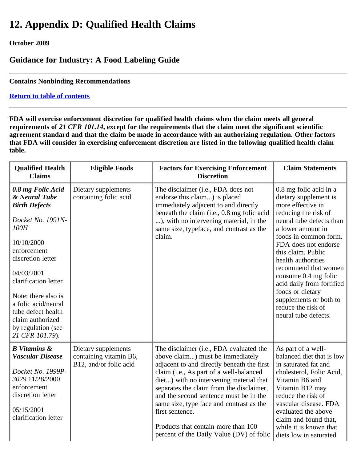# **12. Appendix D: Qualified Health Claims**

# **October 2009**

# **Guidance for Industry: A Food Labeling Guide**

**Contains Nonbinding Recommendations**

# **[Return to table of contents](#page-0-0)**

**FDA will exercise enforcement discretion for qualified health claims when the claim meets all general requirements of** *21 CFR 101.14***, except for the requirements that the claim meet the significant scientific agreement standard and that the claim be made in accordance with an authorizing regulation. Other factors that FDA will consider in exercising enforcement discretion are listed in the following qualified health claim table.**

| <b>Qualified Health</b><br><b>Claims</b>                                                                                                                                                                                                                                                                         | <b>Eligible Foods</b>                                                   | <b>Factors for Exercising Enforcement</b><br><b>Discretion</b>                                                                                                                                                                                                                                                                                                                                                                                          | <b>Claim Statements</b>                                                                                                                                                                                                                                                                                                                                                                                             |
|------------------------------------------------------------------------------------------------------------------------------------------------------------------------------------------------------------------------------------------------------------------------------------------------------------------|-------------------------------------------------------------------------|---------------------------------------------------------------------------------------------------------------------------------------------------------------------------------------------------------------------------------------------------------------------------------------------------------------------------------------------------------------------------------------------------------------------------------------------------------|---------------------------------------------------------------------------------------------------------------------------------------------------------------------------------------------------------------------------------------------------------------------------------------------------------------------------------------------------------------------------------------------------------------------|
| 0.8 mg Folic Acid<br>& Neural Tube<br><b>Birth Defects</b><br>Docket No. 1991N-<br>100H<br>10/10/2000<br>enforcement<br>discretion letter<br>04/03/2001<br>clarification letter<br>Note: there also is<br>a folic acid/neural<br>tube defect health<br>claim authorized<br>by regulation (see<br>21 CFR 101.79). | Dietary supplements<br>containing folic acid                            | The disclaimer (i.e., FDA does not<br>endorse this claim) is placed<br>immediately adjacent to and directly<br>beneath the claim (i.e., 0.8 mg folic acid<br>), with no intervening material, in the<br>same size, typeface, and contrast as the<br>claim.                                                                                                                                                                                              | 0.8 mg folic acid in a<br>dietary supplement is<br>more effective in<br>reducing the risk of<br>neural tube defects than<br>a lower amount in<br>foods in common form.<br>FDA does not endorse<br>this claim. Public<br>health authorities<br>recommend that women<br>consume 0.4 mg folic<br>acid daily from fortified<br>foods or dietary<br>supplements or both to<br>reduce the risk of<br>neural tube defects. |
| <b>B</b> Vitamins &<br><b>Vascular Disease</b><br>Docket No. 1999P-<br>3029 11/28/2000<br>enforcement<br>discretion letter<br>05/15/2001<br>clarification letter                                                                                                                                                 | Dietary supplements<br>containing vitamin B6,<br>B12, and/or folic acid | The disclaimer (i.e., FDA evaluated the<br>above claim) must be immediately<br>adjacent to and directly beneath the first<br>claim (i.e., As part of a well-balanced<br>diet) with no intervening material that<br>separates the claim from the disclaimer,<br>and the second sentence must be in the<br>same size, type face and contrast as the<br>first sentence.<br>Products that contain more than 100<br>percent of the Daily Value (DV) of folic | As part of a well-<br>balanced diet that is low<br>in saturated fat and<br>cholesterol, Folic Acid,<br>Vitamin B6 and<br>Vitamin B12 may<br>reduce the risk of<br>vascular disease. FDA<br>evaluated the above<br>claim and found that,<br>while it is known that<br>diets low in saturated                                                                                                                         |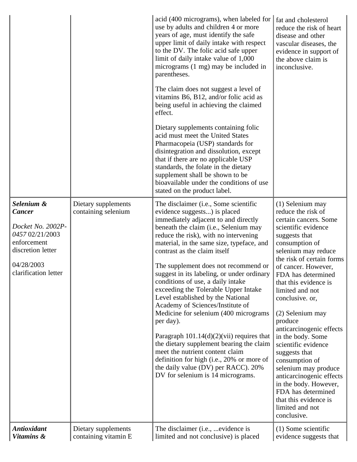|                                                                                                                                               |                                             | acid (400 micrograms), when labeled for<br>use by adults and children 4 or more<br>years of age, must identify the safe<br>upper limit of daily intake with respect<br>to the DV. The folic acid safe upper<br>limit of daily intake value of 1,000<br>micrograms (1 mg) may be included in<br>parentheses.<br>The claim does not suggest a level of<br>vitamins B6, B12, and/or folic acid as<br>being useful in achieving the claimed<br>effect.<br>Dietary supplements containing folic<br>acid must meet the United States<br>Pharmacopeia (USP) standards for<br>disintegration and dissolution, except<br>that if there are no applicable USP<br>standards, the folate in the dietary<br>supplement shall be shown to be<br>bioavailable under the conditions of use<br>stated on the product label.                             | fat and cholesterol<br>reduce the risk of heart<br>disease and other<br>vascular diseases, the<br>evidence in support of<br>the above claim is<br>inconclusive.                                                                                                                                                                                                                                                                                                                                                                                                                                   |
|-----------------------------------------------------------------------------------------------------------------------------------------------|---------------------------------------------|----------------------------------------------------------------------------------------------------------------------------------------------------------------------------------------------------------------------------------------------------------------------------------------------------------------------------------------------------------------------------------------------------------------------------------------------------------------------------------------------------------------------------------------------------------------------------------------------------------------------------------------------------------------------------------------------------------------------------------------------------------------------------------------------------------------------------------------|---------------------------------------------------------------------------------------------------------------------------------------------------------------------------------------------------------------------------------------------------------------------------------------------------------------------------------------------------------------------------------------------------------------------------------------------------------------------------------------------------------------------------------------------------------------------------------------------------|
| Selenium &<br><b>Cancer</b><br>Docket No. 2002P-<br>0457 02/21/2003<br>enforcement<br>discretion letter<br>04/28/2003<br>clarification letter | Dietary supplements<br>containing selenium  | The disclaimer (i.e., Some scientific<br>evidence suggests) is placed<br>immediately adjacent to and directly<br>beneath the claim (i.e., Selenium may<br>reduce the risk), with no intervening<br>material, in the same size, typeface, and<br>contrast as the claim itself<br>The supplement does not recommend or<br>suggest in its labeling, or under ordinary<br>conditions of use, a daily intake<br>exceeding the Tolerable Upper Intake<br>Level established by the National<br>Academy of Sciences/Institute of<br>Medicine for selenium (400 micrograms)<br>per day).<br>Paragraph $101.14(d)(2)(vii)$ requires that<br>the dietary supplement bearing the claim<br>meet the nutrient content claim<br>definition for high (i.e., 20% or more of<br>the daily value (DV) per RACC). 20%<br>DV for selenium is 14 micrograms. | (1) Selenium may<br>reduce the risk of<br>certain cancers. Some<br>scientific evidence<br>suggests that<br>consumption of<br>selenium may reduce<br>the risk of certain forms<br>of cancer. However,<br>FDA has determined<br>that this evidence is<br>limited and not<br>conclusive. or,<br>(2) Selenium may<br>produce<br>anticarcinogenic effects<br>in the body. Some<br>scientific evidence<br>suggests that<br>consumption of<br>selenium may produce<br>anticarcinogenic effects<br>in the body. However,<br>FDA has determined<br>that this evidence is<br>limited and not<br>conclusive. |
| <b>Antioxidant</b><br>Vitamins &                                                                                                              | Dietary supplements<br>containing vitamin E | The disclaimer (i.e.,  evidence is<br>limited and not conclusive) is placed                                                                                                                                                                                                                                                                                                                                                                                                                                                                                                                                                                                                                                                                                                                                                            | (1) Some scientific<br>evidence suggests that                                                                                                                                                                                                                                                                                                                                                                                                                                                                                                                                                     |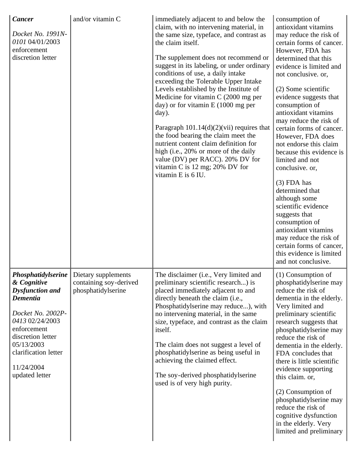| <b>Cancer</b><br>Docket No. 1991N-<br>0101 04/01/2003<br>enforcement<br>discretion letter                                                                                                                                        | and/or vitamin C                                                    | immediately adjacent to and below the<br>claim, with no intervening material, in<br>the same size, typeface, and contrast as<br>the claim itself.<br>The supplement does not recommend or<br>suggest in its labeling, or under ordinary<br>conditions of use, a daily intake<br>exceeding the Tolerable Upper Intake<br>Levels established by the Institute of<br>Medicine for vitamin $C(2000 \text{ mg per})$<br>day) or for vitamin $E(1000$ mg per<br>day).<br>Paragraph $101.14(d)(2)(vii)$ requires that<br>the food bearing the claim meet the<br>nutrient content claim definition for<br>high (i.e., 20% or more of the daily<br>value (DV) per RACC). 20% DV for<br>vitamin C is 12 mg; 20% DV for<br>vitamin E is 6 IU. | consumption of<br>antioxidant vitamins<br>may reduce the risk of<br>certain forms of cancer.<br>However, FDA has<br>determined that this<br>evidence is limited and<br>not conclusive. or,<br>(2) Some scientific<br>evidence suggests that<br>consumption of<br>antioxidant vitamins<br>may reduce the risk of<br>certain forms of cancer.<br>However, FDA does<br>not endorse this claim<br>because this evidence is<br>limited and not<br>conclusive. or,<br>$(3)$ FDA has<br>determined that<br>although some<br>scientific evidence<br>suggests that<br>consumption of<br>antioxidant vitamins<br>may reduce the risk of<br>certain forms of cancer,<br>this evidence is limited<br>and not conclusive. |
|----------------------------------------------------------------------------------------------------------------------------------------------------------------------------------------------------------------------------------|---------------------------------------------------------------------|------------------------------------------------------------------------------------------------------------------------------------------------------------------------------------------------------------------------------------------------------------------------------------------------------------------------------------------------------------------------------------------------------------------------------------------------------------------------------------------------------------------------------------------------------------------------------------------------------------------------------------------------------------------------------------------------------------------------------------|--------------------------------------------------------------------------------------------------------------------------------------------------------------------------------------------------------------------------------------------------------------------------------------------------------------------------------------------------------------------------------------------------------------------------------------------------------------------------------------------------------------------------------------------------------------------------------------------------------------------------------------------------------------------------------------------------------------|
| Phosphatidylserine<br>& Cognitive<br><b>Dysfunction and</b><br><b>Dementia</b><br>Docket No. 2002P-<br>0413 02/24/2003<br>enforcement<br>discretion letter<br>05/13/2003<br>clarification letter<br>11/24/2004<br>updated letter | Dietary supplements<br>containing soy-derived<br>phosphatidylserine | The disclaimer (i.e., Very limited and<br>preliminary scientific research) is<br>placed immediately adjacent to and<br>directly beneath the claim (i.e.,<br>Phosphatidylserine may reduce), with<br>no intervening material, in the same<br>size, typeface, and contrast as the claim<br>itself.<br>The claim does not suggest a level of<br>phosphatidylserine as being useful in<br>achieving the claimed effect.<br>The soy-derived phosphatidylserine<br>used is of very high purity.                                                                                                                                                                                                                                          | $(1)$ Consumption of<br>phosphatidylserine may<br>reduce the risk of<br>dementia in the elderly.<br>Very limited and<br>preliminary scientific<br>research suggests that<br>phosphatidylserine may<br>reduce the risk of<br>dementia in the elderly.<br>FDA concludes that<br>there is little scientific<br>evidence supporting<br>this claim. or,<br>(2) Consumption of<br>phosphatidylserine may<br>reduce the risk of<br>cognitive dysfunction<br>in the elderly. Very<br>limited and preliminary                                                                                                                                                                                                         |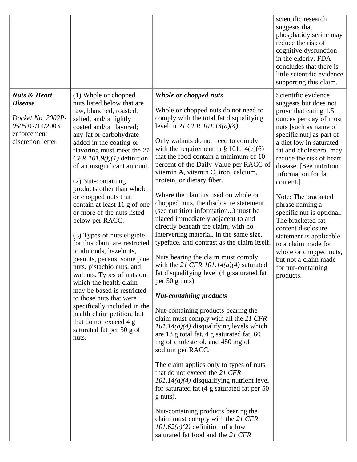|                                                                                                                       |                                                                                                                                                                                                                                                                                                                                                                                                                                                                                                                                                                                                                                                                                                                                                                                                                                                     |                                                                                                                                                                                                                                                                                                                                                                                                                                                                                                                                                                                                                                                                                                                                                                                                                                                                                                                                                                                                                                                                                                                                                                                                                                                                                                                                                                                                                                                                          | scientific research<br>suggests that<br>phosphatidylserine may<br>reduce the risk of<br>cognitive dysfunction<br>in the elderly. FDA<br>concludes that there is<br>little scientific evidence<br>supporting this claim.                                                                                                                                                                                                                                                                                                                                        |
|-----------------------------------------------------------------------------------------------------------------------|-----------------------------------------------------------------------------------------------------------------------------------------------------------------------------------------------------------------------------------------------------------------------------------------------------------------------------------------------------------------------------------------------------------------------------------------------------------------------------------------------------------------------------------------------------------------------------------------------------------------------------------------------------------------------------------------------------------------------------------------------------------------------------------------------------------------------------------------------------|--------------------------------------------------------------------------------------------------------------------------------------------------------------------------------------------------------------------------------------------------------------------------------------------------------------------------------------------------------------------------------------------------------------------------------------------------------------------------------------------------------------------------------------------------------------------------------------------------------------------------------------------------------------------------------------------------------------------------------------------------------------------------------------------------------------------------------------------------------------------------------------------------------------------------------------------------------------------------------------------------------------------------------------------------------------------------------------------------------------------------------------------------------------------------------------------------------------------------------------------------------------------------------------------------------------------------------------------------------------------------------------------------------------------------------------------------------------------------|----------------------------------------------------------------------------------------------------------------------------------------------------------------------------------------------------------------------------------------------------------------------------------------------------------------------------------------------------------------------------------------------------------------------------------------------------------------------------------------------------------------------------------------------------------------|
| <b>Nuts &amp; Heart</b><br><b>Disease</b><br>Docket No. 2002P-<br>0505 07/14/2003<br>enforcement<br>discretion letter | (1) Whole or chopped<br>nuts listed below that are<br>raw, blanched, roasted,<br>salted, and/or lightly<br>coated and/or flavored;<br>any fat or carbohydrate<br>added in the coating or<br>flavoring must meet the 21<br>CFR $101.9(f)(1)$ definition<br>of an insignificant amount.<br>(2) Nut-containing<br>products other than whole<br>or chopped nuts that<br>contain at least 11 g of one<br>or more of the nuts listed<br>below per RACC.<br>(3) Types of nuts eligible<br>for this claim are restricted<br>to almonds, hazelnuts,<br>peanuts, pecans, some pine<br>nuts, pistachio nuts, and<br>walnuts. Types of nuts on<br>which the health claim<br>may be based is restricted<br>to those nuts that were<br>specifically included in the<br>health claim petition, but<br>that do not exceed 4 g<br>saturated fat per 50 g of<br>nuts. | Whole or chopped nuts<br>Whole or chopped nuts do not need to<br>comply with the total fat disqualifying<br>level in 21 CFR 101.14(a)(4).<br>Only walnuts do not need to comply<br>with the requirement in $\S$ 101.14(e)(6)<br>that the food contain a minimum of 10<br>percent of the Daily Value per RACC of<br>vitamin A, vitamin C, iron, calcium,<br>protein, or dietary fiber.<br>Where the claim is used on whole or<br>chopped nuts, the disclosure statement<br>(see nutrition information) must be<br>placed immediately adjacent to and<br>directly beneath the claim, with no<br>intervening material, in the same size,<br>typeface, and contrast as the claim itself.<br>Nuts bearing the claim must comply<br>with the 21 CFR 101.14( $a$ )(4) saturated<br>fat disqualifying level (4 g saturated fat<br>per $50$ g nuts).<br><b>Nut-containing products</b><br>Nut-containing products bearing the<br>claim must comply with all the 21 CFR<br>$101.14(a)(4)$ disqualifying levels which<br>are 13 g total fat, 4 g saturated fat, 60<br>mg of cholesterol, and 480 mg of<br>sodium per RACC.<br>The claim applies only to types of nuts<br>that do not exceed the 21 CFR<br>$101.14(a)(4)$ disqualifying nutrient level<br>for saturated fat $(4 \text{ g saturated fat per } 50)$<br>g nuts).<br>Nut-containing products bearing the<br>claim must comply with the 21 CFR<br>$101.62(c)(2)$ definition of a low<br>saturated fat food and the 21 CFR | Scientific evidence<br>suggests but does not<br>prove that eating 1.5<br>ounces per day of most<br>nuts [such as name of<br>specific nut] as part of<br>a diet low in saturated<br>fat and cholesterol may<br>reduce the risk of heart<br>disease. [See nutrition<br>information for fat<br>content.]<br>Note: The bracketed<br>phrase naming a<br>specific nut is optional.<br>The bracketed fat<br>content disclosure<br>statement is applicable<br>to a claim made for<br>whole or chopped nuts,<br>but not a claim made<br>for nut-containing<br>products. |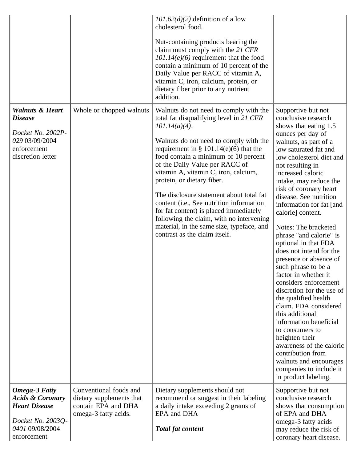|                                                                                                                                    |                                                                                                   | $101.62(d)(2)$ definition of a low<br>cholesterol food.<br>Nut-containing products bearing the<br>claim must comply with the 21 CFR<br>$101.14(e)(6)$ requirement that the food<br>contain a minimum of 10 percent of the<br>Daily Value per RACC of vitamin A,<br>vitamin C, iron, calcium, protein, or<br>dietary fiber prior to any nutrient<br>addition.                                                                                                                                                                                                                                             |                                                                                                                                                                                                                                                                                                                                                                                                                                                                                                                                                                                                                                                                                                                                                                                                                                                     |
|------------------------------------------------------------------------------------------------------------------------------------|---------------------------------------------------------------------------------------------------|----------------------------------------------------------------------------------------------------------------------------------------------------------------------------------------------------------------------------------------------------------------------------------------------------------------------------------------------------------------------------------------------------------------------------------------------------------------------------------------------------------------------------------------------------------------------------------------------------------|-----------------------------------------------------------------------------------------------------------------------------------------------------------------------------------------------------------------------------------------------------------------------------------------------------------------------------------------------------------------------------------------------------------------------------------------------------------------------------------------------------------------------------------------------------------------------------------------------------------------------------------------------------------------------------------------------------------------------------------------------------------------------------------------------------------------------------------------------------|
| <b>Walnuts &amp; Heart</b><br><b>Disease</b><br>Docket No. 2002P-<br>029 03/09/2004<br>enforcement<br>discretion letter            | Whole or chopped walnuts                                                                          | Walnuts do not need to comply with the<br>total fat disqualifying level in 21 CFR<br>$101.14(a)(4)$ .<br>Walnuts do not need to comply with the<br>requirement in $\S$ 101.14(e)(6) that the<br>food contain a minimum of 10 percent<br>of the Daily Value per RACC of<br>vitamin A, vitamin C, iron, calcium,<br>protein, or dietary fiber.<br>The disclosure statement about total fat<br>content (i.e., See nutrition information<br>for fat content) is placed immediately<br>following the claim, with no intervening<br>material, in the same size, typeface, and<br>contrast as the claim itself. | Supportive but not<br>conclusive research<br>shows that eating 1.5<br>ounces per day of<br>walnuts, as part of a<br>low saturated fat and<br>low cholesterol diet and<br>not resulting in<br>increased caloric<br>intake, may reduce the<br>risk of coronary heart<br>disease. See nutrition<br>information for fat [and<br>calorie] content.<br>Notes: The bracketed<br>phrase "and calorie" is<br>optional in that FDA<br>does not intend for the<br>presence or absence of<br>such phrase to be a<br>factor in whether it<br>considers enforcement<br>discretion for the use of<br>the qualified health<br>claim. FDA considered<br>this additional<br>information beneficial<br>to consumers to<br>heighten their<br>awareness of the caloric<br>contribution from<br>walnuts and encourages<br>companies to include it<br>in product labeling. |
| <b>Omega-3 Fatty</b><br><b>Acids &amp; Coronary</b><br><b>Heart Disease</b><br>Docket No. 2003Q-<br>0401 09/08/2004<br>enforcement | Conventional foods and<br>dietary supplements that<br>contain EPA and DHA<br>omega-3 fatty acids. | Dietary supplements should not<br>recommend or suggest in their labeling<br>a daily intake exceeding 2 grams of<br>EPA and DHA<br><b>Total fat content</b>                                                                                                                                                                                                                                                                                                                                                                                                                                               | Supportive but not<br>conclusive research<br>shows that consumption<br>of EPA and DHA<br>omega-3 fatty acids<br>may reduce the risk of<br>coronary heart disease.                                                                                                                                                                                                                                                                                                                                                                                                                                                                                                                                                                                                                                                                                   |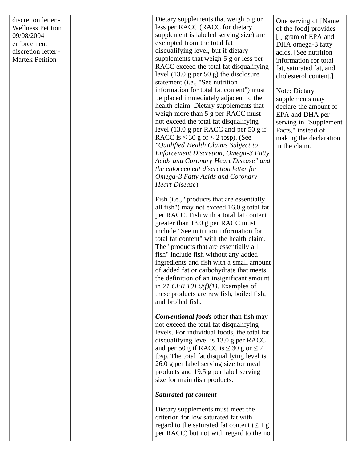discretion letter - Wellness Petition 09/08/2004 enforcement discretion letter - Martek Petition

Dietary supplements that weigh 5 g or less per RACC (RACC for dietary supplement is labeled serving size) are exempted from the total fat disqualifying level, but if dietary supplements that weigh 5 g or less per RACC exceed the total fat disqualifying level (13.0 g per 50 g) the disclosure statement (i.e., "See nutrition information for total fat content") must be placed immediately adjacent to the health claim. Dietary supplements that weigh more than 5 g per RACC must not exceed the total fat disqualifying level (13.0 g per RACC and per 50 g if RACC is  $\leq 30$  g or  $\leq 2$  tbsp). (See *"Qualified Health Claims Subject to Enforcement Discretion, Omega-3 Fatty Acids and Coronary Heart Disease" and the enforcement discretion letter for Omega-3 Fatty Acids and Coronary Heart Disease* )

Fish (i.e., "products that are essentially all fish") may not exceed 16.0 g total fat per RACC. Fish with a total fat content greater than 13.0 g per RACC must include "See nutrition information for total fat content" with the health claim. The "products that are essentially all fish" include fish without any added ingredients and fish with a small amount of added fat or carbohydrate that meets the definition of an insignificant amount in *21 CFR 101.9(f)(1)*. Examples of these products are raw fish, boiled fish, and broiled fish.

*Conventional foods* other than fish may not exceed the total fat disqualifying levels. For individual foods, the total fat disqualifying level is 13.0 g per RACC and per 50 g if RACC is  $\leq 30$  g or  $\leq 2$ tbsp. The total fat disqualifying level is 26.0 g per label serving size for meal products and 19.5 g per label serving size for main dish products.

#### *Saturated fat content*

Dietary supplements must meet the criterion for low saturated fat with regard to the saturated fat content  $( \leq 1 g)$ per RACC) but not with regard to the no One serving of [Name of the food] provides [ ] gram of EPA and DHA omega-3 fatty acids. [See nutrition information for total fat, saturated fat, and cholesterol content.]

Note: Dietary supplements may declare the amount of EPA and DHA per serving in "Supplement Facts," instead of making the declaration in the claim.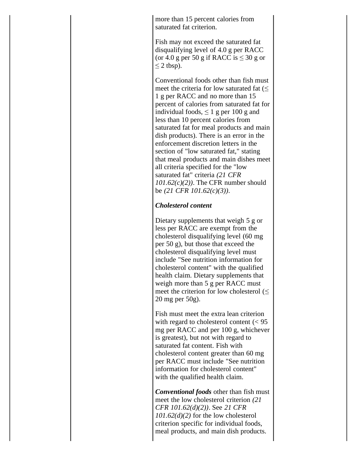more than 15 percent calories from saturated fat criterion.

Fish may not exceed the saturated fat disqualifying level of 4.0 g per RACC (or 4.0 g per 50 g if RACC is  $\leq 30$  g or  $\leq$  2 tbsp).

Conventional foods other than fish must meet the criteria for low saturated fat  $(\leq$ 1 g per RACC and no more than 15 percent of calories from saturated fat for individual foods,  $\leq 1$  g per 100 g and less than 10 percent calories from saturated fat for meal products and main dish products). There is an error in the enforcement discretion letters in the section of "low saturated fat," stating that meal products and main dishes meet all criteria specified for the "low saturated fat" criteria *(21 CFR 101.62(c)(2))*. The CFR number should be *(21 CFR 101.62(c)(3))*.

## *Cholesterol content*

Dietary supplements that weigh 5 g or less per RACC are exempt from the cholesterol disqualifying level (60 mg per 50 g), but those that exceed the cholesterol disqualifying level must include "See nutrition information for cholesterol content" with the qualified health claim. Dietary supplements that weigh more than 5 g per RACC must meet the criterion for low cholesterol  $(\leq)$ 20 mg per 50g).

Fish must meet the extra lean criterion with regard to cholesterol content  $\ll 95$ mg per RACC and per 100 g, whichever is greatest), but not with regard to saturated fat content. Fish with cholesterol content greater than 60 mg per RACC must include "See nutrition information for cholesterol content" with the qualified health claim.

*Conventional foods* other than fish must meet the low cholesterol criterion *(21 CFR 101.62(d)(2))*. See *21 CFR 101.62(d)(2)* for the low cholesterol criterion specific for individual foods, meal products, and main dish products.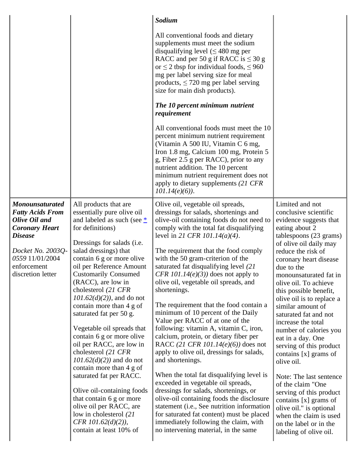|                                                                                                                                                                                           |                                                                                                                                                                                                                                                                                                                                                                                                                                                                                                                                                                                                                                                                                                                                                                 | Sodium                                                                                                                                                                                                                                                                                                                                                                                                                                                                                                                                                                                                                                                                                                                                                                                                                                                                                                                                                                                                                                                                                                |                                                                                                                                                                                                                                                                                                                                                                                                                                                                                                                                                                                                                                                                                                                    |
|-------------------------------------------------------------------------------------------------------------------------------------------------------------------------------------------|-----------------------------------------------------------------------------------------------------------------------------------------------------------------------------------------------------------------------------------------------------------------------------------------------------------------------------------------------------------------------------------------------------------------------------------------------------------------------------------------------------------------------------------------------------------------------------------------------------------------------------------------------------------------------------------------------------------------------------------------------------------------|-------------------------------------------------------------------------------------------------------------------------------------------------------------------------------------------------------------------------------------------------------------------------------------------------------------------------------------------------------------------------------------------------------------------------------------------------------------------------------------------------------------------------------------------------------------------------------------------------------------------------------------------------------------------------------------------------------------------------------------------------------------------------------------------------------------------------------------------------------------------------------------------------------------------------------------------------------------------------------------------------------------------------------------------------------------------------------------------------------|--------------------------------------------------------------------------------------------------------------------------------------------------------------------------------------------------------------------------------------------------------------------------------------------------------------------------------------------------------------------------------------------------------------------------------------------------------------------------------------------------------------------------------------------------------------------------------------------------------------------------------------------------------------------------------------------------------------------|
|                                                                                                                                                                                           |                                                                                                                                                                                                                                                                                                                                                                                                                                                                                                                                                                                                                                                                                                                                                                 | All conventional foods and dietary<br>supplements must meet the sodium<br>disqualifying level $(\leq 480 \text{ mg per})$<br>RACC and per 50 g if RACC is $\leq 30$ g<br>or $\leq$ 2 tbsp for individual foods, $\leq$ 960<br>mg per label serving size for meal<br>products, $\leq$ 720 mg per label serving<br>size for main dish products).<br>The 10 percent minimum nutrient<br>requirement<br>All conventional foods must meet the 10<br>percent minimum nutrient requirement<br>(Vitamin A 500 IU, Vitamin C 6 mg,<br>Iron 1.8 mg, Calcium 100 mg, Protein 5<br>g, Fiber 2.5 g per RACC), prior to any<br>nutrient addition. The 10 percent<br>minimum nutrient requirement does not<br>apply to dietary supplements (21 CFR<br>$101.14(e)(6)$ .                                                                                                                                                                                                                                                                                                                                               |                                                                                                                                                                                                                                                                                                                                                                                                                                                                                                                                                                                                                                                                                                                    |
| <b>Monounsaturated</b><br><b>Fatty Acids From</b><br>Olive Oil and<br><b>Coronary Heart</b><br><b>Disease</b><br>Docket No. 2003Q-<br>0559 11/01/2004<br>enforcement<br>discretion letter | All products that are<br>essentially pure olive oil<br>and labeled as such (see $*$<br>for definitions)<br>Dressings for salads (i.e.<br>salad dressings) that<br>contain 6 g or more olive<br>oil per Reference Amount<br><b>Customarily Consumed</b><br>(RACC), are low in<br>cholesterol (21 CFR<br>$101.62(d)(2)$ , and do not<br>contain more than 4 g of<br>saturated fat per 50 g.<br>Vegetable oil spreads that<br>contain 6 g or more olive<br>oil per RACC, are low in<br>cholesterol (21 CFR<br>$101.62(d)(2)$ and do not<br>contain more than 4 g of<br>saturated fat per RACC.<br>Olive oil-containing foods<br>that contain 6 g or more<br>olive oil per RACC, are<br>low in cholesterol (21)<br>CFR $101.62(d)(2)$ ),<br>contain at least 10% of | Olive oil, vegetable oil spreads,<br>dressings for salads, shortenings and<br>olive-oil containing foods do not need to<br>comply with the total fat disqualifying<br>level in 21 CFR 101.14(a)(4).<br>The requirement that the food comply<br>with the 50 gram-criterion of the<br>saturated fat disqualifying level (21)<br>CFR 101.14 $(e)(3)$ does not apply to<br>olive oil, vegetable oil spreads, and<br>shortenings.<br>The requirement that the food contain a<br>minimum of 10 percent of the Daily<br>Value per RACC of at one of the<br>following: vitamin A, vitamin C, iron,<br>calcium, protein, or dietary fiber per<br>RACC (21 CFR 101.14( $e$ )(6)) does not<br>apply to olive oil, dressings for salads,<br>and shortenings.<br>When the total fat disqualifying level is<br>exceeded in vegetable oil spreads,<br>dressings for salads, shortenings, or<br>olive-oil containing foods the disclosure<br>statement (i.e., See nutrition information<br>for saturated fat content) must be placed<br>immediately following the claim, with<br>no intervening material, in the same | Limited and not<br>conclusive scientific<br>evidence suggests that<br>eating about 2<br>tablespoons (23 grams)<br>of olive oil daily may<br>reduce the risk of<br>coronary heart disease<br>due to the<br>monounsaturated fat in<br>olive oil. To achieve<br>this possible benefit,<br>olive oil is to replace a<br>similar amount of<br>saturated fat and not<br>increase the total<br>number of calories you<br>eat in a day. One<br>serving of this product<br>contains [x] grams of<br>olive oil.<br>Note: The last sentence<br>of the claim "One<br>serving of this product<br>contains [x] grams of<br>olive oil." is optional<br>when the claim is used<br>on the label or in the<br>labeling of olive oil. |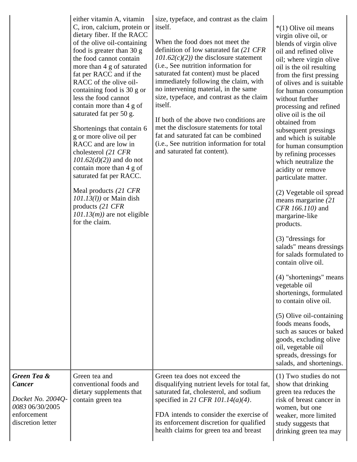|                                                                                                              | either vitamin A, vitamin<br>C, iron, calcium, protein or<br>dietary fiber. If the RACC<br>of the olive oil-containing<br>food is greater than 30 g<br>the food cannot contain<br>more than 4 g of saturated<br>fat per RACC and if the<br>RACC of the olive oil-<br>containing food is 30 g or<br>less the food cannot<br>contain more than 4 g of<br>saturated fat per 50 g.<br>Shortenings that contain 6<br>g or more olive oil per<br>RACC and are low in<br>cholesterol (21 CFR<br>$101.62(d)(2)$ and do not<br>contain more than 4 g of<br>saturated fat per RACC.<br>Meal products (21 CFR<br>$101.13(l)$ or Main dish<br>products $(21 \text{ CFR})$<br>$101.13(m)$ are not eligible<br>for the claim. | size, typeface, and contrast as the claim<br>itself.<br>When the food does not meet the<br>definition of low saturated fat (21 CFR<br>$101.62(c)(2)$ the disclosure statement<br>(i.e., See nutrition information for<br>saturated fat content) must be placed<br>immediately following the claim, with<br>no intervening material, in the same<br>size, typeface, and contrast as the claim<br>itself.<br>If both of the above two conditions are<br>met the disclosure statements for total<br>fat and saturated fat can be combined<br>(i.e., See nutrition information for total<br>and saturated fat content). | *(1) Olive oil means<br>virgin olive oil, or<br>blends of virgin olive<br>oil and refined olive<br>oil; where virgin olive<br>oil is the oil resulting<br>from the first pressing<br>of olives and is suitable<br>for human consumption<br>without further<br>processing and refined<br>olive oil is the oil<br>obtained from<br>subsequent pressings<br>and which is suitable<br>for human consumption<br>by refining processes<br>which neutralize the<br>acidity or remove<br>particulate matter.<br>(2) Vegetable oil spread<br>means margarine (21)<br>CFR 166.110) and<br>margarine-like<br>products.<br>$(3)$ "dressings for<br>salads" means dressings<br>for salads formulated to<br>contain olive oil.<br>(4) "shortenings" means<br>vegetable oil<br>shortenings, formulated<br>to contain olive oil.<br>(5) Olive oil-containing<br>foods means foods,<br>such as sauces or baked<br>goods, excluding olive<br>oil, vegetable oil<br>spreads, dressings for<br>salads, and shortenings. |
|--------------------------------------------------------------------------------------------------------------|-----------------------------------------------------------------------------------------------------------------------------------------------------------------------------------------------------------------------------------------------------------------------------------------------------------------------------------------------------------------------------------------------------------------------------------------------------------------------------------------------------------------------------------------------------------------------------------------------------------------------------------------------------------------------------------------------------------------|---------------------------------------------------------------------------------------------------------------------------------------------------------------------------------------------------------------------------------------------------------------------------------------------------------------------------------------------------------------------------------------------------------------------------------------------------------------------------------------------------------------------------------------------------------------------------------------------------------------------|-----------------------------------------------------------------------------------------------------------------------------------------------------------------------------------------------------------------------------------------------------------------------------------------------------------------------------------------------------------------------------------------------------------------------------------------------------------------------------------------------------------------------------------------------------------------------------------------------------------------------------------------------------------------------------------------------------------------------------------------------------------------------------------------------------------------------------------------------------------------------------------------------------------------------------------------------------------------------------------------------------|
| <b>Green Tea &amp;</b><br>Cancer<br>Docket No. 2004Q-<br>0083 06/30/2005<br>enforcement<br>discretion letter | Green tea and<br>conventional foods and<br>dietary supplements that<br>contain green tea                                                                                                                                                                                                                                                                                                                                                                                                                                                                                                                                                                                                                        | Green tea does not exceed the<br>disqualifying nutrient levels for total fat,<br>saturated fat, cholesterol, and sodium<br>specified in 21 CFR 101.14( $a$ )(4).<br>FDA intends to consider the exercise of<br>its enforcement discretion for qualified<br>health claims for green tea and breast                                                                                                                                                                                                                                                                                                                   | (1) Two studies do not<br>show that drinking<br>green tea reduces the<br>risk of breast cancer in<br>women, but one<br>weaker, more limited<br>study suggests that<br>drinking green tea may                                                                                                                                                                                                                                                                                                                                                                                                                                                                                                                                                                                                                                                                                                                                                                                                        |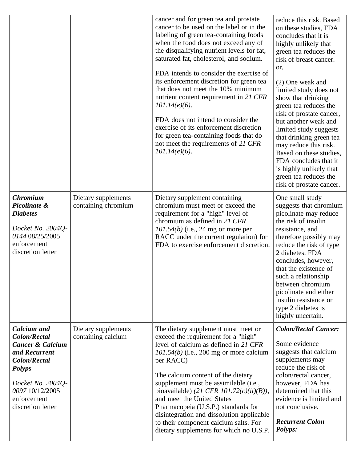|                                                                                                                                                                                                               |                                            | cancer and for green tea and prostate<br>cancer to be used on the label or in the<br>labeling of green tea-containing foods<br>when the food does not exceed any of<br>the disqualifying nutrient levels for fat,<br>saturated fat, cholesterol, and sodium.<br>FDA intends to consider the exercise of<br>its enforcement discretion for green tea<br>that does not meet the 10% minimum<br>nutrient content requirement in 21 CFR<br>$101.14(e)(6)$ .<br>FDA does not intend to consider the<br>exercise of its enforcement discretion<br>for green tea-containing foods that do<br>not meet the requirements of 21 CFR<br>$101.14(e)(6)$ . | reduce this risk. Based<br>on these studies, FDA<br>concludes that it is<br>highly unlikely that<br>green tea reduces the<br>risk of breast cancer.<br>or,<br>(2) One weak and<br>limited study does not<br>show that drinking<br>green tea reduces the<br>risk of prostate cancer,<br>but another weak and<br>limited study suggests<br>that drinking green tea<br>may reduce this risk.<br>Based on these studies,<br>FDA concludes that it<br>is highly unlikely that<br>green tea reduces the<br>risk of prostate cancer. |
|---------------------------------------------------------------------------------------------------------------------------------------------------------------------------------------------------------------|--------------------------------------------|-----------------------------------------------------------------------------------------------------------------------------------------------------------------------------------------------------------------------------------------------------------------------------------------------------------------------------------------------------------------------------------------------------------------------------------------------------------------------------------------------------------------------------------------------------------------------------------------------------------------------------------------------|-------------------------------------------------------------------------------------------------------------------------------------------------------------------------------------------------------------------------------------------------------------------------------------------------------------------------------------------------------------------------------------------------------------------------------------------------------------------------------------------------------------------------------|
| <b>Chromium</b><br>Picolinate &<br><b>Diabetes</b><br>Docket No. 2004Q-<br>0144 08/25/2005<br>enforcement<br>discretion letter                                                                                | Dietary supplements<br>containing chromium | Dietary supplement containing<br>chromium must meet or exceed the<br>requirement for a "high" level of<br>chromium as defined in 21 CFR<br>$101.54(b)$ (i.e., 24 mg or more per<br>RACC under the current regulation) for<br>FDA to exercise enforcement discretion.                                                                                                                                                                                                                                                                                                                                                                          | One small study<br>suggests that chromium<br>picolinate may reduce<br>the risk of insulin<br>resistance, and<br>therefore possibly may<br>reduce the risk of type<br>2 diabetes. FDA<br>concludes, however,<br>that the existence of<br>such a relationship<br>between chromium<br>picolinate and either<br>insulin resistance or<br>type 2 diabetes is<br>highly uncertain.                                                                                                                                                  |
| <b>Calcium</b> and<br><b>Colon/Rectal</b><br><b>Cancer &amp; Calcium</b><br>and Recurrent<br><b>Colon/Rectal</b><br><b>Polyps</b><br>Docket No. 2004Q-<br>0097 10/12/2005<br>enforcement<br>discretion letter | Dietary supplements<br>containing calcium  | The dietary supplement must meet or<br>exceed the requirement for a "high"<br>level of calcium as defined in 21 CFR<br>$101.54(b)$ (i.e., 200 mg or more calcium<br>per RACC)<br>The calcium content of the dietary<br>supplement must be assimilable (i.e.,<br>bioavailable) (21 CFR 101.72 $(c)(ii)(B)$ ),<br>and meet the United States<br>Pharmacopeia (U.S.P.) standards for<br>disintegration and dissolution applicable<br>to their component calcium salts. For<br>dietary supplements for which no U.S.P.                                                                                                                            | <b>Colon/Rectal Cancer:</b><br>Some evidence<br>suggests that calcium<br>supplements may<br>reduce the risk of<br>colon/rectal cancer,<br>however, FDA has<br>determined that this<br>evidence is limited and<br>not conclusive.<br><b>Recurrent Colon</b><br>Polyps:                                                                                                                                                                                                                                                         |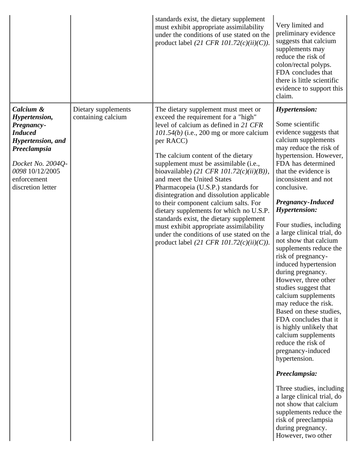|                                                                                                                                                                             |                                           | standards exist, the dietary supplement<br>must exhibit appropriate assimilability<br>under the conditions of use stated on the<br>product label (21 CFR 101.72(c)(ii)(C)).                                                                                                                                                                                                                                                                                                                                                                                                                                                                                                                           | Very limited and<br>preliminary evidence<br>suggests that calcium<br>supplements may<br>reduce the risk of<br>colon/rectal polyps.<br>FDA concludes that<br>there is little scientific<br>evidence to support this<br>claim.                                                                                                                                                                                                                                                                                                                                                                                                                                                                                                                                                                                                                                                                                                           |
|-----------------------------------------------------------------------------------------------------------------------------------------------------------------------------|-------------------------------------------|-------------------------------------------------------------------------------------------------------------------------------------------------------------------------------------------------------------------------------------------------------------------------------------------------------------------------------------------------------------------------------------------------------------------------------------------------------------------------------------------------------------------------------------------------------------------------------------------------------------------------------------------------------------------------------------------------------|----------------------------------------------------------------------------------------------------------------------------------------------------------------------------------------------------------------------------------------------------------------------------------------------------------------------------------------------------------------------------------------------------------------------------------------------------------------------------------------------------------------------------------------------------------------------------------------------------------------------------------------------------------------------------------------------------------------------------------------------------------------------------------------------------------------------------------------------------------------------------------------------------------------------------------------|
| Calcium &<br>Hypertension,<br>Pregnancy-<br><b>Induced</b><br>Hypertension, and<br>Preeclampsia<br>Docket No. 2004Q-<br>0098 10/12/2005<br>enforcement<br>discretion letter | Dietary supplements<br>containing calcium | The dietary supplement must meet or<br>exceed the requirement for a "high"<br>level of calcium as defined in 21 CFR<br>$101.54(b)$ (i.e., 200 mg or more calcium<br>per RACC)<br>The calcium content of the dietary<br>supplement must be assimilable (i.e.,<br>bioavailable) (21 CFR 101.72 $(c)(ii)(B)$ ),<br>and meet the United States<br>Pharmacopeia (U.S.P.) standards for<br>disintegration and dissolution applicable<br>to their component calcium salts. For<br>dietary supplements for which no U.S.P.<br>standards exist, the dietary supplement<br>must exhibit appropriate assimilability<br>under the conditions of use stated on the<br>product label (21 CFR 101.72 $(c)(ii)(C)$ ). | <b>Hypertension:</b><br>Some scientific<br>evidence suggests that<br>calcium supplements<br>may reduce the risk of<br>hypertension. However,<br>FDA has determined<br>that the evidence is<br>inconsistent and not<br>conclusive.<br><b>Pregnancy-Induced</b><br><b>Hypertension:</b><br>Four studies, including<br>a large clinical trial, do<br>not show that calcium<br>supplements reduce the<br>risk of pregnancy-<br>induced hypertension<br>during pregnancy.<br>However, three other<br>studies suggest that<br>calcium supplements<br>may reduce the risk.<br>Based on these studies,<br>FDA concludes that it<br>is highly unlikely that<br>calcium supplements<br>reduce the risk of<br>pregnancy-induced<br>hypertension.<br>Preeclampsia:<br>Three studies, including<br>a large clinical trial, do<br>not show that calcium<br>supplements reduce the<br>risk of preeclampsia<br>during pregnancy.<br>However, two other |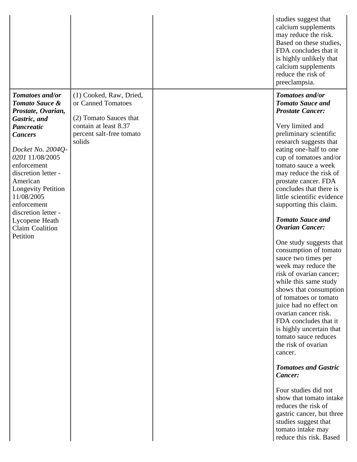|                                                                                                                                                                                                                                                                                                                                                   |                                                                                                                                        | studies suggest that<br>calcium supplements<br>may reduce the risk.<br>Based on these studies,<br>FDA concludes that it<br>is highly unlikely that<br>calcium supplements<br>reduce the risk of<br>preeclampsia.                                                                                                                                                                                                                                                                                                                                                                                                                                                                                                                                                                                                                                                                                                                                                                                                      |
|---------------------------------------------------------------------------------------------------------------------------------------------------------------------------------------------------------------------------------------------------------------------------------------------------------------------------------------------------|----------------------------------------------------------------------------------------------------------------------------------------|-----------------------------------------------------------------------------------------------------------------------------------------------------------------------------------------------------------------------------------------------------------------------------------------------------------------------------------------------------------------------------------------------------------------------------------------------------------------------------------------------------------------------------------------------------------------------------------------------------------------------------------------------------------------------------------------------------------------------------------------------------------------------------------------------------------------------------------------------------------------------------------------------------------------------------------------------------------------------------------------------------------------------|
| Tomatoes and/or<br>Tomato Sauce &<br>Prostate, Ovarian,<br>Gastric, and<br><b>Pancreatic</b><br><b>Cancers</b><br>Docket No. 2004Q-<br>0201 11/08/2005<br>enforcement<br>discretion letter -<br>American<br><b>Longevity Petition</b><br>11/08/2005<br>enforcement<br>discretion letter -<br>Lycopene Heath<br><b>Claim Coalition</b><br>Petition | (1) Cooked, Raw, Dried,<br>or Canned Tomatoes<br>(2) Tomato Sauces that<br>contain at least 8.37<br>percent salt-free tomato<br>solids | Tomatoes and/or<br><b>Tomato Sauce and</b><br><b>Prostate Cancer:</b><br>Very limited and<br>preliminary scientific<br>research suggests that<br>eating one-half to one<br>cup of tomatoes and/or<br>tomato sauce a week<br>may reduce the risk of<br>prostate cancer. FDA<br>concludes that there is<br>little scientific evidence<br>supporting this claim.<br><b>Tomato Sauce and</b><br><b>Ovarian Cancer:</b><br>One study suggests that<br>consumption of tomato<br>sauce two times per<br>week may reduce the<br>risk of ovarian cancer;<br>while this same study<br>shows that consumption<br>of tomatoes or tomato<br>juice had no effect on<br>ovarian cancer risk.<br>FDA concludes that it<br>is highly uncertain that<br>tomato sauce reduces<br>the risk of ovarian<br>cancer.<br><b>Tomatoes and Gastric</b><br>Cancer:<br>Four studies did not<br>show that tomato intake<br>reduces the risk of<br>gastric cancer, but three<br>studies suggest that<br>tomato intake may<br>reduce this risk. Based |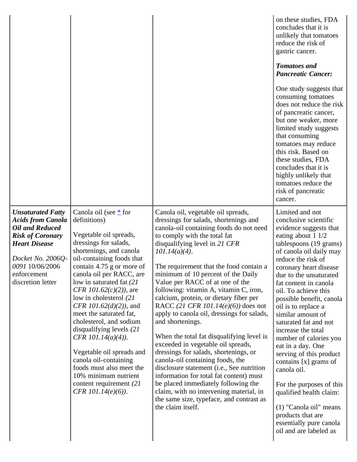|                                                                                                                                                                                                        |                                                                                                                                                                                                                                                                                                                                                                                                                                                                                                                                                                                                                  |                                                                                                                                                                                                                                                                                                                                                                                                                                                                                                                                                                                                                                                                                                                                                                                                                                                                                                                                             | on these studies, FDA<br>concludes that it is<br>unlikely that tomatoes<br>reduce the risk of<br>gastric cancer.<br><b>Tomatoes and</b><br><b>Pancreatic Cancer:</b><br>One study suggests that<br>consuming tomatoes<br>does not reduce the risk<br>of pancreatic cancer,<br>but one weaker, more<br>limited study suggests<br>that consuming<br>tomatoes may reduce<br>this risk. Based on<br>these studies, FDA<br>concludes that it is<br>highly unlikely that<br>tomatoes reduce the<br>risk of pancreatic<br>cancer.                                                                                                                                                     |
|--------------------------------------------------------------------------------------------------------------------------------------------------------------------------------------------------------|------------------------------------------------------------------------------------------------------------------------------------------------------------------------------------------------------------------------------------------------------------------------------------------------------------------------------------------------------------------------------------------------------------------------------------------------------------------------------------------------------------------------------------------------------------------------------------------------------------------|---------------------------------------------------------------------------------------------------------------------------------------------------------------------------------------------------------------------------------------------------------------------------------------------------------------------------------------------------------------------------------------------------------------------------------------------------------------------------------------------------------------------------------------------------------------------------------------------------------------------------------------------------------------------------------------------------------------------------------------------------------------------------------------------------------------------------------------------------------------------------------------------------------------------------------------------|--------------------------------------------------------------------------------------------------------------------------------------------------------------------------------------------------------------------------------------------------------------------------------------------------------------------------------------------------------------------------------------------------------------------------------------------------------------------------------------------------------------------------------------------------------------------------------------------------------------------------------------------------------------------------------|
| <b>Unsaturated Fatty</b><br><b>Acids from Canola</b><br>Oil and Reduced<br><b>Risk of Coronary</b><br><b>Heart Disease</b><br>Docket No. 2006Q-<br>0091 10/06/2006<br>enforcement<br>discretion letter | Canola oil (see $*$ for<br>definitions)<br>Vegetable oil spreads,<br>dressings for salads,<br>shortenings, and canola<br>oil-containing foods that<br>contain $4.75$ g or more of<br>canola oil per RACC, are<br>low in saturated fat (21)<br><i>CFR 101.62(c)(2))</i> , are<br>low in cholesterol (21)<br>CFR $101.62(d)(2)$ , and<br>meet the saturated fat,<br>cholesterol, and sodium<br>disqualifying levels $(21)$<br>CFR $101.14(a)(4)$ ).<br>Vegetable oil spreads and<br>canola oil-containing<br>foods must also meet the<br>10% minimum nutrient<br>content requirement (21)<br>CFR $101.14(e)(6)$ ). | Canola oil, vegetable oil spreads,<br>dressings for salads, shortenings and<br>canola-oil containing foods do not need<br>to comply with the total fat<br>disqualifying level in 21 CFR<br>$101.14(a)(4)$ .<br>The requirement that the food contain a<br>minimum of 10 percent of the Daily<br>Value per RACC of at one of the<br>following: vitamin A, vitamin C, iron,<br>calcium, protein, or dietary fiber per<br>RACC (21 CFR 101.14( $e$ )(6)) does not<br>apply to canola oil, dressings for salads,<br>and shortenings.<br>When the total fat disqualifying level is<br>exceeded in vegetable oil spreads,<br>dressings for salads, shortenings, or<br>canola-oil containing foods, the<br>disclosure statement (i.e., See nutrition<br>information for total fat content) must<br>be placed immediately following the<br>claim, with no intervening material, in<br>the same size, typeface, and contrast as<br>the claim itself. | Limited and not<br>conclusive scientific<br>evidence suggests that<br>eating about 1 1/2<br>tablespoons (19 grams)<br>of canola oil daily may<br>reduce the risk of<br>coronary heart disease<br>due to the unsaturated<br>fat content in canola<br>oil. To achieve this<br>possible benefit, canola<br>oil is to replace a<br>similar amount of<br>saturated fat and not<br>increase the total<br>number of calories you<br>eat in a day. One<br>serving of this product<br>contains $[x]$ grams of<br>canola oil.<br>For the purposes of this<br>qualified health claim:<br>(1) "Canola oil" means<br>products that are<br>essentially pure canola<br>oil and are labeled as |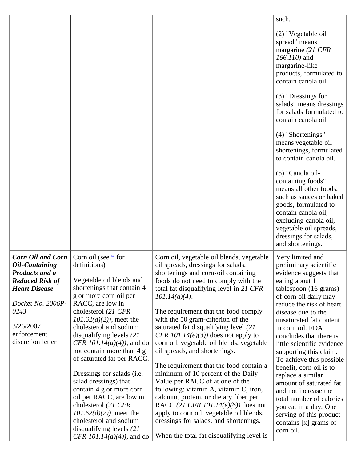|                                                                                                                                                                                                            |                                                                                                                                                                                                                                                                                                                                                                                                                                                                                                                                                                                                                             |                                                                                                                                                                                                                                                                                                                                                                                                                                                                                                                                                                                                                                                                                                                                                                                                                                                                   | such.                                                                                                                                                                                                                                                                                                                                                                                                                                                                                                                                                                               |
|------------------------------------------------------------------------------------------------------------------------------------------------------------------------------------------------------------|-----------------------------------------------------------------------------------------------------------------------------------------------------------------------------------------------------------------------------------------------------------------------------------------------------------------------------------------------------------------------------------------------------------------------------------------------------------------------------------------------------------------------------------------------------------------------------------------------------------------------------|-------------------------------------------------------------------------------------------------------------------------------------------------------------------------------------------------------------------------------------------------------------------------------------------------------------------------------------------------------------------------------------------------------------------------------------------------------------------------------------------------------------------------------------------------------------------------------------------------------------------------------------------------------------------------------------------------------------------------------------------------------------------------------------------------------------------------------------------------------------------|-------------------------------------------------------------------------------------------------------------------------------------------------------------------------------------------------------------------------------------------------------------------------------------------------------------------------------------------------------------------------------------------------------------------------------------------------------------------------------------------------------------------------------------------------------------------------------------|
|                                                                                                                                                                                                            |                                                                                                                                                                                                                                                                                                                                                                                                                                                                                                                                                                                                                             |                                                                                                                                                                                                                                                                                                                                                                                                                                                                                                                                                                                                                                                                                                                                                                                                                                                                   | (2) "Vegetable oil<br>spread" means<br>margarine (21 CFR<br>$166.110$ ) and<br>margarine-like<br>products, formulated to<br>contain canola oil.                                                                                                                                                                                                                                                                                                                                                                                                                                     |
|                                                                                                                                                                                                            |                                                                                                                                                                                                                                                                                                                                                                                                                                                                                                                                                                                                                             |                                                                                                                                                                                                                                                                                                                                                                                                                                                                                                                                                                                                                                                                                                                                                                                                                                                                   | $(3)$ "Dressings for<br>salads" means dressings<br>for salads formulated to<br>contain canola oil.                                                                                                                                                                                                                                                                                                                                                                                                                                                                                  |
|                                                                                                                                                                                                            |                                                                                                                                                                                                                                                                                                                                                                                                                                                                                                                                                                                                                             |                                                                                                                                                                                                                                                                                                                                                                                                                                                                                                                                                                                                                                                                                                                                                                                                                                                                   | (4) "Shortenings"<br>means vegetable oil<br>shortenings, formulated<br>to contain canola oil.                                                                                                                                                                                                                                                                                                                                                                                                                                                                                       |
|                                                                                                                                                                                                            |                                                                                                                                                                                                                                                                                                                                                                                                                                                                                                                                                                                                                             |                                                                                                                                                                                                                                                                                                                                                                                                                                                                                                                                                                                                                                                                                                                                                                                                                                                                   | (5) "Canola oil-<br>containing foods"<br>means all other foods,<br>such as sauces or baked<br>goods, formulated to<br>contain canola oil,<br>excluding canola oil,<br>vegetable oil spreads,<br>dressings for salads,<br>and shortenings.                                                                                                                                                                                                                                                                                                                                           |
| <b>Corn Oil and Corn</b><br><b>Oil-Containing</b><br><b>Products and a</b><br><b>Reduced Risk of</b><br><b>Heart Disease</b><br>Docket No. 2006P-<br>0243<br>3/26/2007<br>enforcement<br>discretion letter | Corn oil (see $*$ for<br>definitions)<br>Vegetable oil blends and<br>shortenings that contain 4<br>g or more corn oil per<br>RACC, are low in<br>cholesterol (21 CFR<br>$101.62(d)(2)$ , meet the<br>cholesterol and sodium<br>disqualifying levels $(21)$<br><i>CFR 101.14(a)(4))</i> , and do<br>not contain more than 4 g<br>of saturated fat per RACC.<br>Dressings for salads (i.e.<br>salad dressings) that<br>contain 4 g or more corn<br>oil per RACC, are low in<br>cholesterol (21 CFR<br>$101.62(d)(2)$ , meet the<br>cholesterol and sodium<br>disqualifying levels $(21)$<br><i>CFR 101.14(a)(4))</i> , and do | Corn oil, vegetable oil blends, vegetable<br>oil spreads, dressings for salads,<br>shortenings and corn-oil containing<br>foods do not need to comply with the<br>total fat disqualifying level in 21 CFR<br>$101.14(a)(4)$ .<br>The requirement that the food comply<br>with the 50 gram-criterion of the<br>saturated fat disqualifying level (21)<br>CFR 101.14 $(e)(3)$ does not apply to<br>corn oil, vegetable oil blends, vegetable<br>oil spreads, and shortenings.<br>The requirement that the food contain a<br>minimum of 10 percent of the Daily<br>Value per RACC of at one of the<br>following: vitamin A, vitamin C, iron,<br>calcium, protein, or dietary fiber per<br>RACC (21 CFR 101.14( $e$ )(6)) does not<br>apply to corn oil, vegetable oil blends,<br>dressings for salads, and shortenings.<br>When the total fat disqualifying level is | Very limited and<br>preliminary scientific<br>evidence suggests that<br>eating about 1<br>tablespoon (16 grams)<br>of corn oil daily may<br>reduce the risk of heart<br>disease due to the<br>unsaturated fat content<br>in corn oil. FDA<br>concludes that there is<br>little scientific evidence<br>supporting this claim.<br>To achieve this possible<br>benefit, corn oil is to<br>replace a similar<br>amount of saturated fat<br>and not increase the<br>total number of calories<br>you eat in a day. One<br>serving of this product<br>contains $[x]$ grams of<br>corn oil. |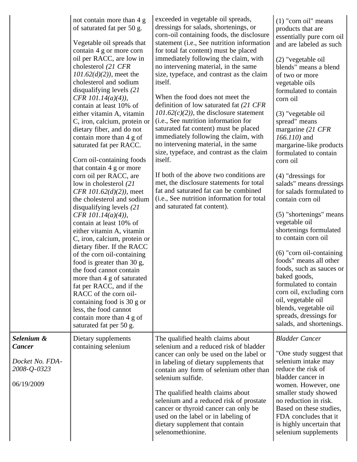|                                                                             | not contain more than 4 g<br>of saturated fat per 50 g.<br>Vegetable oil spreads that<br>contain 4 g or more corn<br>oil per RACC, are low in<br>cholesterol (21 CFR<br>$101.62(d)(2)$ , meet the<br>cholesterol and sodium<br>disqualifying levels $(21)$<br>CFR $101.14(a)(4)$ ,<br>contain at least 10% of<br>either vitamin A, vitamin<br>C, iron, calcium, protein or<br>dietary fiber, and do not<br>contain more than 4 g of<br>saturated fat per RACC.<br>Corn oil-containing foods<br>that contain 4 g or more<br>corn oil per RACC, are<br>low in cholesterol (21)<br><i>CFR 101.62(d)(2))</i> , meet<br>the cholesterol and sodium<br>disqualifying levels (21<br>CFR $101.14(a)(4)$ ),<br>contain at least 10% of<br>either vitamin A, vitamin<br>C, iron, calcium, protein or<br>dietary fiber. If the RACC<br>of the corn oil-containing<br>food is greater than 30 g,<br>the food cannot contain<br>more than 4 g of saturated<br>fat per RACC, and if the<br>RACC of the corn oil-<br>containing food is 30 g or<br>less, the food cannot<br>contain more than 4 g of<br>saturated fat per 50 g. | exceeded in vegetable oil spreads,<br>dressings for salads, shortenings, or<br>corn-oil containing foods, the disclosure<br>statement (i.e., See nutrition information<br>for total fat content) must be placed<br>immediately following the claim, with<br>no intervening material, in the same<br>size, typeface, and contrast as the claim<br>itself.<br>When the food does not meet the<br>definition of low saturated fat (21 CFR<br>$101.62(c)(2)$ , the disclosure statement<br>(i.e., See nutrition information for<br>saturated fat content) must be placed<br>immediately following the claim, with<br>no intervening material, in the same<br>size, typeface, and contrast as the claim<br>itself.<br>If both of the above two conditions are<br>met, the disclosure statements for total<br>fat and saturated fat can be combined<br>(i.e., See nutrition information for total<br>and saturated fat content). | $(1)$ "corn oil" means<br>products that are<br>essentially pure corn oil<br>and are labeled as such<br>(2) "vegetable oil<br>blends" means a blend<br>of two or more<br>vegetable oils<br>formulated to contain<br>corn oil<br>(3) "vegetable oil<br>spread" means<br>margarine (21 CFR<br>$166.110$ ) and<br>margarine-like products<br>formulated to contain<br>corn oil<br>$(4)$ "dressings for<br>salads" means dressings<br>for salads formulated to<br>contain corn oil<br>(5) "shortenings" means<br>vegetable oil<br>shortenings formulated<br>to contain corn oil<br>$(6)$ "corn oil-containing<br>foods" means all other<br>foods, such as sauces or<br>baked goods,<br>formulated to contain<br>corn oil, excluding corn<br>oil, vegetable oil<br>blends, vegetable oil<br>spreads, dressings for<br>salads, and shortenings. |
|-----------------------------------------------------------------------------|------------------------------------------------------------------------------------------------------------------------------------------------------------------------------------------------------------------------------------------------------------------------------------------------------------------------------------------------------------------------------------------------------------------------------------------------------------------------------------------------------------------------------------------------------------------------------------------------------------------------------------------------------------------------------------------------------------------------------------------------------------------------------------------------------------------------------------------------------------------------------------------------------------------------------------------------------------------------------------------------------------------------------------------------------------------------------------------------------------------|----------------------------------------------------------------------------------------------------------------------------------------------------------------------------------------------------------------------------------------------------------------------------------------------------------------------------------------------------------------------------------------------------------------------------------------------------------------------------------------------------------------------------------------------------------------------------------------------------------------------------------------------------------------------------------------------------------------------------------------------------------------------------------------------------------------------------------------------------------------------------------------------------------------------------|------------------------------------------------------------------------------------------------------------------------------------------------------------------------------------------------------------------------------------------------------------------------------------------------------------------------------------------------------------------------------------------------------------------------------------------------------------------------------------------------------------------------------------------------------------------------------------------------------------------------------------------------------------------------------------------------------------------------------------------------------------------------------------------------------------------------------------------|
| Selenium &<br><b>Cancer</b><br>Docket No. FDA-<br>2008-Q-0323<br>06/19/2009 | Dietary supplements<br>containing selenium                                                                                                                                                                                                                                                                                                                                                                                                                                                                                                                                                                                                                                                                                                                                                                                                                                                                                                                                                                                                                                                                       | The qualified health claims about<br>selenium and a reduced risk of bladder<br>cancer can only be used on the label or<br>in labeling of dietary supplements that<br>contain any form of selenium other than<br>selenium sulfide.<br>The qualified health claims about<br>selenium and a reduced risk of prostate<br>cancer or thyroid cancer can only be<br>used on the label or in labeling of<br>dietary supplement that contain<br>selenomethionine.                                                                                                                                                                                                                                                                                                                                                                                                                                                                   | <b>Bladder Cancer</b><br>"One study suggest that<br>selenium intake may<br>reduce the risk of<br>bladder cancer in<br>women. However, one<br>smaller study showed<br>no reduction in risk.<br>Based on these studies,<br>FDA concludes that it<br>is highly uncertain that<br>selenium supplements                                                                                                                                                                                                                                                                                                                                                                                                                                                                                                                                       |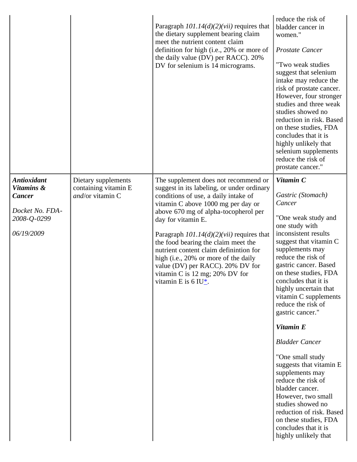|                                                                                                   |                                                                 | Paragraph $101.14(d)(2)(vii)$ requires that<br>the dietary supplement bearing claim<br>meet the nutrient content claim<br>definition for high (i.e., 20% or more of<br>the daily value (DV) per RACC). 20%<br>DV for selenium is 14 micrograms.                                                                                                                                                                                                                                                                  | reduce the risk of<br>bladder cancer in<br>women."<br><b>Prostate Cancer</b><br>"Two weak studies<br>suggest that selenium<br>intake may reduce the<br>risk of prostate cancer.<br>However, four stronger<br>studies and three weak<br>studies showed no<br>reduction in risk. Based<br>on these studies, FDA<br>concludes that it is<br>highly unlikely that<br>selenium supplements<br>reduce the risk of<br>prostate cancer." |
|---------------------------------------------------------------------------------------------------|-----------------------------------------------------------------|------------------------------------------------------------------------------------------------------------------------------------------------------------------------------------------------------------------------------------------------------------------------------------------------------------------------------------------------------------------------------------------------------------------------------------------------------------------------------------------------------------------|----------------------------------------------------------------------------------------------------------------------------------------------------------------------------------------------------------------------------------------------------------------------------------------------------------------------------------------------------------------------------------------------------------------------------------|
| <b>Antioxidant</b><br>Vitamins &<br><b>Cancer</b><br>Docket No. FDA-<br>2008-Q-0299<br>06/19/2009 | Dietary supplements<br>containing vitamin E<br>and/or vitamin C | The supplement does not recommend or<br>suggest in its labeling, or under ordinary<br>conditions of use, a daily intake of<br>vitamin C above 1000 mg per day or<br>above 670 mg of alpha-tocopherol per<br>day for vitamin E.<br>Paragraph $101.14(d)(2)(vii)$ requires that<br>the food bearing the claim meet the<br>nutrient content claim definintion for<br>high (i.e., 20% or more of the daily<br>value (DV) per RACC). 20% DV for<br>vitamin C is 12 mg; 20% DV for<br>vitamin E is 6 IU $_{\rm \pm}$ . | Vitamin C<br>Gastric (Stomach)<br>Cancer<br>"One weak study and<br>one study with<br>inconsistent results<br>suggest that vitamin C<br>supplements may<br>reduce the risk of<br>gastric cancer. Based<br>on these studies, FDA<br>concludes that it is<br>highly uncertain that<br>vitamin C supplements<br>reduce the risk of<br>gastric cancer."                                                                               |
|                                                                                                   |                                                                 |                                                                                                                                                                                                                                                                                                                                                                                                                                                                                                                  | Vitamin E<br><b>Bladder Cancer</b><br>"One small study<br>suggests that vitamin E<br>supplements may<br>reduce the risk of<br>bladder cancer.<br>However, two small<br>studies showed no<br>reduction of risk. Based<br>on these studies, FDA<br>concludes that it is<br>highly unlikely that                                                                                                                                    |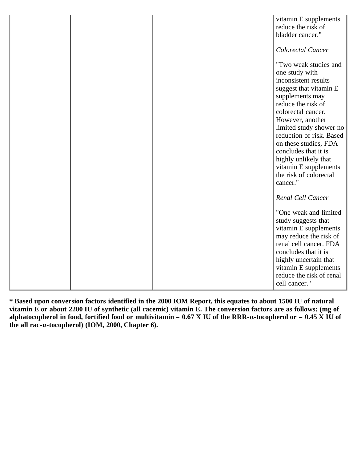|  | vitamin E supplements<br>reduce the risk of<br>bladder cancer."                                                                                                                                                                                                                                                                                                             |
|--|-----------------------------------------------------------------------------------------------------------------------------------------------------------------------------------------------------------------------------------------------------------------------------------------------------------------------------------------------------------------------------|
|  | Colorectal Cancer                                                                                                                                                                                                                                                                                                                                                           |
|  | "Two weak studies and<br>one study with<br>inconsistent results<br>suggest that vitamin E<br>supplements may<br>reduce the risk of<br>colorectal cancer.<br>However, another<br>limited study shower no<br>reduction of risk. Based<br>on these studies, FDA<br>concludes that it is<br>highly unlikely that<br>vitamin E supplements<br>the risk of colorectal<br>cancer." |
|  | Renal Cell Cancer                                                                                                                                                                                                                                                                                                                                                           |
|  | "One weak and limited<br>study suggests that<br>vitamin E supplements<br>may reduce the risk of<br>renal cell cancer. FDA<br>concludes that it is<br>highly uncertain that<br>vitamin E supplements<br>reduce the risk of renal<br>cell cancer."                                                                                                                            |

<span id="page-113-0"></span>**\* Based upon conversion factors identified in the 2000 IOM Report, this equates to about 1500 IU of natural vitamin E or about 2200 IU of synthetic (all racemic) vitamin E. The conversion factors are as follows: (mg of alphatocopherol in food, fortified food or multivitamin = 0.67 X IU of the RRR-α-tocopherol or = 0.45 X IU of the all rac-α-tocopherol) (IOM, 2000, Chapter 6).**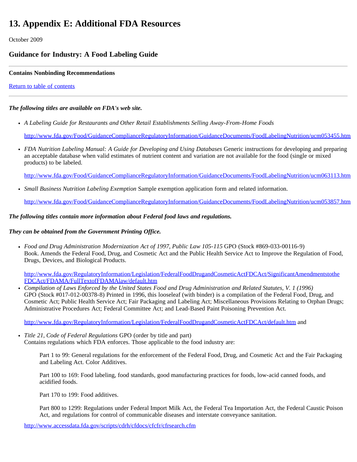## **13. Appendix E: Additional FDA Resources**

October 2009

#### **Guidance for Industry: A Food Labeling Guide**

#### **Contains Nonbinding Recommendations**

[Return to table of contents](#page-0-0)

#### *The following titles are available on FDA's web site.*

*A Labeling Guide for Restaurants and Other Retail Establishments Selling Away-From-Home Foods*

<http://www.fda.gov/Food/GuidanceComplianceRegulatoryInformation/GuidanceDocuments/FoodLabelingNutrition/ucm053455.htm>

*FDA Nutrition Labeling Manual: A Guide for Developing and Using Databases* Generic instructions for developing and preparing an acceptable database when valid estimates of nutrient content and variation are not available for the food (single or mixed products) to be labeled.

<http://www.fda.gov/Food/GuidanceComplianceRegulatoryInformation/GuidanceDocuments/FoodLabelingNutrition/ucm063113.htm>

*Small Business Nutrition Labeling Exemption* Sample exemption application form and related information.

<http://www.fda.gov/Food/GuidanceComplianceRegulatoryInformation/GuidanceDocuments/FoodLabelingNutrition/ucm053857.htm>

#### *The following titles contain more information about Federal food laws and regulations.*

#### *They can be obtained from the Government Printing Office.*

*Food and Drug Administration Modernization Act of 1997, Public Law 105-115* GPO (Stock #869-033-00116-9) Book. Amends the Federal Food, Drug, and Cosmetic Act and the Public Health Service Act to Improve the Regulation of Food, Drugs, Devices, and Biological Products.

[http://www.fda.gov/RegulatoryInformation/Legislation/FederalFoodDrugandCosmeticActFDCAct/SignificantAmendmentstothe](http://www.fda.gov/RegulatoryInformation/Legislation/FederalFoodDrugandCosmeticActFDCAct/SignificantAmendmentstothe FDCAct/FDAMA/FullTextofFDAMAlaw/default.htm) [FDCAct/FDAMA/FullTextofFDAMAlaw/default.htm](http://www.fda.gov/RegulatoryInformation/Legislation/FederalFoodDrugandCosmeticActFDCAct/SignificantAmendmentstothe FDCAct/FDAMA/FullTextofFDAMAlaw/default.htm)

*Compilation of Laws Enforced by the United States Food and Drug Administration and Related Statutes, V. 1 (1996)* GPO (Stock #017-012-00378-8) Printed in 1996, this looseleaf (with binder) is a compilation of the Federal Food, Drug, and Cosmetic Act; Public Health Service Act; Fair Packaging and Labeling Act; Miscellaneous Provisions Relating to Orphan Drugs; Administrative Procedures Act; Federal Committee Act; and Lead-Based Paint Poisoning Prevention Act.

<http://www.fda.gov/RegulatoryInformation/Legislation/FederalFoodDrugandCosmeticActFDCAct/default.htm> and

*Title 21, Code of Federal Regulations* GPO (order by title and part) Contains regulations which FDA enforces. Those applicable to the food industry are:

> Part 1 to 99: General regulations for the enforcement of the Federal Food, Drug, and Cosmetic Act and the Fair Packaging and Labeling Act. Color Additives.

Part 100 to 169: Food labeling, food standards, good manufacturing practices for foods, low-acid canned foods, and acidified foods.

Part 170 to 199: Food additives.

Part 800 to 1299: Regulations under Federal Import Milk Act, the Federal Tea Importation Act, the Federal Caustic Poison Act, and regulations for control of communicable diseases and interstate conveyance sanitation.

<http://www.accessdata.fda.gov/scripts/cdrh/cfdocs/cfcfr/cfrsearch.cfm>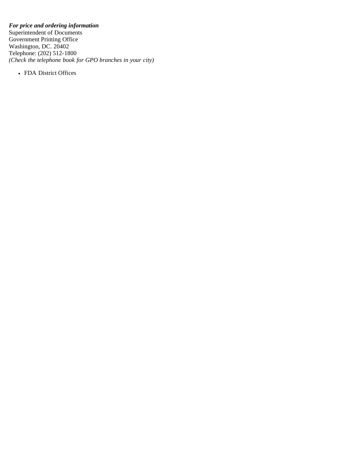#### *For price and ordering information*

Superintendent of Documents Government Printing Office Washington, DC. 20402 Telephone: (202) 512-1800 *(Check the telephone book for GPO branches in your city)*

• FDA District Offices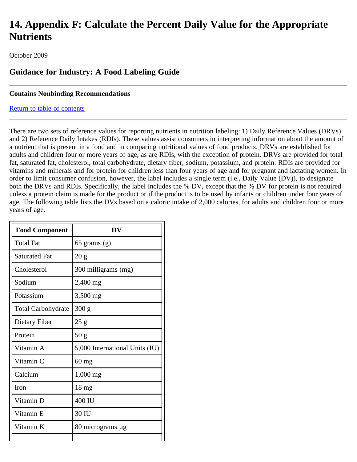## **14. Appendix F: Calculate the Percent Daily Value for the Appropriate Nutrients**

October 2009

### **Guidance for Industry: A Food Labeling Guide**

#### **Contains Nonbinding Recommendations**

#### [Return to table of contents](#page-0-0)

There are two sets of reference values for reporting nutrients in nutrition labeling: 1) Daily Reference Values (DRVs) and 2) Reference Daily Intakes (RDIs). These values assist consumers in interpreting information about the amount of a nutrient that is present in a food and in comparing nutritional values of food products. DRVs are established for adults and children four or more years of age, as are RDIs, with the exception of protein. DRVs are provided for total fat, saturated fat, cholesterol, total carbohydrate, dietary fiber, sodium, potassium, and protein. RDIs are provided for vitamins and minerals and for protein for children less than four years of age and for pregnant and lactating women. In order to limit consumer confusion, however, the label includes a single term (i.e., Daily Value (DV)), to designate both the DRVs and RDIs. Specifically, the label includes the % DV, except that the % DV for protein is not required unless a protein claim is made for the product or if the product is to be used by infants or children under four years of age. The following table lists the DVs based on a caloric intake of 2,000 calories, for adults and children four or more years of age.

| <b>Food Component</b>     | DV                             |
|---------------------------|--------------------------------|
| <b>Total Fat</b>          | $65$ grams $(g)$               |
| Saturated Fat             | 20 g                           |
| Cholesterol               | 300 milligrams (mg)            |
| Sodium                    | 2,400 mg                       |
| Potassium                 | 3,500 mg                       |
| <b>Total Carbohydrate</b> | 300 g                          |
| Dietary Fiber             | 25g                            |
| Protein                   | 50 <sub>g</sub>                |
| Vitamin A                 | 5,000 International Units (IU) |
| Vitamin C                 | $60$ mg                        |
| Calcium                   | $1,000$ mg                     |
| Iron                      | $18 \text{ mg}$                |
| Vitamin D                 | 400 IU                         |
| Vitamin E                 | 30 IU                          |
| Vitamin K                 | 80 micrograms µg               |
|                           |                                |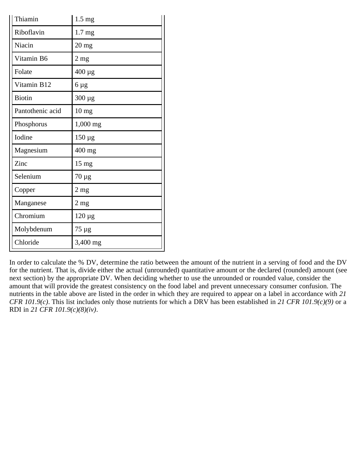| Thiamin          | $1.5 \text{ mg}$   |
|------------------|--------------------|
| Riboflavin       | 1.7 <sub>mg</sub>  |
| Niacin           | $20$ mg            |
| Vitamin B6       | $2 \text{ mg}$     |
| Folate           | 400 μg             |
| Vitamin B12      | 6 µg               |
| <b>Biotin</b>    | $300 \mu g$        |
| Pantothenic acid | $10 \ \mathrm{mg}$ |
| Phosphorus       | 1,000 mg           |
| Iodine           | $150 \mu g$        |
| Magnesium        | 400 mg             |
| Zinc             | $15 \text{ mg}$    |
| Selenium         | $70 \mu g$         |
| Copper           | $2 \text{ mg}$     |
| Manganese        | $2 \text{ mg}$     |
| Chromium         | $120 \mu g$        |
| Molybdenum       | 75 µg              |
| Chloride         | 3,400 mg           |

In order to calculate the % DV, determine the ratio between the amount of the nutrient in a serving of food and the DV for the nutrient. That is, divide either the actual (unrounded) quantitative amount or the declared (rounded) amount (see next section) by the appropriate DV. When deciding whether to use the unrounded or rounded value, consider the amount that will provide the greatest consistency on the food label and prevent unnecessary consumer confusion. The nutrients in the table above are listed in the order in which they are required to appear on a label in accordance with *21 CFR 101.9(c)*. This list includes only those nutrients for which a DRV has been established in *21 CFR 101.9(c)(9)* or a RDI in *21 CFR 101.9(c)(8)(iv)*.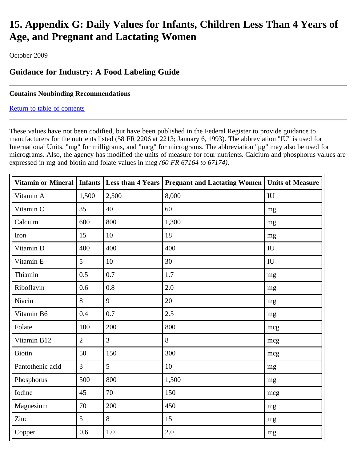# **15. Appendix G: Daily Values for Infants, Children Less Than 4 Years of Age, and Pregnant and Lactating Women**

October 2009

### **Guidance for Industry: A Food Labeling Guide**

#### **Contains Nonbinding Recommendations**

#### [Return to table of contents](#page-0-0)

These values have not been codified, but have been published in the Federal Register to provide guidance to manufacturers for the nutrients listed (58 FR 2206 at 2213; January 6, 1993). The abbreviation "IU" is used for International Units, "mg" for milligrams, and "mcg" for micrograms. The abbreviation "µg" may also be used for micrograms. Also, the agency has modified the units of measure for four nutrients. Calcium and phosphorus values are expressed in mg and biotin and folate values in mcg *(60 FR 67164 to 67174)*.

| Vitamin or Mineral   Infants   Less than 4 Years |                 |                | <b>Pregnant and Lactating Women</b> | <b>Units of Measure</b> |
|--------------------------------------------------|-----------------|----------------|-------------------------------------|-------------------------|
| Vitamin A                                        | 1,500           | 2,500          | 8,000                               | IU                      |
| Vitamin C                                        | 35              | 40             | 60                                  | mg                      |
| Calcium                                          | 600             | 800            | 1,300                               | mg                      |
| Iron                                             | 15              | 10             | 18                                  | mg                      |
| Vitamin D                                        | 400             | 400            | 400                                 | IU                      |
| Vitamin E                                        | $5\overline{)}$ | 10             | 30                                  | IU                      |
| Thiamin                                          | 0.5             | 0.7            | 1.7                                 | mg                      |
| Riboflavin                                       | 0.6             | 0.8            | 2.0                                 | mg                      |
| Niacin                                           | 8               | 9              | 20                                  | mg                      |
| Vitamin B6                                       | 0.4             | 0.7            | 2.5                                 | mg                      |
| Folate                                           | 100             | 200            | 800                                 | mcg                     |
| Vitamin B12                                      | $\overline{2}$  | $\overline{3}$ | 8                                   | mcg                     |
| <b>Biotin</b>                                    | 50              | 150            | 300                                 | mcg                     |
| Pantothenic acid                                 | $\overline{3}$  | 5              | 10                                  | mg                      |
| Phosphorus                                       | 500             | 800            | 1,300                               | mg                      |
| Iodine                                           | 45              | 70             | 150                                 | mcg                     |
| Magnesium                                        | 70              | 200            | 450                                 | mg                      |
| Zinc                                             | $\overline{5}$  | 8              | 15                                  | mg                      |
| Copper                                           | 0.6             | 1.0            | 2.0                                 | mg                      |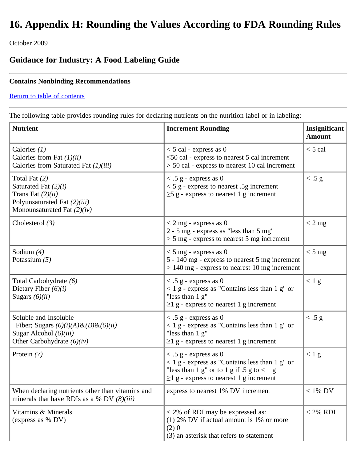# **16. Appendix H: Rounding the Values According to FDA Rounding Rules**

October 2009

## **Guidance for Industry: A Food Labeling Guide**

#### **Contains Nonbinding Recommendations**

#### [Return to table of contents](#page-0-0)

The following table provides rounding rules for declaring nutrients on the nutrition label or in labeling:

| <b>Nutrient</b>                                                                                                                   | <b>Increment Rounding</b>                                                                                                                                                                  | Insignificant<br><b>Amount</b> |
|-----------------------------------------------------------------------------------------------------------------------------------|--------------------------------------------------------------------------------------------------------------------------------------------------------------------------------------------|--------------------------------|
| Calories $(1)$<br>Calories from Fat $(1)(ii)$<br>Calories from Saturated Fat (1)(iii)                                             | $<$ 5 cal - express as 0<br>$\leq$ 50 cal - express to nearest 5 cal increment<br>> 50 cal - express to nearest 10 cal increment                                                           | $<$ 5 cal                      |
| Total Fat $(2)$<br>Saturated Fat $(2)(i)$<br>Trans Fat $(2)(ii)$<br>Polyunsaturated Fat (2)(iii)<br>Monounsaturated Fat $(2)(iv)$ | $\langle .5 \rangle$ g - express as 0<br>$<$ 5 g - express to nearest .5g increment<br>$\geq$ 5 g - express to nearest 1 g increment                                                       | < .5 g                         |
| Cholesterol $(3)$                                                                                                                 | $<$ 2 mg - express as 0<br>2 - 5 mg - express as "less than 5 mg"<br>$> 5$ mg - express to nearest 5 mg increment                                                                          | $< 2$ mg                       |
| Sodium $(4)$<br>Potassium $(5)$                                                                                                   | $<$ 5 mg - express as 0<br>5 - 140 mg - express to nearest 5 mg increment<br>$> 140$ mg - express to nearest 10 mg increment                                                               | $< 5$ mg                       |
| Total Carbohydrate (6)<br>Dietary Fiber $(6)(i)$<br>Sugars $(6)(ii)$                                                              | $\langle .5 \rangle$ g - express as 0<br>$<$ 1 g - express as "Contains less than 1 g" or<br>"less than $1 g$ "<br>$\geq$ 1 g - express to nearest 1 g increment                           | $< 1$ g                        |
| Soluble and Insoluble<br>Fiber; Sugars $(6)(i)(A) \& (B) \& (6)(ii)$<br>Sugar Alcohol $(6)(iii)$<br>Other Carbohydrate $(6)(iv)$  | $\langle .5 \rangle$ g - express as 0<br>$<$ 1 g - express as "Contains less than 1 g" or<br>"less than 1 g"<br>$\geq$ 1 g - express to nearest 1 g increment                              | < .5 g                         |
| Protein $(7)$                                                                                                                     | $\langle .5 \rangle$ g - express as 0<br>$<$ 1 g - express as "Contains less than 1 g" or<br>"less than 1 g" or to 1 g if .5 g to $<$ 1 g<br>$\geq$ 1 g - express to nearest 1 g increment | < 1 g                          |
| When declaring nutrients other than vitamins and<br>minerals that have RDIs as a % DV $(8)(iii)$                                  | express to nearest 1% DV increment                                                                                                                                                         | $< 1\%$ DV                     |
| Vitamins & Minerals<br>(express as % DV)                                                                                          | $<$ 2% of RDI may be expressed as:<br>$(1)$ 2% DV if actual amount is 1% or more<br>(2)0<br>(3) an asterisk that refers to statement                                                       | $< 2\%$ RDI                    |